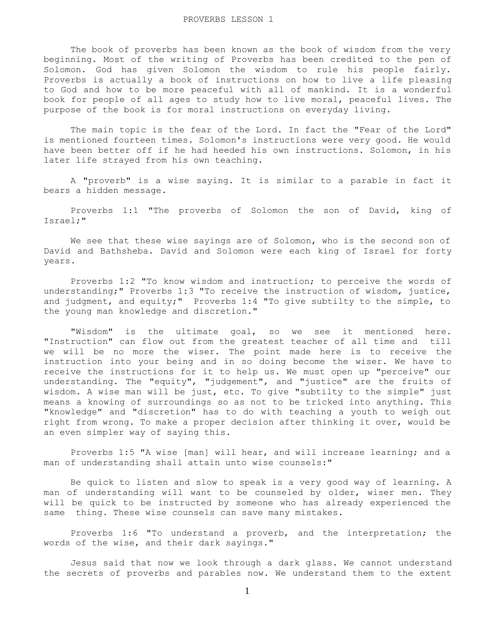The book of proverbs has been known as the book of wisdom from the very beginning. Most of the writing of Proverbs has been credited to the pen of Solomon. God has given Solomon the wisdom to rule his people fairly. Proverbs is actually a book of instructions on how to live a life pleasing to God and how to be more peaceful with all of mankind. It is a wonderful book for people of all ages to study how to live moral, peaceful lives. The purpose of the book is for moral instructions on everyday living.

 The main topic is the fear of the Lord. In fact the "Fear of the Lord" is mentioned fourteen times. Solomon's instructions were very good. He would have been better off if he had heeded his own instructions. Solomon, in his later life strayed from his own teaching.

 A "proverb" is a wise saying. It is similar to a parable in fact it bears a hidden message.

 Proverbs 1:1 "The proverbs of Solomon the son of David, king of Israel;"

 We see that these wise sayings are of Solomon, who is the second son of David and Bathsheba. David and Solomon were each king of Israel for forty years.

 Proverbs 1:2 "To know wisdom and instruction; to perceive the words of understanding;" Proverbs 1:3 "To receive the instruction of wisdom, justice, and judgment, and equity;" Proverbs 1:4 "To give subtilty to the simple, to the young man knowledge and discretion."

 "Wisdom" is the ultimate goal, so we see it mentioned here. "Instruction" can flow out from the greatest teacher of all time and till we will be no more the wiser. The point made here is to receive the instruction into your being and in so doing become the wiser. We have to receive the instructions for it to help us. We must open up "perceive" our understanding. The "equity", "judgement", and "justice" are the fruits of wisdom. A wise man will be just, etc. To give "subtilty to the simple" just means a knowing of surroundings so as not to be tricked into anything. This "knowledge" and "discretion" has to do with teaching a youth to weigh out right from wrong. To make a proper decision after thinking it over, would be an even simpler way of saying this.

 Proverbs 1:5 "A wise [man] will hear, and will increase learning; and a man of understanding shall attain unto wise counsels:"

 Be quick to listen and slow to speak is a very good way of learning. A man of understanding will want to be counseled by older, wiser men. They will be quick to be instructed by someone who has already experienced the same thing. These wise counsels can save many mistakes.

 Proverbs 1:6 "To understand a proverb, and the interpretation; the words of the wise, and their dark sayings."

 Jesus said that now we look through a dark glass. We cannot understand the secrets of proverbs and parables now. We understand them to the extent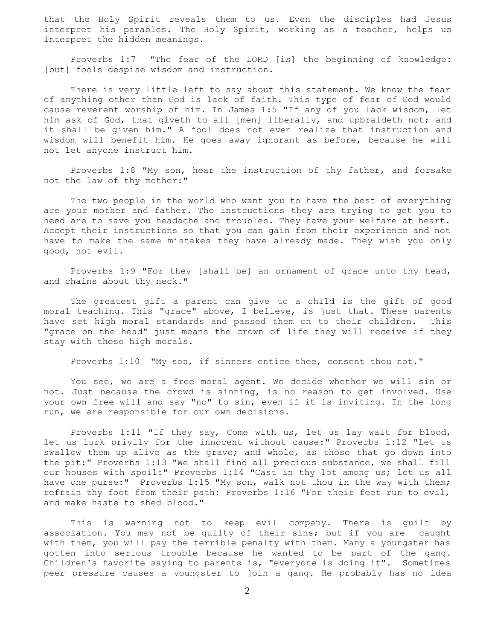that the Holy Spirit reveals them to us. Even the disciples had Jesus interpret his parables. The Holy Spirit, working as a teacher, helps us interpret the hidden meanings.

 Proverbs 1:7 "The fear of the LORD [is] the beginning of knowledge: [but] fools despise wisdom and instruction.

 There is very little left to say about this statement. We know the fear of anything other than God is lack of faith. This type of fear of God would cause reverent worship of him. In James 1:5 "If any of you lack wisdom, let him ask of God, that giveth to all [men] liberally, and upbraideth not; and it shall be given him." A fool does not even realize that instruction and wisdom will benefit him. He goes away ignorant as before, because he will not let anyone instruct him.

 Proverbs 1:8 "My son, hear the instruction of thy father, and forsake not the law of thy mother:"

 The two people in the world who want you to have the best of everything are your mother and father. The instructions they are trying to get you to heed are to save you headache and troubles. They have your welfare at heart. Accept their instructions so that you can gain from their experience and not have to make the same mistakes they have already made. They wish you only good, not evil.

 Proverbs 1:9 "For they [shall be] an ornament of grace unto thy head, and chains about thy neck."

 The greatest gift a parent can give to a child is the gift of good moral teaching. This "grace" above, I believe, is just that. These parents have set high moral standards and passed them on to their children. This "grace on the head" just means the crown of life they will receive if they stay with these high morals.

Proverbs 1:10 "My son, if sinners entice thee, consent thou not."

 You see, we are a free moral agent. We decide whether we will sin or not. Just because the crowd is sinning, is no reason to get involved. Use your own free will and say "no" to sin, even if it is inviting. In the long run, we are responsible for our own decisions.

 Proverbs 1:11 "If they say, Come with us, let us lay wait for blood, let us lurk privily for the innocent without cause:" Proverbs 1:12 "Let us swallow them up alive as the grave; and whole, as those that go down into the pit:" Proverbs 1:13 "We shall find all precious substance, we shall fill our houses with spoil:" Proverbs 1:14 "Cast in thy lot among us; let us all have one purse:" Proverbs 1:15 "My son, walk not thou in the way with them; refrain thy foot from their path: Proverbs 1:16 "For their feet run to evil, and make haste to shed blood."

 This is warning not to keep evil company. There is guilt by association. You may not be guilty of their sins; but if you are caught with them, you will pay the terrible penalty with them. Many a youngster has gotten into serious trouble because he wanted to be part of the gang. Children's favorite saying to parents is, "everyone is doing it". Sometimes peer pressure causes a youngster to join a gang. He probably has no idea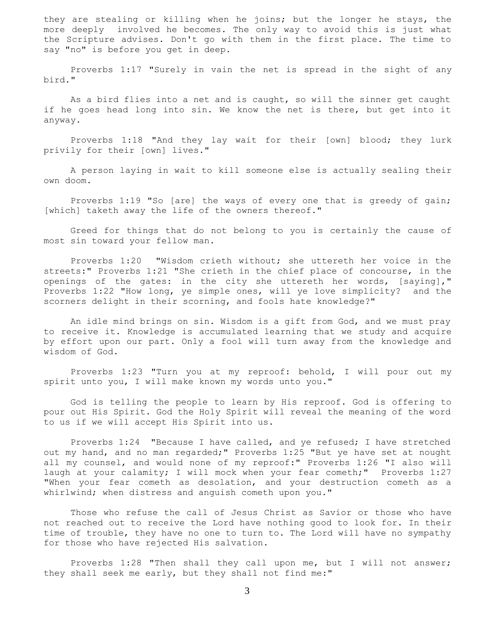they are stealing or killing when he joins; but the longer he stays, the more deeply involved he becomes. The only way to avoid this is just what the Scripture advises. Don't go with them in the first place. The time to say "no" is before you get in deep.

 Proverbs 1:17 "Surely in vain the net is spread in the sight of any bird."

 As a bird flies into a net and is caught, so will the sinner get caught if he goes head long into sin. We know the net is there, but get into it anyway.

 Proverbs 1:18 "And they lay wait for their [own] blood; they lurk privily for their [own] lives."

 A person laying in wait to kill someone else is actually sealing their own doom.

 Proverbs 1:19 "So [are] the ways of every one that is greedy of gain; [which] taketh away the life of the owners thereof."

 Greed for things that do not belong to you is certainly the cause of most sin toward your fellow man.

 Proverbs 1:20 "Wisdom crieth without; she uttereth her voice in the streets:" Proverbs 1:21 "She crieth in the chief place of concourse, in the openings of the gates: in the city she uttereth her words, [saying]," Proverbs 1:22 "How long, ye simple ones, will ye love simplicity? and the scorners delight in their scorning, and fools hate knowledge?"

 An idle mind brings on sin. Wisdom is a gift from God, and we must pray to receive it. Knowledge is accumulated learning that we study and acquire by effort upon our part. Only a fool will turn away from the knowledge and wisdom of God.

 Proverbs 1:23 "Turn you at my reproof: behold, I will pour out my spirit unto you, I will make known my words unto you."

 God is telling the people to learn by His reproof. God is offering to pour out His Spirit. God the Holy Spirit will reveal the meaning of the word to us if we will accept His Spirit into us.

 Proverbs 1:24 "Because I have called, and ye refused; I have stretched out my hand, and no man regarded;" Proverbs 1:25 "But ye have set at nought all my counsel, and would none of my reproof:" Proverbs 1:26 "I also will laugh at your calamity; I will mock when your fear cometh;" Proverbs 1:27 "When your fear cometh as desolation, and your destruction cometh as a whirlwind; when distress and anguish cometh upon you."

 Those who refuse the call of Jesus Christ as Savior or those who have not reached out to receive the Lord have nothing good to look for. In their time of trouble, they have no one to turn to. The Lord will have no sympathy for those who have rejected His salvation.

 Proverbs 1:28 "Then shall they call upon me, but I will not answer; they shall seek me early, but they shall not find me:"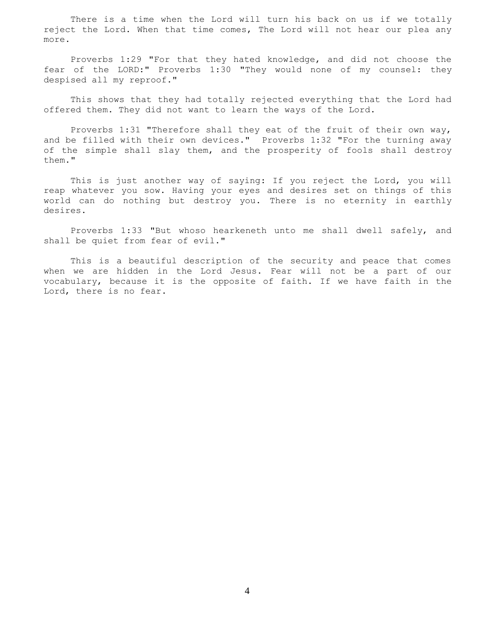There is a time when the Lord will turn his back on us if we totally reject the Lord. When that time comes, The Lord will not hear our plea any more.

 Proverbs 1:29 "For that they hated knowledge, and did not choose the fear of the LORD:" Proverbs 1:30 "They would none of my counsel: they despised all my reproof."

 This shows that they had totally rejected everything that the Lord had offered them. They did not want to learn the ways of the Lord.

 Proverbs 1:31 "Therefore shall they eat of the fruit of their own way, and be filled with their own devices." Proverbs 1:32 "For the turning away of the simple shall slay them, and the prosperity of fools shall destroy them."

 This is just another way of saying: If you reject the Lord, you will reap whatever you sow. Having your eyes and desires set on things of this world can do nothing but destroy you. There is no eternity in earthly desires.

 Proverbs 1:33 "But whoso hearkeneth unto me shall dwell safely, and shall be quiet from fear of evil."

 This is a beautiful description of the security and peace that comes when we are hidden in the Lord Jesus. Fear will not be a part of our vocabulary, because it is the opposite of faith. If we have faith in the Lord, there is no fear.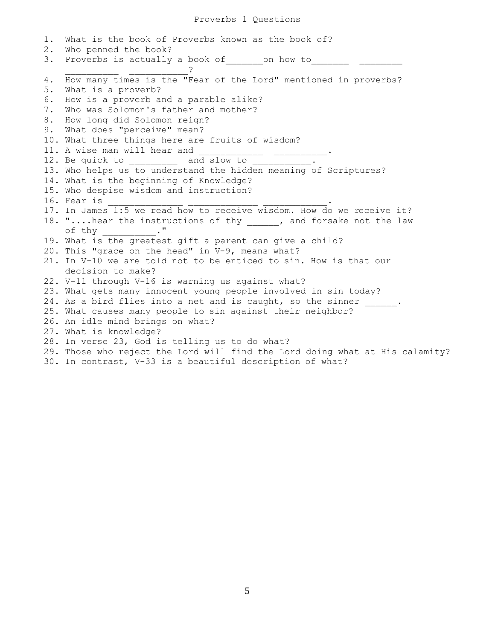1. What is the book of Proverbs known as the book of? 2. Who penned the book? 3. Proverbs is actually a book of conchow to \_\_\_\_\_\_\_\_\_\_ \_\_\_\_\_\_\_\_\_\_\_? 4. How many times is the "Fear of the Lord" mentioned in proverbs? 5. What is a proverb? 6. How is a proverb and a parable alike? 7. Who was Solomon's father and mother? 8. How long did Solomon reign? 9. What does "perceive" mean? 10. What three things here are fruits of wisdom? 11. A wise man will hear and 12. Be quick to  $\qquad \qquad$  and slow to  $\qquad \qquad$ . 13. Who helps us to understand the hidden meaning of Scriptures? 14. What is the beginning of Knowledge? 15. Who despise wisdom and instruction? 16. Fear is 17. In James 1:5 we read how to receive wisdom. How do we receive it? 18. "....hear the instructions of thy [18], and forsake not the law of thy will not the set of  $\mathbf{u}$ ." 19. What is the greatest gift a parent can give a child? 20. This "grace on the head" in V-9, means what? 21. In V-10 we are told not to be enticed to sin. How is that our decision to make? 22. V-11 through V-16 is warning us against what? 23. What gets many innocent young people involved in sin today? 24. As a bird flies into a net and is caught, so the sinner  $\frac{1}{\sqrt{2}}$ . 25. What causes many people to sin against their neighbor? 26. An idle mind brings on what? 27. What is knowledge? 28. In verse 23, God is telling us to do what? 29. Those who reject the Lord will find the Lord doing what at His calamity? 30. In contrast, V-33 is a beautiful description of what?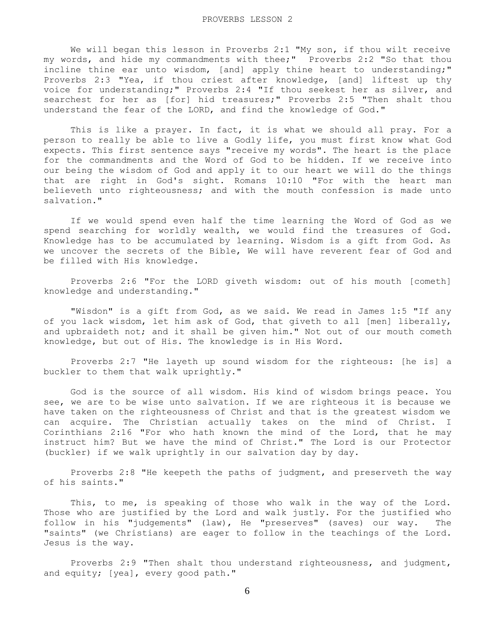We will began this lesson in Proverbs 2:1 "My son, if thou wilt receive my words, and hide my commandments with thee;" Proverbs 2:2 "So that thou incline thine ear unto wisdom, [and] apply thine heart to understanding;" Proverbs 2:3 "Yea, if thou criest after knowledge, [and] liftest up thy voice for understanding;" Proverbs 2:4 "If thou seekest her as silver, and searchest for her as [for] hid treasures;" Proverbs 2:5 "Then shalt thou understand the fear of the LORD, and find the knowledge of God."

 This is like a prayer. In fact, it is what we should all pray. For a person to really be able to live a Godly life, you must first know what God expects. This first sentence says "receive my words". The heart is the place for the commandments and the Word of God to be hidden. If we receive into our being the wisdom of God and apply it to our heart we will do the things that are right in God's sight. Romans 10:10 "For with the heart man believeth unto righteousness; and with the mouth confession is made unto salvation."

 If we would spend even half the time learning the Word of God as we spend searching for worldly wealth, we would find the treasures of God. Knowledge has to be accumulated by learning. Wisdom is a gift from God. As we uncover the secrets of the Bible, We will have reverent fear of God and be filled with His knowledge.

 Proverbs 2:6 "For the LORD giveth wisdom: out of his mouth [cometh] knowledge and understanding."

 "Wisdon" is a gift from God, as we said. We read in James 1:5 "If any of you lack wisdom, let him ask of God, that giveth to all [men] liberally, and upbraideth not; and it shall be given him." Not out of our mouth cometh knowledge, but out of His. The knowledge is in His Word.

 Proverbs 2:7 "He layeth up sound wisdom for the righteous: [he is] a buckler to them that walk uprightly."

 God is the source of all wisdom. His kind of wisdom brings peace. You see, we are to be wise unto salvation. If we are righteous it is because we have taken on the righteousness of Christ and that is the greatest wisdom we can acquire. The Christian actually takes on the mind of Christ. I Corinthians 2:16 "For who hath known the mind of the Lord, that he may instruct him? But we have the mind of Christ." The Lord is our Protector (buckler) if we walk uprightly in our salvation day by day.

 Proverbs 2:8 "He keepeth the paths of judgment, and preserveth the way of his saints."

 This, to me, is speaking of those who walk in the way of the Lord. Those who are justified by the Lord and walk justly. For the justified who follow in his "judgements" (law), He "preserves" (saves) our way. The "saints" (we Christians) are eager to follow in the teachings of the Lord. Jesus is the way.

 Proverbs 2:9 "Then shalt thou understand righteousness, and judgment, and equity; [yea], every good path."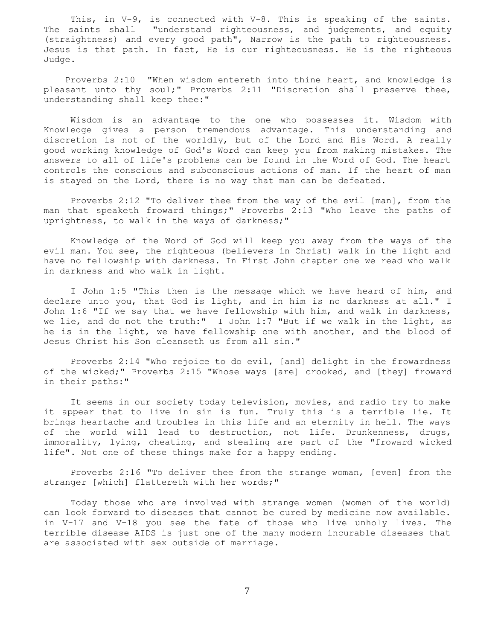This, in V-9, is connected with V-8. This is speaking of the saints. The saints shall "understand righteousness, and judgements, and equity (straightness) and every good path", Narrow is the path to righteousness. Jesus is that path. In fact, He is our righteousness. He is the righteous Judge.

 Proverbs 2:10 "When wisdom entereth into thine heart, and knowledge is pleasant unto thy soul;" Proverbs 2:11 "Discretion shall preserve thee, understanding shall keep thee:"

 Wisdom is an advantage to the one who possesses it. Wisdom with Knowledge gives a person tremendous advantage. This understanding and discretion is not of the worldly, but of the Lord and His Word. A really good working knowledge of God's Word can keep you from making mistakes. The answers to all of life's problems can be found in the Word of God. The heart controls the conscious and subconscious actions of man. If the heart of man is stayed on the Lord, there is no way that man can be defeated.

 Proverbs 2:12 "To deliver thee from the way of the evil [man], from the man that speaketh froward things;" Proverbs 2:13 "Who leave the paths of uprightness, to walk in the ways of darkness;"

 Knowledge of the Word of God will keep you away from the ways of the evil man. You see, the righteous (believers in Christ) walk in the light and have no fellowship with darkness. In First John chapter one we read who walk in darkness and who walk in light.

 I John 1:5 "This then is the message which we have heard of him, and declare unto you, that God is light, and in him is no darkness at all." I John 1:6 "If we say that we have fellowship with him, and walk in darkness, we lie, and do not the truth:" I John 1:7 "But if we walk in the light, as he is in the light, we have fellowship one with another, and the blood of Jesus Christ his Son cleanseth us from all sin."

 Proverbs 2:14 "Who rejoice to do evil, [and] delight in the frowardness of the wicked;" Proverbs 2:15 "Whose ways [are] crooked, and [they] froward in their paths:"

 It seems in our society today television, movies, and radio try to make it appear that to live in sin is fun. Truly this is a terrible lie. It brings heartache and troubles in this life and an eternity in hell. The ways of the world will lead to destruction, not life. Drunkenness, drugs, immorality, lying, cheating, and stealing are part of the "froward wicked life". Not one of these things make for a happy ending.

 Proverbs 2:16 "To deliver thee from the strange woman, [even] from the stranger [which] flattereth with her words;"

 Today those who are involved with strange women (women of the world) can look forward to diseases that cannot be cured by medicine now available. in V-17 and V-18 you see the fate of those who live unholy lives. The terrible disease AIDS is just one of the many modern incurable diseases that are associated with sex outside of marriage.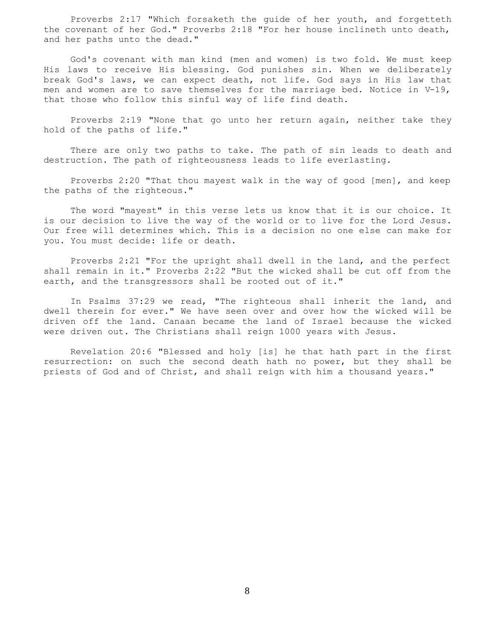Proverbs 2:17 "Which forsaketh the guide of her youth, and forgetteth the covenant of her God." Proverbs 2:18 "For her house inclineth unto death, and her paths unto the dead."

 God's covenant with man kind (men and women) is two fold. We must keep His laws to receive His blessing. God punishes sin. When we deliberately break God's laws, we can expect death, not life. God says in His law that men and women are to save themselves for the marriage bed. Notice in V-19, that those who follow this sinful way of life find death.

 Proverbs 2:19 "None that go unto her return again, neither take they hold of the paths of life."

 There are only two paths to take. The path of sin leads to death and destruction. The path of righteousness leads to life everlasting.

 Proverbs 2:20 "That thou mayest walk in the way of good [men], and keep the paths of the righteous."

 The word "mayest" in this verse lets us know that it is our choice. It is our decision to live the way of the world or to live for the Lord Jesus. Our free will determines which. This is a decision no one else can make for you. You must decide: life or death.

 Proverbs 2:21 "For the upright shall dwell in the land, and the perfect shall remain in it." Proverbs 2:22 "But the wicked shall be cut off from the earth, and the transgressors shall be rooted out of it."

 In Psalms 37:29 we read, "The righteous shall inherit the land, and dwell therein for ever." We have seen over and over how the wicked will be driven off the land. Canaan became the land of Israel because the wicked were driven out. The Christians shall reign 1000 years with Jesus.

 Revelation 20:6 "Blessed and holy [is] he that hath part in the first resurrection: on such the second death hath no power, but they shall be priests of God and of Christ, and shall reign with him a thousand years."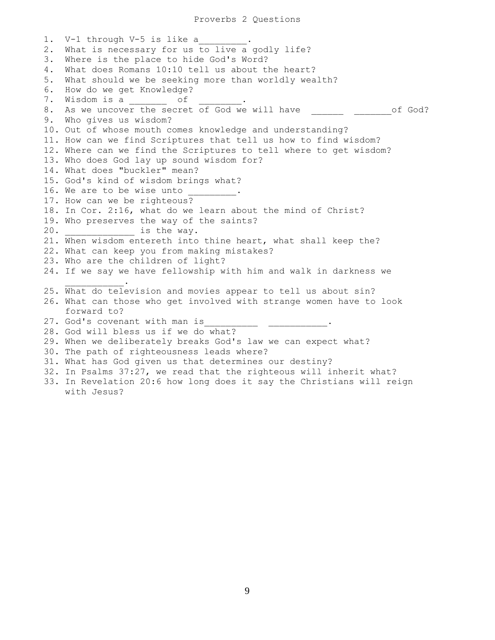Proverbs 2 Questions

1. V-1 through V-5 is like a 2. What is necessary for us to live a godly life? 3. Where is the place to hide God's Word? 4. What does Romans 10:10 tell us about the heart? 5. What should we be seeking more than worldly wealth? 6. How do we get Knowledge? 7. Wisdom is a \_\_\_\_\_\_\_\_\_ of 8. As we uncover the secret of God we will have \_\_\_\_\_\_ \_\_\_\_\_\_\_\_of God? 9. Who gives us wisdom? 10. Out of whose mouth comes knowledge and understanding? 11. How can we find Scriptures that tell us how to find wisdom? 12. Where can we find the Scriptures to tell where to get wisdom? 13. Who does God lay up sound wisdom for? 14. What does "buckler" mean? 15. God's kind of wisdom brings what? 16. We are to be wise unto 17. How can we be righteous? 18. In Cor. 2:16, what do we learn about the mind of Christ? 19. Who preserves the way of the saints? 20.  $\qquad \qquad$  is the way. 21. When wisdom entereth into thine heart, what shall keep the? 22. What can keep you from making mistakes? 23. Who are the children of light? 24. If we say we have fellowship with him and walk in darkness we  $\overline{\phantom{a}}$  ,  $\overline{\phantom{a}}$  ,  $\overline{\phantom{a}}$  ,  $\overline{\phantom{a}}$  ,  $\overline{\phantom{a}}$  ,  $\overline{\phantom{a}}$  ,  $\overline{\phantom{a}}$  ,  $\overline{\phantom{a}}$  ,  $\overline{\phantom{a}}$  ,  $\overline{\phantom{a}}$  ,  $\overline{\phantom{a}}$  ,  $\overline{\phantom{a}}$  ,  $\overline{\phantom{a}}$  ,  $\overline{\phantom{a}}$  ,  $\overline{\phantom{a}}$  ,  $\overline{\phantom{a}}$ 25. What do television and movies appear to tell us about sin? 26. What can those who get involved with strange women have to look forward to? 27. God's covenant with man is\_\_\_\_\_\_\_\_\_\_\_\_ \_\_\_\_\_\_\_\_\_\_\_\_. 28. God will bless us if we do what? 29. When we deliberately breaks God's law we can expect what? 30. The path of righteousness leads where? 31. What has God given us that determines our destiny? 32. In Psalms 37:27, we read that the righteous will inherit what? 33. In Revelation 20:6 how long does it say the Christians will reign with Jesus?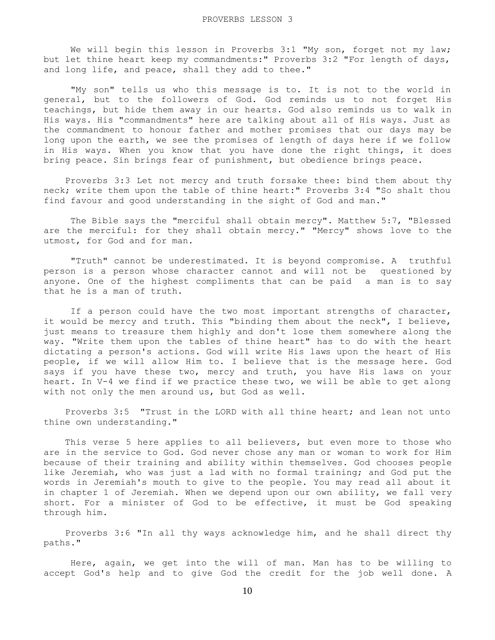We will begin this lesson in Proverbs 3:1 "My son, forget not my law; but let thine heart keep my commandments:" Proverbs 3:2 "For length of days, and long life, and peace, shall they add to thee."

 "My son" tells us who this message is to. It is not to the world in general, but to the followers of God. God reminds us to not forget His teachings, but hide them away in our hearts. God also reminds us to walk in His ways. His "commandments" here are talking about all of His ways. Just as the commandment to honour father and mother promises that our days may be long upon the earth, we see the promises of length of days here if we follow in His ways. When you know that you have done the right things, it does bring peace. Sin brings fear of punishment, but obedience brings peace.

 Proverbs 3:3 Let not mercy and truth forsake thee: bind them about thy neck; write them upon the table of thine heart:" Proverbs 3:4 "So shalt thou find favour and good understanding in the sight of God and man."

 The Bible says the "merciful shall obtain mercy". Matthew 5:7, "Blessed are the merciful: for they shall obtain mercy." "Mercy" shows love to the utmost, for God and for man.

 "Truth" cannot be underestimated. It is beyond compromise. A truthful person is a person whose character cannot and will not be questioned by anyone. One of the highest compliments that can be paid a man is to say that he is a man of truth.

 If a person could have the two most important strengths of character, it would be mercy and truth. This "binding them about the neck", I believe, just means to treasure them highly and don't lose them somewhere along the way. "Write them upon the tables of thine heart" has to do with the heart dictating a person's actions. God will write His laws upon the heart of His people, if we will allow Him to. I believe that is the message here. God says if you have these two, mercy and truth, you have His laws on your heart. In V-4 we find if we practice these two, we will be able to get along with not only the men around us, but God as well.

 Proverbs 3:5 "Trust in the LORD with all thine heart; and lean not unto thine own understanding."

 This verse 5 here applies to all believers, but even more to those who are in the service to God. God never chose any man or woman to work for Him because of their training and ability within themselves. God chooses people like Jeremiah, who was just a lad with no formal training; and God put the words in Jeremiah's mouth to give to the people. You may read all about it in chapter 1 of Jeremiah. When we depend upon our own ability, we fall very short. For a minister of God to be effective, it must be God speaking through him.

 Proverbs 3:6 "In all thy ways acknowledge him, and he shall direct thy paths."

 Here, again, we get into the will of man. Man has to be willing to accept God's help and to give God the credit for the job well done. A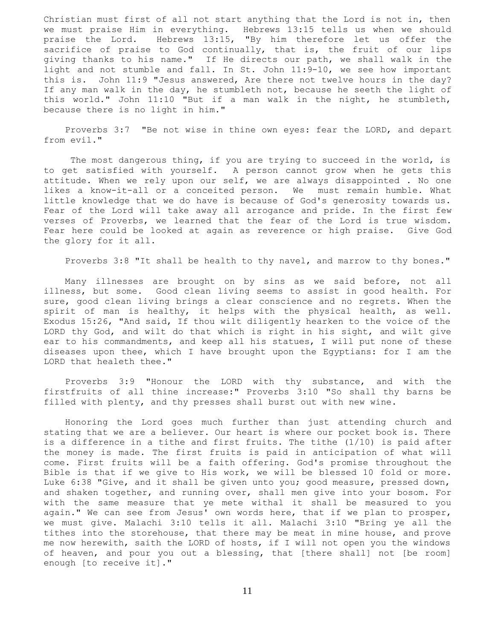Christian must first of all not start anything that the Lord is not in, then we must praise Him in everything. Hebrews 13:15 tells us when we should praise the Lord. Hebrews 13:15, "By him therefore let us offer the sacrifice of praise to God continually, that is, the fruit of our lips giving thanks to his name." If He directs our path, we shall walk in the light and not stumble and fall. In St. John 11:9-10, we see how important this is. John 11:9 "Jesus answered, Are there not twelve hours in the day? If any man walk in the day, he stumbleth not, because he seeth the light of this world." John 11:10 "But if a man walk in the night, he stumbleth, because there is no light in him."

 Proverbs 3:7 "Be not wise in thine own eyes: fear the LORD, and depart from evil."

 The most dangerous thing, if you are trying to succeed in the world, is to get satisfied with yourself. A person cannot grow when he gets this attitude. When we rely upon our self, we are always disappointed . No one likes a know-it-all or a conceited person. We must remain humble. What little knowledge that we do have is because of God's generosity towards us. Fear of the Lord will take away all arrogance and pride. In the first few verses of Proverbs, we learned that the fear of the Lord is true wisdom. Fear here could be looked at again as reverence or high praise. Give God the glory for it all.

Proverbs 3:8 "It shall be health to thy navel, and marrow to thy bones."

 Many illnesses are brought on by sins as we said before, not all illness, but some. Good clean living seems to assist in good health. For sure, good clean living brings a clear conscience and no regrets. When the spirit of man is healthy, it helps with the physical health, as well. Exodus 15:26, "And said, If thou wilt diligently hearken to the voice of the LORD thy God, and wilt do that which is right in his sight, and wilt give ear to his commandments, and keep all his statues, I will put none of these diseases upon thee, which I have brought upon the Egyptians: for I am the LORD that healeth thee."

 Proverbs 3:9 "Honour the LORD with thy substance, and with the firstfruits of all thine increase:" Proverbs 3:10 "So shall thy barns be filled with plenty, and thy presses shall burst out with new wine.

 Honoring the Lord goes much further than just attending church and stating that we are a believer. Our heart is where our pocket book is. There is a difference in a tithe and first fruits. The tithe (1/10) is paid after the money is made. The first fruits is paid in anticipation of what will come. First fruits will be a faith offering. God's promise throughout the Bible is that if we give to His work, we will be blessed 10 fold or more. Luke 6:38 "Give, and it shall be given unto you; good measure, pressed down, and shaken together, and running over, shall men give into your bosom. For with the same measure that ye mete withal it shall be measured to you again." We can see from Jesus' own words here, that if we plan to prosper, we must give. Malachi 3:10 tells it all. Malachi 3:10 "Bring ye all the tithes into the storehouse, that there may be meat in mine house, and prove me now herewith, saith the LORD of hosts, if I will not open you the windows of heaven, and pour you out a blessing, that [there shall] not [be room] enough [to receive it]."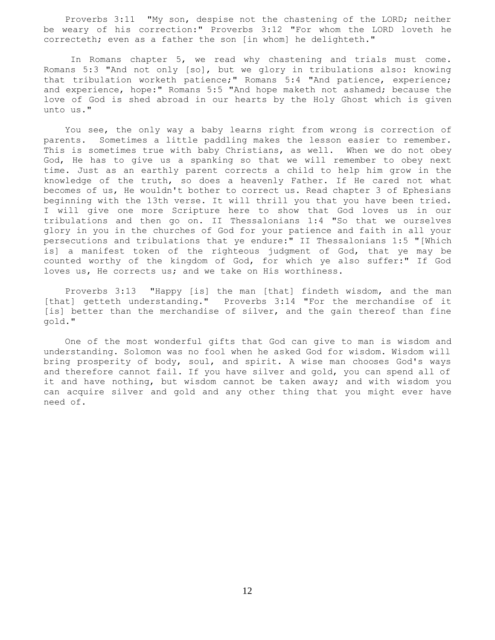Proverbs 3:11 "My son, despise not the chastening of the LORD; neither be weary of his correction:" Proverbs 3:12 "For whom the LORD loveth he correcteth; even as a father the son [in whom] he delighteth."

 In Romans chapter 5, we read why chastening and trials must come. Romans 5:3 "And not only [so], but we glory in tribulations also: knowing that tribulation worketh patience;" Romans 5:4 "And patience, experience; and experience, hope:" Romans 5:5 "And hope maketh not ashamed; because the love of God is shed abroad in our hearts by the Holy Ghost which is given unto us."

 You see, the only way a baby learns right from wrong is correction of parents. Sometimes a little paddling makes the lesson easier to remember. This is sometimes true with baby Christians, as well. When we do not obey God, He has to give us a spanking so that we will remember to obey next time. Just as an earthly parent corrects a child to help him grow in the knowledge of the truth, so does a heavenly Father. If He cared not what becomes of us, He wouldn't bother to correct us. Read chapter 3 of Ephesians beginning with the 13th verse. It will thrill you that you have been tried. I will give one more Scripture here to show that God loves us in our tribulations and then go on. II Thessalonians 1:4 "So that we ourselves glory in you in the churches of God for your patience and faith in all your persecutions and tribulations that ye endure:" II Thessalonians 1:5 "[Which is] a manifest token of the righteous judgment of God, that ye may be counted worthy of the kingdom of God, for which ye also suffer:" If God loves us, He corrects us; and we take on His worthiness.

 Proverbs 3:13 "Happy [is] the man [that] findeth wisdom, and the man [that] getteth understanding." Proverbs 3:14 "For the merchandise of it [is] better than the merchandise of silver, and the gain thereof than fine gold."

 One of the most wonderful gifts that God can give to man is wisdom and understanding. Solomon was no fool when he asked God for wisdom. Wisdom will bring prosperity of body, soul, and spirit. A wise man chooses God's ways and therefore cannot fail. If you have silver and gold, you can spend all of it and have nothing, but wisdom cannot be taken away; and with wisdom you can acquire silver and gold and any other thing that you might ever have need of.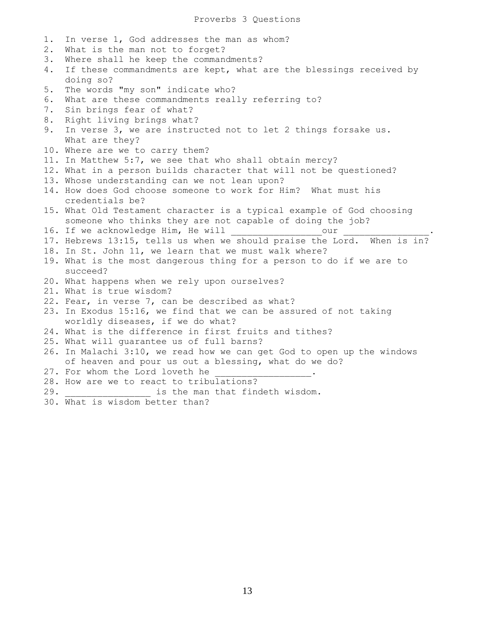- 1. In verse 1, God addresses the man as whom?
- 2. What is the man not to forget?
- 3. Where shall he keep the commandments?
- 4. If these commandments are kept, what are the blessings received by doing so?
- 5. The words "my son" indicate who?
- 6. What are these commandments really referring to?
- 7. Sin brings fear of what?
- 8. Right living brings what?
- 9. In verse 3, we are instructed not to let 2 things forsake us. What are they?
- 10. Where are we to carry them?
- 11. In Matthew 5:7, we see that who shall obtain mercy?
- 12. What in a person builds character that will not be questioned?
- 13. Whose understanding can we not lean upon?
- 14. How does God choose someone to work for Him? What must his credentials be?
- 15. What Old Testament character is a typical example of God choosing someone who thinks they are not capable of doing the job?
- 16. If we acknowledge Him, He will cour
- 17. Hebrews 13:15, tells us when we should praise the Lord. When is in?
- 18. In St. John 11, we learn that we must walk where?
- 19. What is the most dangerous thing for a person to do if we are to succeed?
- 20. What happens when we rely upon ourselves?
- 21. What is true wisdom?
- 22. Fear, in verse 7, can be described as what?
- 23. In Exodus 15:16, we find that we can be assured of not taking worldly diseases, if we do what?
- 24. What is the difference in first fruits and tithes?
- 25. What will guarantee us of full barns?
- 26. In Malachi 3:10, we read how we can get God to open up the windows of heaven and pour us out a blessing, what do we do?
- 27. For whom the Lord loveth he
- 28. How are we to react to tribulations?
- 29. \_\_\_\_\_\_\_\_\_\_\_\_\_\_\_\_ is the man that findeth wisdom.
- 30. What is wisdom better than?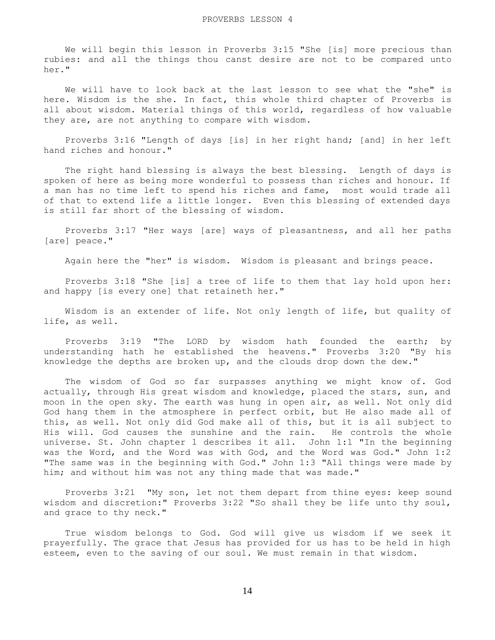We will begin this lesson in Proverbs 3:15 "She [is] more precious than rubies: and all the things thou canst desire are not to be compared unto her."

 We will have to look back at the last lesson to see what the "she" is here. Wisdom is the she. In fact, this whole third chapter of Proverbs is all about wisdom. Material things of this world, regardless of how valuable they are, are not anything to compare with wisdom.

 Proverbs 3:16 "Length of days [is] in her right hand; [and] in her left hand riches and honour."

 The right hand blessing is always the best blessing. Length of days is spoken of here as being more wonderful to possess than riches and honour. If a man has no time left to spend his riches and fame, most would trade all of that to extend life a little longer. Even this blessing of extended days is still far short of the blessing of wisdom.

 Proverbs 3:17 "Her ways [are] ways of pleasantness, and all her paths [are] peace."

Again here the "her" is wisdom. Wisdom is pleasant and brings peace.

 Proverbs 3:18 "She [is] a tree of life to them that lay hold upon her: and happy [is every one] that retaineth her."

 Wisdom is an extender of life. Not only length of life, but quality of life, as well.

 Proverbs 3:19 "The LORD by wisdom hath founded the earth; by understanding hath he established the heavens." Proverbs 3:20 "By his knowledge the depths are broken up, and the clouds drop down the dew."

 The wisdom of God so far surpasses anything we might know of. God actually, through His great wisdom and knowledge, placed the stars, sun, and moon in the open sky. The earth was hung in open air, as well. Not only did God hang them in the atmosphere in perfect orbit, but He also made all of this, as well. Not only did God make all of this, but it is all subject to His will. God causes the sunshine and the rain. He controls the whole universe. St. John chapter 1 describes it all. John 1:1 "In the beginning was the Word, and the Word was with God, and the Word was God." John 1:2 "The same was in the beginning with God." John 1:3 "All things were made by him; and without him was not any thing made that was made."

 Proverbs 3:21 "My son, let not them depart from thine eyes: keep sound wisdom and discretion:" Proverbs 3:22 "So shall they be life unto thy soul, and grace to thy neck."

 True wisdom belongs to God. God will give us wisdom if we seek it prayerfully. The grace that Jesus has provided for us has to be held in high esteem, even to the saving of our soul. We must remain in that wisdom.

14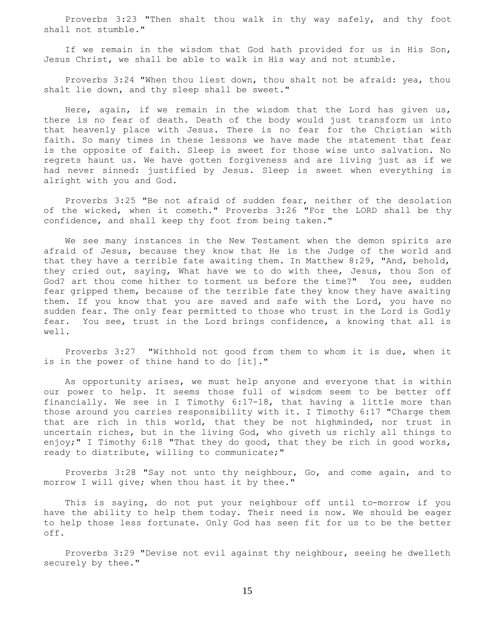Proverbs 3:23 "Then shalt thou walk in thy way safely, and thy foot shall not stumble."

 If we remain in the wisdom that God hath provided for us in His Son, Jesus Christ, we shall be able to walk in His way and not stumble.

 Proverbs 3:24 "When thou liest down, thou shalt not be afraid: yea, thou shalt lie down, and thy sleep shall be sweet."

 Here, again, if we remain in the wisdom that the Lord has given us, there is no fear of death. Death of the body would just transform us into that heavenly place with Jesus. There is no fear for the Christian with faith. So many times in these lessons we have made the statement that fear is the opposite of faith. Sleep is sweet for those wise unto salvation. No regrets haunt us. We have gotten forgiveness and are living just as if we had never sinned: justified by Jesus. Sleep is sweet when everything is alright with you and God.

 Proverbs 3:25 "Be not afraid of sudden fear, neither of the desolation of the wicked, when it cometh." Proverbs 3:26 "For the LORD shall be thy confidence, and shall keep thy foot from being taken."

 We see many instances in the New Testament when the demon spirits are afraid of Jesus, because they know that He is the Judge of the world and that they have a terrible fate awaiting them. In Matthew 8:29, "And, behold, they cried out, saying, What have we to do with thee, Jesus, thou Son of God? art thou come hither to torment us before the time?" You see, sudden fear gripped them, because of the terrible fate they know they have awaiting them. If you know that you are saved and safe with the Lord, you have no sudden fear. The only fear permitted to those who trust in the Lord is Godly fear. You see, trust in the Lord brings confidence, a knowing that all is well.

 Proverbs 3:27 "Withhold not good from them to whom it is due, when it is in the power of thine hand to do [it]."

 As opportunity arises, we must help anyone and everyone that is within our power to help. It seems those full of wisdom seem to be better off financially. We see in I Timothy 6:17-18, that having a little more than those around you carries responsibility with it. I Timothy 6:17 "Charge them that are rich in this world, that they be not highminded, nor trust in uncertain riches, but in the living God, who giveth us richly all things to enjoy;" I Timothy 6:18 "That they do good, that they be rich in good works, ready to distribute, willing to communicate;"

 Proverbs 3:28 "Say not unto thy neighbour, Go, and come again, and to morrow I will give; when thou hast it by thee."

 This is saying, do not put your neighbour off until to-morrow if you have the ability to help them today. Their need is now. We should be eager to help those less fortunate. Only God has seen fit for us to be the better off.

 Proverbs 3:29 "Devise not evil against thy neighbour, seeing he dwelleth securely by thee."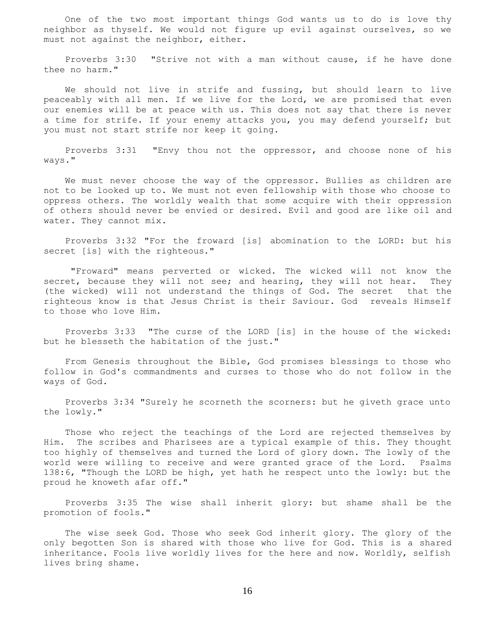One of the two most important things God wants us to do is love thy neighbor as thyself. We would not figure up evil against ourselves, so we must not against the neighbor, either.

 Proverbs 3:30 "Strive not with a man without cause, if he have done thee no harm."

 We should not live in strife and fussing, but should learn to live peaceably with all men. If we live for the Lord, we are promised that even our enemies will be at peace with us. This does not say that there is never a time for strife. If your enemy attacks you, you may defend yourself; but you must not start strife nor keep it going.

 Proverbs 3:31 "Envy thou not the oppressor, and choose none of his ways."

 We must never choose the way of the oppressor. Bullies as children are not to be looked up to. We must not even fellowship with those who choose to oppress others. The worldly wealth that some acquire with their oppression of others should never be envied or desired. Evil and good are like oil and water. They cannot mix.

 Proverbs 3:32 "For the froward [is] abomination to the LORD: but his secret [is] with the righteous."

 "Froward" means perverted or wicked. The wicked will not know the secret, because they will not see; and hearing, they will not hear. They (the wicked) will not understand the things of God. The secret that the righteous know is that Jesus Christ is their Saviour. God reveals Himself to those who love Him.

 Proverbs 3:33 "The curse of the LORD [is] in the house of the wicked: but he blesseth the habitation of the just."

 From Genesis throughout the Bible, God promises blessings to those who follow in God's commandments and curses to those who do not follow in the ways of God.

 Proverbs 3:34 "Surely he scorneth the scorners: but he giveth grace unto the lowly."

 Those who reject the teachings of the Lord are rejected themselves by Him. The scribes and Pharisees are a typical example of this. They thought too highly of themselves and turned the Lord of glory down. The lowly of the world were willing to receive and were granted grace of the Lord. Psalms 138:6, "Though the LORD be high, yet hath he respect unto the lowly: but the proud he knoweth afar off."

 Proverbs 3:35 The wise shall inherit glory: but shame shall be the promotion of fools."

 The wise seek God. Those who seek God inherit glory. The glory of the only begotten Son is shared with those who live for God. This is a shared inheritance. Fools live worldly lives for the here and now. Worldly, selfish lives bring shame.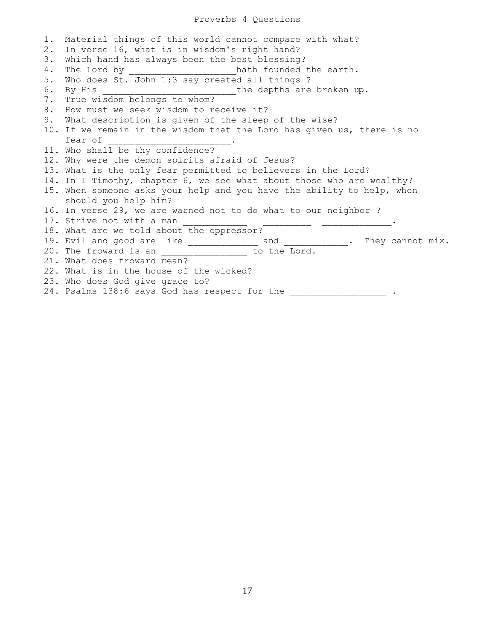## Proverbs 4 Questions

1. Material things of this world cannot compare with what? 2. In verse 16, what is in wisdom's right hand? 3. Which hand has always been the best blessing? 4. The Lord by \_\_\_\_\_\_\_\_\_\_\_\_\_\_\_\_\_\_\_\_\_hath founded the earth. 5. Who does St. John 1:3 say created all things ? 6. By His \_\_\_\_\_\_\_\_\_\_\_\_\_\_\_\_\_\_\_\_\_\_\_\_\_the depths are broken up. 7. True wisdom belongs to whom? 8. How must we seek wisdom to receive it? 9. What description is given of the sleep of the wise? 10. If we remain in the wisdom that the Lord has given us, there is no fear of \_\_\_\_\_\_\_\_\_\_\_\_\_\_\_\_\_\_\_\_\_\_\_. 11. Who shall be thy confidence? 12. Why were the demon spirits afraid of Jesus? 13. What is the only fear permitted to believers in the Lord? 14. In I Timothy, chapter 6, we see what about those who are wealthy? 15. When someone asks your help and you have the ability to help, when should you help him? 16. In verse 29, we are warned not to do what to our neighbor ? 17. Strive not with a man 18. What are we told about the oppressor? 19. Evil and good are like \_\_\_\_\_\_\_\_\_\_\_\_\_ and \_\_\_\_\_\_\_\_\_\_\_. They cannot mix. 20. The froward is an \_\_\_\_\_\_\_\_\_\_\_\_\_\_\_\_ to the Lord. 21. What does froward mean? 22. What is in the house of the wicked? 23. Who does God give grace to? 24. Psalms 138:6 says God has respect for the \_\_\_\_\_\_\_\_\_\_\_\_\_\_\_\_\_\_\_\_ .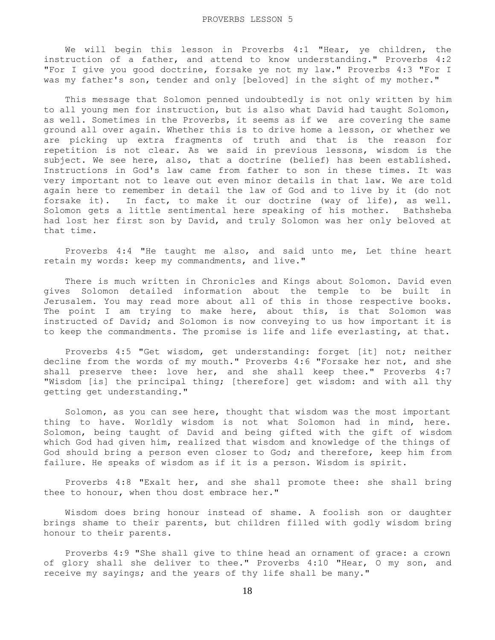## PROVERBS LESSON 5

 We will begin this lesson in Proverbs 4:1 "Hear, ye children, the instruction of a father, and attend to know understanding." Proverbs 4:2 "For I give you good doctrine, forsake ye not my law." Proverbs 4:3 "For I was my father's son, tender and only [beloved] in the sight of my mother."

 This message that Solomon penned undoubtedly is not only written by him to all young men for instruction, but is also what David had taught Solomon, as well. Sometimes in the Proverbs, it seems as if we are covering the same ground all over again. Whether this is to drive home a lesson, or whether we are picking up extra fragments of truth and that is the reason for repetition is not clear. As we said in previous lessons, wisdom is the subject. We see here, also, that a doctrine (belief) has been established. Instructions in God's law came from father to son in these times. It was very important not to leave out even minor details in that law. We are told again here to remember in detail the law of God and to live by it (do not forsake it). In fact, to make it our doctrine (way of life), as well. Solomon gets a little sentimental here speaking of his mother. Bathsheba had lost her first son by David, and truly Solomon was her only beloved at that time.

 Proverbs 4:4 "He taught me also, and said unto me, Let thine heart retain my words: keep my commandments, and live."

 There is much written in Chronicles and Kings about Solomon. David even gives Solomon detailed information about the temple to be built in Jerusalem. You may read more about all of this in those respective books. The point I am trying to make here, about this, is that Solomon was instructed of David; and Solomon is now conveying to us how important it is to keep the commandments. The promise is life and life everlasting, at that.

 Proverbs 4:5 "Get wisdom, get understanding: forget [it] not; neither decline from the words of my mouth." Proverbs 4:6 "Forsake her not, and she shall preserve thee: love her, and she shall keep thee." Proverbs 4:7 "Wisdom [is] the principal thing; [therefore] get wisdom: and with all thy getting get understanding."

 Solomon, as you can see here, thought that wisdom was the most important thing to have. Worldly wisdom is not what Solomon had in mind, here. Solomon, being taught of David and being gifted with the gift of wisdom which God had given him, realized that wisdom and knowledge of the things of God should bring a person even closer to God; and therefore, keep him from failure. He speaks of wisdom as if it is a person. Wisdom is spirit.

 Proverbs 4:8 "Exalt her, and she shall promote thee: she shall bring thee to honour, when thou dost embrace her."

 Wisdom does bring honour instead of shame. A foolish son or daughter brings shame to their parents, but children filled with godly wisdom bring honour to their parents.

 Proverbs 4:9 "She shall give to thine head an ornament of grace: a crown of glory shall she deliver to thee." Proverbs 4:10 "Hear, O my son, and receive my sayings; and the years of thy life shall be many."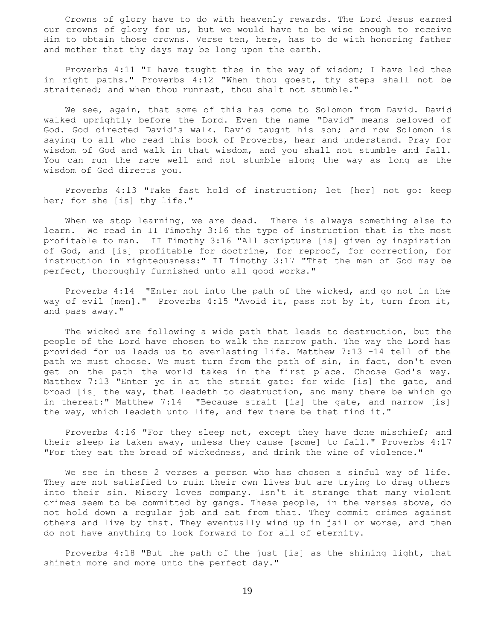Crowns of glory have to do with heavenly rewards. The Lord Jesus earned our crowns of glory for us, but we would have to be wise enough to receive Him to obtain those crowns. Verse ten, here, has to do with honoring father and mother that thy days may be long upon the earth.

 Proverbs 4:11 "I have taught thee in the way of wisdom; I have led thee in right paths." Proverbs 4:12 "When thou goest, thy steps shall not be straitened; and when thou runnest, thou shalt not stumble."

 We see, again, that some of this has come to Solomon from David. David walked uprightly before the Lord. Even the name "David" means beloved of God. God directed David's walk. David taught his son; and now Solomon is saying to all who read this book of Proverbs, hear and understand. Pray for wisdom of God and walk in that wisdom, and you shall not stumble and fall. You can run the race well and not stumble along the way as long as the wisdom of God directs you.

 Proverbs 4:13 "Take fast hold of instruction; let [her] not go: keep her; for she [is] thy life."

When we stop learning, we are dead. There is always something else to learn. We read in II Timothy 3:16 the type of instruction that is the most profitable to man. II Timothy 3:16 "All scripture [is] given by inspiration of God, and [is] profitable for doctrine, for reproof, for correction, for instruction in righteousness:" II Timothy 3:17 "That the man of God may be perfect, thoroughly furnished unto all good works."

 Proverbs 4:14 "Enter not into the path of the wicked, and go not in the way of evil [men]." Proverbs 4:15 "Avoid it, pass not by it, turn from it, and pass away."

 The wicked are following a wide path that leads to destruction, but the people of the Lord have chosen to walk the narrow path. The way the Lord has provided for us leads us to everlasting life. Matthew 7:13 -14 tell of the path we must choose. We must turn from the path of sin, in fact, don't even get on the path the world takes in the first place. Choose God's way. Matthew 7:13 "Enter ye in at the strait gate: for wide [is] the gate, and broad [is] the way, that leadeth to destruction, and many there be which go in thereat:" Matthew 7:14 "Because strait [is] the gate, and narrow [is] the way, which leadeth unto life, and few there be that find it."

 Proverbs 4:16 "For they sleep not, except they have done mischief; and their sleep is taken away, unless they cause [some] to fall." Proverbs 4:17 "For they eat the bread of wickedness, and drink the wine of violence."

 We see in these 2 verses a person who has chosen a sinful way of life. They are not satisfied to ruin their own lives but are trying to drag others into their sin. Misery loves company. Isn't it strange that many violent crimes seem to be committed by gangs. These people, in the verses above, do not hold down a regular job and eat from that. They commit crimes against others and live by that. They eventually wind up in jail or worse, and then do not have anything to look forward to for all of eternity.

 Proverbs 4:18 "But the path of the just [is] as the shining light, that shineth more and more unto the perfect day."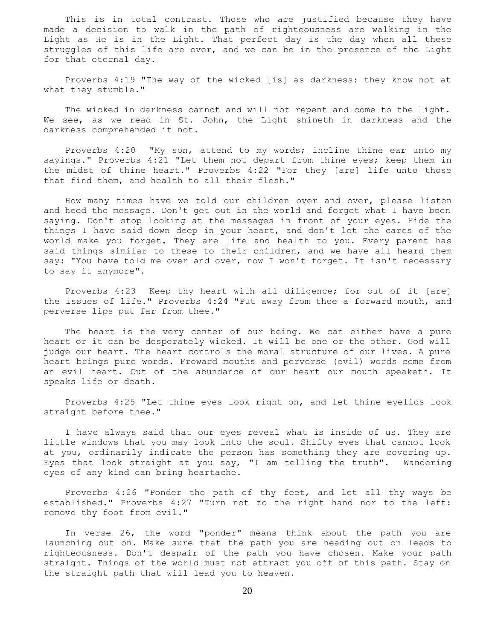This is in total contrast. Those who are justified because they have made a decision to walk in the path of righteousness are walking in the Light as He is in the Light. That perfect day is the day when all these struggles of this life are over, and we can be in the presence of the Light for that eternal day.

 Proverbs 4:19 "The way of the wicked [is] as darkness: they know not at what they stumble."

 The wicked in darkness cannot and will not repent and come to the light. We see, as we read in St. John, the Light shineth in darkness and the darkness comprehended it not.

 Proverbs 4:20 "My son, attend to my words; incline thine ear unto my sayings." Proverbs 4:21 "Let them not depart from thine eyes; keep them in the midst of thine heart." Proverbs 4:22 "For they [are] life unto those that find them, and health to all their flesh."

 How many times have we told our children over and over, please listen and heed the message. Don't get out in the world and forget what I have been saying. Don't stop looking at the messages in front of your eyes. Hide the things I have said down deep in your heart, and don't let the cares of the world make you forget. They are life and health to you. Every parent has said things similar to these to their children, and we have all heard them say: "You have told me over and over, now I won't forget. It isn't necessary to say it anymore".

 Proverbs 4:23 Keep thy heart with all diligence; for out of it [are] the issues of life." Proverbs 4:24 "Put away from thee a forward mouth, and perverse lips put far from thee."

 The heart is the very center of our being. We can either have a pure heart or it can be desperately wicked. It will be one or the other. God will judge our heart. The heart controls the moral structure of our lives. A pure heart brings pure words. Froward mouths and perverse (evil) words come from an evil heart. Out of the abundance of our heart our mouth speaketh. It speaks life or death.

 Proverbs 4:25 "Let thine eyes look right on, and let thine eyelids look straight before thee."

 I have always said that our eyes reveal what is inside of us. They are little windows that you may look into the soul. Shifty eyes that cannot look at you, ordinarily indicate the person has something they are covering up. Eyes that look straight at you say, "I am telling the truth". Wandering eyes of any kind can bring heartache.

 Proverbs 4:26 "Ponder the path of thy feet, and let all thy ways be established." Proverbs 4:27 "Turn not to the right hand nor to the left: remove thy foot from evil."

 In verse 26, the word "ponder" means think about the path you are launching out on. Make sure that the path you are heading out on leads to righteousness. Don't despair of the path you have chosen. Make your path straight. Things of the world must not attract you off of this path. Stay on the straight path that will lead you to heaven.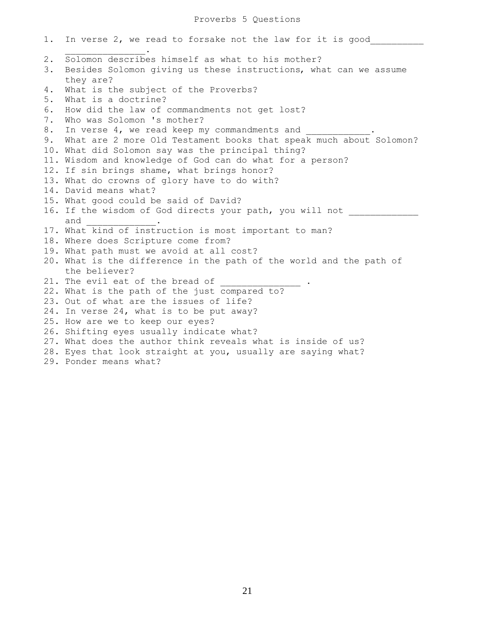1. In verse 2, we read to forsake not the law for it is good  $\mathcal{L}=\mathcal{L}=\mathcal{L}=\mathcal{L}=\mathcal{L}=\mathcal{L}=\mathcal{L}=\mathcal{L}$ 2. Solomon describes himself as what to his mother? 3. Besides Solomon giving us these instructions, what can we assume they are? 4. What is the subject of the Proverbs? 5. What is a doctrine? 6. How did the law of commandments not get lost? 7. Who was Solomon 's mother? 8. In verse 4, we read keep my commandments and 9. What are 2 more Old Testament books that speak much about Solomon? 10. What did Solomon say was the principal thing? 11. Wisdom and knowledge of God can do what for a person? 12. If sin brings shame, what brings honor? 13. What do crowns of glory have to do with? 14. David means what? 15. What good could be said of David? 16. If the wisdom of God directs your path, you will not and \_\_\_\_\_\_\_\_\_\_\_\_\_. 17. What kind of instruction is most important to man? 18. Where does Scripture come from? 19. What path must we avoid at all cost? 20. What is the difference in the path of the world and the path of the believer? 21. The evil eat of the bread of 22. What is the path of the just compared to? 23. Out of what are the issues of life? 24. In verse 24, what is to be put away? 25. How are we to keep our eyes? 26. Shifting eyes usually indicate what? 27. What does the author think reveals what is inside of us? 28. Eyes that look straight at you, usually are saying what? 29. Ponder means what?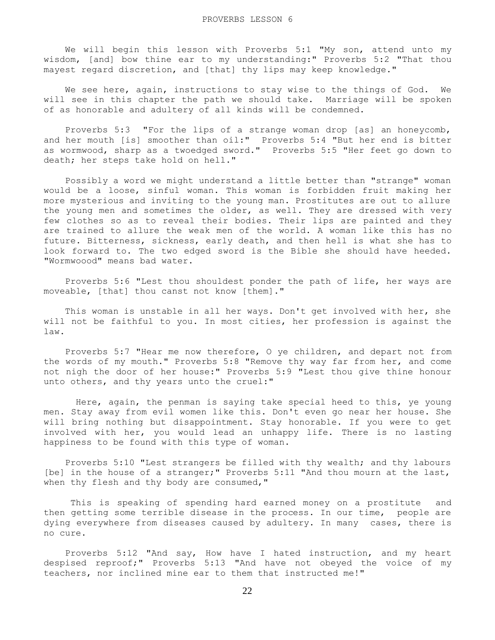We will begin this lesson with Proverbs 5:1 "My son, attend unto my wisdom, [and] bow thine ear to my understanding:" Proverbs 5:2 "That thou mayest regard discretion, and [that] thy lips may keep knowledge."

 We see here, again, instructions to stay wise to the things of God. We will see in this chapter the path we should take. Marriage will be spoken of as honorable and adultery of all kinds will be condemned.

 Proverbs 5:3 "For the lips of a strange woman drop [as] an honeycomb, and her mouth [is] smoother than oil:" Proverbs 5:4 "But her end is bitter as wormwood, sharp as a twoedged sword." Proverbs 5:5 "Her feet go down to death; her steps take hold on hell."

 Possibly a word we might understand a little better than "strange" woman would be a loose, sinful woman. This woman is forbidden fruit making her more mysterious and inviting to the young man. Prostitutes are out to allure the young men and sometimes the older, as well. They are dressed with very few clothes so as to reveal their bodies. Their lips are painted and they are trained to allure the weak men of the world. A woman like this has no future. Bitterness, sickness, early death, and then hell is what she has to look forward to. The two edged sword is the Bible she should have heeded. "Wormwoood" means bad water.

 Proverbs 5:6 "Lest thou shouldest ponder the path of life, her ways are moveable, [that] thou canst not know [them]."

 This woman is unstable in all her ways. Don't get involved with her, she will not be faithful to you. In most cities, her profession is against the law.

 Proverbs 5:7 "Hear me now therefore, O ye children, and depart not from the words of my mouth." Proverbs 5:8 "Remove thy way far from her, and come not nigh the door of her house:" Proverbs 5:9 "Lest thou give thine honour unto others, and thy years unto the cruel:"

 Here, again, the penman is saying take special heed to this, ye young men. Stay away from evil women like this. Don't even go near her house. She will bring nothing but disappointment. Stay honorable. If you were to get involved with her, you would lead an unhappy life. There is no lasting happiness to be found with this type of woman.

 Proverbs 5:10 "Lest strangers be filled with thy wealth; and thy labours [be] in the house of a stranger;" Proverbs 5:11 "And thou mourn at the last, when thy flesh and thy body are consumed,"

 This is speaking of spending hard earned money on a prostitute and then getting some terrible disease in the process. In our time, people are dying everywhere from diseases caused by adultery. In many cases, there is no cure.

 Proverbs 5:12 "And say, How have I hated instruction, and my heart despised reproof;" Proverbs 5:13 "And have not obeyed the voice of my teachers, nor inclined mine ear to them that instructed me!"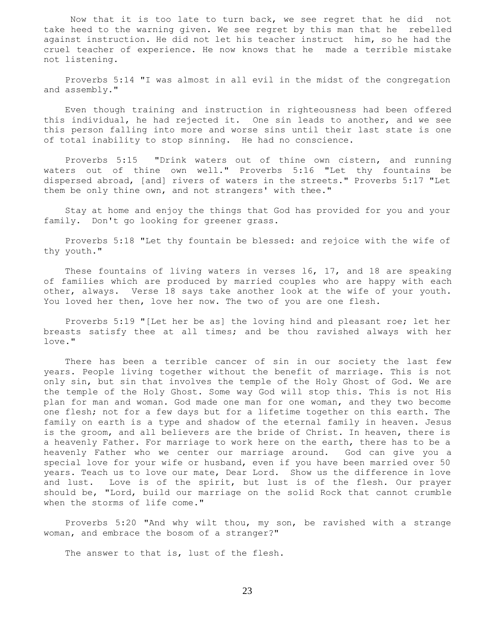Now that it is too late to turn back, we see regret that he did not take heed to the warning given. We see regret by this man that he rebelled against instruction. He did not let his teacher instruct him, so he had the cruel teacher of experience. He now knows that he made a terrible mistake not listening.

 Proverbs 5:14 "I was almost in all evil in the midst of the congregation and assembly."

 Even though training and instruction in righteousness had been offered this individual, he had rejected it. One sin leads to another, and we see this person falling into more and worse sins until their last state is one of total inability to stop sinning. He had no conscience.

 Proverbs 5:15 "Drink waters out of thine own cistern, and running waters out of thine own well." Proverbs 5:16 "Let thy fountains be dispersed abroad, [and] rivers of waters in the streets." Proverbs 5:17 "Let them be only thine own, and not strangers' with thee."

 Stay at home and enjoy the things that God has provided for you and your family. Don't go looking for greener grass.

 Proverbs 5:18 "Let thy fountain be blessed: and rejoice with the wife of thy youth."

These fountains of living waters in verses 16, 17, and 18 are speaking of families which are produced by married couples who are happy with each other, always. Verse 18 says take another look at the wife of your youth. You loved her then, love her now. The two of you are one flesh.

 Proverbs 5:19 "[Let her be as] the loving hind and pleasant roe; let her breasts satisfy thee at all times; and be thou ravished always with her love."

 There has been a terrible cancer of sin in our society the last few years. People living together without the benefit of marriage. This is not only sin, but sin that involves the temple of the Holy Ghost of God. We are the temple of the Holy Ghost. Some way God will stop this. This is not His plan for man and woman. God made one man for one woman, and they two become one flesh; not for a few days but for a lifetime together on this earth. The family on earth is a type and shadow of the eternal family in heaven. Jesus is the groom, and all believers are the bride of Christ. In heaven, there is a heavenly Father. For marriage to work here on the earth, there has to be a heavenly Father who we center our marriage around. God can give you a special love for your wife or husband, even if you have been married over 50 years. Teach us to love our mate, Dear Lord. Show us the difference in love and lust. Love is of the spirit, but lust is of the flesh. Our prayer should be, "Lord, build our marriage on the solid Rock that cannot crumble when the storms of life come."

 Proverbs 5:20 "And why wilt thou, my son, be ravished with a strange woman, and embrace the bosom of a stranger?"

The answer to that is, lust of the flesh.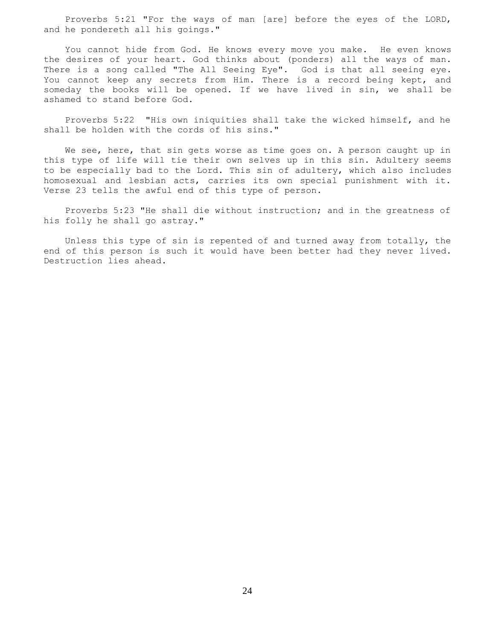Proverbs 5:21 "For the ways of man [are] before the eyes of the LORD, and he pondereth all his goings."

 You cannot hide from God. He knows every move you make. He even knows the desires of your heart. God thinks about (ponders) all the ways of man. There is a song called "The All Seeing Eye". God is that all seeing eye. You cannot keep any secrets from Him. There is a record being kept, and someday the books will be opened. If we have lived in sin, we shall be ashamed to stand before God.

 Proverbs 5:22 "His own iniquities shall take the wicked himself, and he shall be holden with the cords of his sins."

We see, here, that sin gets worse as time goes on. A person caught up in this type of life will tie their own selves up in this sin. Adultery seems to be especially bad to the Lord. This sin of adultery, which also includes homosexual and lesbian acts, carries its own special punishment with it. Verse 23 tells the awful end of this type of person.

 Proverbs 5:23 "He shall die without instruction; and in the greatness of his folly he shall go astray."

 Unless this type of sin is repented of and turned away from totally, the end of this person is such it would have been better had they never lived. Destruction lies ahead.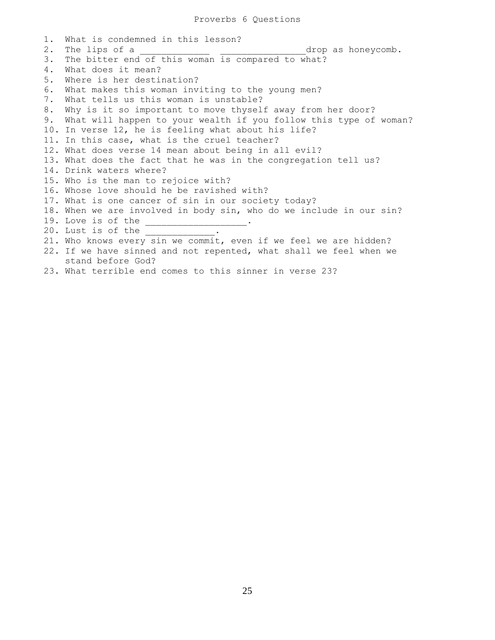1. What is condemned in this lesson? 2. The lips of a  $\qquad \qquad \text{drop as honeycomb.}$ 3. The bitter end of this woman is compared to what? 4. What does it mean? 5. Where is her destination? 6. What makes this woman inviting to the young men? 7. What tells us this woman is unstable? 8. Why is it so important to move thyself away from her door? 9. What will happen to your wealth if you follow this type of woman? 10. In verse 12, he is feeling what about his life? 11. In this case, what is the cruel teacher? 12. What does verse 14 mean about being in all evil? 13. What does the fact that he was in the congregation tell us? 14. Drink waters where? 15. Who is the man to rejoice with? 16. Whose love should he be ravished with? 17. What is one cancer of sin in our society today? 18. When we are involved in body sin, who do we include in our sin? 19. Love is of the \_\_\_\_\_\_\_\_\_\_\_\_\_\_\_\_\_\_\_. 20. Lust is of the 21. Who knows every sin we commit, even if we feel we are hidden? 22. If we have sinned and not repented, what shall we feel when we stand before God? 23. What terrible end comes to this sinner in verse 23?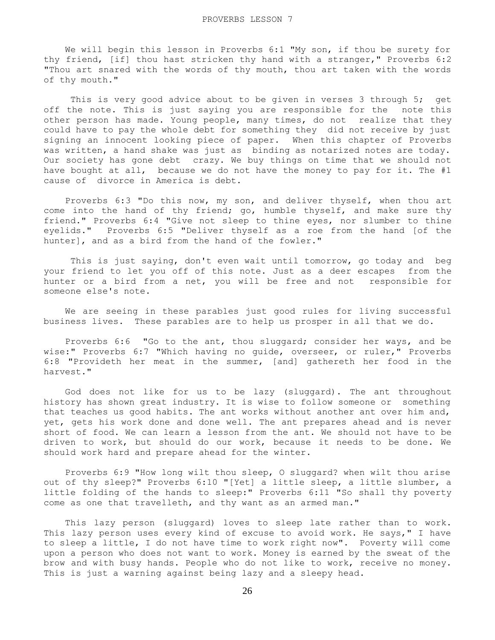We will begin this lesson in Proverbs 6:1 "My son, if thou be surety for thy friend, [if] thou hast stricken thy hand with a stranger," Proverbs 6:2 "Thou art snared with the words of thy mouth, thou art taken with the words of thy mouth."

This is very good advice about to be given in verses 3 through 5; get off the note. This is just saying you are responsible for the note this other person has made. Young people, many times, do not realize that they could have to pay the whole debt for something they did not receive by just signing an innocent looking piece of paper. When this chapter of Proverbs was written, a hand shake was just as binding as notarized notes are today. Our society has gone debt crazy. We buy things on time that we should not have bought at all, because we do not have the money to pay for it. The #1 cause of divorce in America is debt.

 Proverbs 6:3 "Do this now, my son, and deliver thyself, when thou art come into the hand of thy friend; go, humble thyself, and make sure thy friend." Proverbs 6:4 "Give not sleep to thine eyes, nor slumber to thine eyelids." Proverbs 6:5 "Deliver thyself as a roe from the hand [of the hunter], and as a bird from the hand of the fowler."

 This is just saying, don't even wait until tomorrow, go today and beg your friend to let you off of this note. Just as a deer escapes from the hunter or a bird from a net, you will be free and not responsible for someone else's note.

 We are seeing in these parables just good rules for living successful business lives. These parables are to help us prosper in all that we do.

 Proverbs 6:6 "Go to the ant, thou sluggard; consider her ways, and be wise:" Proverbs 6:7 "Which having no guide, overseer, or ruler," Proverbs 6:8 "Provideth her meat in the summer, [and] gathereth her food in the harvest."

 God does not like for us to be lazy (sluggard). The ant throughout history has shown great industry. It is wise to follow someone or something that teaches us good habits. The ant works without another ant over him and, yet, gets his work done and done well. The ant prepares ahead and is never short of food. We can learn a lesson from the ant. We should not have to be driven to work, but should do our work, because it needs to be done. We should work hard and prepare ahead for the winter.

 Proverbs 6:9 "How long wilt thou sleep, O sluggard? when wilt thou arise out of thy sleep?" Proverbs 6:10 "[Yet] a little sleep, a little slumber, a little folding of the hands to sleep:" Proverbs 6:11 "So shall thy poverty come as one that travelleth, and thy want as an armed man."

 This lazy person (sluggard) loves to sleep late rather than to work. This lazy person uses every kind of excuse to avoid work. He says," I have to sleep a little, I do not have time to work right now". Poverty will come upon a person who does not want to work. Money is earned by the sweat of the brow and with busy hands. People who do not like to work, receive no money. This is just a warning against being lazy and a sleepy head.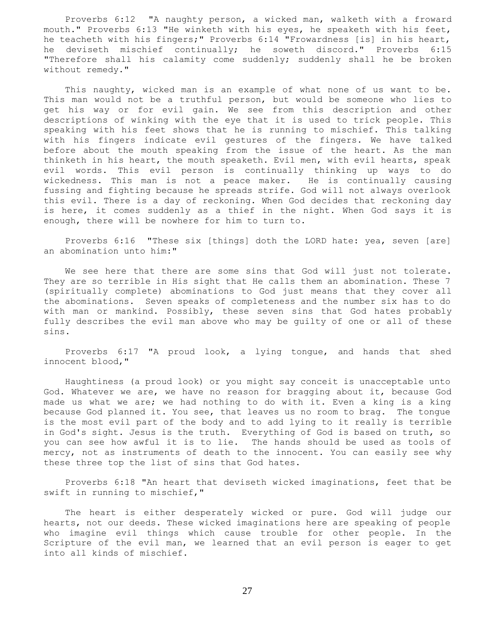Proverbs 6:12 "A naughty person, a wicked man, walketh with a froward mouth." Proverbs 6:13 "He winketh with his eyes, he speaketh with his feet, he teacheth with his fingers;" Proverbs 6:14 "Frowardness [is] in his heart, he deviseth mischief continually; he soweth discord." Proverbs 6:15 "Therefore shall his calamity come suddenly; suddenly shall he be broken without remedy."

 This naughty, wicked man is an example of what none of us want to be. This man would not be a truthful person, but would be someone who lies to get his way or for evil gain. We see from this description and other descriptions of winking with the eye that it is used to trick people. This speaking with his feet shows that he is running to mischief. This talking with his fingers indicate evil gestures of the fingers. We have talked before about the mouth speaking from the issue of the heart. As the man thinketh in his heart, the mouth speaketh. Evil men, with evil hearts, speak evil words. This evil person is continually thinking up ways to do wickedness. This man is not a peace maker. He is continually causing fussing and fighting because he spreads strife. God will not always overlook this evil. There is a day of reckoning. When God decides that reckoning day is here, it comes suddenly as a thief in the night. When God says it is enough, there will be nowhere for him to turn to.

 Proverbs 6:16 "These six [things] doth the LORD hate: yea, seven [are] an abomination unto him:"

We see here that there are some sins that God will just not tolerate. They are so terrible in His sight that He calls them an abomination. These 7 (spiritually complete) abominations to God just means that they cover all the abominations. Seven speaks of completeness and the number six has to do with man or mankind. Possibly, these seven sins that God hates probably fully describes the evil man above who may be guilty of one or all of these sins.

 Proverbs 6:17 "A proud look, a lying tongue, and hands that shed innocent blood,"

 Haughtiness (a proud look) or you might say conceit is unacceptable unto God. Whatever we are, we have no reason for bragging about it, because God made us what we are; we had nothing to do with it. Even a king is a king because God planned it. You see, that leaves us no room to brag. The tongue is the most evil part of the body and to add lying to it really is terrible in God's sight. Jesus is the truth. Everything of God is based on truth, so you can see how awful it is to lie. The hands should be used as tools of mercy, not as instruments of death to the innocent. You can easily see why these three top the list of sins that God hates.

 Proverbs 6:18 "An heart that deviseth wicked imaginations, feet that be swift in running to mischief,"

 The heart is either desperately wicked or pure. God will judge our hearts, not our deeds. These wicked imaginations here are speaking of people who imagine evil things which cause trouble for other people. In the Scripture of the evil man, we learned that an evil person is eager to get into all kinds of mischief.

27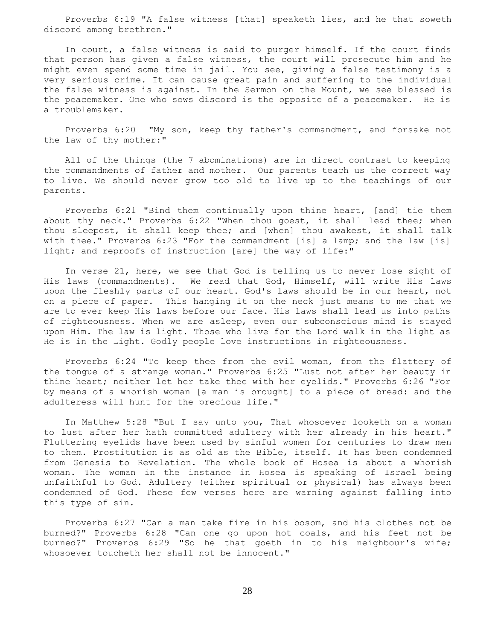Proverbs 6:19 "A false witness [that] speaketh lies, and he that soweth discord among brethren."

 In court, a false witness is said to purger himself. If the court finds that person has given a false witness, the court will prosecute him and he might even spend some time in jail. You see, giving a false testimony is a very serious crime. It can cause great pain and suffering to the individual the false witness is against. In the Sermon on the Mount, we see blessed is the peacemaker. One who sows discord is the opposite of a peacemaker. He is a troublemaker.

 Proverbs 6:20 "My son, keep thy father's commandment, and forsake not the law of thy mother:"

 All of the things (the 7 abominations) are in direct contrast to keeping the commandments of father and mother. Our parents teach us the correct way to live. We should never grow too old to live up to the teachings of our parents.

 Proverbs 6:21 "Bind them continually upon thine heart, [and] tie them about thy neck." Proverbs 6:22 "When thou goest, it shall lead thee; when thou sleepest, it shall keep thee; and [when] thou awakest, it shall talk with thee." Proverbs 6:23 "For the commandment [is] a lamp; and the law [is] light; and reproofs of instruction [are] the way of life:"

 In verse 21, here, we see that God is telling us to never lose sight of His laws (commandments). We read that God, Himself, will write His laws upon the fleshly parts of our heart. God's laws should be in our heart, not on a piece of paper. This hanging it on the neck just means to me that we are to ever keep His laws before our face. His laws shall lead us into paths of righteousness. When we are asleep, even our subconscious mind is stayed upon Him. The law is light. Those who live for the Lord walk in the light as He is in the Light. Godly people love instructions in righteousness.

 Proverbs 6:24 "To keep thee from the evil woman, from the flattery of the tongue of a strange woman." Proverbs 6:25 "Lust not after her beauty in thine heart; neither let her take thee with her eyelids." Proverbs 6:26 "For by means of a whorish woman [a man is brought] to a piece of bread: and the adulteress will hunt for the precious life."

 In Matthew 5:28 "But I say unto you, That whosoever looketh on a woman to lust after her hath committed adultery with her already in his heart." Fluttering eyelids have been used by sinful women for centuries to draw men to them. Prostitution is as old as the Bible, itself. It has been condemned from Genesis to Revelation. The whole book of Hosea is about a whorish woman. The woman in the instance in Hosea is speaking of Israel being unfaithful to God. Adultery (either spiritual or physical) has always been condemned of God. These few verses here are warning against falling into this type of sin.

 Proverbs 6:27 "Can a man take fire in his bosom, and his clothes not be burned?" Proverbs 6:28 "Can one go upon hot coals, and his feet not be burned?" Proverbs 6:29 "So he that goeth in to his neighbour's wife; whosoever toucheth her shall not be innocent."

28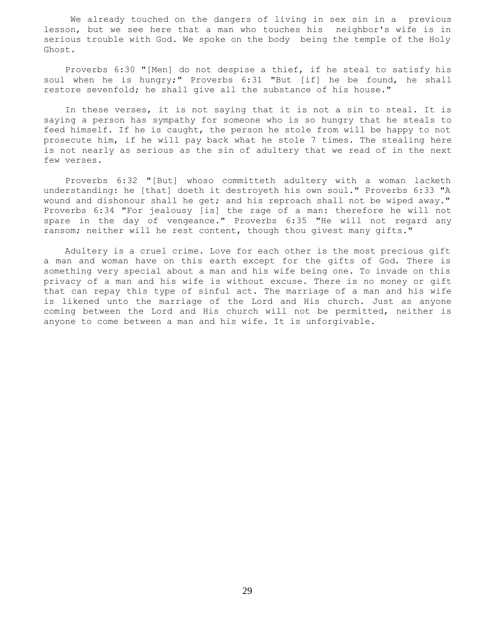We already touched on the dangers of living in sex sin in a previous lesson, but we see here that a man who touches his neighbor's wife is in serious trouble with God. We spoke on the body being the temple of the Holy Ghost.

 Proverbs 6:30 "[Men] do not despise a thief, if he steal to satisfy his soul when he is hungry;" Proverbs 6:31 "But [if] he be found, he shall restore sevenfold; he shall give all the substance of his house."

 In these verses, it is not saying that it is not a sin to steal. It is saying a person has sympathy for someone who is so hungry that he steals to feed himself. If he is caught, the person he stole from will be happy to not prosecute him, if he will pay back what he stole 7 times. The stealing here is not nearly as serious as the sin of adultery that we read of in the next few verses.

 Proverbs 6:32 "[But] whoso committeth adultery with a woman lacketh understanding: he [that] doeth it destroyeth his own soul." Proverbs 6:33 "A wound and dishonour shall he get; and his reproach shall not be wiped away." Proverbs 6:34 "For jealousy [is] the rage of a man: therefore he will not spare in the day of vengeance." Proverbs 6:35 "He will not regard any ransom; neither will he rest content, though thou givest many gifts."

 Adultery is a cruel crime. Love for each other is the most precious gift a man and woman have on this earth except for the gifts of God. There is something very special about a man and his wife being one. To invade on this privacy of a man and his wife is without excuse. There is no money or gift that can repay this type of sinful act. The marriage of a man and his wife is likened unto the marriage of the Lord and His church. Just as anyone coming between the Lord and His church will not be permitted, neither is anyone to come between a man and his wife. It is unforgivable.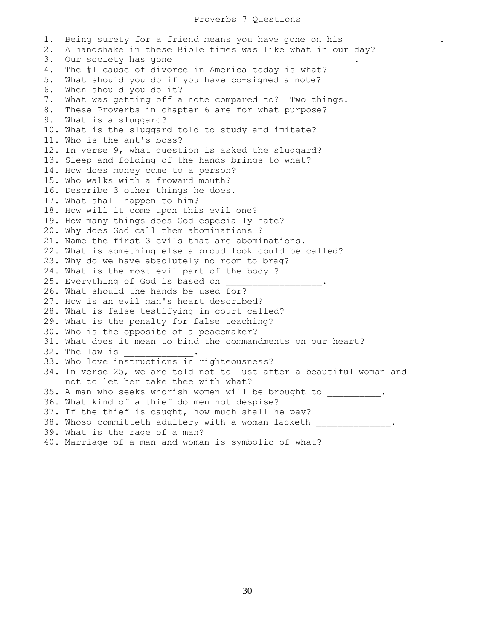1. Being surety for a friend means you have gone on his 2. A handshake in these Bible times was like what in our day? 3. Our society has gone 4. The #1 cause of divorce in America today is what? 5. What should you do if you have co-signed a note? 6. When should you do it? 7. What was getting off a note compared to? Two things. 8. These Proverbs in chapter 6 are for what purpose? 9. What is a sluggard? 10. What is the sluggard told to study and imitate? 11. Who is the ant's boss? 12. In verse 9, what question is asked the sluggard? 13. Sleep and folding of the hands brings to what? 14. How does money come to a person? 15. Who walks with a froward mouth? 16. Describe 3 other things he does. 17. What shall happen to him? 18. How will it come upon this evil one? 19. How many things does God especially hate? 20. Why does God call them abominations ? 21. Name the first 3 evils that are abominations. 22. What is something else a proud look could be called? 23. Why do we have absolutely no room to brag? 24. What is the most evil part of the body ? 25. Everything of God is based on 26. What should the hands be used for? 27. How is an evil man's heart described? 28. What is false testifying in court called? 29. What is the penalty for false teaching? 30. Who is the opposite of a peacemaker? 31. What does it mean to bind the commandments on our heart? 32. The law is 33. Who love instructions in righteousness? 34. In verse 25, we are told not to lust after a beautiful woman and not to let her take thee with what? 35. A man who seeks whorish women will be brought to  $\hspace{1cm}$ . 36. What kind of a thief do men not despise? 37. If the thief is caught, how much shall he pay? 38. Whoso committeth adultery with a woman lacketh . 39. What is the rage of a man? 40. Marriage of a man and woman is symbolic of what?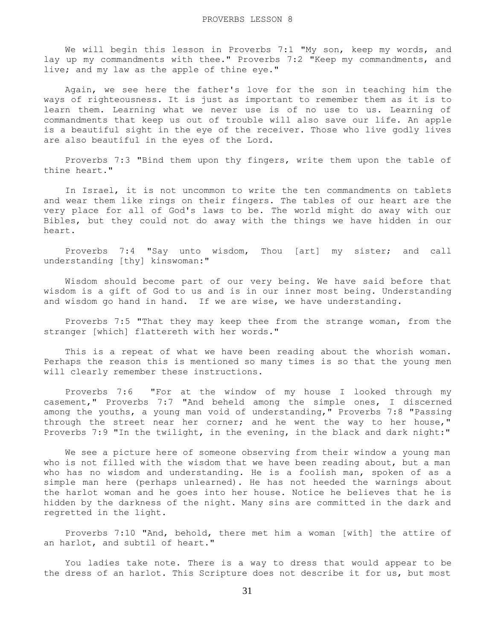We will begin this lesson in Proverbs 7:1 "My son, keep my words, and lay up my commandments with thee." Proverbs 7:2 "Keep my commandments, and live; and my law as the apple of thine eye."

 Again, we see here the father's love for the son in teaching him the ways of righteousness. It is just as important to remember them as it is to learn them. Learning what we never use is of no use to us. Learning of commandments that keep us out of trouble will also save our life. An apple is a beautiful sight in the eye of the receiver. Those who live godly lives are also beautiful in the eyes of the Lord.

 Proverbs 7:3 "Bind them upon thy fingers, write them upon the table of thine heart."

 In Israel, it is not uncommon to write the ten commandments on tablets and wear them like rings on their fingers. The tables of our heart are the very place for all of God's laws to be. The world might do away with our Bibles, but they could not do away with the things we have hidden in our heart.

 Proverbs 7:4 "Say unto wisdom, Thou [art] my sister; and call understanding [thy] kinswoman:"

 Wisdom should become part of our very being. We have said before that wisdom is a gift of God to us and is in our inner most being. Understanding and wisdom go hand in hand. If we are wise, we have understanding.

 Proverbs 7:5 "That they may keep thee from the strange woman, from the stranger [which] flattereth with her words."

 This is a repeat of what we have been reading about the whorish woman. Perhaps the reason this is mentioned so many times is so that the young men will clearly remember these instructions.

 Proverbs 7:6 "For at the window of my house I looked through my casement," Proverbs 7:7 "And beheld among the simple ones, I discerned among the youths, a young man void of understanding," Proverbs 7:8 "Passing through the street near her corner; and he went the way to her house," Proverbs 7:9 "In the twilight, in the evening, in the black and dark night:"

 We see a picture here of someone observing from their window a young man who is not filled with the wisdom that we have been reading about, but a man who has no wisdom and understanding. He is a foolish man, spoken of as a simple man here (perhaps unlearned). He has not heeded the warnings about the harlot woman and he goes into her house. Notice he believes that he is hidden by the darkness of the night. Many sins are committed in the dark and regretted in the light.

 Proverbs 7:10 "And, behold, there met him a woman [with] the attire of an harlot, and subtil of heart."

 You ladies take note. There is a way to dress that would appear to be the dress of an harlot. This Scripture does not describe it for us, but most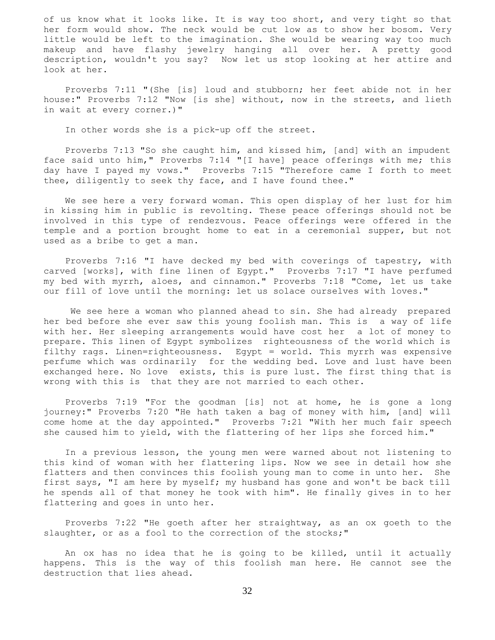of us know what it looks like. It is way too short, and very tight so that her form would show. The neck would be cut low as to show her bosom. Very little would be left to the imagination. She would be wearing way too much makeup and have flashy jewelry hanging all over her. A pretty good description, wouldn't you say? Now let us stop looking at her attire and look at her.

 Proverbs 7:11 "(She [is] loud and stubborn; her feet abide not in her house:" Proverbs 7:12 "Now [is she] without, now in the streets, and lieth in wait at every corner.)"

In other words she is a pick-up off the street.

 Proverbs 7:13 "So she caught him, and kissed him, [and] with an impudent face said unto him," Proverbs 7:14 "[I have] peace offerings with me; this day have I payed my vows." Proverbs 7:15 "Therefore came I forth to meet thee, diligently to seek thy face, and I have found thee."

 We see here a very forward woman. This open display of her lust for him in kissing him in public is revolting. These peace offerings should not be involved in this type of rendezvous. Peace offerings were offered in the temple and a portion brought home to eat in a ceremonial supper, but not used as a bribe to get a man.

 Proverbs 7:16 "I have decked my bed with coverings of tapestry, with carved [works], with fine linen of Egypt." Proverbs 7:17 "I have perfumed my bed with myrrh, aloes, and cinnamon." Proverbs 7:18 "Come, let us take our fill of love until the morning: let us solace ourselves with loves."

 We see here a woman who planned ahead to sin. She had already prepared her bed before she ever saw this young foolish man. This is a way of life with her. Her sleeping arrangements would have cost her a lot of money to prepare. This linen of Egypt symbolizes righteousness of the world which is filthy rags. Linen=righteousness. Egypt = world. This myrrh was expensive perfume which was ordinarily for the wedding bed. Love and lust have been exchanged here. No love exists, this is pure lust. The first thing that is wrong with this is that they are not married to each other.

 Proverbs 7:19 "For the goodman [is] not at home, he is gone a long journey:" Proverbs 7:20 "He hath taken a bag of money with him, [and] will come home at the day appointed." Proverbs 7:21 "With her much fair speech she caused him to yield, with the flattering of her lips she forced him."

 In a previous lesson, the young men were warned about not listening to this kind of woman with her flattering lips. Now we see in detail how she flatters and then convinces this foolish young man to come in unto her. She first says, "I am here by myself; my husband has gone and won't be back till he spends all of that money he took with him". He finally gives in to her flattering and goes in unto her.

 Proverbs 7:22 "He goeth after her straightway, as an ox goeth to the slaughter, or as a fool to the correction of the stocks;"

 An ox has no idea that he is going to be killed, until it actually happens. This is the way of this foolish man here. He cannot see the destruction that lies ahead.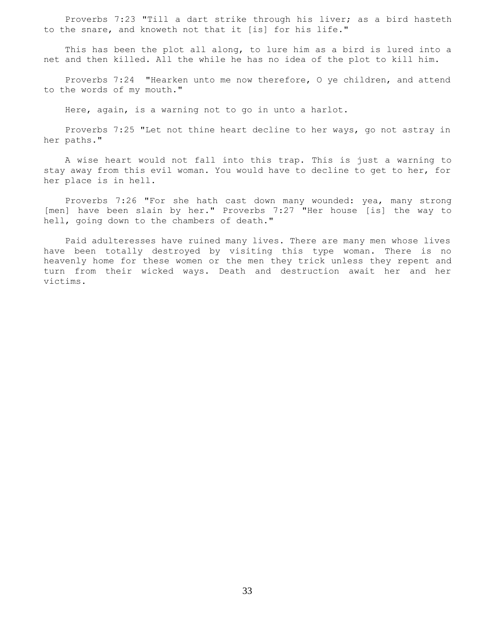Proverbs 7:23 "Till a dart strike through his liver; as a bird hasteth to the snare, and knoweth not that it [is] for his life."

 This has been the plot all along, to lure him as a bird is lured into a net and then killed. All the while he has no idea of the plot to kill him.

 Proverbs 7:24 "Hearken unto me now therefore, O ye children, and attend to the words of my mouth."

Here, again, is a warning not to go in unto a harlot.

 Proverbs 7:25 "Let not thine heart decline to her ways, go not astray in her paths."

 A wise heart would not fall into this trap. This is just a warning to stay away from this evil woman. You would have to decline to get to her, for her place is in hell.

 Proverbs 7:26 "For she hath cast down many wounded: yea, many strong [men] have been slain by her." Proverbs 7:27 "Her house [is] the way to hell, going down to the chambers of death."

 Paid adulteresses have ruined many lives. There are many men whose lives have been totally destroyed by visiting this type woman. There is no heavenly home for these women or the men they trick unless they repent and turn from their wicked ways. Death and destruction await her and her victims.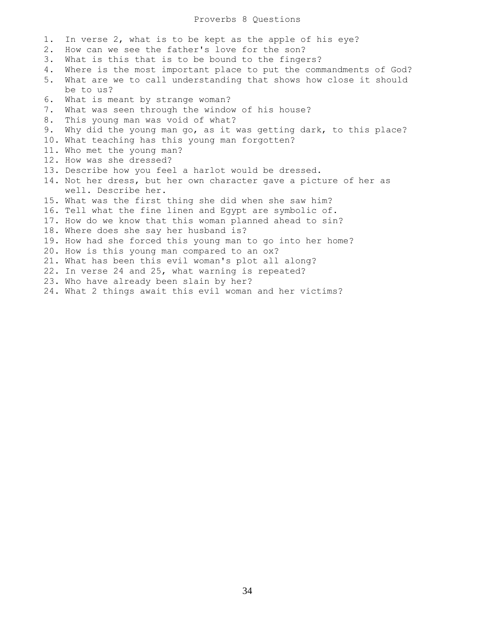## Proverbs 8 Questions

- 1. In verse 2, what is to be kept as the apple of his eye?
- 2. How can we see the father's love for the son?
- 3. What is this that is to be bound to the fingers?
- 4. Where is the most important place to put the commandments of God?
- 5. What are we to call understanding that shows how close it should be to us?
- 6. What is meant by strange woman?
- 7. What was seen through the window of his house?
- 8. This young man was void of what?
- 9. Why did the young man go, as it was getting dark, to this place?
- 10. What teaching has this young man forgotten?
- 11. Who met the young man?
- 12. How was she dressed?
- 13. Describe how you feel a harlot would be dressed.
- 14. Not her dress, but her own character gave a picture of her as well. Describe her.
- 15. What was the first thing she did when she saw him?
- 16. Tell what the fine linen and Egypt are symbolic of.
- 17. How do we know that this woman planned ahead to sin?
- 18. Where does she say her husband is?
- 19. How had she forced this young man to go into her home?
- 20. How is this young man compared to an ox?
- 21. What has been this evil woman's plot all along?
- 22. In verse 24 and 25, what warning is repeated?
- 23. Who have already been slain by her?
- 24. What 2 things await this evil woman and her victims?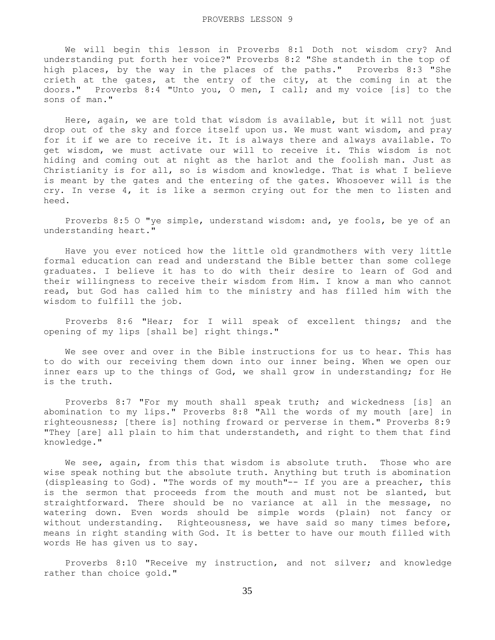We will begin this lesson in Proverbs 8:1 Doth not wisdom cry? And understanding put forth her voice?" Proverbs 8:2 "She standeth in the top of high places, by the way in the places of the paths." Proverbs 8:3 "She crieth at the gates, at the entry of the city, at the coming in at the doors." Proverbs 8:4 "Unto you, O men, I call; and my voice [is] to the sons of man."

 Here, again, we are told that wisdom is available, but it will not just drop out of the sky and force itself upon us. We must want wisdom, and pray for it if we are to receive it. It is always there and always available. To get wisdom, we must activate our will to receive it. This wisdom is not hiding and coming out at night as the harlot and the foolish man. Just as Christianity is for all, so is wisdom and knowledge. That is what I believe is meant by the gates and the entering of the gates. Whosoever will is the cry. In verse 4, it is like a sermon crying out for the men to listen and heed.

 Proverbs 8:5 O "ye simple, understand wisdom: and, ye fools, be ye of an understanding heart."

 Have you ever noticed how the little old grandmothers with very little formal education can read and understand the Bible better than some college graduates. I believe it has to do with their desire to learn of God and their willingness to receive their wisdom from Him. I know a man who cannot read, but God has called him to the ministry and has filled him with the wisdom to fulfill the job.

 Proverbs 8:6 "Hear; for I will speak of excellent things; and the opening of my lips [shall be] right things."

 We see over and over in the Bible instructions for us to hear. This has to do with our receiving them down into our inner being. When we open our inner ears up to the things of God, we shall grow in understanding; for He is the truth.

 Proverbs 8:7 "For my mouth shall speak truth; and wickedness [is] an abomination to my lips." Proverbs 8:8 "All the words of my mouth [are] in righteousness; [there is] nothing froward or perverse in them." Proverbs 8:9 "They [are] all plain to him that understandeth, and right to them that find knowledge."

We see, again, from this that wisdom is absolute truth. Those who are wise speak nothing but the absolute truth. Anything but truth is abomination (displeasing to God). "The words of my mouth"-- If you are a preacher, this is the sermon that proceeds from the mouth and must not be slanted, but straightforward. There should be no variance at all in the message, no watering down. Even words should be simple words (plain) not fancy or without understanding. Righteousness, we have said so many times before, means in right standing with God. It is better to have our mouth filled with words He has given us to say.

 Proverbs 8:10 "Receive my instruction, and not silver; and knowledge rather than choice gold."

35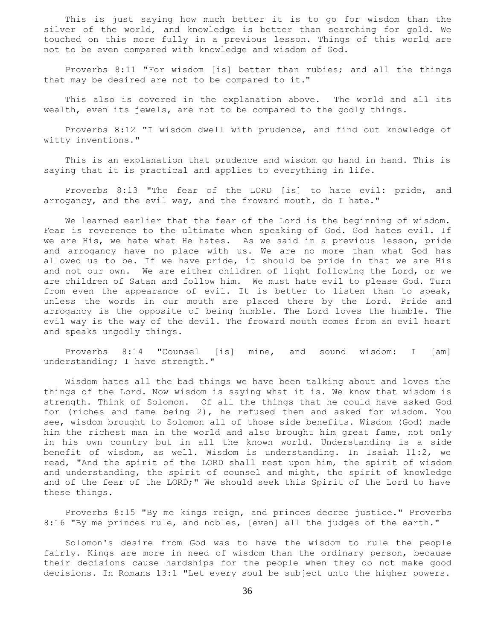This is just saying how much better it is to go for wisdom than the silver of the world, and knowledge is better than searching for gold. We touched on this more fully in a previous lesson. Things of this world are not to be even compared with knowledge and wisdom of God.

 Proverbs 8:11 "For wisdom [is] better than rubies; and all the things that may be desired are not to be compared to it."

 This also is covered in the explanation above. The world and all its wealth, even its jewels, are not to be compared to the godly things.

 Proverbs 8:12 "I wisdom dwell with prudence, and find out knowledge of witty inventions."

 This is an explanation that prudence and wisdom go hand in hand. This is saying that it is practical and applies to everything in life.

 Proverbs 8:13 "The fear of the LORD [is] to hate evil: pride, and arrogancy, and the evil way, and the froward mouth, do I hate."

 We learned earlier that the fear of the Lord is the beginning of wisdom. Fear is reverence to the ultimate when speaking of God. God hates evil. If we are His, we hate what He hates. As we said in a previous lesson, pride and arrogancy have no place with us. We are no more than what God has allowed us to be. If we have pride, it should be pride in that we are His and not our own. We are either children of light following the Lord, or we are children of Satan and follow him. We must hate evil to please God. Turn from even the appearance of evil. It is better to listen than to speak, unless the words in our mouth are placed there by the Lord. Pride and arrogancy is the opposite of being humble. The Lord loves the humble. The evil way is the way of the devil. The froward mouth comes from an evil heart and speaks ungodly things.

 Proverbs 8:14 "Counsel [is] mine, and sound wisdom: I [am] understanding; I have strength."

 Wisdom hates all the bad things we have been talking about and loves the things of the Lord. Now wisdom is saying what it is. We know that wisdom is strength. Think of Solomon. Of all the things that he could have asked God for (riches and fame being 2), he refused them and asked for wisdom. You see, wisdom brought to Solomon all of those side benefits. Wisdom (God) made him the richest man in the world and also brought him great fame, not only in his own country but in all the known world. Understanding is a side benefit of wisdom, as well. Wisdom is understanding. In Isaiah 11:2, we read, "And the spirit of the LORD shall rest upon him, the spirit of wisdom and understanding, the spirit of counsel and might, the spirit of knowledge and of the fear of the LORD;" We should seek this Spirit of the Lord to have these things.

 Proverbs 8:15 "By me kings reign, and princes decree justice." Proverbs 8:16 "By me princes rule, and nobles, [even] all the judges of the earth."

 Solomon's desire from God was to have the wisdom to rule the people fairly. Kings are more in need of wisdom than the ordinary person, because their decisions cause hardships for the people when they do not make good decisions. In Romans 13:1 "Let every soul be subject unto the higher powers.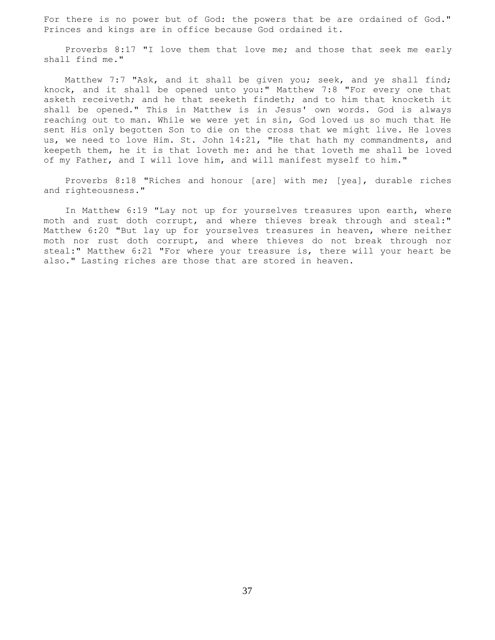For there is no power but of God: the powers that be are ordained of God." Princes and kings are in office because God ordained it.

 Proverbs 8:17 "I love them that love me; and those that seek me early shall find me."

Matthew 7:7 "Ask, and it shall be given you; seek, and ye shall find; knock, and it shall be opened unto you:" Matthew 7:8 "For every one that asketh receiveth; and he that seeketh findeth; and to him that knocketh it shall be opened." This in Matthew is in Jesus' own words. God is always reaching out to man. While we were yet in sin, God loved us so much that He sent His only begotten Son to die on the cross that we might live. He loves us, we need to love Him. St. John 14:21, "He that hath my commandments, and keepeth them, he it is that loveth me: and he that loveth me shall be loved of my Father, and I will love him, and will manifest myself to him."

 Proverbs 8:18 "Riches and honour [are] with me; [yea], durable riches and righteousness."

 In Matthew 6:19 "Lay not up for yourselves treasures upon earth, where moth and rust doth corrupt, and where thieves break through and steal:" Matthew 6:20 "But lay up for yourselves treasures in heaven, where neither moth nor rust doth corrupt, and where thieves do not break through nor steal:" Matthew 6:21 "For where your treasure is, there will your heart be also." Lasting riches are those that are stored in heaven.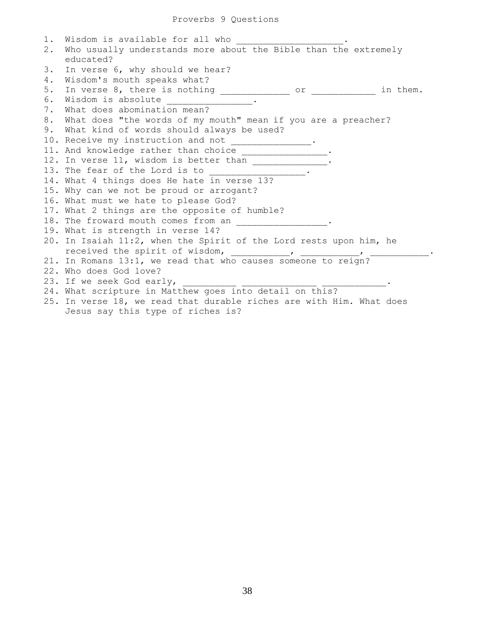| 1. | Wisdom is available for all who                                                                                                                                          |
|----|--------------------------------------------------------------------------------------------------------------------------------------------------------------------------|
| 2. | Who usually understands more about the Bible than the extremely                                                                                                          |
|    | educated?                                                                                                                                                                |
| 3. | In verse 6, why should we hear?                                                                                                                                          |
| 4. | Wisdom's mouth speaks what?                                                                                                                                              |
| 5. | In verse 8, there is nothing _____________<br>in them.<br>or and the state of the state of the state of the state of the state of the state of the state of the state of |
| 6. | Wisdom is absolute                                                                                                                                                       |
| 7. | What does abomination mean?                                                                                                                                              |
| 8. | What does "the words of my mouth" mean if you are a preacher?                                                                                                            |
| 9. | What kind of words should always be used?                                                                                                                                |
|    | 10. Receive my instruction and not _______________.                                                                                                                      |
|    | 11. And knowledge rather than choice ________________.                                                                                                                   |
|    | 12. In verse 11, wisdom is better than ________________                                                                                                                  |
|    | 13. The fear of the Lord is to                                                                                                                                           |
|    | 14. What 4 things does He hate in verse 13?                                                                                                                              |
|    | 15. Why can we not be proud or arrogant?                                                                                                                                 |
|    | 16. What must we hate to please God?                                                                                                                                     |
|    | 17. What 2 things are the opposite of humble?                                                                                                                            |
|    | 18. The froward mouth comes from an                                                                                                                                      |
|    | 19. What is strength in verse 14?                                                                                                                                        |
|    | 20. In Isaiah 11:2, when the Spirit of the Lord rests upon him, he                                                                                                       |
|    |                                                                                                                                                                          |
|    | 21. In Romans 13:1, we read that who causes someone to reign?                                                                                                            |
|    | 22. Who does God love?                                                                                                                                                   |
|    | 23. If we seek God early,                                                                                                                                                |
|    | 24. What scripture in Matthew goes into detail on this?                                                                                                                  |
|    | 25. In verse 18, we read that durable riches are with Him. What does                                                                                                     |
|    | Jesus say this type of riches is?                                                                                                                                        |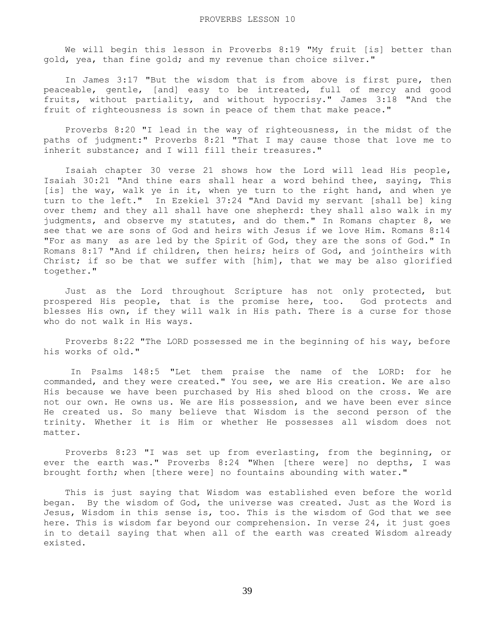We will begin this lesson in Proverbs 8:19 "My fruit [is] better than gold, yea, than fine gold; and my revenue than choice silver."

 In James 3:17 "But the wisdom that is from above is first pure, then peaceable, gentle, [and] easy to be intreated, full of mercy and good fruits, without partiality, and without hypocrisy." James 3:18 "And the fruit of righteousness is sown in peace of them that make peace."

 Proverbs 8:20 "I lead in the way of righteousness, in the midst of the paths of judgment:" Proverbs 8:21 "That I may cause those that love me to inherit substance; and I will fill their treasures."

 Isaiah chapter 30 verse 21 shows how the Lord will lead His people, Isaiah 30:21 "And thine ears shall hear a word behind thee, saying, This [is] the way, walk ye in it, when ye turn to the right hand, and when ye turn to the left." In Ezekiel 37:24 "And David my servant [shall be] king over them; and they all shall have one shepherd: they shall also walk in my judgments, and observe my statutes, and do them." In Romans chapter 8, we see that we are sons of God and heirs with Jesus if we love Him. Romans 8:14 "For as many as are led by the Spirit of God, they are the sons of God." In Romans 8:17 "And if children, then heirs; heirs of God, and jointheirs with Christ; if so be that we suffer with [him], that we may be also glorified together."

 Just as the Lord throughout Scripture has not only protected, but prospered His people, that is the promise here, too. God protects and blesses His own, if they will walk in His path. There is a curse for those who do not walk in His ways.

 Proverbs 8:22 "The LORD possessed me in the beginning of his way, before his works of old."

 In Psalms 148:5 "Let them praise the name of the LORD: for he commanded, and they were created." You see, we are His creation. We are also His because we have been purchased by His shed blood on the cross. We are not our own. He owns us. We are His possession, and we have been ever since He created us. So many believe that Wisdom is the second person of the trinity. Whether it is Him or whether He possesses all wisdom does not matter.

 Proverbs 8:23 "I was set up from everlasting, from the beginning, or ever the earth was." Proverbs 8:24 "When [there were] no depths, I was brought forth; when [there were] no fountains abounding with water."

 This is just saying that Wisdom was established even before the world began. By the wisdom of God, the universe was created. Just as the Word is Jesus, Wisdom in this sense is, too. This is the wisdom of God that we see here. This is wisdom far beyond our comprehension. In verse 24, it just goes in to detail saying that when all of the earth was created Wisdom already existed.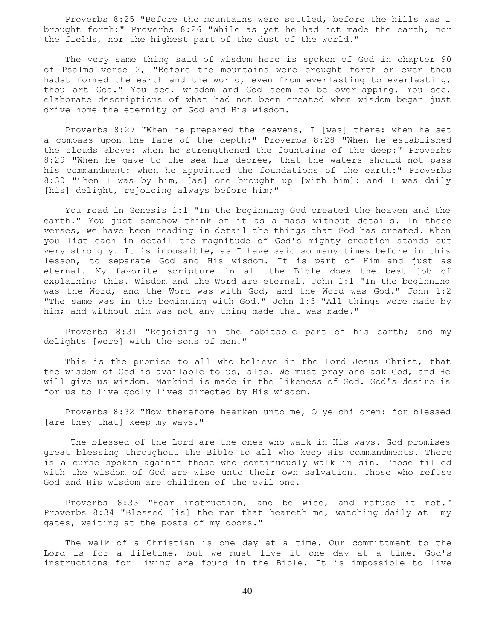Proverbs 8:25 "Before the mountains were settled, before the hills was I brought forth:" Proverbs 8:26 "While as yet he had not made the earth, nor the fields, nor the highest part of the dust of the world."

 The very same thing said of wisdom here is spoken of God in chapter 90 of Psalms verse 2, "Before the mountains were brought forth or ever thou hadst formed the earth and the world, even from everlasting to everlasting, thou art God." You see, wisdom and God seem to be overlapping. You see, elaborate descriptions of what had not been created when wisdom began just drive home the eternity of God and His wisdom.

 Proverbs 8:27 "When he prepared the heavens, I [was] there: when he set a compass upon the face of the depth:" Proverbs 8:28 "When he established the clouds above: when he strengthened the fountains of the deep:" Proverbs 8:29 "When he gave to the sea his decree, that the waters should not pass his commandment: when he appointed the foundations of the earth:" Proverbs 8:30 "Then I was by him, [as] one brought up [with him]: and I was daily [his] delight, rejoicing always before him;"

 You read in Genesis 1:1 "In the beginning God created the heaven and the earth." You just somehow think of it as a mass without details. In these verses, we have been reading in detail the things that God has created. When you list each in detail the magnitude of God's mighty creation stands out very strongly. It is impossible, as I have said so many times before in this lesson, to separate God and His wisdom. It is part of Him and just as eternal. My favorite scripture in all the Bible does the best job of explaining this. Wisdom and the Word are eternal. John 1:1 "In the beginning was the Word, and the Word was with God, and the Word was God." John 1:2 "The same was in the beginning with God." John 1:3 "All things were made by him; and without him was not any thing made that was made."

 Proverbs 8:31 "Rejoicing in the habitable part of his earth; and my delights [were] with the sons of men."

 This is the promise to all who believe in the Lord Jesus Christ, that the wisdom of God is available to us, also. We must pray and ask God, and He will give us wisdom. Mankind is made in the likeness of God. God's desire is for us to live godly lives directed by His wisdom.

 Proverbs 8:32 "Now therefore hearken unto me, O ye children: for blessed [are they that] keep my ways."

 The blessed of the Lord are the ones who walk in His ways. God promises great blessing throughout the Bible to all who keep His commandments. There is a curse spoken against those who continuously walk in sin. Those filled with the wisdom of God are wise unto their own salvation. Those who refuse God and His wisdom are children of the evil one.

 Proverbs 8:33 "Hear instruction, and be wise, and refuse it not." Proverbs 8:34 "Blessed [is] the man that heareth me, watching daily at my gates, waiting at the posts of my doors."

 The walk of a Christian is one day at a time. Our committment to the Lord is for a lifetime, but we must live it one day at a time. God's instructions for living are found in the Bible. It is impossible to live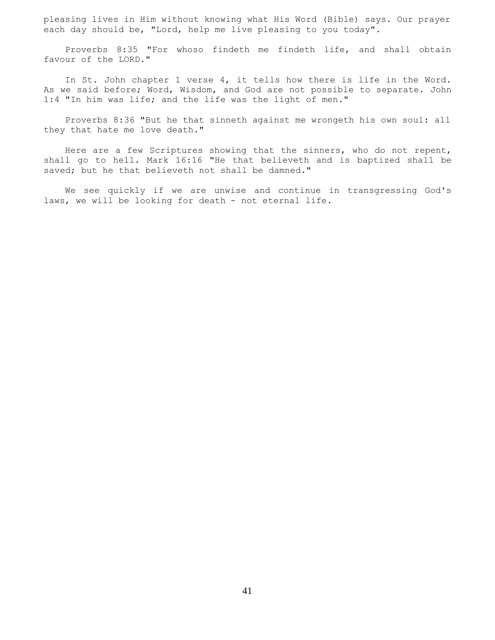pleasing lives in Him without knowing what His Word (Bible) says. Our prayer each day should be, "Lord, help me live pleasing to you today".

 Proverbs 8:35 "For whoso findeth me findeth life, and shall obtain favour of the LORD."

 In St. John chapter 1 verse 4, it tells how there is life in the Word. As we said before; Word, Wisdom, and God are not possible to separate. John 1:4 "In him was life; and the life was the light of men."

 Proverbs 8:36 "But he that sinneth against me wrongeth his own soul: all they that hate me love death."

 Here are a few Scriptures showing that the sinners, who do not repent, shall go to hell. Mark 16:16 "He that believeth and is baptized shall be saved; but he that believeth not shall be damned."

 We see quickly if we are unwise and continue in transgressing God's laws, we will be looking for death - not eternal life.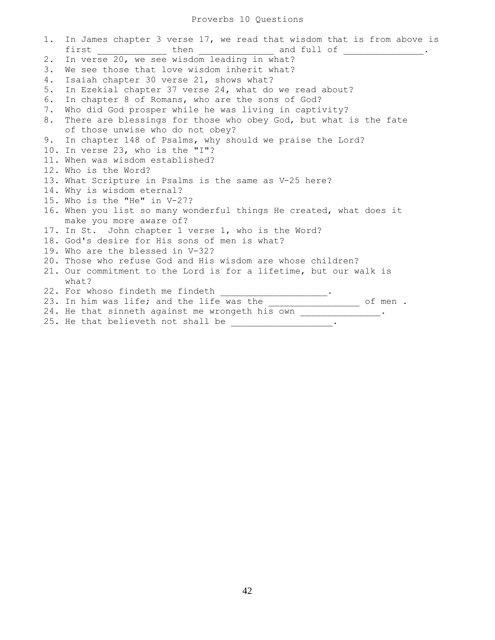## Proverbs 10 Questions

1. In James chapter 3 verse 17, we read that wisdom that is from above is first  $\begin{array}{ccc} - & \text{then} & \text{then} & \text{and full} \end{array}$ 2. In verse 20, we see wisdom leading in what? 3. We see those that love wisdom inherit what? 4. Isaiah chapter 30 verse 21, shows what? 5. In Ezekial chapter 37 verse 24, what do we read about? 6. In chapter 8 of Romans, who are the sons of God? 7. Who did God prosper while he was living in captivity? 8. There are blessings for those who obey God, but what is the fate of those unwise who do not obey? 9. In chapter 148 of Psalms, why should we praise the Lord? 10. In verse 23, who is the "I"? 11. When was wisdom established? 12. Who is the Word? 13. What Scripture in Psalms is the same as V-25 here? 14. Why is wisdom eternal? 15. Who is the "He" in V-27? 16. When you list so many wonderful things He created, what does it make you more aware of? 17. In St. John chapter 1 verse 1, who is the Word? 18. God's desire for His sons of men is what? 19. Who are the blessed in V-32? 20. Those who refuse God and His wisdom are whose children? 21. Our commitment to the Lord is for a lifetime, but our walk is what? 22. For whoso findeth me findeth \_\_\_\_\_\_\_\_\_\_\_\_\_\_\_. 23. In him was life; and the life was the **the set of men** . 24. He that sinneth against me wrongeth his own \_\_\_\_\_\_\_\_\_\_\_\_\_\_. 25. He that believeth not shall be  $\frac{1}{2}$   $\frac{1}{2}$   $\frac{1}{2}$   $\frac{1}{2}$   $\frac{1}{2}$   $\frac{1}{2}$   $\frac{1}{2}$   $\frac{1}{2}$   $\frac{1}{2}$   $\frac{1}{2}$   $\frac{1}{2}$   $\frac{1}{2}$   $\frac{1}{2}$   $\frac{1}{2}$   $\frac{1}{2}$   $\frac{1}{2}$   $\frac{1}{2}$   $\frac{1}{2}$   $\frac{1}{$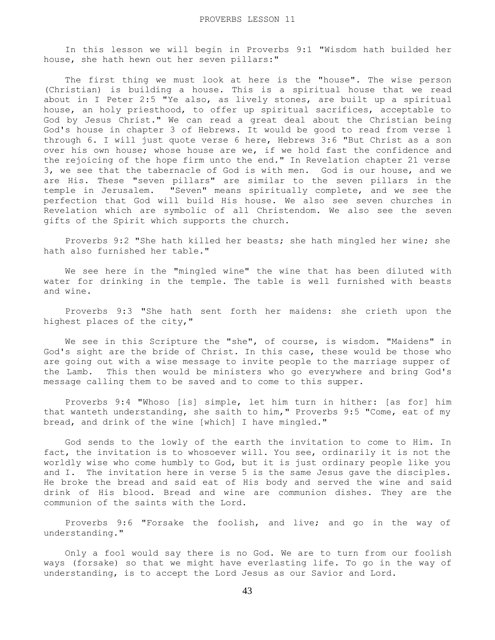In this lesson we will begin in Proverbs 9:1 "Wisdom hath builded her house, she hath hewn out her seven pillars:"

The first thing we must look at here is the "house". The wise person (Christian) is building a house. This is a spiritual house that we read about in I Peter 2:5 "Ye also, as lively stones, are built up a spiritual house, an holy priesthood, to offer up spiritual sacrifices, acceptable to God by Jesus Christ." We can read a great deal about the Christian being God's house in chapter 3 of Hebrews. It would be good to read from verse 1 through 6. I will just quote verse 6 here, Hebrews 3:6 "But Christ as a son over his own house; whose house are we, if we hold fast the confidence and the rejoicing of the hope firm unto the end." In Revelation chapter 21 verse 3, we see that the tabernacle of God is with men. God is our house, and we are His. These "seven pillars" are similar to the seven pillars in the temple in Jerusalem. "Seven" means spiritually complete, and we see the perfection that God will build His house. We also see seven churches in Revelation which are symbolic of all Christendom. We also see the seven gifts of the Spirit which supports the church.

 Proverbs 9:2 "She hath killed her beasts; she hath mingled her wine; she hath also furnished her table."

 We see here in the "mingled wine" the wine that has been diluted with water for drinking in the temple. The table is well furnished with beasts and wine.

 Proverbs 9:3 "She hath sent forth her maidens: she crieth upon the highest places of the city,"

 We see in this Scripture the "she", of course, is wisdom. "Maidens" in God's sight are the bride of Christ. In this case, these would be those who are going out with a wise message to invite people to the marriage supper of the Lamb. This then would be ministers who go everywhere and bring God's message calling them to be saved and to come to this supper.

 Proverbs 9:4 "Whoso [is] simple, let him turn in hither: [as for] him that wanteth understanding, she saith to him," Proverbs 9:5 "Come, eat of my bread, and drink of the wine [which] I have mingled."

 God sends to the lowly of the earth the invitation to come to Him. In fact, the invitation is to whosoever will. You see, ordinarily it is not the worldly wise who come humbly to God, but it is just ordinary people like you and I. The invitation here in verse 5 is the same Jesus gave the disciples. He broke the bread and said eat of His body and served the wine and said drink of His blood. Bread and wine are communion dishes. They are the communion of the saints with the Lord.

 Proverbs 9:6 "Forsake the foolish, and live; and go in the way of understanding."

 Only a fool would say there is no God. We are to turn from our foolish ways (forsake) so that we might have everlasting life. To go in the way of understanding, is to accept the Lord Jesus as our Savior and Lord.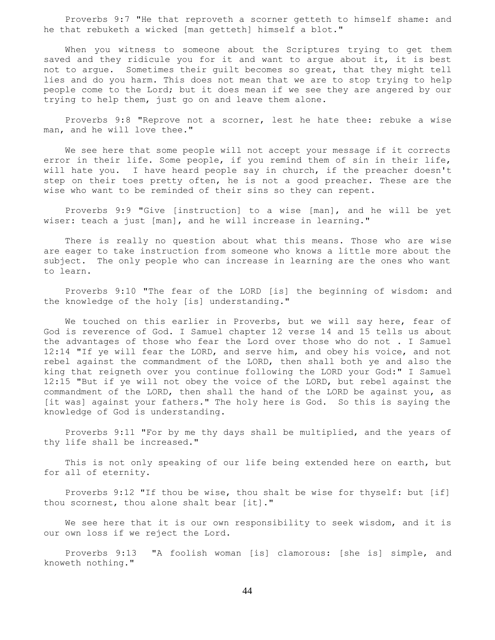Proverbs 9:7 "He that reproveth a scorner getteth to himself shame: and he that rebuketh a wicked [man getteth] himself a blot."

When you witness to someone about the Scriptures trying to get them saved and they ridicule you for it and want to argue about it, it is best not to argue. Sometimes their guilt becomes so great, that they might tell lies and do you harm. This does not mean that we are to stop trying to help people come to the Lord; but it does mean if we see they are angered by our trying to help them, just go on and leave them alone.

 Proverbs 9:8 "Reprove not a scorner, lest he hate thee: rebuke a wise man, and he will love thee."

 We see here that some people will not accept your message if it corrects error in their life. Some people, if you remind them of sin in their life, will hate you. I have heard people say in church, if the preacher doesn't step on their toes pretty often, he is not a good preacher. These are the wise who want to be reminded of their sins so they can repent.

 Proverbs 9:9 "Give [instruction] to a wise [man], and he will be yet wiser: teach a just [man], and he will increase in learning."

 There is really no question about what this means. Those who are wise are eager to take instruction from someone who knows a little more about the subject. The only people who can increase in learning are the ones who want to learn.

 Proverbs 9:10 "The fear of the LORD [is] the beginning of wisdom: and the knowledge of the holy [is] understanding."

We touched on this earlier in Proverbs, but we will say here, fear of God is reverence of God. I Samuel chapter 12 verse 14 and 15 tells us about the advantages of those who fear the Lord over those who do not . I Samuel 12:14 "If ye will fear the LORD, and serve him, and obey his voice, and not rebel against the commandment of the LORD, then shall both ye and also the king that reigneth over you continue following the LORD your God:" I Samuel 12:15 "But if ye will not obey the voice of the LORD, but rebel against the commandment of the LORD, then shall the hand of the LORD be against you, as [it was] against your fathers." The holy here is God. So this is saying the knowledge of God is understanding.

 Proverbs 9:11 "For by me thy days shall be multiplied, and the years of thy life shall be increased."

 This is not only speaking of our life being extended here on earth, but for all of eternity.

 Proverbs 9:12 "If thou be wise, thou shalt be wise for thyself: but [if] thou scornest, thou alone shalt bear [it]."

 We see here that it is our own responsibility to seek wisdom, and it is our own loss if we reject the Lord.

 Proverbs 9:13 "A foolish woman [is] clamorous: [she is] simple, and knoweth nothing."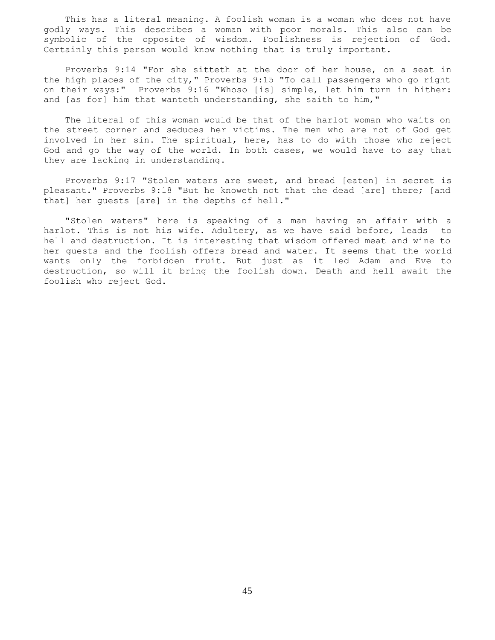This has a literal meaning. A foolish woman is a woman who does not have godly ways. This describes a woman with poor morals. This also can be symbolic of the opposite of wisdom. Foolishness is rejection of God. Certainly this person would know nothing that is truly important.

 Proverbs 9:14 "For she sitteth at the door of her house, on a seat in the high places of the city," Proverbs 9:15 "To call passengers who go right on their ways:" Proverbs 9:16 "Whoso [is] simple, let him turn in hither: and [as for] him that wanteth understanding, she saith to him,"

 The literal of this woman would be that of the harlot woman who waits on the street corner and seduces her victims. The men who are not of God get involved in her sin. The spiritual, here, has to do with those who reject God and go the way of the world. In both cases, we would have to say that they are lacking in understanding.

 Proverbs 9:17 "Stolen waters are sweet, and bread [eaten] in secret is pleasant." Proverbs 9:18 "But he knoweth not that the dead [are] there; [and that] her guests [are] in the depths of hell."

 "Stolen waters" here is speaking of a man having an affair with a harlot. This is not his wife. Adultery, as we have said before, leads to hell and destruction. It is interesting that wisdom offered meat and wine to her guests and the foolish offers bread and water. It seems that the world wants only the forbidden fruit. But just as it led Adam and Eve to destruction, so will it bring the foolish down. Death and hell await the foolish who reject God.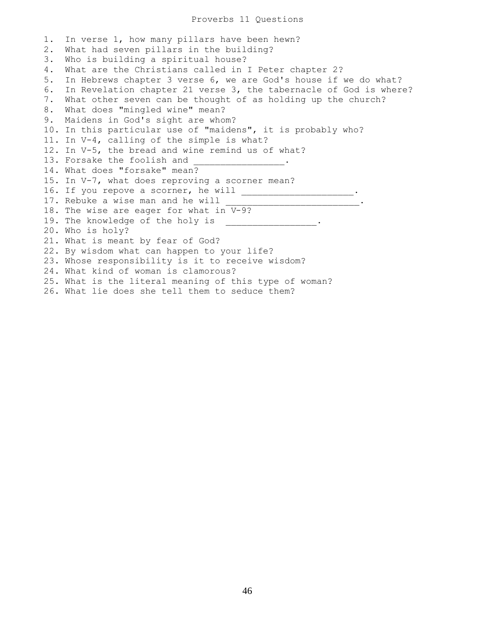1. In verse 1, how many pillars have been hewn? 2. What had seven pillars in the building? 3. Who is building a spiritual house? 4. What are the Christians called in I Peter chapter 2? 5. In Hebrews chapter 3 verse 6, we are God's house if we do what? 6. In Revelation chapter 21 verse 3, the tabernacle of God is where? 7. What other seven can be thought of as holding up the church? 8. What does "mingled wine" mean? 9. Maidens in God's sight are whom? 10. In this particular use of "maidens", it is probably who? 11. In V-4, calling of the simple is what? 12. In V-5, the bread and wine remind us of what? 13. Forsake the foolish and 14. What does "forsake" mean? 15. In V-7, what does reproving a scorner mean? 16. If you repove a scorner, he will \_\_\_\_\_\_\_\_\_\_\_\_\_\_\_\_\_\_\_\_\_. 17. Rebuke a wise man and he will 18. The wise are eager for what in V-9? 19. The knowledge of the holy is \_\_\_\_\_\_\_\_\_\_\_\_\_\_\_\_\_. 20. Who is holy? 21. What is meant by fear of God? 22. By wisdom what can happen to your life? 23. Whose responsibility is it to receive wisdom? 24. What kind of woman is clamorous? 25. What is the literal meaning of this type of woman? 26. What lie does she tell them to seduce them?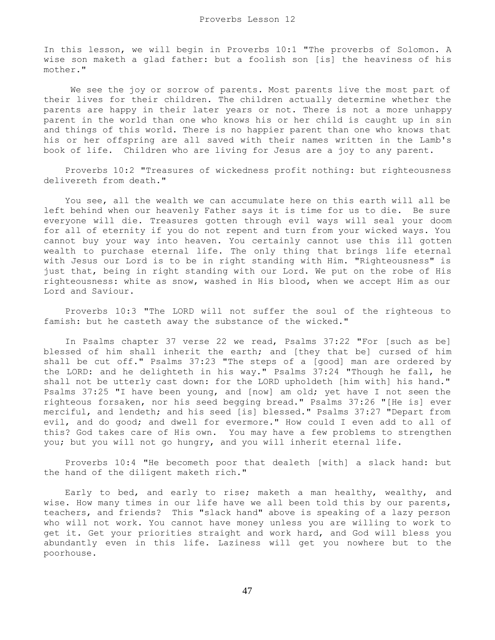In this lesson, we will begin in Proverbs 10:1 "The proverbs of Solomon. A wise son maketh a glad father: but a foolish son [is] the heaviness of his mother."

 We see the joy or sorrow of parents. Most parents live the most part of their lives for their children. The children actually determine whether the parents are happy in their later years or not. There is not a more unhappy parent in the world than one who knows his or her child is caught up in sin and things of this world. There is no happier parent than one who knows that his or her offspring are all saved with their names written in the Lamb's book of life. Children who are living for Jesus are a joy to any parent.

 Proverbs 10:2 "Treasures of wickedness profit nothing: but righteousness delivereth from death."

 You see, all the wealth we can accumulate here on this earth will all be left behind when our heavenly Father says it is time for us to die. Be sure everyone will die. Treasures gotten through evil ways will seal your doom for all of eternity if you do not repent and turn from your wicked ways. You cannot buy your way into heaven. You certainly cannot use this ill gotten wealth to purchase eternal life. The only thing that brings life eternal with Jesus our Lord is to be in right standing with Him. "Righteousness" is just that, being in right standing with our Lord. We put on the robe of His righteousness: white as snow, washed in His blood, when we accept Him as our Lord and Saviour.

 Proverbs 10:3 "The LORD will not suffer the soul of the righteous to famish: but he casteth away the substance of the wicked."

 In Psalms chapter 37 verse 22 we read, Psalms 37:22 "For [such as be] blessed of him shall inherit the earth; and [they that be] cursed of him shall be cut off." Psalms 37:23 "The steps of a [good] man are ordered by the LORD: and he delighteth in his way." Psalms 37:24 "Though he fall, he shall not be utterly cast down: for the LORD upholdeth [him with] his hand." Psalms 37:25 "I have been young, and [now] am old; yet have I not seen the righteous forsaken, nor his seed begging bread." Psalms 37:26 "[He is] ever merciful, and lendeth; and his seed [is] blessed." Psalms 37:27 "Depart from evil, and do good; and dwell for evermore." How could I even add to all of this? God takes care of His own. You may have a few problems to strengthen you; but you will not go hungry, and you will inherit eternal life.

 Proverbs 10:4 "He becometh poor that dealeth [with] a slack hand: but the hand of the diligent maketh rich."

 Early to bed, and early to rise; maketh a man healthy, wealthy, and wise. How many times in our life have we all been told this by our parents, teachers, and friends? This "slack hand" above is speaking of a lazy person who will not work. You cannot have money unless you are willing to work to get it. Get your priorities straight and work hard, and God will bless you abundantly even in this life. Laziness will get you nowhere but to the poorhouse.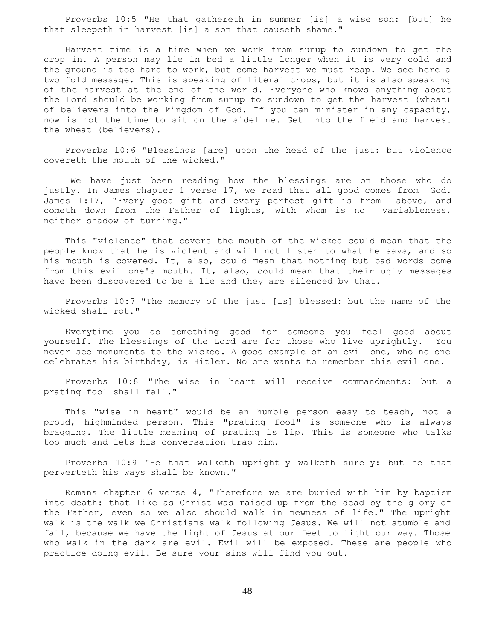Proverbs 10:5 "He that gathereth in summer [is] a wise son: [but] he that sleepeth in harvest [is] a son that causeth shame."

 Harvest time is a time when we work from sunup to sundown to get the crop in. A person may lie in bed a little longer when it is very cold and the ground is too hard to work, but come harvest we must reap. We see here a two fold message. This is speaking of literal crops, but it is also speaking of the harvest at the end of the world. Everyone who knows anything about the Lord should be working from sunup to sundown to get the harvest (wheat) of believers into the kingdom of God. If you can minister in any capacity, now is not the time to sit on the sideline. Get into the field and harvest the wheat (believers).

 Proverbs 10:6 "Blessings [are] upon the head of the just: but violence covereth the mouth of the wicked."

 We have just been reading how the blessings are on those who do justly. In James chapter 1 verse 17, we read that all good comes from God. James 1:17, "Every good gift and every perfect gift is from above, and cometh down from the Father of lights, with whom is no variableness, neither shadow of turning."

 This "violence" that covers the mouth of the wicked could mean that the people know that he is violent and will not listen to what he says, and so his mouth is covered. It, also, could mean that nothing but bad words come from this evil one's mouth. It, also, could mean that their ugly messages have been discovered to be a lie and they are silenced by that.

 Proverbs 10:7 "The memory of the just [is] blessed: but the name of the wicked shall rot."

 Everytime you do something good for someone you feel good about yourself. The blessings of the Lord are for those who live uprightly. You never see monuments to the wicked. A good example of an evil one, who no one celebrates his birthday, is Hitler. No one wants to remember this evil one.

 Proverbs 10:8 "The wise in heart will receive commandments: but a prating fool shall fall."

 This "wise in heart" would be an humble person easy to teach, not a proud, highminded person. This "prating fool" is someone who is always bragging. The little meaning of prating is lip. This is someone who talks too much and lets his conversation trap him.

 Proverbs 10:9 "He that walketh uprightly walketh surely: but he that perverteth his ways shall be known."

 Romans chapter 6 verse 4, "Therefore we are buried with him by baptism into death: that like as Christ was raised up from the dead by the glory of the Father, even so we also should walk in newness of life." The upright walk is the walk we Christians walk following Jesus. We will not stumble and fall, because we have the light of Jesus at our feet to light our way. Those who walk in the dark are evil. Evil will be exposed. These are people who practice doing evil. Be sure your sins will find you out.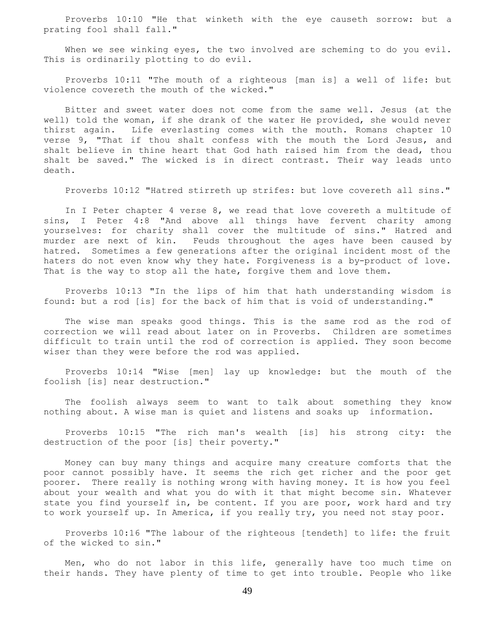Proverbs 10:10 "He that winketh with the eye causeth sorrow: but a prating fool shall fall."

When we see winking eyes, the two involved are scheming to do you evil. This is ordinarily plotting to do evil.

 Proverbs 10:11 "The mouth of a righteous [man is] a well of life: but violence covereth the mouth of the wicked."

 Bitter and sweet water does not come from the same well. Jesus (at the well) told the woman, if she drank of the water He provided, she would never thirst again. Life everlasting comes with the mouth. Romans chapter 10 verse 9, "That if thou shalt confess with the mouth the Lord Jesus, and shalt believe in thine heart that God hath raised him from the dead, thou shalt be saved." The wicked is in direct contrast. Their way leads unto death.

Proverbs 10:12 "Hatred stirreth up strifes: but love covereth all sins."

 In I Peter chapter 4 verse 8, we read that love covereth a multitude of sins, I Peter 4:8 "And above all things have fervent charity among yourselves: for charity shall cover the multitude of sins." Hatred and murder are next of kin. Feuds throughout the ages have been caused by hatred. Sometimes a few generations after the original incident most of the haters do not even know why they hate. Forgiveness is a by-product of love. That is the way to stop all the hate, forgive them and love them.

 Proverbs 10:13 "In the lips of him that hath understanding wisdom is found: but a rod [is] for the back of him that is void of understanding."

 The wise man speaks good things. This is the same rod as the rod of correction we will read about later on in Proverbs. Children are sometimes difficult to train until the rod of correction is applied. They soon become wiser than they were before the rod was applied.

 Proverbs 10:14 "Wise [men] lay up knowledge: but the mouth of the foolish [is] near destruction."

 The foolish always seem to want to talk about something they know nothing about. A wise man is quiet and listens and soaks up information.

 Proverbs 10:15 "The rich man's wealth [is] his strong city: the destruction of the poor [is] their poverty."

 Money can buy many things and acquire many creature comforts that the poor cannot possibly have. It seems the rich get richer and the poor get poorer. There really is nothing wrong with having money. It is how you feel about your wealth and what you do with it that might become sin. Whatever state you find yourself in, be content. If you are poor, work hard and try to work yourself up. In America, if you really try, you need not stay poor.

 Proverbs 10:16 "The labour of the righteous [tendeth] to life: the fruit of the wicked to sin."

 Men, who do not labor in this life, generally have too much time on their hands. They have plenty of time to get into trouble. People who like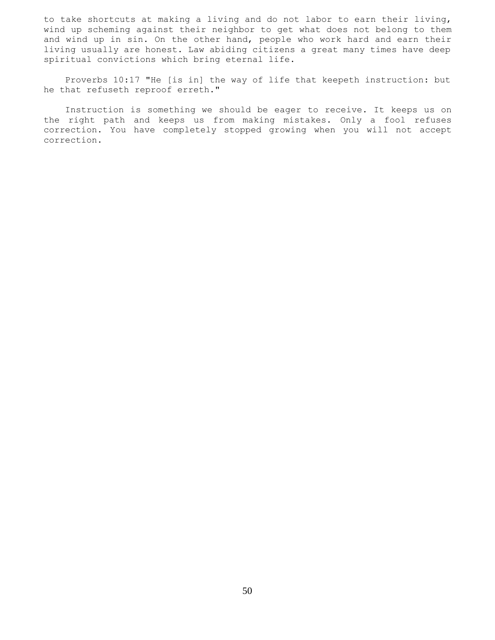to take shortcuts at making a living and do not labor to earn their living, wind up scheming against their neighbor to get what does not belong to them and wind up in sin. On the other hand, people who work hard and earn their living usually are honest. Law abiding citizens a great many times have deep spiritual convictions which bring eternal life.

 Proverbs 10:17 "He [is in] the way of life that keepeth instruction: but he that refuseth reproof erreth."

 Instruction is something we should be eager to receive. It keeps us on the right path and keeps us from making mistakes. Only a fool refuses correction. You have completely stopped growing when you will not accept correction.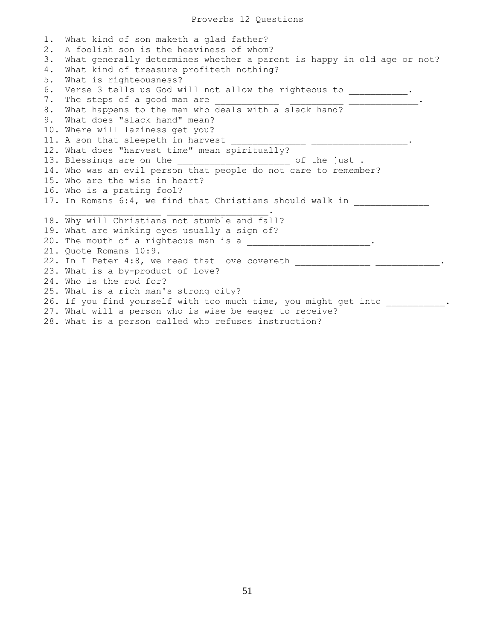1. What kind of son maketh a glad father? 2. A foolish son is the heaviness of whom? 3. What generally determines whether a parent is happy in old age or not? 4. What kind of treasure profiteth nothing? 5. What is righteousness? 6. Verse 3 tells us God will not allow the righteous to  $\qquad \qquad$ . 7. The steps of a good man are 8. What happens to the man who deals with a slack hand? 9. What does "slack hand" mean? 10. Where will laziness get you? 11. A son that sleepeth in harvest 12. What does "harvest time" mean spiritually? 13. Blessings are on the the set of the just. 14. Who was an evil person that people do not care to remember? 15. Who are the wise in heart? 16. Who is a prating fool? 17. In Romans 6:4, we find that Christians should walk in  $\overline{\phantom{a}}$  ,  $\overline{\phantom{a}}$  ,  $\overline{\phantom{a}}$  ,  $\overline{\phantom{a}}$  ,  $\overline{\phantom{a}}$  ,  $\overline{\phantom{a}}$  ,  $\overline{\phantom{a}}$  ,  $\overline{\phantom{a}}$  ,  $\overline{\phantom{a}}$  ,  $\overline{\phantom{a}}$  ,  $\overline{\phantom{a}}$  ,  $\overline{\phantom{a}}$  ,  $\overline{\phantom{a}}$  ,  $\overline{\phantom{a}}$  ,  $\overline{\phantom{a}}$  ,  $\overline{\phantom{a}}$ 18. Why will Christians not stumble and fall? 19. What are winking eyes usually a sign of? 20. The mouth of a righteous man is a \_\_\_\_\_\_\_\_\_\_\_\_\_\_\_\_\_\_\_\_\_\_\_\_\_\_\_.. 21. Quote Romans 10:9. 22. In I Peter 4:8, we read that love covereth \_\_\_\_\_\_\_\_\_\_\_\_\_\_\_\_\_\_\_\_\_\_\_\_\_\_\_\_\_.. 23. What is a by-product of love? 24. Who is the rod for? 25. What is a rich man's strong city? 26. If you find yourself with too much time, you might get into \_\_\_\_\_\_\_\_\_. 27. What will a person who is wise be eager to receive? 28. What is a person called who refuses instruction?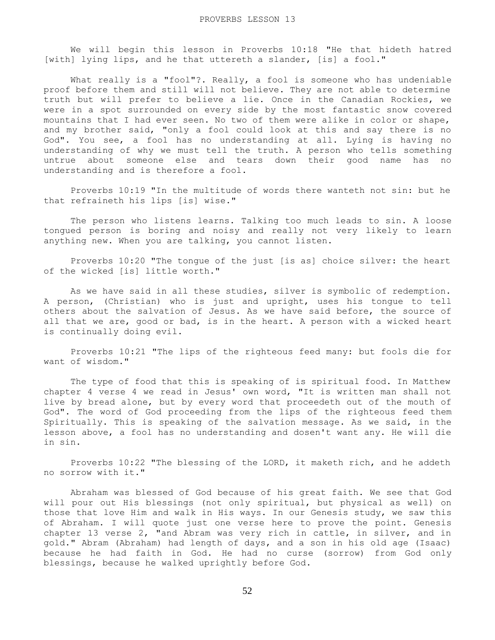We will begin this lesson in Proverbs 10:18 "He that hideth hatred [with] lying lips, and he that uttereth a slander, [is] a fool."

What really is a "fool"?. Really, a fool is someone who has undeniable proof before them and still will not believe. They are not able to determine truth but will prefer to believe a lie. Once in the Canadian Rockies, we were in a spot surrounded on every side by the most fantastic snow covered mountains that I had ever seen. No two of them were alike in color or shape, and my brother said, "only a fool could look at this and say there is no God". You see, a fool has no understanding at all. Lying is having no understanding of why we must tell the truth. A person who tells something untrue about someone else and tears down their good name has no understanding and is therefore a fool.

 Proverbs 10:19 "In the multitude of words there wanteth not sin: but he that refraineth his lips [is] wise."

 The person who listens learns. Talking too much leads to sin. A loose tongued person is boring and noisy and really not very likely to learn anything new. When you are talking, you cannot listen.

 Proverbs 10:20 "The tongue of the just [is as] choice silver: the heart of the wicked [is] little worth."

 As we have said in all these studies, silver is symbolic of redemption. A person, (Christian) who is just and upright, uses his tongue to tell others about the salvation of Jesus. As we have said before, the source of all that we are, good or bad, is in the heart. A person with a wicked heart is continually doing evil.

 Proverbs 10:21 "The lips of the righteous feed many: but fools die for want of wisdom."

 The type of food that this is speaking of is spiritual food. In Matthew chapter 4 verse 4 we read in Jesus' own word, "It is written man shall not live by bread alone, but by every word that proceedeth out of the mouth of God". The word of God proceeding from the lips of the righteous feed them Spiritually. This is speaking of the salvation message. As we said, in the lesson above, a fool has no understanding and dosen't want any. He will die in sin.

 Proverbs 10:22 "The blessing of the LORD, it maketh rich, and he addeth no sorrow with it."

 Abraham was blessed of God because of his great faith. We see that God will pour out His blessings (not only spiritual, but physical as well) on those that love Him and walk in His ways. In our Genesis study, we saw this of Abraham. I will quote just one verse here to prove the point. Genesis chapter 13 verse 2, "and Abram was very rich in cattle, in silver, and in gold." Abram (Abraham) had length of days, and a son in his old age (Isaac) because he had faith in God. He had no curse (sorrow) from God only blessings, because he walked uprightly before God.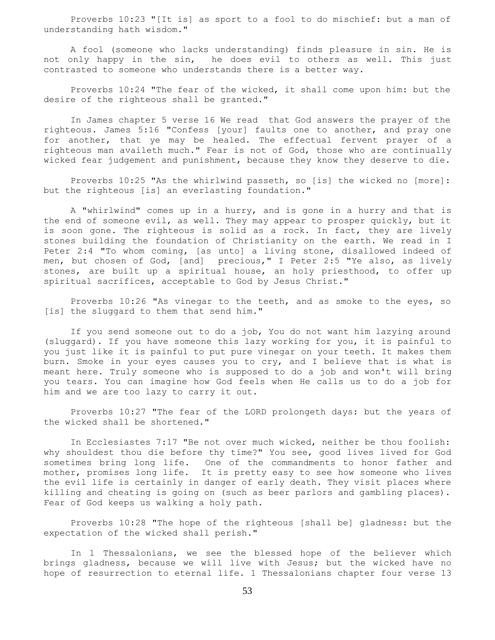Proverbs 10:23 "[It is] as sport to a fool to do mischief: but a man of understanding hath wisdom."

 A fool (someone who lacks understanding) finds pleasure in sin. He is not only happy in the sin, he does evil to others as well. This just contrasted to someone who understands there is a better way.

 Proverbs 10:24 "The fear of the wicked, it shall come upon him: but the desire of the righteous shall be granted."

 In James chapter 5 verse 16 We read that God answers the prayer of the righteous. James 5:16 "Confess [your] faults one to another, and pray one for another, that ye may be healed. The effectual fervent prayer of a righteous man availeth much." Fear is not of God, those who are continually wicked fear judgement and punishment, because they know they deserve to die.

 Proverbs 10:25 "As the whirlwind passeth, so [is] the wicked no [more]: but the righteous [is] an everlasting foundation."

 A "whirlwind" comes up in a hurry, and is gone in a hurry and that is the end of someone evil, as well. They may appear to prosper quickly, but it is soon gone. The righteous is solid as a rock. In fact, they are lively stones building the foundation of Christianity on the earth. We read in I Peter 2:4 "To whom coming, [as unto] a living stone, disallowed indeed of men, but chosen of God, [and] precious," I Peter 2:5 "Ye also, as lively stones, are built up a spiritual house, an holy priesthood, to offer up spiritual sacrifices, acceptable to God by Jesus Christ."

 Proverbs 10:26 "As vinegar to the teeth, and as smoke to the eyes, so [is] the sluggard to them that send him."

 If you send someone out to do a job, You do not want him lazying around (sluggard). If you have someone this lazy working for you, it is painful to you just like it is painful to put pure vinegar on your teeth. It makes them burn. Smoke in your eyes causes you to cry, and I believe that is what is meant here. Truly someone who is supposed to do a job and won't will bring you tears. You can imagine how God feels when He calls us to do a job for him and we are too lazy to carry it out.

 Proverbs 10:27 "The fear of the LORD prolongeth days: but the years of the wicked shall be shortened."

 In Ecclesiastes 7:17 "Be not over much wicked, neither be thou foolish: why shouldest thou die before thy time?" You see, good lives lived for God sometimes bring long life. One of the commandments to honor father and mother, promises long life. It is pretty easy to see how someone who lives the evil life is certainly in danger of early death. They visit places where killing and cheating is going on (such as beer parlors and gambling places). Fear of God keeps us walking a holy path.

 Proverbs 10:28 "The hope of the righteous [shall be] gladness: but the expectation of the wicked shall perish."

 In 1 Thessalonians, we see the blessed hope of the believer which brings gladness, because we will live with Jesus; but the wicked have no hope of resurrection to eternal life. 1 Thessalonians chapter four verse 13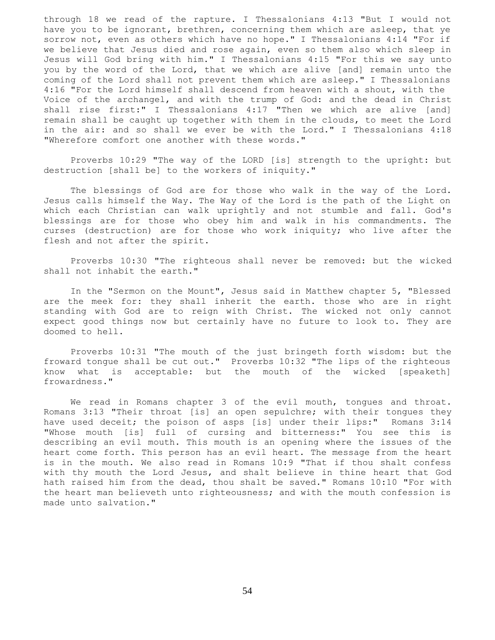through 18 we read of the rapture. I Thessalonians 4:13 "But I would not have you to be ignorant, brethren, concerning them which are asleep, that ye sorrow not, even as others which have no hope." I Thessalonians 4:14 "For if we believe that Jesus died and rose again, even so them also which sleep in Jesus will God bring with him." I Thessalonians 4:15 "For this we say unto you by the word of the Lord, that we which are alive [and] remain unto the coming of the Lord shall not prevent them which are asleep." I Thessalonians 4:16 "For the Lord himself shall descend from heaven with a shout, with the Voice of the archangel, and with the trump of God: and the dead in Christ shall rise first:" I Thessalonians 4:17 "Then we which are alive [and] remain shall be caught up together with them in the clouds, to meet the Lord in the air: and so shall we ever be with the Lord." I Thessalonians 4:18 "Wherefore comfort one another with these words."

 Proverbs 10:29 "The way of the LORD [is] strength to the upright: but destruction [shall be] to the workers of iniquity."

 The blessings of God are for those who walk in the way of the Lord. Jesus calls himself the Way. The Way of the Lord is the path of the Light on which each Christian can walk uprightly and not stumble and fall. God's blessings are for those who obey him and walk in his commandments. The curses (destruction) are for those who work iniquity; who live after the flesh and not after the spirit.

 Proverbs 10:30 "The righteous shall never be removed: but the wicked shall not inhabit the earth."

 In the "Sermon on the Mount", Jesus said in Matthew chapter 5, "Blessed are the meek for: they shall inherit the earth. those who are in right standing with God are to reign with Christ. The wicked not only cannot expect good things now but certainly have no future to look to. They are doomed to hell.

 Proverbs 10:31 "The mouth of the just bringeth forth wisdom: but the froward tongue shall be cut out." Proverbs 10:32 "The lips of the righteous know what is acceptable: but the mouth of the wicked [speaketh] frowardness."

 We read in Romans chapter 3 of the evil mouth, tongues and throat. Romans 3:13 "Their throat [is] an open sepulchre; with their tongues they have used deceit; the poison of asps [is] under their lips:" Romans 3:14 "Whose mouth [is] full of cursing and bitterness:" You see this is describing an evil mouth. This mouth is an opening where the issues of the heart come forth. This person has an evil heart. The message from the heart is in the mouth. We also read in Romans 10:9 "That if thou shalt confess with thy mouth the Lord Jesus, and shalt believe in thine heart that God hath raised him from the dead, thou shalt be saved." Romans 10:10 "For with the heart man believeth unto righteousness; and with the mouth confession is made unto salvation."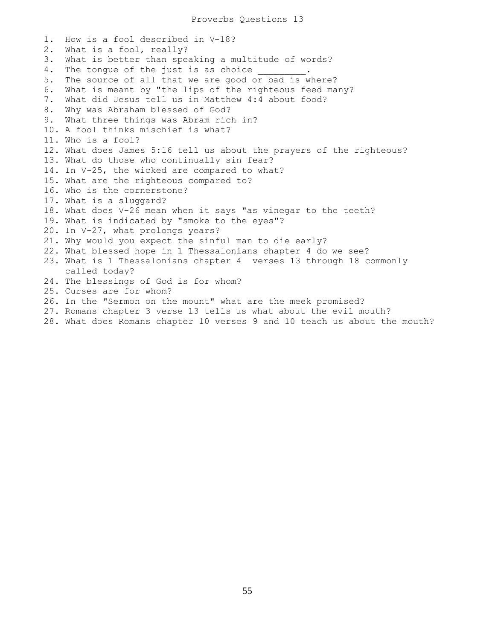1. How is a fool described in V-18? 2. What is a fool, really? 3. What is better than speaking a multitude of words? 4. The tonque of the just is as choice 5. The source of all that we are good or bad is where? 6. What is meant by "the lips of the righteous feed many? 7. What did Jesus tell us in Matthew 4:4 about food? 8. Why was Abraham blessed of God? 9. What three things was Abram rich in? 10. A fool thinks mischief is what? 11. Who is a fool? 12. What does James 5:16 tell us about the prayers of the righteous? 13. What do those who continually sin fear? 14. In V-25, the wicked are compared to what? 15. What are the righteous compared to? 16. Who is the cornerstone? 17. What is a sluggard? 18. What does V-26 mean when it says "as vinegar to the teeth? 19. What is indicated by "smoke to the eyes"? 20. In V-27, what prolongs years? 21. Why would you expect the sinful man to die early? 22. What blessed hope in 1 Thessalonians chapter 4 do we see? 23. What is 1 Thessalonians chapter 4 verses 13 through 18 commonly called today? 24. The blessings of God is for whom? 25. Curses are for whom? 26. In the "Sermon on the mount" what are the meek promised? 27. Romans chapter 3 verse 13 tells us what about the evil mouth?

28. What does Romans chapter 10 verses 9 and 10 teach us about the mouth?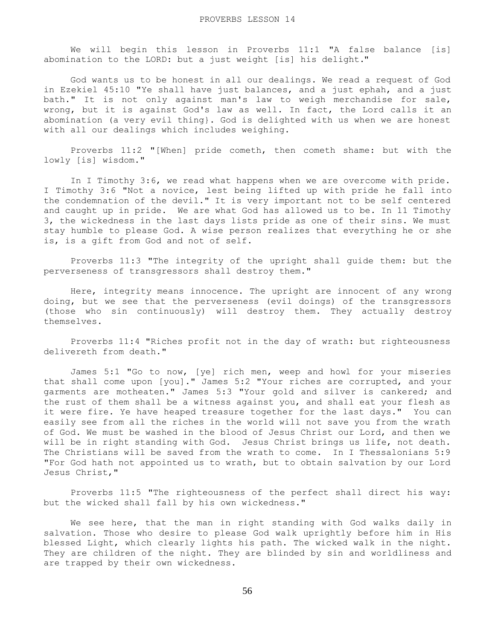We will begin this lesson in Proverbs 11:1 "A false balance [is] abomination to the LORD: but a just weight [is] his delight."

 God wants us to be honest in all our dealings. We read a request of God in Ezekiel 45:10 "Ye shall have just balances, and a just ephah, and a just bath." It is not only against man's law to weigh merchandise for sale, wrong, but it is against God's law as well. In fact, the Lord calls it an abomination (a very evil thing}. God is delighted with us when we are honest with all our dealings which includes weighing.

 Proverbs 11:2 "[When] pride cometh, then cometh shame: but with the lowly [is] wisdom."

 In I Timothy 3:6, we read what happens when we are overcome with pride. I Timothy 3:6 "Not a novice, lest being lifted up with pride he fall into the condemnation of the devil." It is very important not to be self centered and caught up in pride. We are what God has allowed us to be. In 11 Timothy 3, the wickedness in the last days lists pride as one of their sins. We must stay humble to please God. A wise person realizes that everything he or she is, is a gift from God and not of self.

 Proverbs 11:3 "The integrity of the upright shall guide them: but the perverseness of transgressors shall destroy them."

 Here, integrity means innocence. The upright are innocent of any wrong doing, but we see that the perverseness (evil doings) of the transgressors (those who sin continuously) will destroy them. They actually destroy themselves.

 Proverbs 11:4 "Riches profit not in the day of wrath: but righteousness delivereth from death."

 James 5:1 "Go to now, [ye] rich men, weep and howl for your miseries that shall come upon [you]." James 5:2 "Your riches are corrupted, and your garments are motheaten." James 5:3 "Your gold and silver is cankered; and the rust of them shall be a witness against you, and shall eat your flesh as it were fire. Ye have heaped treasure together for the last days." You can easily see from all the riches in the world will not save you from the wrath of God. We must be washed in the blood of Jesus Christ our Lord, and then we will be in right standing with God. Jesus Christ brings us life, not death. The Christians will be saved from the wrath to come. In I Thessalonians 5:9 "For God hath not appointed us to wrath, but to obtain salvation by our Lord Jesus Christ,"

 Proverbs 11:5 "The righteousness of the perfect shall direct his way: but the wicked shall fall by his own wickedness."

 We see here, that the man in right standing with God walks daily in salvation. Those who desire to please God walk uprightly before him in His blessed Light, which clearly lights his path. The wicked walk in the night. They are children of the night. They are blinded by sin and worldliness and are trapped by their own wickedness.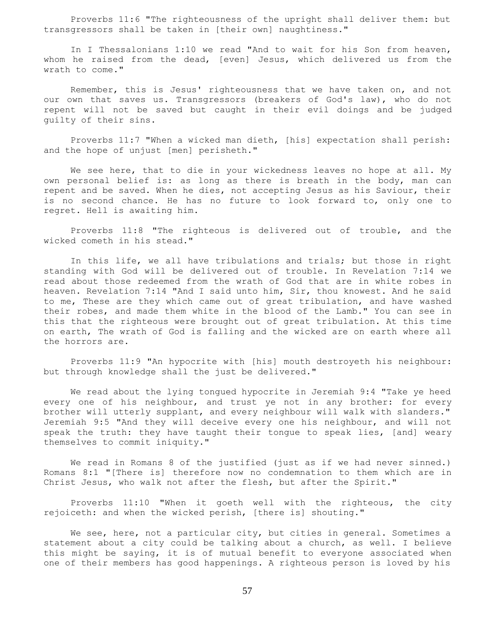Proverbs 11:6 "The righteousness of the upright shall deliver them: but transgressors shall be taken in [their own] naughtiness."

 In I Thessalonians 1:10 we read "And to wait for his Son from heaven, whom he raised from the dead, [even] Jesus, which delivered us from the wrath to come."

 Remember, this is Jesus' righteousness that we have taken on, and not our own that saves us. Transgressors (breakers of God's law), who do not repent will not be saved but caught in their evil doings and be judged guilty of their sins.

 Proverbs 11:7 "When a wicked man dieth, [his] expectation shall perish: and the hope of unjust [men] perisheth."

We see here, that to die in your wickedness leaves no hope at all. My own personal belief is: as long as there is breath in the body, man can repent and be saved. When he dies, not accepting Jesus as his Saviour, their is no second chance. He has no future to look forward to, only one to regret. Hell is awaiting him.

 Proverbs 11:8 "The righteous is delivered out of trouble, and the wicked cometh in his stead."

 In this life, we all have tribulations and trials; but those in right standing with God will be delivered out of trouble. In Revelation 7:14 we read about those redeemed from the wrath of God that are in white robes in heaven. Revelation 7:14 "And I said unto him, Sir, thou knowest. And he said to me, These are they which came out of great tribulation, and have washed their robes, and made them white in the blood of the Lamb." You can see in this that the righteous were brought out of great tribulation. At this time on earth, The wrath of God is falling and the wicked are on earth where all the horrors are.

 Proverbs 11:9 "An hypocrite with [his] mouth destroyeth his neighbour: but through knowledge shall the just be delivered."

 We read about the lying tongued hypocrite in Jeremiah 9:4 "Take ye heed every one of his neighbour, and trust ye not in any brother: for every brother will utterly supplant, and every neighbour will walk with slanders." Jeremiah 9:5 "And they will deceive every one his neighbour, and will not speak the truth: they have taught their tongue to speak lies, [and] weary themselves to commit iniquity."

We read in Romans 8 of the justified (just as if we had never sinned.) Romans 8:1 "[There is] therefore now no condemnation to them which are in Christ Jesus, who walk not after the flesh, but after the Spirit."

 Proverbs 11:10 "When it goeth well with the righteous, the city rejoiceth: and when the wicked perish, [there is] shouting."

 We see, here, not a particular city, but cities in general. Sometimes a statement about a city could be talking about a church, as well. I believe this might be saying, it is of mutual benefit to everyone associated when one of their members has good happenings. A righteous person is loved by his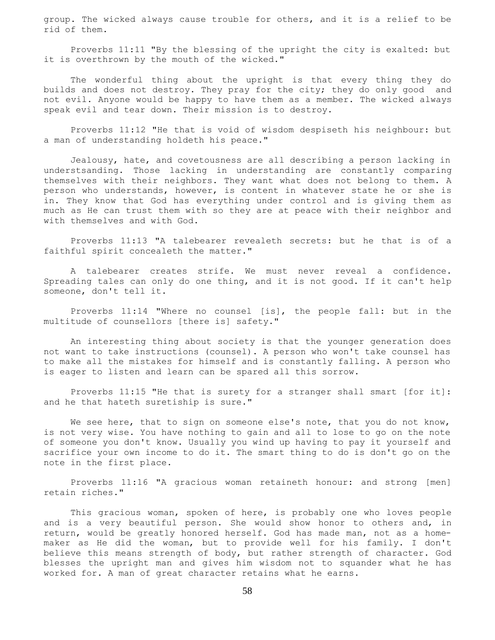group. The wicked always cause trouble for others, and it is a relief to be rid of them.

 Proverbs 11:11 "By the blessing of the upright the city is exalted: but it is overthrown by the mouth of the wicked."

 The wonderful thing about the upright is that every thing they do builds and does not destroy. They pray for the city; they do only good and not evil. Anyone would be happy to have them as a member. The wicked always speak evil and tear down. Their mission is to destroy.

 Proverbs 11:12 "He that is void of wisdom despiseth his neighbour: but a man of understanding holdeth his peace."

 Jealousy, hate, and covetousness are all describing a person lacking in understsanding. Those lacking in understanding are constantly comparing themselves with their neighbors. They want what does not belong to them. A person who understands, however, is content in whatever state he or she is in. They know that God has everything under control and is giving them as much as He can trust them with so they are at peace with their neighbor and with themselves and with God.

 Proverbs 11:13 "A talebearer revealeth secrets: but he that is of a faithful spirit concealeth the matter."

 A talebearer creates strife. We must never reveal a confidence. Spreading tales can only do one thing, and it is not good. If it can't help someone, don't tell it.

 Proverbs 11:14 "Where no counsel [is], the people fall: but in the multitude of counsellors [there is] safety."

 An interesting thing about society is that the younger generation does not want to take instructions (counsel). A person who won't take counsel has to make all the mistakes for himself and is constantly falling. A person who is eager to listen and learn can be spared all this sorrow.

 Proverbs 11:15 "He that is surety for a stranger shall smart [for it]: and he that hateth suretiship is sure."

We see here, that to sign on someone else's note, that you do not know, is not very wise. You have nothing to gain and all to lose to go on the note of someone you don't know. Usually you wind up having to pay it yourself and sacrifice your own income to do it. The smart thing to do is don't go on the note in the first place.

 Proverbs 11:16 "A gracious woman retaineth honour: and strong [men] retain riches."

 This gracious woman, spoken of here, is probably one who loves people and is a very beautiful person. She would show honor to others and, in return, would be greatly honored herself. God has made man, not as a homemaker as He did the woman, but to provide well for his family. I don't believe this means strength of body, but rather strength of character. God blesses the upright man and gives him wisdom not to squander what he has worked for. A man of great character retains what he earns.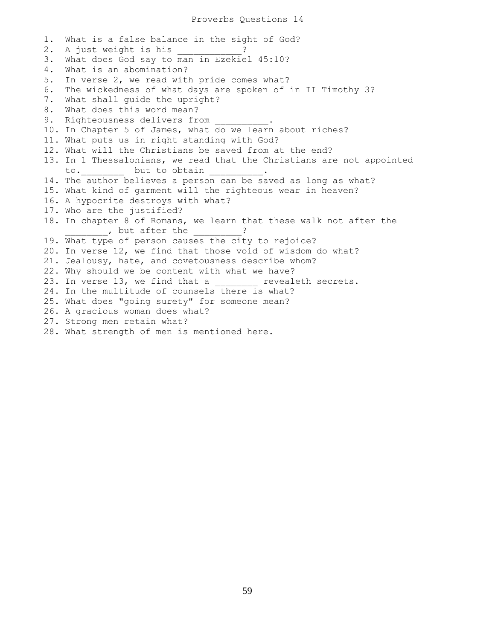1. What is a false balance in the sight of God? 2. A just weight is his \_\_\_\_\_\_\_\_\_? 3. What does God say to man in Ezekiel 45:10? 4. What is an abomination? 5. In verse 2, we read with pride comes what? 6. The wickedness of what days are spoken of in II Timothy 3? 7. What shall guide the upright? 8. What does this word mean? 9. Righteousness delivers from 10. In Chapter 5 of James, what do we learn about riches? 11. What puts us in right standing with God? 12. What will the Christians be saved from at the end? 13. In 1 Thessalonians, we read that the Christians are not appointed to. but to obtain to. 14. The author believes a person can be saved as long as what? 15. What kind of garment will the righteous wear in heaven? 16. A hypocrite destroys with what? 17. Who are the justified? 18. In chapter 8 of Romans, we learn that these walk not after the , but after the 19. What type of person causes the city to rejoice? 20. In verse 12, we find that those void of wisdom do what? 21. Jealousy, hate, and covetousness describe whom? 22. Why should we be content with what we have? 23. In verse 13, we find that a \_\_\_\_\_\_ revealeth secrets. 24. In the multitude of counsels there is what? 25. What does "going surety" for someone mean? 26. A gracious woman does what? 27. Strong men retain what? 28. What strength of men is mentioned here.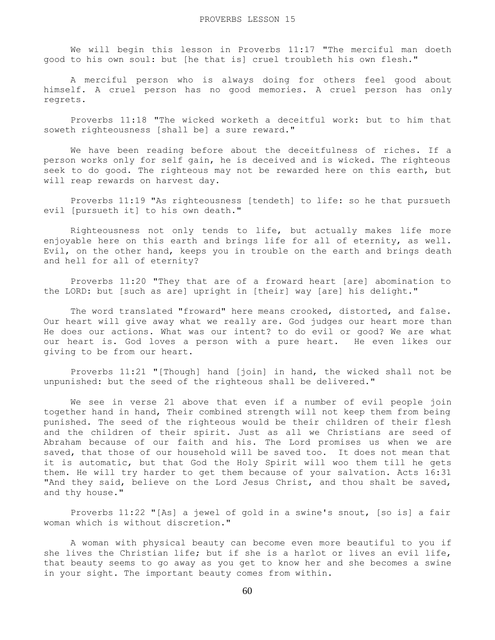We will begin this lesson in Proverbs 11:17 "The merciful man doeth good to his own soul: but [he that is] cruel troubleth his own flesh."

 A merciful person who is always doing for others feel good about himself. A cruel person has no good memories. A cruel person has only regrets.

 Proverbs 11:18 "The wicked worketh a deceitful work: but to him that soweth righteousness [shall be] a sure reward."

 We have been reading before about the deceitfulness of riches. If a person works only for self gain, he is deceived and is wicked. The righteous seek to do good. The righteous may not be rewarded here on this earth, but will reap rewards on harvest day.

 Proverbs 11:19 "As righteousness [tendeth] to life: so he that pursueth evil [pursueth it] to his own death."

 Righteousness not only tends to life, but actually makes life more enjoyable here on this earth and brings life for all of eternity, as well. Evil, on the other hand, keeps you in trouble on the earth and brings death and hell for all of eternity?

 Proverbs 11:20 "They that are of a froward heart [are] abomination to the LORD: but [such as are] upright in [their] way [are] his delight."

 The word translated "froward" here means crooked, distorted, and false. Our heart will give away what we really are. God judges our heart more than He does our actions. What was our intent? to do evil or good? We are what our heart is. God loves a person with a pure heart. He even likes our giving to be from our heart.

 Proverbs 11:21 "[Though] hand [join] in hand, the wicked shall not be unpunished: but the seed of the righteous shall be delivered."

 We see in verse 21 above that even if a number of evil people join together hand in hand, Their combined strength will not keep them from being punished. The seed of the righteous would be their children of their flesh and the children of their spirit. Just as all we Christians are seed of Abraham because of our faith and his. The Lord promises us when we are saved, that those of our household will be saved too. It does not mean that it is automatic, but that God the Holy Spirit will woo them till he gets them. He will try harder to get them because of your salvation. Acts 16:31 "And they said, believe on the Lord Jesus Christ, and thou shalt be saved, and thy house."

 Proverbs 11:22 "[As] a jewel of gold in a swine's snout, [so is] a fair woman which is without discretion."

 A woman with physical beauty can become even more beautiful to you if she lives the Christian life; but if she is a harlot or lives an evil life, that beauty seems to go away as you get to know her and she becomes a swine in your sight. The important beauty comes from within.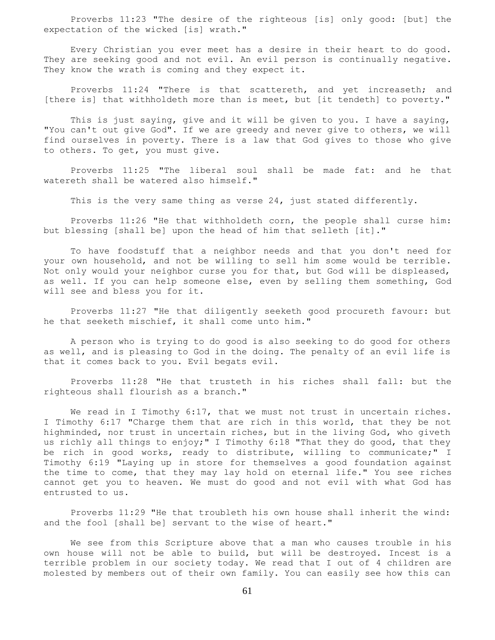Proverbs 11:23 "The desire of the righteous [is] only good: [but] the expectation of the wicked [is] wrath."

 Every Christian you ever meet has a desire in their heart to do good. They are seeking good and not evil. An evil person is continually negative. They know the wrath is coming and they expect it.

 Proverbs 11:24 "There is that scattereth, and yet increaseth; and [there is] that withholdeth more than is meet, but [it tendeth] to poverty."

 This is just saying, give and it will be given to you. I have a saying, "You can't out give God". If we are greedy and never give to others, we will find ourselves in poverty. There is a law that God gives to those who give to others. To get, you must give.

 Proverbs 11:25 "The liberal soul shall be made fat: and he that watereth shall be watered also himself."

This is the very same thing as verse 24, just stated differently.

 Proverbs 11:26 "He that withholdeth corn, the people shall curse him: but blessing [shall be] upon the head of him that selleth [it]."

 To have foodstuff that a neighbor needs and that you don't need for your own household, and not be willing to sell him some would be terrible. Not only would your neighbor curse you for that, but God will be displeased, as well. If you can help someone else, even by selling them something, God will see and bless you for it.

 Proverbs 11:27 "He that diligently seeketh good procureth favour: but he that seeketh mischief, it shall come unto him."

 A person who is trying to do good is also seeking to do good for others as well, and is pleasing to God in the doing. The penalty of an evil life is that it comes back to you. Evil begats evil.

 Proverbs 11:28 "He that trusteth in his riches shall fall: but the righteous shall flourish as a branch."

We read in I Timothy 6:17, that we must not trust in uncertain riches. I Timothy 6:17 "Charge them that are rich in this world, that they be not highminded, nor trust in uncertain riches, but in the living God, who giveth us richly all things to enjoy;" I Timothy 6:18 "That they do good, that they be rich in good works, ready to distribute, willing to communicate;" I Timothy 6:19 "Laying up in store for themselves a good foundation against the time to come, that they may lay hold on eternal life." You see riches cannot get you to heaven. We must do good and not evil with what God has entrusted to us.

 Proverbs 11:29 "He that troubleth his own house shall inherit the wind: and the fool [shall be] servant to the wise of heart."

 We see from this Scripture above that a man who causes trouble in his own house will not be able to build, but will be destroyed. Incest is a terrible problem in our society today. We read that I out of 4 children are molested by members out of their own family. You can easily see how this can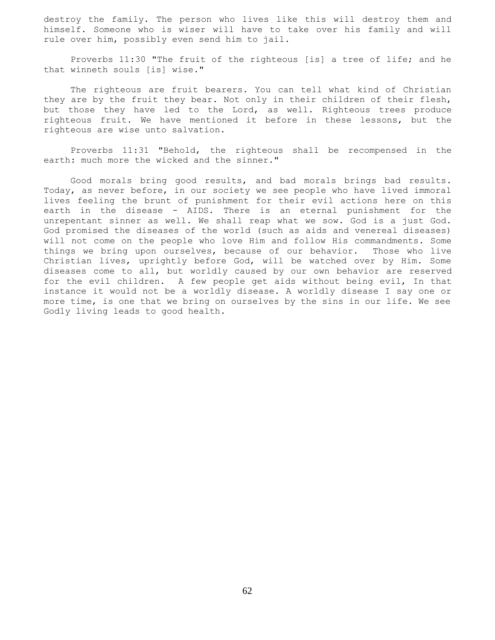destroy the family. The person who lives like this will destroy them and himself. Someone who is wiser will have to take over his family and will rule over him, possibly even send him to jail.

 Proverbs 11:30 "The fruit of the righteous [is] a tree of life; and he that winneth souls [is] wise."

 The righteous are fruit bearers. You can tell what kind of Christian they are by the fruit they bear. Not only in their children of their flesh, but those they have led to the Lord, as well. Righteous trees produce righteous fruit. We have mentioned it before in these lessons, but the righteous are wise unto salvation.

 Proverbs 11:31 "Behold, the righteous shall be recompensed in the earth: much more the wicked and the sinner."

 Good morals bring good results, and bad morals brings bad results. Today, as never before, in our society we see people who have lived immoral lives feeling the brunt of punishment for their evil actions here on this earth in the disease - AIDS. There is an eternal punishment for the unrepentant sinner as well. We shall reap what we sow. God is a just God. God promised the diseases of the world (such as aids and venereal diseases) will not come on the people who love Him and follow His commandments. Some things we bring upon ourselves, because of our behavior. Those who live Christian lives, uprightly before God, will be watched over by Him. Some diseases come to all, but worldly caused by our own behavior are reserved for the evil children. A few people get aids without being evil, In that instance it would not be a worldly disease. A worldly disease I say one or more time, is one that we bring on ourselves by the sins in our life. We see Godly living leads to good health.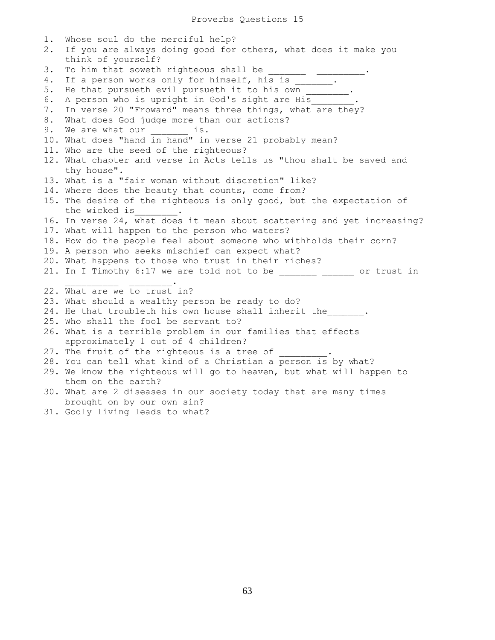1. Whose soul do the merciful help? 2. If you are always doing good for others, what does it make you think of yourself? 3. To him that soweth righteous shall be 4. If a person works only for himself, his is  $\qquad \qquad$ . 5. He that pursueth evil pursueth it to his own \_\_\_\_\_\_\_. 6. A person who is upright in God's sight are His 7. In verse 20 "Froward" means three things, what are they? 8. What does God judge more than our actions? 9. We are what our \_\_\_\_\_\_\_\_ is. 10. What does "hand in hand" in verse 21 probably mean? 11. Who are the seed of the righteous? 12. What chapter and verse in Acts tells us "thou shalt be saved and thy house". 13. What is a "fair woman without discretion" like? 14. Where does the beauty that counts, come from? 15. The desire of the righteous is only good, but the expectation of the wicked is\_\_\_\_\_\_\_\_. 16. In verse 24, what does it mean about scattering and yet increasing? 17. What will happen to the person who waters? 18. How do the people feel about someone who withholds their corn? 19. A person who seeks mischief can expect what? 20. What happens to those who trust in their riches? 21. In I Timothy 6:17 we are told not to be \_\_\_\_\_\_\_\_ \_\_\_\_\_\_ or trust in  $\overline{\phantom{a}}$  ,  $\overline{\phantom{a}}$  ,  $\overline{\phantom{a}}$  ,  $\overline{\phantom{a}}$  ,  $\overline{\phantom{a}}$  ,  $\overline{\phantom{a}}$  ,  $\overline{\phantom{a}}$  ,  $\overline{\phantom{a}}$  ,  $\overline{\phantom{a}}$  ,  $\overline{\phantom{a}}$  ,  $\overline{\phantom{a}}$  ,  $\overline{\phantom{a}}$  ,  $\overline{\phantom{a}}$  ,  $\overline{\phantom{a}}$  ,  $\overline{\phantom{a}}$  ,  $\overline{\phantom{a}}$ 22. What are we to trust in? 23. What should a wealthy person be ready to do? 24. He that troubleth his own house shall inherit the  $\qquad \qquad$ . 25. Who shall the fool be servant to? 26. What is a terrible problem in our families that effects approximately 1 out of 4 children? 27. The fruit of the righteous is a tree of 28. You can tell what kind of a Christian a person is by what? 29. We know the righteous will go to heaven, but what will happen to them on the earth? 30. What are 2 diseases in our society today that are many times brought on by our own sin?

31. Godly living leads to what?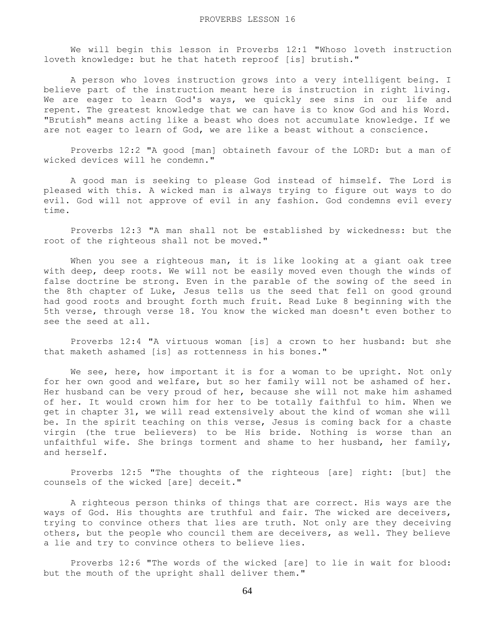We will begin this lesson in Proverbs 12:1 "Whoso loveth instruction loveth knowledge: but he that hateth reproof [is] brutish."

 A person who loves instruction grows into a very intelligent being. I believe part of the instruction meant here is instruction in right living. We are eager to learn God's ways, we quickly see sins in our life and repent. The greatest knowledge that we can have is to know God and his Word. "Brutish" means acting like a beast who does not accumulate knowledge. If we are not eager to learn of God, we are like a beast without a conscience.

 Proverbs 12:2 "A good [man] obtaineth favour of the LORD: but a man of wicked devices will he condemn."

 A good man is seeking to please God instead of himself. The Lord is pleased with this. A wicked man is always trying to figure out ways to do evil. God will not approve of evil in any fashion. God condemns evil every time.

 Proverbs 12:3 "A man shall not be established by wickedness: but the root of the righteous shall not be moved."

When you see a righteous man, it is like looking at a giant oak tree with deep, deep roots. We will not be easily moved even though the winds of false doctrine be strong. Even in the parable of the sowing of the seed in the 8th chapter of Luke, Jesus tells us the seed that fell on good ground had good roots and brought forth much fruit. Read Luke 8 beginning with the 5th verse, through verse 18. You know the wicked man doesn't even bother to see the seed at all.

 Proverbs 12:4 "A virtuous woman [is] a crown to her husband: but she that maketh ashamed [is] as rottenness in his bones."

We see, here, how important it is for a woman to be upright. Not only for her own good and welfare, but so her family will not be ashamed of her. Her husband can be very proud of her, because she will not make him ashamed of her. It would crown him for her to be totally faithful to him. When we get in chapter 31, we will read extensively about the kind of woman she will be. In the spirit teaching on this verse, Jesus is coming back for a chaste virgin (the true believers) to be His bride. Nothing is worse than an unfaithful wife. She brings torment and shame to her husband, her family, and herself.

 Proverbs 12:5 "The thoughts of the righteous [are] right: [but] the counsels of the wicked [are] deceit."

 A righteous person thinks of things that are correct. His ways are the ways of God. His thoughts are truthful and fair. The wicked are deceivers, trying to convince others that lies are truth. Not only are they deceiving others, but the people who council them are deceivers, as well. They believe a lie and try to convince others to believe lies.

 Proverbs 12:6 "The words of the wicked [are] to lie in wait for blood: but the mouth of the upright shall deliver them."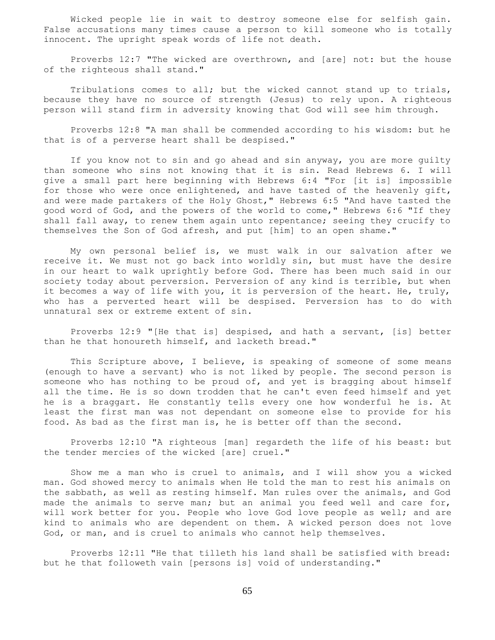Wicked people lie in wait to destroy someone else for selfish gain. False accusations many times cause a person to kill someone who is totally innocent. The upright speak words of life not death.

 Proverbs 12:7 "The wicked are overthrown, and [are] not: but the house of the righteous shall stand."

 Tribulations comes to all; but the wicked cannot stand up to trials, because they have no source of strength (Jesus) to rely upon. A righteous person will stand firm in adversity knowing that God will see him through.

 Proverbs 12:8 "A man shall be commended according to his wisdom: but he that is of a perverse heart shall be despised."

 If you know not to sin and go ahead and sin anyway, you are more guilty than someone who sins not knowing that it is sin. Read Hebrews 6. I will give a small part here beginning with Hebrews 6:4 "For [it is] impossible for those who were once enlightened, and have tasted of the heavenly gift, and were made partakers of the Holy Ghost," Hebrews 6:5 "And have tasted the good word of God, and the powers of the world to come," Hebrews 6:6 "If they shall fall away, to renew them again unto repentance; seeing they crucify to themselves the Son of God afresh, and put [him] to an open shame."

 My own personal belief is, we must walk in our salvation after we receive it. We must not go back into worldly sin, but must have the desire in our heart to walk uprightly before God. There has been much said in our society today about perversion. Perversion of any kind is terrible, but when it becomes a way of life with you, it is perversion of the heart. He, truly, who has a perverted heart will be despised. Perversion has to do with unnatural sex or extreme extent of sin.

 Proverbs 12:9 "[He that is] despised, and hath a servant, [is] better than he that honoureth himself, and lacketh bread."

This Scripture above, I believe, is speaking of someone of some means (enough to have a servant) who is not liked by people. The second person is someone who has nothing to be proud of, and yet is bragging about himself all the time. He is so down trodden that he can't even feed himself and yet he is a braggart. He constantly tells every one how wonderful he is. At least the first man was not dependant on someone else to provide for his food. As bad as the first man is, he is better off than the second.

 Proverbs 12:10 "A righteous [man] regardeth the life of his beast: but the tender mercies of the wicked [are] cruel."

 Show me a man who is cruel to animals, and I will show you a wicked man. God showed mercy to animals when He told the man to rest his animals on the sabbath, as well as resting himself. Man rules over the animals, and God made the animals to serve man; but an animal you feed well and care for, will work better for you. People who love God love people as well; and are kind to animals who are dependent on them. A wicked person does not love God, or man, and is cruel to animals who cannot help themselves.

 Proverbs 12:11 "He that tilleth his land shall be satisfied with bread: but he that followeth vain [persons is] void of understanding."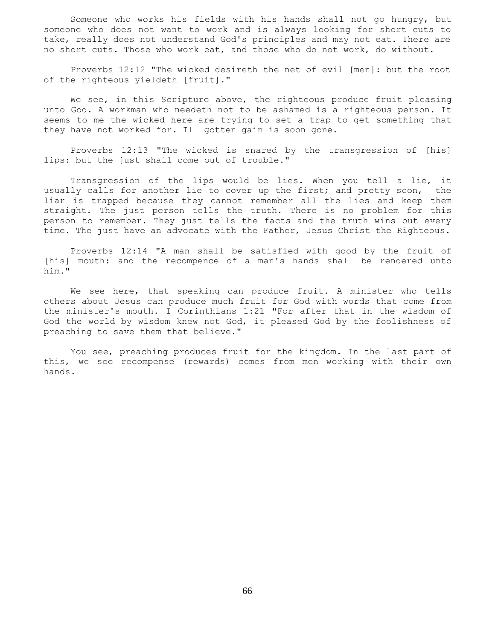Someone who works his fields with his hands shall not go hungry, but someone who does not want to work and is always looking for short cuts to take, really does not understand God's principles and may not eat. There are no short cuts. Those who work eat, and those who do not work, do without.

 Proverbs 12:12 "The wicked desireth the net of evil [men]: but the root of the righteous yieldeth [fruit]."

We see, in this Scripture above, the righteous produce fruit pleasing unto God. A workman who needeth not to be ashamed is a righteous person. It seems to me the wicked here are trying to set a trap to get something that they have not worked for. Ill gotten gain is soon gone.

 Proverbs 12:13 "The wicked is snared by the transgression of [his] lips: but the just shall come out of trouble."

 Transgression of the lips would be lies. When you tell a lie, it usually calls for another lie to cover up the first; and pretty soon, the liar is trapped because they cannot remember all the lies and keep them straight. The just person tells the truth. There is no problem for this person to remember. They just tells the facts and the truth wins out every time. The just have an advocate with the Father, Jesus Christ the Righteous.

 Proverbs 12:14 "A man shall be satisfied with good by the fruit of [his] mouth: and the recompence of a man's hands shall be rendered unto him."

 We see here, that speaking can produce fruit. A minister who tells others about Jesus can produce much fruit for God with words that come from the minister's mouth. I Corinthians 1:21 "For after that in the wisdom of God the world by wisdom knew not God, it pleased God by the foolishness of preaching to save them that believe."

 You see, preaching produces fruit for the kingdom. In the last part of this, we see recompense (rewards) comes from men working with their own hands.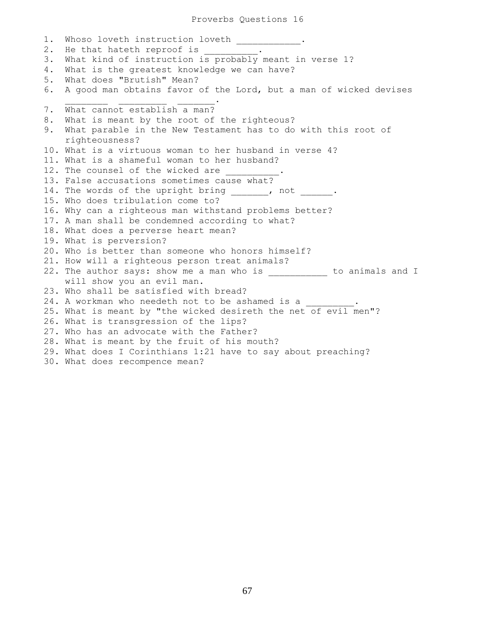1. Whoso loveth instruction loveth . 2. He that hateth reproof is 3. What kind of instruction is probably meant in verse 1? 4. What is the greatest knowledge we can have? 5. What does "Brutish" Mean? 6. A good man obtains favor of the Lord, but a man of wicked devises  $\mathcal{L}_\text{max}$  , we are the set of the set of the set of the set of the set of the set of the set of the set of the set of the set of the set of the set of the set of the set of the set of the set of the set of the set of 7. What cannot establish a man? 8. What is meant by the root of the righteous? 9. What parable in the New Testament has to do with this root of righteousness? 10. What is a virtuous woman to her husband in verse 4? 11. What is a shameful woman to her husband? 12. The counsel of the wicked are 13. False accusations sometimes cause what? 14. The words of the upright bring \_\_\_\_\_\_, not \_\_\_\_\_\_. 15. Who does tribulation come to? 16. Why can a righteous man withstand problems better? 17. A man shall be condemned according to what? 18. What does a perverse heart mean? 19. What is perversion? 20. Who is better than someone who honors himself? 21. How will a righteous person treat animals? 22. The author says: show me a man who is entitled to animals and I will show you an evil man. 23. Who shall be satisfied with bread? 24. A workman who needeth not to be ashamed is a 25. What is meant by "the wicked desireth the net of evil men"? 26. What is transgression of the lips? 27. Who has an advocate with the Father? 28. What is meant by the fruit of his mouth? 29. What does I Corinthians 1:21 have to say about preaching? 30. What does recompence mean?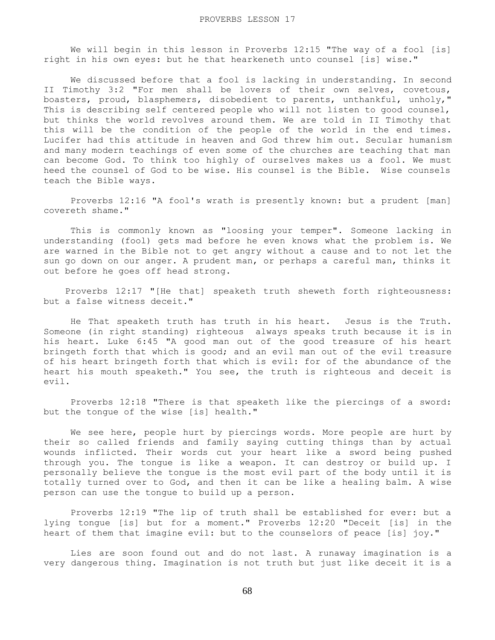We will begin in this lesson in Proverbs 12:15 "The way of a fool [is] right in his own eyes: but he that hearkeneth unto counsel [is] wise."

 We discussed before that a fool is lacking in understanding. In second II Timothy 3:2 "For men shall be lovers of their own selves, covetous, boasters, proud, blasphemers, disobedient to parents, unthankful, unholy," This is describing self centered people who will not listen to good counsel, but thinks the world revolves around them. We are told in II Timothy that this will be the condition of the people of the world in the end times. Lucifer had this attitude in heaven and God threw him out. Secular humanism and many modern teachings of even some of the churches are teaching that man can become God. To think too highly of ourselves makes us a fool. We must heed the counsel of God to be wise. His counsel is the Bible. Wise counsels teach the Bible ways.

 Proverbs 12:16 "A fool's wrath is presently known: but a prudent [man] covereth shame."

 This is commonly known as "loosing your temper". Someone lacking in understanding (fool) gets mad before he even knows what the problem is. We are warned in the Bible not to get angry without a cause and to not let the sun go down on our anger. A prudent man, or perhaps a careful man, thinks it out before he goes off head strong.

 Proverbs 12:17 "[He that] speaketh truth sheweth forth righteousness: but a false witness deceit."

 He That speaketh truth has truth in his heart. Jesus is the Truth. Someone (in right standing) righteous always speaks truth because it is in his heart. Luke 6:45 "A good man out of the good treasure of his heart bringeth forth that which is good; and an evil man out of the evil treasure of his heart bringeth forth that which is evil: for of the abundance of the heart his mouth speaketh." You see, the truth is righteous and deceit is evil.

 Proverbs 12:18 "There is that speaketh like the piercings of a sword: but the tongue of the wise [is] health."

 We see here, people hurt by piercings words. More people are hurt by their so called friends and family saying cutting things than by actual wounds inflicted. Their words cut your heart like a sword being pushed through you. The tongue is like a weapon. It can destroy or build up. I personally believe the tongue is the most evil part of the body until it is totally turned over to God, and then it can be like a healing balm. A wise person can use the tongue to build up a person.

 Proverbs 12:19 "The lip of truth shall be established for ever: but a lying tongue [is] but for a moment." Proverbs 12:20 "Deceit [is] in the heart of them that imagine evil: but to the counselors of peace [is] joy."

 Lies are soon found out and do not last. A runaway imagination is a very dangerous thing. Imagination is not truth but just like deceit it is a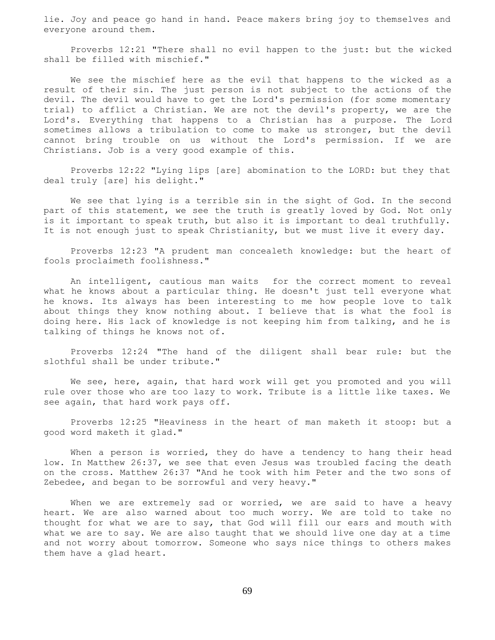lie. Joy and peace go hand in hand. Peace makers bring joy to themselves and everyone around them.

 Proverbs 12:21 "There shall no evil happen to the just: but the wicked shall be filled with mischief."

 We see the mischief here as the evil that happens to the wicked as a result of their sin. The just person is not subject to the actions of the devil. The devil would have to get the Lord's permission (for some momentary trial) to afflict a Christian. We are not the devil's property, we are the Lord's. Everything that happens to a Christian has a purpose. The Lord sometimes allows a tribulation to come to make us stronger, but the devil cannot bring trouble on us without the Lord's permission. If we are Christians. Job is a very good example of this.

 Proverbs 12:22 "Lying lips [are] abomination to the LORD: but they that deal truly [are] his delight."

 We see that lying is a terrible sin in the sight of God. In the second part of this statement, we see the truth is greatly loved by God. Not only is it important to speak truth, but also it is important to deal truthfully. It is not enough just to speak Christianity, but we must live it every day.

 Proverbs 12:23 "A prudent man concealeth knowledge: but the heart of fools proclaimeth foolishness."

 An intelligent, cautious man waits for the correct moment to reveal what he knows about a particular thing. He doesn't just tell everyone what he knows. Its always has been interesting to me how people love to talk about things they know nothing about. I believe that is what the fool is doing here. His lack of knowledge is not keeping him from talking, and he is talking of things he knows not of.

 Proverbs 12:24 "The hand of the diligent shall bear rule: but the slothful shall be under tribute."

 We see, here, again, that hard work will get you promoted and you will rule over those who are too lazy to work. Tribute is a little like taxes. We see again, that hard work pays off.

 Proverbs 12:25 "Heaviness in the heart of man maketh it stoop: but a good word maketh it glad."

When a person is worried, they do have a tendency to hang their head low. In Matthew 26:37, we see that even Jesus was troubled facing the death on the cross. Matthew 26:37 "And he took with him Peter and the two sons of Zebedee, and began to be sorrowful and very heavy."

When we are extremely sad or worried, we are said to have a heavy heart. We are also warned about too much worry. We are told to take no thought for what we are to say, that God will fill our ears and mouth with what we are to say. We are also taught that we should live one day at a time and not worry about tomorrow. Someone who says nice things to others makes them have a glad heart.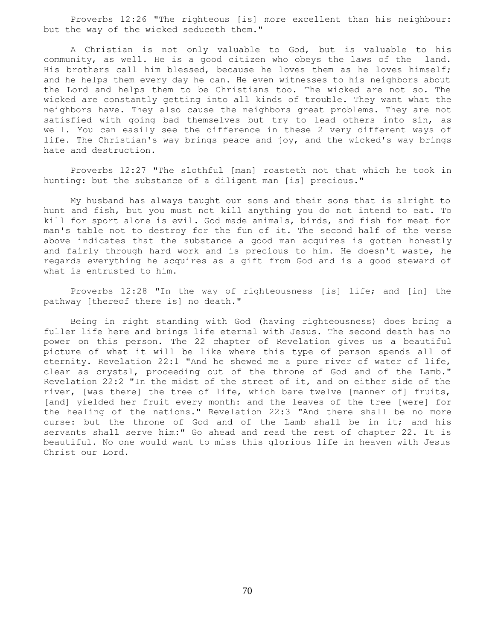Proverbs 12:26 "The righteous [is] more excellent than his neighbour: but the way of the wicked seduceth them."

 A Christian is not only valuable to God, but is valuable to his community, as well. He is a good citizen who obeys the laws of the land. His brothers call him blessed, because he loves them as he loves himself; and he helps them every day he can. He even witnesses to his neighbors about the Lord and helps them to be Christians too. The wicked are not so. The wicked are constantly getting into all kinds of trouble. They want what the neighbors have. They also cause the neighbors great problems. They are not satisfied with going bad themselves but try to lead others into sin, as well. You can easily see the difference in these 2 very different ways of life. The Christian's way brings peace and joy, and the wicked's way brings hate and destruction.

 Proverbs 12:27 "The slothful [man] roasteth not that which he took in hunting: but the substance of a diligent man [is] precious."

 My husband has always taught our sons and their sons that is alright to hunt and fish, but you must not kill anything you do not intend to eat. To kill for sport alone is evil. God made animals, birds, and fish for meat for man's table not to destroy for the fun of it. The second half of the verse above indicates that the substance a good man acquires is gotten honestly and fairly through hard work and is precious to him. He doesn't waste, he regards everything he acquires as a gift from God and is a good steward of what is entrusted to him.

 Proverbs 12:28 "In the way of righteousness [is] life; and [in] the pathway [thereof there is] no death."

 Being in right standing with God (having righteousness) does bring a fuller life here and brings life eternal with Jesus. The second death has no power on this person. The 22 chapter of Revelation gives us a beautiful picture of what it will be like where this type of person spends all of eternity. Revelation 22:1 "And he shewed me a pure river of water of life, clear as crystal, proceeding out of the throne of God and of the Lamb." Revelation 22:2 "In the midst of the street of it, and on either side of the river, [was there] the tree of life, which bare twelve [manner of] fruits, [and] yielded her fruit every month: and the leaves of the tree [were] for the healing of the nations." Revelation 22:3 "And there shall be no more curse: but the throne of God and of the Lamb shall be in it; and his servants shall serve him:" Go ahead and read the rest of chapter 22. It is beautiful. No one would want to miss this glorious life in heaven with Jesus Christ our Lord.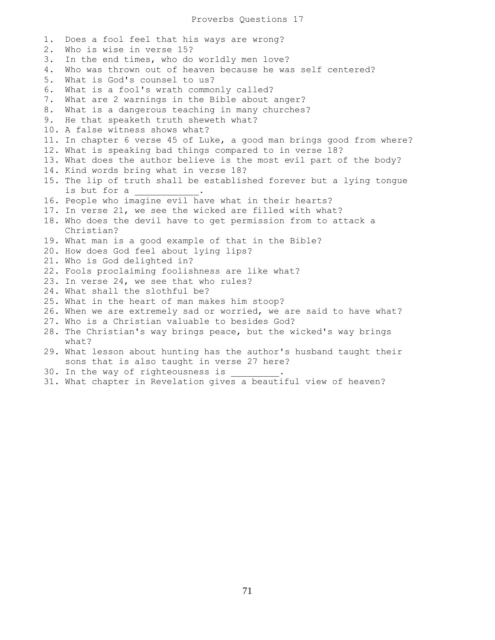1. Does a fool feel that his ways are wrong? 2. Who is wise in verse 15? 3. In the end times, who do worldly men love? 4. Who was thrown out of heaven because he was self centered? 5. What is God's counsel to us? 6. What is a fool's wrath commonly called? 7. What are 2 warnings in the Bible about anger? 8. What is a dangerous teaching in many churches? 9. He that speaketh truth sheweth what? 10. A false witness shows what? 11. In chapter 6 verse 45 of Luke, a good man brings good from where? 12. What is speaking bad things compared to in verse 18? 13. What does the author believe is the most evil part of the body? 14. Kind words bring what in verse 18? 15. The lip of truth shall be established forever but a lying tongue is but for a 16. People who imagine evil have what in their hearts? 17. In verse 21, we see the wicked are filled with what? 18. Who does the devil have to get permission from to attack a Christian? 19. What man is a good example of that in the Bible? 20. How does God feel about lying lips? 21. Who is God delighted in? 22. Fools proclaiming foolishness are like what? 23. In verse 24, we see that who rules? 24. What shall the slothful be? 25. What in the heart of man makes him stoop? 26. When we are extremely sad or worried, we are said to have what? 27. Who is a Christian valuable to besides God? 28. The Christian's way brings peace, but the wicked's way brings what? 29. What lesson about hunting has the author's husband taught their sons that is also taught in verse 27 here? 30. In the way of righteousness is

31. What chapter in Revelation gives a beautiful view of heaven?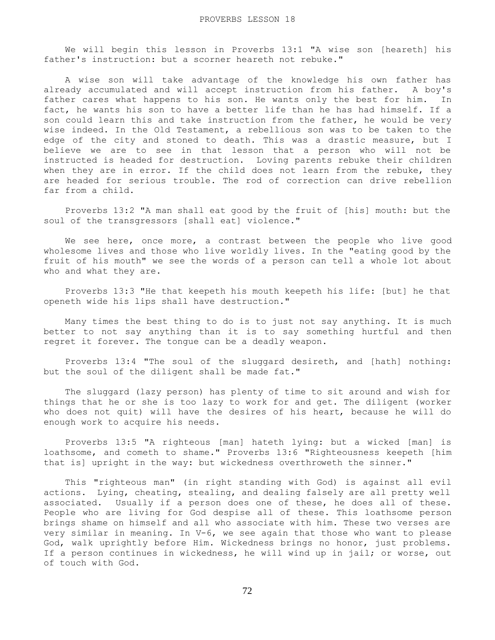We will begin this lesson in Proverbs 13:1 "A wise son [heareth] his father's instruction: but a scorner heareth not rebuke."

 A wise son will take advantage of the knowledge his own father has already accumulated and will accept instruction from his father. A boy's father cares what happens to his son. He wants only the best for him. In fact, he wants his son to have a better life than he has had himself. If a son could learn this and take instruction from the father, he would be very wise indeed. In the Old Testament, a rebellious son was to be taken to the edge of the city and stoned to death. This was a drastic measure, but I believe we are to see in that lesson that a person who will not be instructed is headed for destruction. Loving parents rebuke their children when they are in error. If the child does not learn from the rebuke, they are headed for serious trouble. The rod of correction can drive rebellion far from a child.

 Proverbs 13:2 "A man shall eat good by the fruit of [his] mouth: but the soul of the transgressors [shall eat] violence."

We see here, once more, a contrast between the people who live good wholesome lives and those who live worldly lives. In the "eating good by the fruit of his mouth" we see the words of a person can tell a whole lot about who and what they are.

 Proverbs 13:3 "He that keepeth his mouth keepeth his life: [but] he that openeth wide his lips shall have destruction."

 Many times the best thing to do is to just not say anything. It is much better to not say anything than it is to say something hurtful and then regret it forever. The tongue can be a deadly weapon.

 Proverbs 13:4 "The soul of the sluggard desireth, and [hath] nothing: but the soul of the diligent shall be made fat."

 The sluggard (lazy person) has plenty of time to sit around and wish for things that he or she is too lazy to work for and get. The diligent (worker who does not quit) will have the desires of his heart, because he will do enough work to acquire his needs.

 Proverbs 13:5 "A righteous [man] hateth lying: but a wicked [man] is loathsome, and cometh to shame." Proverbs 13:6 "Righteousness keepeth [him that is] upright in the way: but wickedness overthroweth the sinner."

 This "righteous man" (in right standing with God) is against all evil actions. Lying, cheating, stealing, and dealing falsely are all pretty well associated. Usually if a person does one of these, he does all of these. People who are living for God despise all of these. This loathsome person brings shame on himself and all who associate with him. These two verses are very similar in meaning. In V-6, we see again that those who want to please God, walk uprightly before Him. Wickedness brings no honor, just problems. If a person continues in wickedness, he will wind up in jail; or worse, out of touch with God.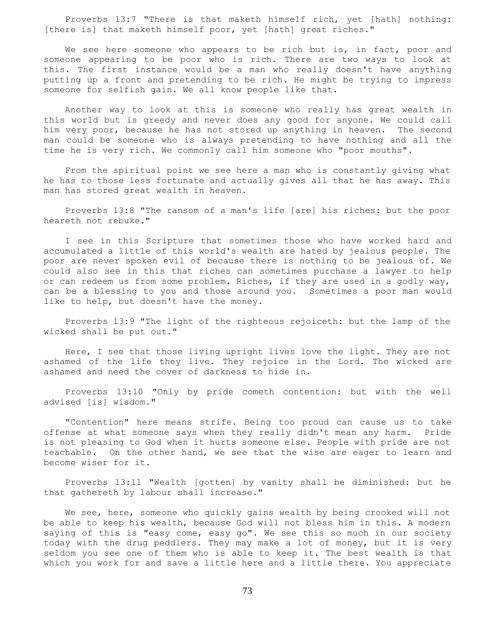Proverbs 13:7 "There is that maketh himself rich, yet [hath] nothing: [there is] that maketh himself poor, yet [hath] great riches."

We see here someone who appears to be rich but is, in fact, poor and someone appearing to be poor who is rich. There are two ways to look at this. The first instance would be a man who really doesn't have anything putting up a front and pretending to be rich. He might be trying to impress someone for selfish gain. We all know people like that.

 Another way to look at this is someone who really has great wealth in this world but is greedy and never does any good for anyone. We could call him very poor, because he has not stored up anything in heaven. The second man could be someone who is always pretending to have nothing and all the time he is very rich. We commonly call him someone who "poor mouths".

 From the spiritual point we see here a man who is constantly giving what he has to those less fortunate and actually gives all that he has away. This man has stored great wealth in heaven.

 Proverbs 13:8 "The ransom of a man's life [are] his riches: but the poor heareth not rebuke."

 I see in this Scripture that sometimes those who have worked hard and accumulated a little of this world's wealth are hated by jealous people. The poor are never spoken evil of because there is nothing to be jealous of. We could also see in this that riches can sometimes purchase a lawyer to help or can redeem us from some problem. Riches, if they are used in a godly way, can be a blessing to you and those around you. Sometimes a poor man would like to help, but doesn't have the money.

 Proverbs 13:9 "The light of the righteous rejoiceth: but the lamp of the wicked shall be put out."

 Here, I see that those living upright lives love the light. They are not ashamed of the life they live. They rejoice in the Lord. The wicked are ashamed and need the cover of darkness to hide in.

 Proverbs 13:10 "Only by pride cometh contention: but with the well advised [is] wisdom."

 "Contention" here means strife. Being too proud can cause us to take offense at what someone says when they really didn't mean any harm. Pride is not pleasing to God when it hurts someone else. People with pride are not teachable. On the other hand, we see that the wise are eager to learn and become wiser for it.

 Proverbs 13:11 "Wealth [gotten] by vanity shall be diminished: but he that gathereth by labour shall increase."

We see, here, someone who quickly gains wealth by being crooked will not be able to keep his wealth, because God will not bless him in this. A modern saying of this is "easy come, easy go". We see this so much in our society today with the drug peddlers. They may make a lot of money, but it is very seldom you see one of them who is able to keep it. The best wealth is that which you work for and save a little here and a little there. You appreciate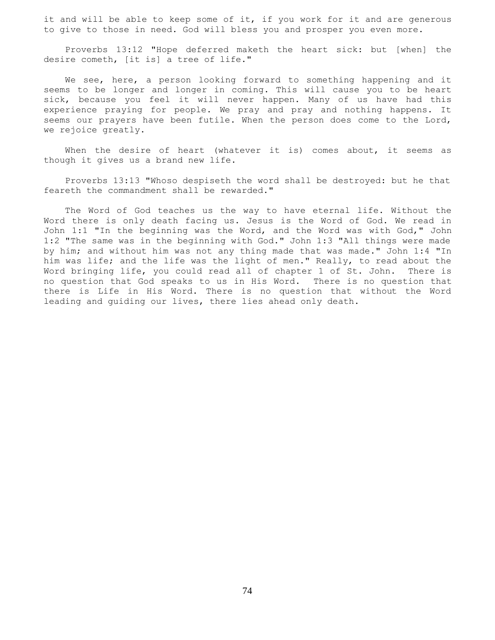it and will be able to keep some of it, if you work for it and are generous to give to those in need. God will bless you and prosper you even more.

 Proverbs 13:12 "Hope deferred maketh the heart sick: but [when] the desire cometh, [it is] a tree of life."

We see, here, a person looking forward to something happening and it seems to be longer and longer in coming. This will cause you to be heart sick, because you feel it will never happen. Many of us have had this experience praying for people. We pray and pray and nothing happens. It seems our prayers have been futile. When the person does come to the Lord, we rejoice greatly.

When the desire of heart (whatever it is) comes about, it seems as though it gives us a brand new life.

 Proverbs 13:13 "Whoso despiseth the word shall be destroyed: but he that feareth the commandment shall be rewarded."

 The Word of God teaches us the way to have eternal life. Without the Word there is only death facing us. Jesus is the Word of God. We read in John 1:1 "In the beginning was the Word, and the Word was with God," John 1:2 "The same was in the beginning with God." John 1:3 "All things were made by him; and without him was not any thing made that was made." John 1:4 "In him was life; and the life was the light of men." Really, to read about the Word bringing life, you could read all of chapter 1 of St. John. There is no question that God speaks to us in His Word. There is no question that there is Life in His Word. There is no question that without the Word leading and guiding our lives, there lies ahead only death.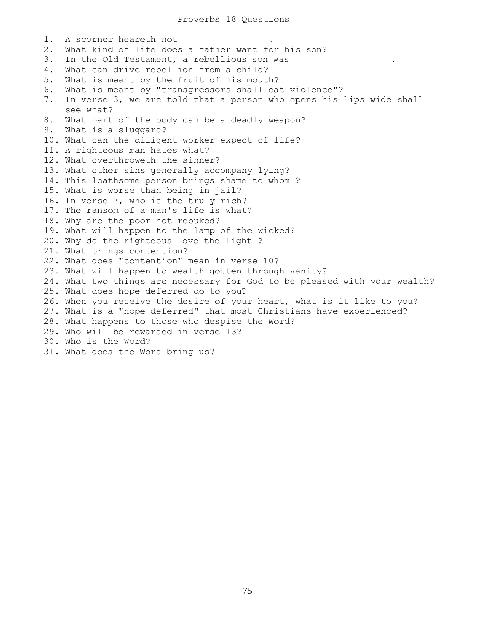1. A scorner heareth not 2. What kind of life does a father want for his son? 3. In the Old Testament, a rebellious son was 4. What can drive rebellion from a child? 5. What is meant by the fruit of his mouth? 6. What is meant by "transgressors shall eat violence"? 7. In verse 3, we are told that a person who opens his lips wide shall see what? 8. What part of the body can be a deadly weapon? 9. What is a sluggard? 10. What can the diligent worker expect of life? 11. A righteous man hates what? 12. What overthroweth the sinner? 13. What other sins generally accompany lying? 14. This loathsome person brings shame to whom ? 15. What is worse than being in jail? 16. In verse 7, who is the truly rich? 17. The ransom of a man's life is what? 18. Why are the poor not rebuked? 19. What will happen to the lamp of the wicked? 20. Why do the righteous love the light ? 21. What brings contention? 22. What does "contention" mean in verse 10? 23. What will happen to wealth gotten through vanity? 24. What two things are necessary for God to be pleased with your wealth? 25. What does hope deferred do to you? 26. When you receive the desire of your heart, what is it like to you? 27. What is a "hope deferred" that most Christians have experienced? 28. What happens to those who despise the Word? 29. Who will be rewarded in verse 13? 30. Who is the Word? 31. What does the Word bring us?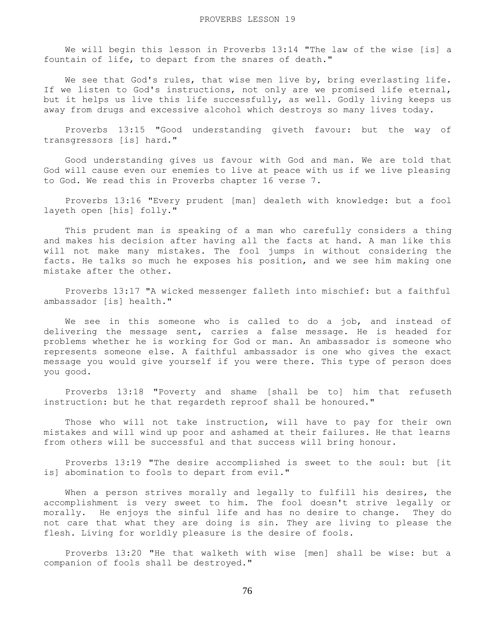We will begin this lesson in Proverbs 13:14 "The law of the wise [is] a fountain of life, to depart from the snares of death."

We see that God's rules, that wise men live by, bring everlasting life. If we listen to God's instructions, not only are we promised life eternal, but it helps us live this life successfully, as well. Godly living keeps us away from drugs and excessive alcohol which destroys so many lives today.

 Proverbs 13:15 "Good understanding giveth favour: but the way of transgressors [is] hard."

 Good understanding gives us favour with God and man. We are told that God will cause even our enemies to live at peace with us if we live pleasing to God. We read this in Proverbs chapter 16 verse 7.

 Proverbs 13:16 "Every prudent [man] dealeth with knowledge: but a fool layeth open [his] folly."

 This prudent man is speaking of a man who carefully considers a thing and makes his decision after having all the facts at hand. A man like this will not make many mistakes. The fool jumps in without considering the facts. He talks so much he exposes his position, and we see him making one mistake after the other.

 Proverbs 13:17 "A wicked messenger falleth into mischief: but a faithful ambassador [is] health."

 We see in this someone who is called to do a job, and instead of delivering the message sent, carries a false message. He is headed for problems whether he is working for God or man. An ambassador is someone who represents someone else. A faithful ambassador is one who gives the exact message you would give yourself if you were there. This type of person does you good.

 Proverbs 13:18 "Poverty and shame [shall be to] him that refuseth instruction: but he that regardeth reproof shall be honoured."

Those who will not take instruction, will have to pay for their own mistakes and will wind up poor and ashamed at their failures. He that learns from others will be successful and that success will bring honour.

 Proverbs 13:19 "The desire accomplished is sweet to the soul: but [it is] abomination to fools to depart from evil."

 When a person strives morally and legally to fulfill his desires, the accomplishment is very sweet to him. The fool doesn't strive legally or morally. He enjoys the sinful life and has no desire to change. They do not care that what they are doing is sin. They are living to please the flesh. Living for worldly pleasure is the desire of fools.

 Proverbs 13:20 "He that walketh with wise [men] shall be wise: but a companion of fools shall be destroyed."

76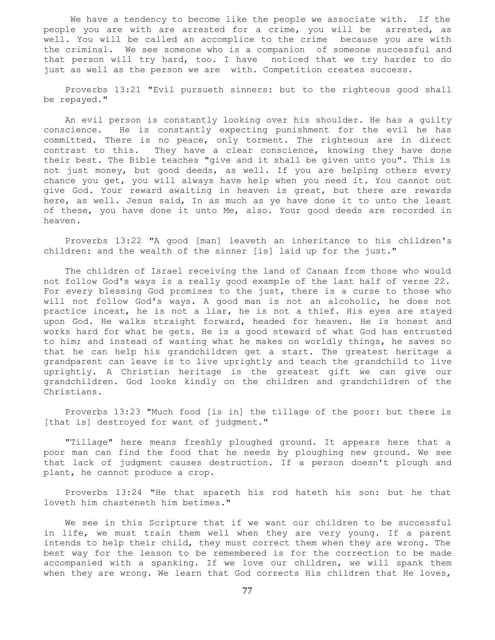We have a tendency to become like the people we associate with. If the people you are with are arrested for a crime, you will be arrested, as well. You will be called an accomplice to the crime because you are with the criminal. We see someone who is a companion of someone successful and that person will try hard, too. I have noticed that we try harder to do just as well as the person we are with. Competition creates success.

 Proverbs 13:21 "Evil pursueth sinners: but to the righteous good shall be repayed."

 An evil person is constantly looking over his shoulder. He has a guilty conscience. He is constantly expecting punishment for the evil he has committed. There is no peace, only torment. The righteous are in direct contrast to this. They have a clear conscience, knowing they have done their best. The Bible teaches "give and it shall be given unto you". This is not just money, but good deeds, as well. If you are helping others every chance you get, you will always have help when you need it. You cannot out give God. Your reward awaiting in heaven is great, but there are rewards here, as well. Jesus said, In as much as ye have done it to unto the least of these, you have done it unto Me, also. Your good deeds are recorded in heaven.

 Proverbs 13:22 "A good [man] leaveth an inheritance to his children's children: and the wealth of the sinner [is] laid up for the just."

 The children of Israel receiving the land of Canaan from those who would not follow God's ways is a really good example of the last half of verse 22. For every blessing God promises to the just, there is a curse to those who will not follow God's ways. A good man is not an alcoholic, he does not practice incest, he is not a liar, he is not a thief. His eyes are stayed upon God. He walks straight forward, headed for heaven. He is honest and works hard for what he gets. He is a good steward of what God has entrusted to him; and instead of wasting what he makes on worldly things, he saves so that he can help his grandchildren get a start. The greatest heritage a grandparent can leave is to live uprightly and teach the grandchild to live uprightly. A Christian heritage is the greatest gift we can give our grandchildren. God looks kindly on the children and grandchildren of the Christians.

 Proverbs 13:23 "Much food [is in] the tillage of the poor: but there is [that is] destroyed for want of judgment."

 "Tillage" here means freshly ploughed ground. It appears here that a poor man can find the food that he needs by ploughing new ground. We see that lack of judgment causes destruction. If a person doesn't plough and plant, he cannot produce a crop.

 Proverbs 13:24 "He that spareth his rod hateth his son: but he that loveth him chasteneth him betimes."

 We see in this Scripture that if we want our children to be successful in life, we must train them well when they are very young. If a parent intends to help their child, they must correct them when they are wrong. The best way for the lesson to be remembered is for the correction to be made accompanied with a spanking. If we love our children, we will spank them when they are wrong. We learn that God corrects His children that He loves,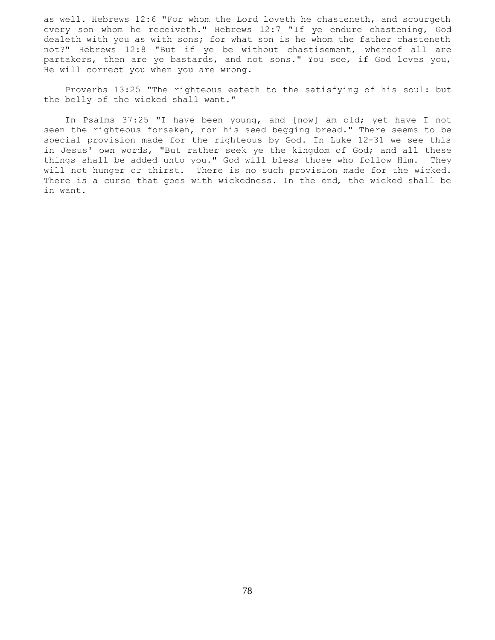as well. Hebrews 12:6 "For whom the Lord loveth he chasteneth, and scourgeth every son whom he receiveth." Hebrews 12:7 "If ye endure chastening, God dealeth with you as with sons; for what son is he whom the father chasteneth not?" Hebrews 12:8 "But if ye be without chastisement, whereof all are partakers, then are ye bastards, and not sons." You see, if God loves you, He will correct you when you are wrong.

 Proverbs 13:25 "The righteous eateth to the satisfying of his soul: but the belly of the wicked shall want."

 In Psalms 37:25 "I have been young, and [now] am old; yet have I not seen the righteous forsaken, nor his seed begging bread." There seems to be special provision made for the righteous by God. In Luke 12-31 we see this in Jesus' own words, "But rather seek ye the kingdom of God; and all these things shall be added unto you." God will bless those who follow Him. They will not hunger or thirst. There is no such provision made for the wicked. There is a curse that goes with wickedness. In the end, the wicked shall be in want.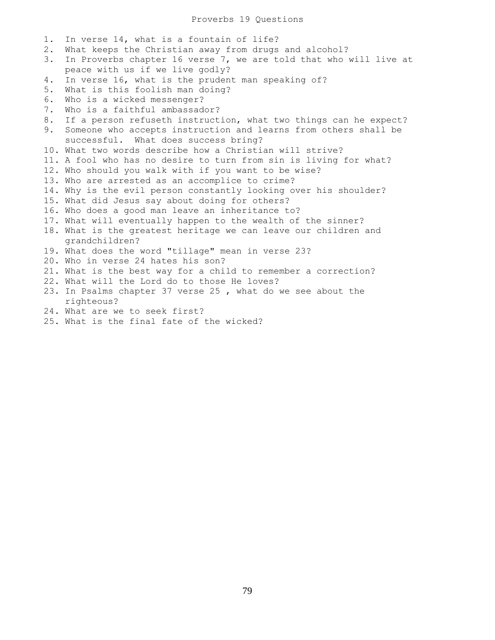1. In verse 14, what is a fountain of life? 2. What keeps the Christian away from drugs and alcohol? 3. In Proverbs chapter 16 verse 7, we are told that who will live at peace with us if we live godly? 4. In verse 16, what is the prudent man speaking of? 5. What is this foolish man doing? 6. Who is a wicked messenger? 7. Who is a faithful ambassador? 8. If a person refuseth instruction, what two things can he expect? 9. Someone who accepts instruction and learns from others shall be successful. What does success bring? 10. What two words describe how a Christian will strive? 11. A fool who has no desire to turn from sin is living for what? 12. Who should you walk with if you want to be wise? 13. Who are arrested as an accomplice to crime? 14. Why is the evil person constantly looking over his shoulder? 15. What did Jesus say about doing for others? 16. Who does a good man leave an inheritance to? 17. What will eventually happen to the wealth of the sinner? 18. What is the greatest heritage we can leave our children and grandchildren? 19. What does the word "tillage" mean in verse 23? 20. Who in verse 24 hates his son? 21. What is the best way for a child to remember a correction? 22. What will the Lord do to those He loves? 23. In Psalms chapter 37 verse 25 , what do we see about the righteous?

- 24. What are we to seek first?
- 25. What is the final fate of the wicked?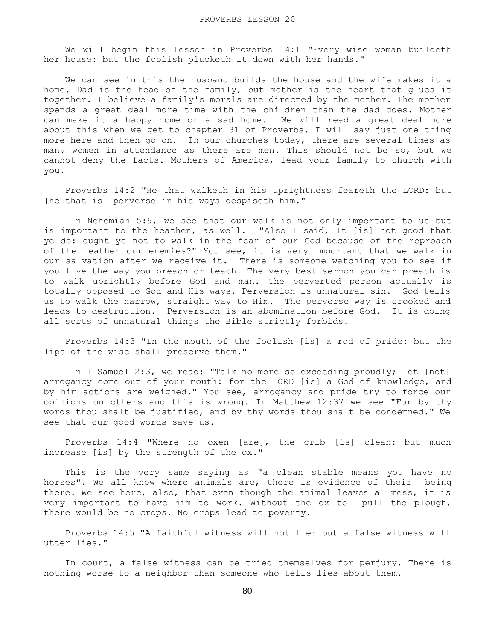We will begin this lesson in Proverbs 14:1 "Every wise woman buildeth her house: but the foolish plucketh it down with her hands."

 We can see in this the husband builds the house and the wife makes it a home. Dad is the head of the family, but mother is the heart that glues it together. I believe a family's morals are directed by the mother. The mother spends a great deal more time with the children than the dad does. Mother can make it a happy home or a sad home. We will read a great deal more about this when we get to chapter 31 of Proverbs. I will say just one thing more here and then go on. In our churches today, there are several times as many women in attendance as there are men. This should not be so, but we cannot deny the facts. Mothers of America, lead your family to church with you.

 Proverbs 14:2 "He that walketh in his uprightness feareth the LORD: but [he that is] perverse in his ways despiseth him."

 In Nehemiah 5:9, we see that our walk is not only important to us but is important to the heathen, as well. "Also I said, It [is] not good that ye do: ought ye not to walk in the fear of our God because of the reproach of the heathen our enemies?" You see, it is very important that we walk in our salvation after we receive it. There is someone watching you to see if you live the way you preach or teach. The very best sermon you can preach is to walk uprightly before God and man. The perverted person actually is totally opposed to God and His ways. Perversion is unnatural sin. God tells us to walk the narrow, straight way to Him. The perverse way is crooked and leads to destruction. Perversion is an abomination before God. It is doing all sorts of unnatural things the Bible strictly forbids.

 Proverbs 14:3 "In the mouth of the foolish [is] a rod of pride: but the lips of the wise shall preserve them."

In 1 Samuel 2:3, we read: "Talk no more so exceeding proudly; let [not] arrogancy come out of your mouth: for the LORD [is] a God of knowledge, and by him actions are weighed." You see, arrogancy and pride try to force our opinions on others and this is wrong. In Matthew 12:37 we see "For by thy words thou shalt be justified, and by thy words thou shalt be condemned." We see that our good words save us.

 Proverbs 14:4 "Where no oxen [are], the crib [is] clean: but much increase [is] by the strength of the ox."

 This is the very same saying as "a clean stable means you have no horses". We all know where animals are, there is evidence of their being there. We see here, also, that even though the animal leaves a mess, it is very important to have him to work. Without the ox to pull the plough, there would be no crops. No crops lead to poverty.

 Proverbs 14:5 "A faithful witness will not lie: but a false witness will utter lies."

 In court, a false witness can be tried themselves for perjury. There is nothing worse to a neighbor than someone who tells lies about them.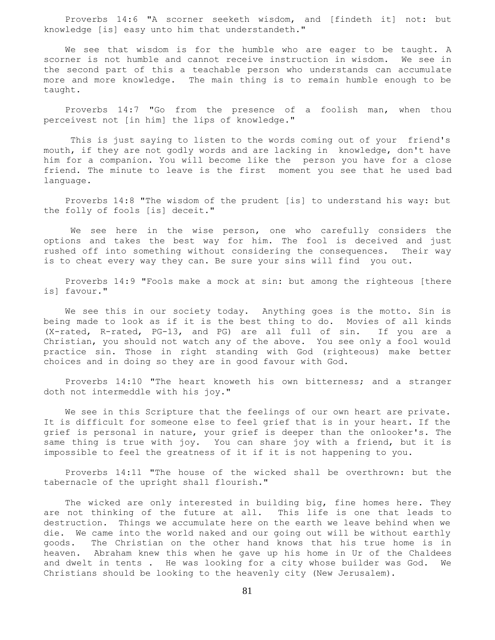Proverbs 14:6 "A scorner seeketh wisdom, and [findeth it] not: but knowledge [is] easy unto him that understandeth."

 We see that wisdom is for the humble who are eager to be taught. A scorner is not humble and cannot receive instruction in wisdom. We see in the second part of this a teachable person who understands can accumulate more and more knowledge. The main thing is to remain humble enough to be taught.

 Proverbs 14:7 "Go from the presence of a foolish man, when thou perceivest not [in him] the lips of knowledge."

 This is just saying to listen to the words coming out of your friend's mouth, if they are not godly words and are lacking in knowledge, don't have him for a companion. You will become like the person you have for a close friend. The minute to leave is the first moment you see that he used bad language.

 Proverbs 14:8 "The wisdom of the prudent [is] to understand his way: but the folly of fools [is] deceit."

 We see here in the wise person, one who carefully considers the options and takes the best way for him. The fool is deceived and just rushed off into something without considering the consequences. Their way is to cheat every way they can. Be sure your sins will find you out.

 Proverbs 14:9 "Fools make a mock at sin: but among the righteous [there is] favour."

 We see this in our society today. Anything goes is the motto. Sin is being made to look as if it is the best thing to do. Movies of all kinds (X-rated, R-rated, PG-13, and PG) are all full of sin. If you are a Christian, you should not watch any of the above. You see only a fool would practice sin. Those in right standing with God (righteous) make better choices and in doing so they are in good favour with God.

 Proverbs 14:10 "The heart knoweth his own bitterness; and a stranger doth not intermeddle with his joy."

 We see in this Scripture that the feelings of our own heart are private. It is difficult for someone else to feel grief that is in your heart. If the grief is personal in nature, your grief is deeper than the onlooker's. The same thing is true with joy. You can share joy with a friend, but it is impossible to feel the greatness of it if it is not happening to you.

 Proverbs 14:11 "The house of the wicked shall be overthrown: but the tabernacle of the upright shall flourish."

 The wicked are only interested in building big, fine homes here. They are not thinking of the future at all. This life is one that leads to destruction. Things we accumulate here on the earth we leave behind when we die. We came into the world naked and our going out will be without earthly goods. The Christian on the other hand knows that his true home is in heaven. Abraham knew this when he gave up his home in Ur of the Chaldees and dwelt in tents . He was looking for a city whose builder was God. We Christians should be looking to the heavenly city (New Jerusalem).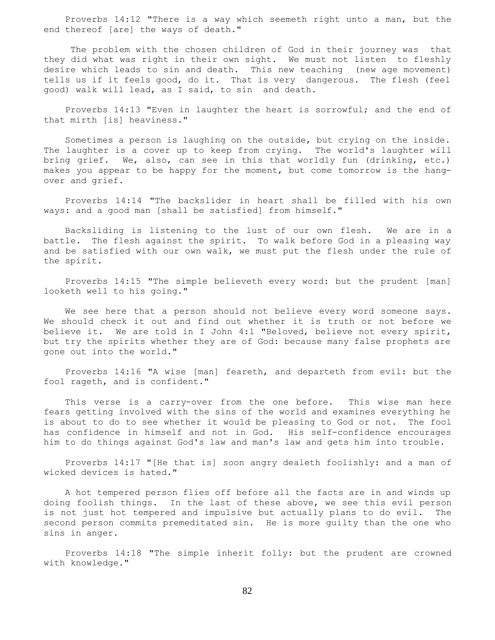Proverbs 14:12 "There is a way which seemeth right unto a man, but the end thereof [are] the ways of death."

 The problem with the chosen children of God in their journey was that they did what was right in their own sight. We must not listen to fleshly desire which leads to sin and death. This new teaching (new age movement) tells us if it feels good, do it. That is very dangerous. The flesh (feel good) walk will lead, as I said, to sin and death.

 Proverbs 14:13 "Even in laughter the heart is sorrowful; and the end of that mirth [is] heaviness."

 Sometimes a person is laughing on the outside, but crying on the inside. The laughter is a cover up to keep from crying. The world's laughter will bring grief. We, also, can see in this that worldly fun (drinking, etc.) makes you appear to be happy for the moment, but come tomorrow is the hangover and grief.

 Proverbs 14:14 "The backslider in heart shall be filled with his own ways: and a good man [shall be satisfied] from himself."

 Backsliding is listening to the lust of our own flesh. We are in a battle. The flesh against the spirit. To walk before God in a pleasing way and be satisfied with our own walk, we must put the flesh under the rule of the spirit.

 Proverbs 14:15 "The simple believeth every word: but the prudent [man] looketh well to his going."

 We see here that a person should not believe every word someone says. We should check it out and find out whether it is truth or not before we believe it. We are told in I John 4:1 "Beloved, believe not every spirit, but try the spirits whether they are of God: because many false prophets are gone out into the world."

 Proverbs 14:16 "A wise [man] feareth, and departeth from evil: but the fool rageth, and is confident."

 This verse is a carry-over from the one before. This wise man here fears getting involved with the sins of the world and examines everything he is about to do to see whether it would be pleasing to God or not. The fool has confidence in himself and not in God. His self-confidence encourages him to do things against God's law and man's law and gets him into trouble.

 Proverbs 14:17 "[He that is] soon angry dealeth foolishly: and a man of wicked devices is hated."

 A hot tempered person flies off before all the facts are in and winds up doing foolish things. In the last of these above, we see this evil person is not just hot tempered and impulsive but actually plans to do evil. The second person commits premeditated sin. He is more guilty than the one who sins in anger.

 Proverbs 14:18 "The simple inherit folly: but the prudent are crowned with knowledge."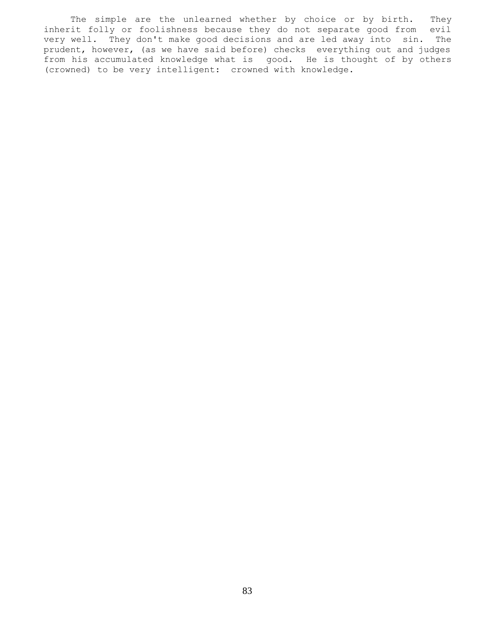The simple are the unlearned whether by choice or by birth. They inherit folly or foolishness because they do not separate good from evil very well. They don't make good decisions and are led away into sin. The prudent, however, (as we have said before) checks everything out and judges from his accumulated knowledge what is good. He is thought of by others (crowned) to be very intelligent: crowned with knowledge.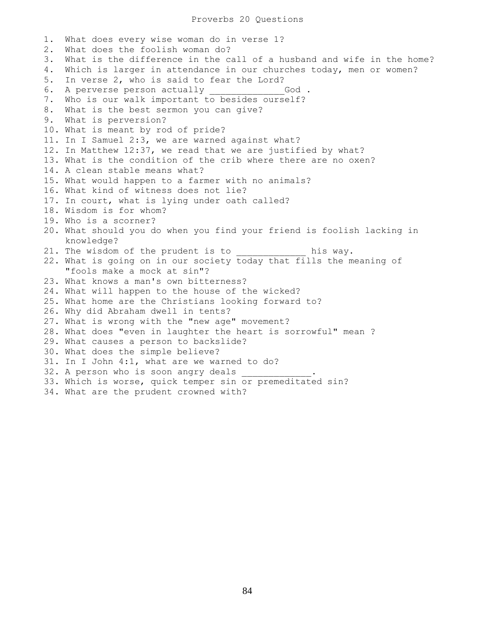## Proverbs 20 Questions

1. What does every wise woman do in verse 1? 2. What does the foolish woman do? 3. What is the difference in the call of a husband and wife in the home? 4. Which is larger in attendance in our churches today, men or women? 5. In verse 2, who is said to fear the Lord? 6. A perverse person actually **EXALL God** . 7. Who is our walk important to besides ourself? 8. What is the best sermon you can give? 9. What is perversion? 10. What is meant by rod of pride? 11. In I Samuel 2:3, we are warned against what? 12. In Matthew 12:37, we read that we are justified by what? 13. What is the condition of the crib where there are no oxen? 14. A clean stable means what? 15. What would happen to a farmer with no animals? 16. What kind of witness does not lie? 17. In court, what is lying under oath called? 18. Wisdom is for whom? 19. Who is a scorner? 20. What should you do when you find your friend is foolish lacking in knowledge? 21. The wisdom of the prudent is to his way. 22. What is going on in our society today that fills the meaning of "fools make a mock at sin"? 23. What knows a man's own bitterness? 24. What will happen to the house of the wicked? 25. What home are the Christians looking forward to? 26. Why did Abraham dwell in tents? 27. What is wrong with the "new age" movement? 28. What does "even in laughter the heart is sorrowful" mean ? 29. What causes a person to backslide? 30. What does the simple believe? 31. In I John 4:1, what are we warned to do? 32. A person who is soon angry deals 33. Which is worse, quick temper sin or premeditated sin? 34. What are the prudent crowned with?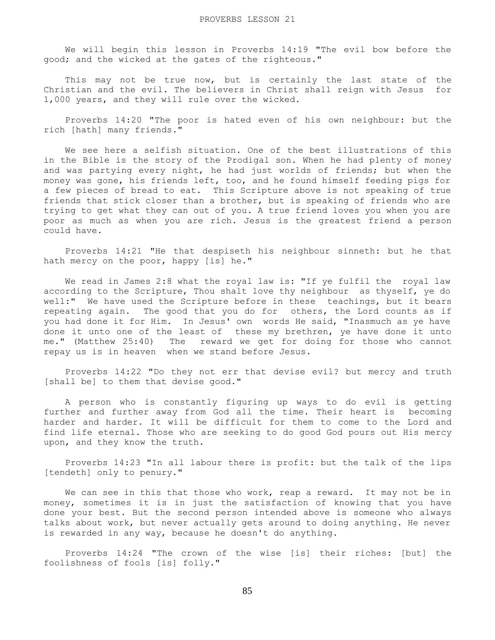We will begin this lesson in Proverbs 14:19 "The evil bow before the good; and the wicked at the gates of the righteous."

This may not be true now, but is certainly the last state of the Christian and the evil. The believers in Christ shall reign with Jesus for 1,000 years, and they will rule over the wicked.

 Proverbs 14:20 "The poor is hated even of his own neighbour: but the rich [hath] many friends."

 We see here a selfish situation. One of the best illustrations of this in the Bible is the story of the Prodigal son. When he had plenty of money and was partying every night, he had just worlds of friends; but when the money was gone, his friends left, too, and he found himself feeding pigs for a few pieces of bread to eat. This Scripture above is not speaking of true friends that stick closer than a brother, but is speaking of friends who are trying to get what they can out of you. A true friend loves you when you are poor as much as when you are rich. Jesus is the greatest friend a person could have.

 Proverbs 14:21 "He that despiseth his neighbour sinneth: but he that hath mercy on the poor, happy [is] he."

We read in James 2:8 what the royal law is: "If ye fulfil the royal law according to the Scripture, Thou shalt love thy neighbour as thyself, ye do well:" We have used the Scripture before in these teachings, but it bears repeating again. The good that you do for others, the Lord counts as if you had done it for Him. In Jesus' own words He said, "Inasmuch as ye have done it unto one of the least of these my brethren, ye have done it unto me." (Matthew 25:40) The reward we get for doing for those who cannot repay us is in heaven when we stand before Jesus.

 Proverbs 14:22 "Do they not err that devise evil? but mercy and truth [shall be] to them that devise good."

 A person who is constantly figuring up ways to do evil is getting further and further away from God all the time. Their heart is becoming harder and harder. It will be difficult for them to come to the Lord and find life eternal. Those who are seeking to do good God pours out His mercy upon, and they know the truth.

 Proverbs 14:23 "In all labour there is profit: but the talk of the lips [tendeth] only to penury."

We can see in this that those who work, reap a reward. It may not be in money, sometimes it is in just the satisfaction of knowing that you have done your best. But the second person intended above is someone who always talks about work, but never actually gets around to doing anything. He never is rewarded in any way, because he doesn't do anything.

 Proverbs 14:24 "The crown of the wise [is] their riches: [but] the foolishness of fools [is] folly."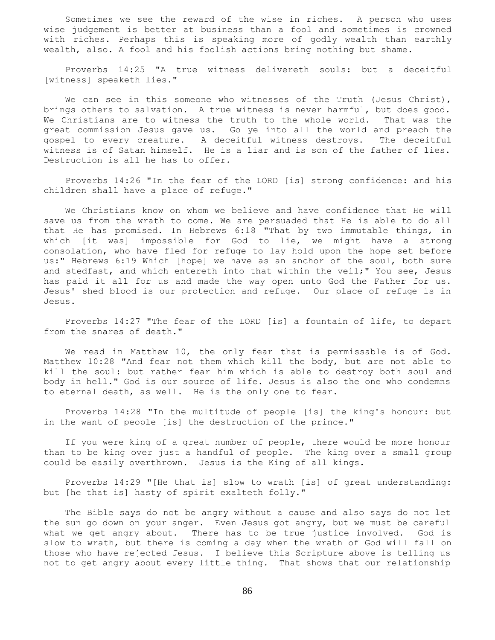Sometimes we see the reward of the wise in riches. A person who uses wise judgement is better at business than a fool and sometimes is crowned with riches. Perhaps this is speaking more of godly wealth than earthly wealth, also. A fool and his foolish actions bring nothing but shame.

 Proverbs 14:25 "A true witness delivereth souls: but a deceitful [witness] speaketh lies."

We can see in this someone who witnesses of the Truth (Jesus Christ), brings others to salvation. A true witness is never harmful, but does good. We Christians are to witness the truth to the whole world. That was the great commission Jesus gave us. Go ye into all the world and preach the gospel to every creature. A deceitful witness destroys. The deceitful witness is of Satan himself. He is a liar and is son of the father of lies. Destruction is all he has to offer.

 Proverbs 14:26 "In the fear of the LORD [is] strong confidence: and his children shall have a place of refuge."

 We Christians know on whom we believe and have confidence that He will save us from the wrath to come. We are persuaded that He is able to do all that He has promised. In Hebrews 6:18 "That by two immutable things, in which [it was] impossible for God to lie, we might have a strong consolation, who have fled for refuge to lay hold upon the hope set before us:" Hebrews 6:19 Which [hope] we have as an anchor of the soul, both sure and stedfast, and which entereth into that within the veil;" You see, Jesus has paid it all for us and made the way open unto God the Father for us. Jesus' shed blood is our protection and refuge. Our place of refuge is in Jesus.

 Proverbs 14:27 "The fear of the LORD [is] a fountain of life, to depart from the snares of death."

 We read in Matthew 10, the only fear that is permissable is of God. Matthew 10:28 "And fear not them which kill the body, but are not able to kill the soul: but rather fear him which is able to destroy both soul and body in hell." God is our source of life. Jesus is also the one who condemns to eternal death, as well. He is the only one to fear.

 Proverbs 14:28 "In the multitude of people [is] the king's honour: but in the want of people [is] the destruction of the prince."

 If you were king of a great number of people, there would be more honour than to be king over just a handful of people. The king over a small group could be easily overthrown. Jesus is the King of all kings.

 Proverbs 14:29 "[He that is] slow to wrath [is] of great understanding: but [he that is] hasty of spirit exalteth folly."

 The Bible says do not be angry without a cause and also says do not let the sun go down on your anger. Even Jesus got angry, but we must be careful what we get angry about. There has to be true justice involved. God is slow to wrath, but there is coming a day when the wrath of God will fall on those who have rejected Jesus. I believe this Scripture above is telling us not to get angry about every little thing. That shows that our relationship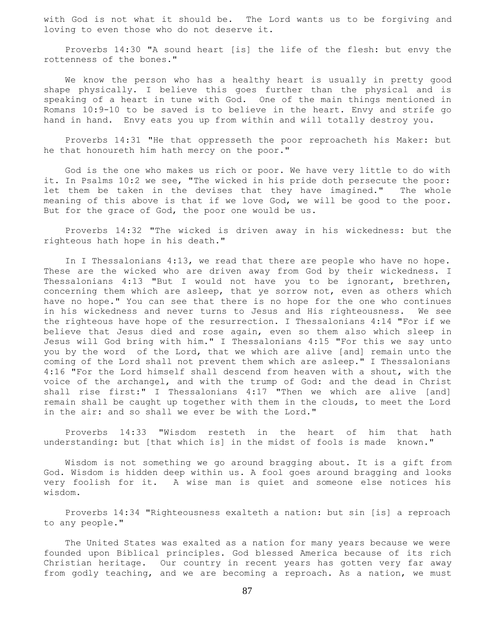with God is not what it should be. The Lord wants us to be forgiving and loving to even those who do not deserve it.

 Proverbs 14:30 "A sound heart [is] the life of the flesh: but envy the rottenness of the bones."

 We know the person who has a healthy heart is usually in pretty good shape physically. I believe this goes further than the physical and is speaking of a heart in tune with God. One of the main things mentioned in Romans 10:9-10 to be saved is to believe in the heart. Envy and strife go hand in hand. Envy eats you up from within and will totally destroy you.

 Proverbs 14:31 "He that oppresseth the poor reproacheth his Maker: but he that honoureth him hath mercy on the poor."

 God is the one who makes us rich or poor. We have very little to do with it. In Psalms 10:2 we see, "The wicked in his pride doth persecute the poor: let them be taken in the devises that they have imagined." The whole meaning of this above is that if we love God, we will be good to the poor. But for the grace of God, the poor one would be us.

 Proverbs 14:32 "The wicked is driven away in his wickedness: but the righteous hath hope in his death."

 In I Thessalonians 4:13, we read that there are people who have no hope. These are the wicked who are driven away from God by their wickedness. I Thessalonians 4:13 "But I would not have you to be ignorant, brethren, concerning them which are asleep, that ye sorrow not, even as others which have no hope." You can see that there is no hope for the one who continues in his wickedness and never turns to Jesus and His righteousness. We see the righteous have hope of the resurrection. I Thessalonians 4:14 "For if we believe that Jesus died and rose again, even so them also which sleep in Jesus will God bring with him." I Thessalonians 4:15 "For this we say unto you by the word of the Lord, that we which are alive [and] remain unto the coming of the Lord shall not prevent them which are asleep." I Thessalonians 4:16 "For the Lord himself shall descend from heaven with a shout, with the voice of the archangel, and with the trump of God: and the dead in Christ shall rise first:" I Thessalonians 4:17 "Then we which are alive [and] remain shall be caught up together with them in the clouds, to meet the Lord in the air: and so shall we ever be with the Lord."

 Proverbs 14:33 "Wisdom resteth in the heart of him that hath understanding: but [that which is] in the midst of fools is made known."

 Wisdom is not something we go around bragging about. It is a gift from God. Wisdom is hidden deep within us. A fool goes around bragging and looks very foolish for it. A wise man is quiet and someone else notices his wisdom.

 Proverbs 14:34 "Righteousness exalteth a nation: but sin [is] a reproach to any people."

 The United States was exalted as a nation for many years because we were founded upon Biblical principles. God blessed America because of its rich Christian heritage. Our country in recent years has gotten very far away from godly teaching, and we are becoming a reproach. As a nation, we must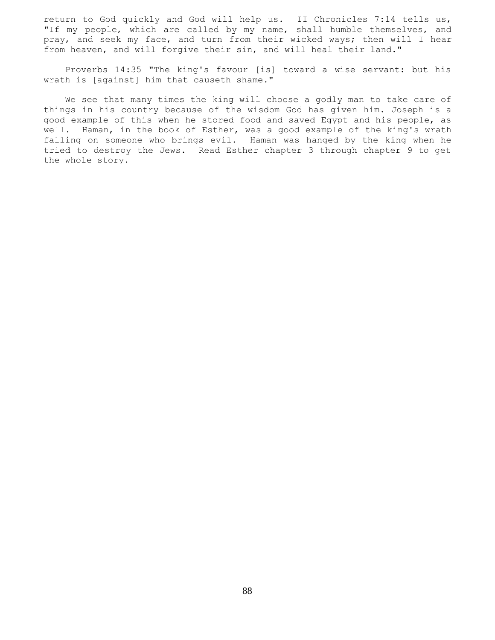return to God quickly and God will help us. II Chronicles 7:14 tells us, "If my people, which are called by my name, shall humble themselves, and pray, and seek my face, and turn from their wicked ways; then will I hear from heaven, and will forgive their sin, and will heal their land."

 Proverbs 14:35 "The king's favour [is] toward a wise servant: but his wrath is [against] him that causeth shame."

 We see that many times the king will choose a godly man to take care of things in his country because of the wisdom God has given him. Joseph is a good example of this when he stored food and saved Egypt and his people, as well. Haman, in the book of Esther, was a good example of the king's wrath falling on someone who brings evil. Haman was hanged by the king when he tried to destroy the Jews. Read Esther chapter 3 through chapter 9 to get the whole story.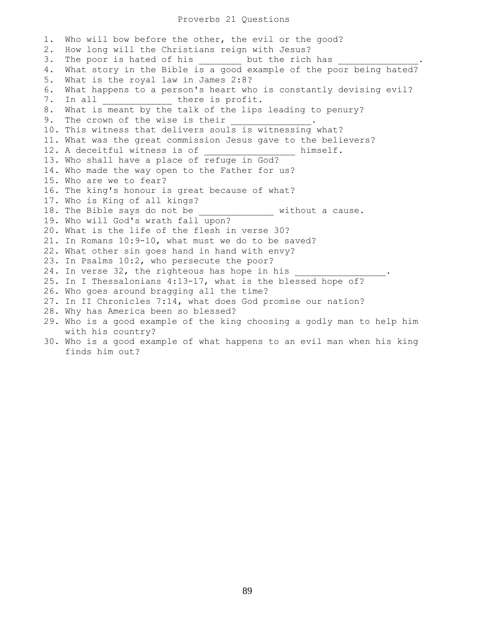## Proverbs 21 Questions

1. Who will bow before the other, the evil or the good? 2. How long will the Christians reign with Jesus? 3. The poor is hated of his \_\_\_\_\_\_\_\_\_ but the rich has 4. What story in the Bible is a good example of the poor being hated? 5. What is the royal law in James 2:8? 6. What happens to a person's heart who is constantly devising evil? 7. In all \_\_\_\_\_\_\_\_\_\_\_\_\_ there is profit. 8. What is meant by the talk of the lips leading to penury? 9. The crown of the wise is their 10. This witness that delivers souls is witnessing what? 11. What was the great commission Jesus gave to the believers? 12. A deceitful witness is of  $\qquad \qquad$  himself. 13. Who shall have a place of refuge in God? 14. Who made the way open to the Father for us? 15. Who are we to fear? 16. The king's honour is great because of what? 17. Who is King of all kings? 18. The Bible says do not be without a cause. 19. Who will God's wrath fall upon? 20. What is the life of the flesh in verse 30? 21. In Romans 10:9-10, what must we do to be saved? 22. What other sin goes hand in hand with envy? 23. In Psalms 10:2, who persecute the poor? 24. In verse 32, the righteous has hope in his 25. In I Thessalonians 4:13-17, what is the blessed hope of? 26. Who goes around bragging all the time? 27. In II Chronicles 7:14, what does God promise our nation? 28. Why has America been so blessed? 29. Who is a good example of the king choosing a godly man to help him with his country? 30. Who is a good example of what happens to an evil man when his king finds him out?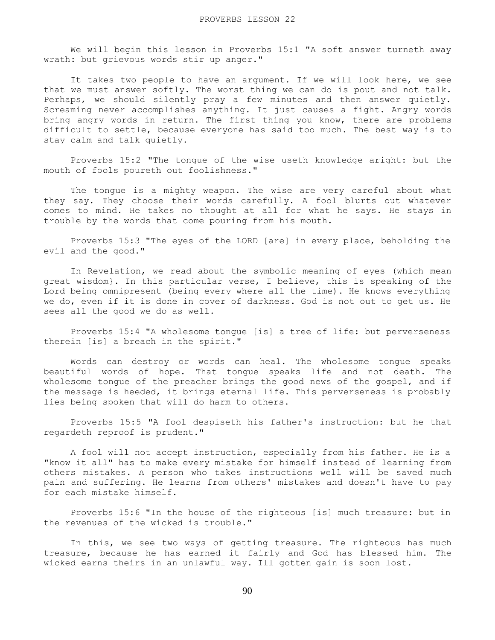We will begin this lesson in Proverbs 15:1 "A soft answer turneth away wrath: but grievous words stir up anger."

It takes two people to have an argument. If we will look here, we see that we must answer softly. The worst thing we can do is pout and not talk. Perhaps, we should silently pray a few minutes and then answer quietly. Screaming never accomplishes anything. It just causes a fight. Angry words bring angry words in return. The first thing you know, there are problems difficult to settle, because everyone has said too much. The best way is to stay calm and talk quietly.

 Proverbs 15:2 "The tongue of the wise useth knowledge aright: but the mouth of fools poureth out foolishness."

 The tongue is a mighty weapon. The wise are very careful about what they say. They choose their words carefully. A fool blurts out whatever comes to mind. He takes no thought at all for what he says. He stays in trouble by the words that come pouring from his mouth.

 Proverbs 15:3 "The eyes of the LORD [are] in every place, beholding the evil and the good."

 In Revelation, we read about the symbolic meaning of eyes (which mean great wisdom}. In this particular verse, I believe, this is speaking of the Lord being omnipresent (being every where all the time). He knows everything we do, even if it is done in cover of darkness. God is not out to get us. He sees all the good we do as well.

 Proverbs 15:4 "A wholesome tongue [is] a tree of life: but perverseness therein [is] a breach in the spirit."

 Words can destroy or words can heal. The wholesome tongue speaks beautiful words of hope. That tongue speaks life and not death. The wholesome tongue of the preacher brings the good news of the gospel, and if the message is heeded, it brings eternal life. This perverseness is probably lies being spoken that will do harm to others.

 Proverbs 15:5 "A fool despiseth his father's instruction: but he that regardeth reproof is prudent."

 A fool will not accept instruction, especially from his father. He is a "know it all" has to make every mistake for himself instead of learning from others mistakes. A person who takes instructions well will be saved much pain and suffering. He learns from others' mistakes and doesn't have to pay for each mistake himself.

 Proverbs 15:6 "In the house of the righteous [is] much treasure: but in the revenues of the wicked is trouble."

 In this, we see two ways of getting treasure. The righteous has much treasure, because he has earned it fairly and God has blessed him. The wicked earns theirs in an unlawful way. Ill gotten gain is soon lost.

90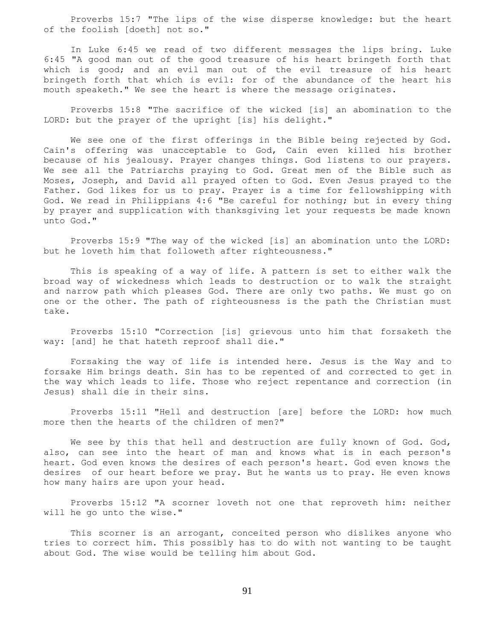Proverbs 15:7 "The lips of the wise disperse knowledge: but the heart of the foolish [doeth] not so."

 In Luke 6:45 we read of two different messages the lips bring. Luke 6:45 "A good man out of the good treasure of his heart bringeth forth that which is good; and an evil man out of the evil treasure of his heart bringeth forth that which is evil: for of the abundance of the heart his mouth speaketh." We see the heart is where the message originates.

 Proverbs 15:8 "The sacrifice of the wicked [is] an abomination to the LORD: but the prayer of the upright [is] his delight."

 We see one of the first offerings in the Bible being rejected by God. Cain's offering was unacceptable to God, Cain even killed his brother because of his jealousy. Prayer changes things. God listens to our prayers. We see all the Patriarchs praying to God. Great men of the Bible such as Moses, Joseph, and David all prayed often to God. Even Jesus prayed to the Father. God likes for us to pray. Prayer is a time for fellowshipping with God. We read in Philippians 4:6 "Be careful for nothing; but in every thing by prayer and supplication with thanksgiving let your requests be made known unto God."

 Proverbs 15:9 "The way of the wicked [is] an abomination unto the LORD: but he loveth him that followeth after righteousness."

 This is speaking of a way of life. A pattern is set to either walk the broad way of wickedness which leads to destruction or to walk the straight and narrow path which pleases God. There are only two paths. We must go on one or the other. The path of righteousness is the path the Christian must take.

 Proverbs 15:10 "Correction [is] grievous unto him that forsaketh the way: [and] he that hateth reproof shall die."

 Forsaking the way of life is intended here. Jesus is the Way and to forsake Him brings death. Sin has to be repented of and corrected to get in the way which leads to life. Those who reject repentance and correction (in Jesus) shall die in their sins.

 Proverbs 15:11 "Hell and destruction [are] before the LORD: how much more then the hearts of the children of men?"

We see by this that hell and destruction are fully known of God. God, also, can see into the heart of man and knows what is in each person's heart. God even knows the desires of each person's heart. God even knows the desires of our heart before we pray. But he wants us to pray. He even knows how many hairs are upon your head.

 Proverbs 15:12 "A scorner loveth not one that reproveth him: neither will he go unto the wise."

This scorner is an arrogant, conceited person who dislikes anyone who tries to correct him. This possibly has to do with not wanting to be taught about God. The wise would be telling him about God.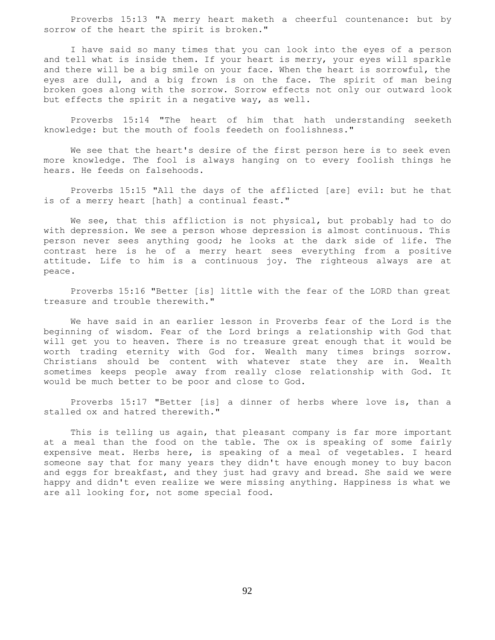Proverbs 15:13 "A merry heart maketh a cheerful countenance: but by sorrow of the heart the spirit is broken."

 I have said so many times that you can look into the eyes of a person and tell what is inside them. If your heart is merry, your eyes will sparkle and there will be a big smile on your face. When the heart is sorrowful, the eyes are dull, and a big frown is on the face. The spirit of man being broken goes along with the sorrow. Sorrow effects not only our outward look but effects the spirit in a negative way, as well.

 Proverbs 15:14 "The heart of him that hath understanding seeketh knowledge: but the mouth of fools feedeth on foolishness."

 We see that the heart's desire of the first person here is to seek even more knowledge. The fool is always hanging on to every foolish things he hears. He feeds on falsehoods.

 Proverbs 15:15 "All the days of the afflicted [are] evil: but he that is of a merry heart [hath] a continual feast."

 We see, that this affliction is not physical, but probably had to do with depression. We see a person whose depression is almost continuous. This person never sees anything good; he looks at the dark side of life. The contrast here is he of a merry heart sees everything from a positive attitude. Life to him is a continuous joy. The righteous always are at peace.

 Proverbs 15:16 "Better [is] little with the fear of the LORD than great treasure and trouble therewith."

 We have said in an earlier lesson in Proverbs fear of the Lord is the beginning of wisdom. Fear of the Lord brings a relationship with God that will get you to heaven. There is no treasure great enough that it would be worth trading eternity with God for. Wealth many times brings sorrow. Christians should be content with whatever state they are in. Wealth sometimes keeps people away from really close relationship with God. It would be much better to be poor and close to God.

 Proverbs 15:17 "Better [is] a dinner of herbs where love is, than a stalled ox and hatred therewith."

 This is telling us again, that pleasant company is far more important at a meal than the food on the table. The ox is speaking of some fairly expensive meat. Herbs here, is speaking of a meal of vegetables. I heard someone say that for many years they didn't have enough money to buy bacon and eggs for breakfast, and they just had gravy and bread. She said we were happy and didn't even realize we were missing anything. Happiness is what we are all looking for, not some special food.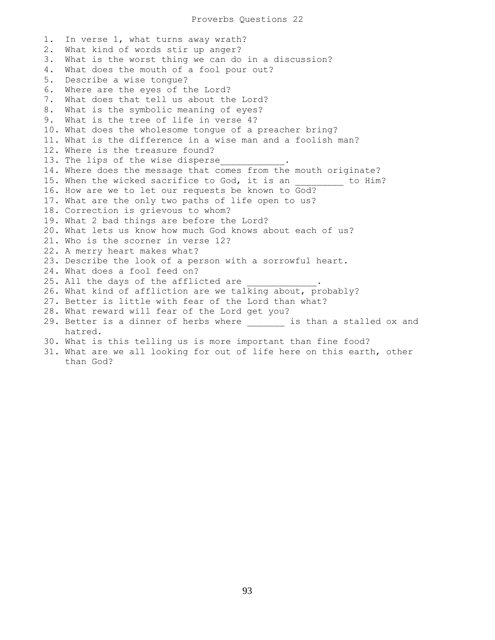1. In verse 1, what turns away wrath? 2. What kind of words stir up anger? 3. What is the worst thing we can do in a discussion? 4. What does the mouth of a fool pour out? 5. Describe a wise tongue? 6. Where are the eyes of the Lord? 7. What does that tell us about the Lord? 8. What is the symbolic meaning of eyes? 9. What is the tree of life in verse 4? 10. What does the wholesome tongue of a preacher bring? 11. What is the difference in a wise man and a foolish man? 12. Where is the treasure found? 13. The lips of the wise disperse 14. Where does the message that comes from the mouth originate? 15. When the wicked sacrifice to God, it is an \_\_\_\_\_\_\_\_ to Him? 16. How are we to let our requests be known to God? 17. What are the only two paths of life open to us? 18. Correction is grievous to whom? 19. What 2 bad things are before the Lord? 20. What lets us know how much God knows about each of us? 21. Who is the scorner in verse 12? 22. A merry heart makes what? 23. Describe the look of a person with a sorrowful heart. 24. What does a fool feed on? 25. All the days of the afflicted are 26. What kind of affliction are we talking about, probably? 27. Better is little with fear of the Lord than what? 28. What reward will fear of the Lord get you? 29. Better is a dinner of herbs where \_\_\_\_\_\_\_\_ is than a stalled ox and hatred. 30. What is this telling us is more important than fine food? 31. What are we all looking for out of life here on this earth, other

than God?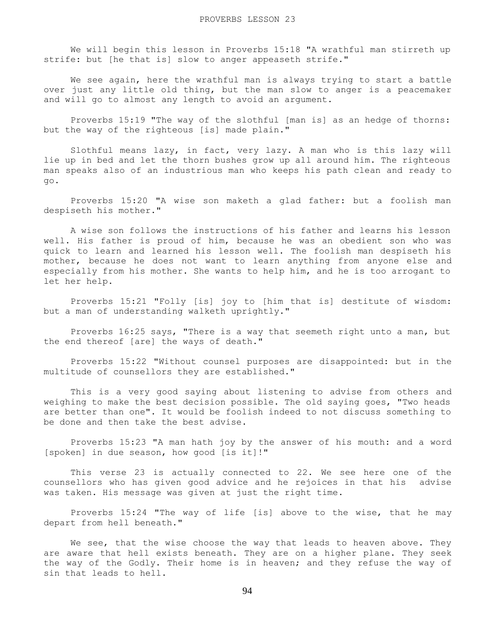We will begin this lesson in Proverbs 15:18 "A wrathful man stirreth up strife: but [he that is] slow to anger appeaseth strife."

 We see again, here the wrathful man is always trying to start a battle over just any little old thing, but the man slow to anger is a peacemaker and will go to almost any length to avoid an argument.

 Proverbs 15:19 "The way of the slothful [man is] as an hedge of thorns: but the way of the righteous [is] made plain."

 Slothful means lazy, in fact, very lazy. A man who is this lazy will lie up in bed and let the thorn bushes grow up all around him. The righteous man speaks also of an industrious man who keeps his path clean and ready to go.

 Proverbs 15:20 "A wise son maketh a glad father: but a foolish man despiseth his mother."

 A wise son follows the instructions of his father and learns his lesson well. His father is proud of him, because he was an obedient son who was quick to learn and learned his lesson well. The foolish man despiseth his mother, because he does not want to learn anything from anyone else and especially from his mother. She wants to help him, and he is too arrogant to let her help.

 Proverbs 15:21 "Folly [is] joy to [him that is] destitute of wisdom: but a man of understanding walketh uprightly."

 Proverbs 16:25 says, "There is a way that seemeth right unto a man, but the end thereof [are] the ways of death."

 Proverbs 15:22 "Without counsel purposes are disappointed: but in the multitude of counsellors they are established."

 This is a very good saying about listening to advise from others and weighing to make the best decision possible. The old saying goes, "Two heads are better than one". It would be foolish indeed to not discuss something to be done and then take the best advise.

 Proverbs 15:23 "A man hath joy by the answer of his mouth: and a word [spoken] in due season, how good [is it]!"

 This verse 23 is actually connected to 22. We see here one of the counsellors who has given good advice and he rejoices in that his advise was taken. His message was given at just the right time.

 Proverbs 15:24 "The way of life [is] above to the wise, that he may depart from hell beneath."

We see, that the wise choose the way that leads to heaven above. They are aware that hell exists beneath. They are on a higher plane. They seek the way of the Godly. Their home is in heaven; and they refuse the way of sin that leads to hell.

94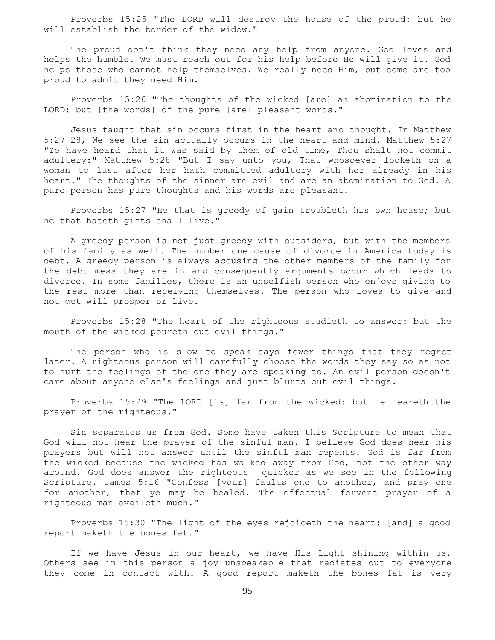Proverbs 15:25 "The LORD will destroy the house of the proud: but he will establish the border of the widow."

 The proud don't think they need any help from anyone. God loves and helps the humble. We must reach out for his help before He will give it. God helps those who cannot help themselves. We really need Him, but some are too proud to admit they need Him.

 Proverbs 15:26 "The thoughts of the wicked [are] an abomination to the LORD: but [the words] of the pure [are] pleasant words."

 Jesus taught that sin occurs first in the heart and thought. In Matthew 5:27-28, We see the sin actually occurs in the heart and mind. Matthew 5:27 "Ye have heard that it was said by them of old time, Thou shalt not commit adultery:" Matthew 5:28 "But I say unto you, That whosoever looketh on a woman to lust after her hath committed adultery with her already in his heart." The thoughts of the sinner are evil and are an abomination to God. A pure person has pure thoughts and his words are pleasant.

 Proverbs 15:27 "He that is greedy of gain troubleth his own house; but he that hateth gifts shall live."

 A greedy person is not just greedy with outsiders, but with the members of his family as well. The number one cause of divorce in America today is debt. A greedy person is always accusing the other members of the family for the debt mess they are in and consequently arguments occur which leads to divorce. In some families, there is an unselfish person who enjoys giving to the rest more than receiving themselves. The person who loves to give and not get will prosper or live.

 Proverbs 15:28 "The heart of the righteous studieth to answer: but the mouth of the wicked poureth out evil things."

 The person who is slow to speak says fewer things that they regret later. A righteous person will carefully choose the words they say so as not to hurt the feelings of the one they are speaking to. An evil person doesn't care about anyone else's feelings and just blurts out evil things.

 Proverbs 15:29 "The LORD [is] far from the wicked: but he heareth the prayer of the righteous."

 Sin separates us from God. Some have taken this Scripture to mean that God will not hear the prayer of the sinful man. I believe God does hear his prayers but will not answer until the sinful man repents. God is far from the wicked because the wicked has walked away from God, not the other way around. God does answer the righteous quicker as we see in the following Scripture. James 5:16 "Confess [your] faults one to another, and pray one for another, that ye may be healed. The effectual fervent prayer of a righteous man availeth much."

 Proverbs 15:30 "The light of the eyes rejoiceth the heart: [and] a good report maketh the bones fat."

 If we have Jesus in our heart, we have His Light shining within us. Others see in this person a joy unspeakable that radiates out to everyone they come in contact with. A good report maketh the bones fat is very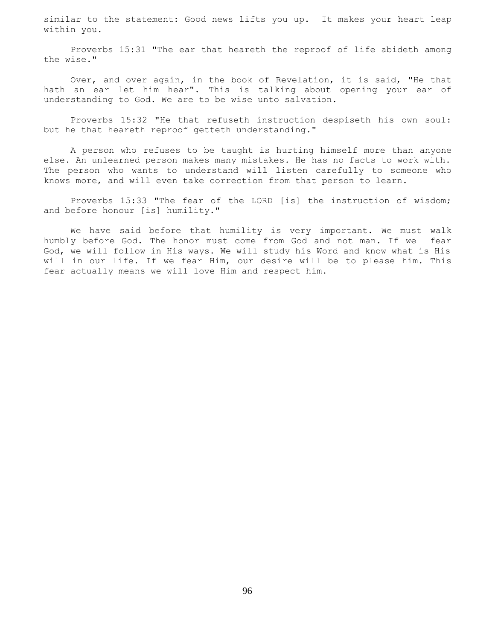similar to the statement: Good news lifts you up. It makes your heart leap within you.

 Proverbs 15:31 "The ear that heareth the reproof of life abideth among the wise."

 Over, and over again, in the book of Revelation, it is said, "He that hath an ear let him hear". This is talking about opening your ear of understanding to God. We are to be wise unto salvation.

 Proverbs 15:32 "He that refuseth instruction despiseth his own soul: but he that heareth reproof getteth understanding."

 A person who refuses to be taught is hurting himself more than anyone else. An unlearned person makes many mistakes. He has no facts to work with. The person who wants to understand will listen carefully to someone who knows more, and will even take correction from that person to learn.

 Proverbs 15:33 "The fear of the LORD [is] the instruction of wisdom; and before honour [is] humility."

 We have said before that humility is very important. We must walk humbly before God. The honor must come from God and not man. If we fear God, we will follow in His ways. We will study his Word and know what is His will in our life. If we fear Him, our desire will be to please him. This fear actually means we will love Him and respect him.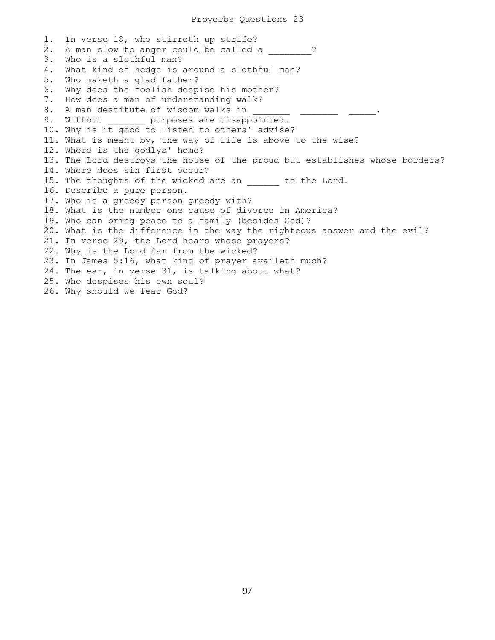1. In verse 18, who stirreth up strife? 2. A man slow to anger could be called a  $\cdot$  ? 3. Who is a slothful man? 4. What kind of hedge is around a slothful man? 5. Who maketh a glad father? 6. Why does the foolish despise his mother? 7. How does a man of understanding walk? 8. A man destitute of wisdom walks in 9. Without \_\_\_\_\_\_ purposes are disappointed. 10. Why is it good to listen to others' advise? 11. What is meant by, the way of life is above to the wise? 12. Where is the godlys' home? 13. The Lord destroys the house of the proud but establishes whose borders? 14. Where does sin first occur? 15. The thoughts of the wicked are an \_\_\_\_\_\_ to the Lord. 16. Describe a pure person. 17. Who is a greedy person greedy with? 18. What is the number one cause of divorce in America? 19. Who can bring peace to a family (besides God)? 20. What is the difference in the way the righteous answer and the evil? 21. In verse 29, the Lord hears whose prayers? 22. Why is the Lord far from the wicked? 23. In James 5:16, what kind of prayer availeth much? 24. The ear, in verse 31, is talking about what? 25. Who despises his own soul? 26. Why should we fear God?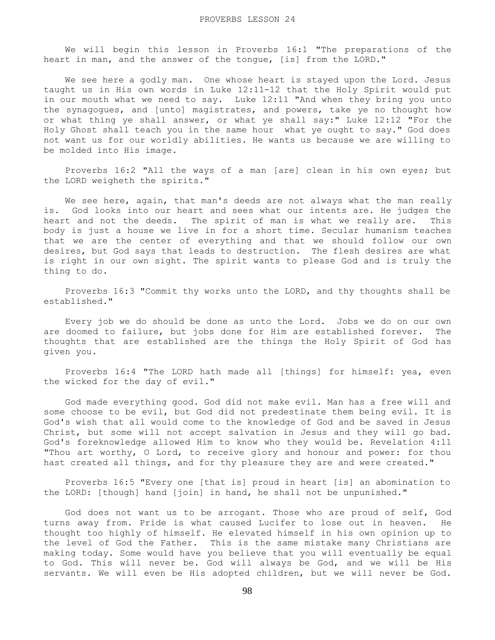We will begin this lesson in Proverbs 16:1 "The preparations of the heart in man, and the answer of the tongue, [is] from the LORD."

We see here a godly man. One whose heart is stayed upon the Lord. Jesus taught us in His own words in Luke 12:11-12 that the Holy Spirit would put in our mouth what we need to say. Luke 12:11 "And when they bring you unto the synagogues, and [unto] magistrates, and powers, take ye no thought how or what thing ye shall answer, or what ye shall say:" Luke 12:12 "For the Holy Ghost shall teach you in the same hour what ye ought to say." God does not want us for our worldly abilities. He wants us because we are willing to be molded into His image.

 Proverbs 16:2 "All the ways of a man [are] clean in his own eyes; but the LORD weigheth the spirits."

 We see here, again, that man's deeds are not always what the man really is. God looks into our heart and sees what our intents are. He judges the heart and not the deeds. The spirit of man is what we really are. This body is just a house we live in for a short time. Secular humanism teaches that we are the center of everything and that we should follow our own desires, but God says that leads to destruction. The flesh desires are what is right in our own sight. The spirit wants to please God and is truly the thing to do.

 Proverbs 16:3 "Commit thy works unto the LORD, and thy thoughts shall be established."

 Every job we do should be done as unto the Lord. Jobs we do on our own are doomed to failure, but jobs done for Him are established forever. The thoughts that are established are the things the Holy Spirit of God has given you.

 Proverbs 16:4 "The LORD hath made all [things] for himself: yea, even the wicked for the day of evil."

 God made everything good. God did not make evil. Man has a free will and some choose to be evil, but God did not predestinate them being evil. It is God's wish that all would come to the knowledge of God and be saved in Jesus Christ, but some will not accept salvation in Jesus and they will go bad. God's foreknowledge allowed Him to know who they would be. Revelation 4:11 "Thou art worthy, O Lord, to receive glory and honour and power: for thou hast created all things, and for thy pleasure they are and were created."

 Proverbs 16:5 "Every one [that is] proud in heart [is] an abomination to the LORD: [though] hand [join] in hand, he shall not be unpunished."

 God does not want us to be arrogant. Those who are proud of self, God turns away from. Pride is what caused Lucifer to lose out in heaven. He thought too highly of himself. He elevated himself in his own opinion up to the level of God the Father. This is the same mistake many Christians are making today. Some would have you believe that you will eventually be equal to God. This will never be. God will always be God, and we will be His servants. We will even be His adopted children, but we will never be God.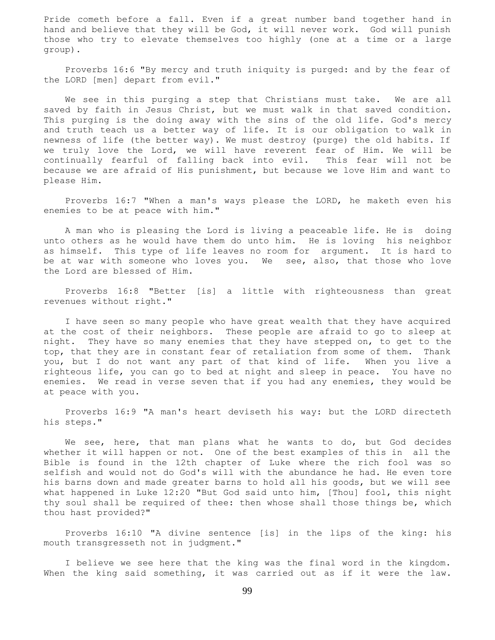Pride cometh before a fall. Even if a great number band together hand in hand and believe that they will be God, it will never work. God will punish those who try to elevate themselves too highly (one at a time or a large group).

 Proverbs 16:6 "By mercy and truth iniquity is purged: and by the fear of the LORD [men] depart from evil."

 We see in this purging a step that Christians must take. We are all saved by faith in Jesus Christ, but we must walk in that saved condition. This purging is the doing away with the sins of the old life. God's mercy and truth teach us a better way of life. It is our obligation to walk in newness of life (the better way). We must destroy (purge) the old habits. If we truly love the Lord, we will have reverent fear of Him. We will be continually fearful of falling back into evil. This fear will not be because we are afraid of His punishment, but because we love Him and want to please Him.

 Proverbs 16:7 "When a man's ways please the LORD, he maketh even his enemies to be at peace with him."

 A man who is pleasing the Lord is living a peaceable life. He is doing unto others as he would have them do unto him. He is loving his neighbor as himself. This type of life leaves no room for argument. It is hard to be at war with someone who loves you. We see, also, that those who love the Lord are blessed of Him.

 Proverbs 16:8 "Better [is] a little with righteousness than great revenues without right."

 I have seen so many people who have great wealth that they have acquired at the cost of their neighbors. These people are afraid to go to sleep at night. They have so many enemies that they have stepped on, to get to the top, that they are in constant fear of retaliation from some of them. Thank you, but I do not want any part of that kind of life. When you live a righteous life, you can go to bed at night and sleep in peace. You have no enemies. We read in verse seven that if you had any enemies, they would be at peace with you.

 Proverbs 16:9 "A man's heart deviseth his way: but the LORD directeth his steps."

 We see, here, that man plans what he wants to do, but God decides whether it will happen or not. One of the best examples of this in all the Bible is found in the 12th chapter of Luke where the rich fool was so selfish and would not do God's will with the abundance he had. He even tore his barns down and made greater barns to hold all his goods, but we will see what happened in Luke 12:20 "But God said unto him, [Thou] fool, this night thy soul shall be required of thee: then whose shall those things be, which thou hast provided?"

 Proverbs 16:10 "A divine sentence [is] in the lips of the king: his mouth transgresseth not in judgment."

 I believe we see here that the king was the final word in the kingdom. When the king said something, it was carried out as if it were the law.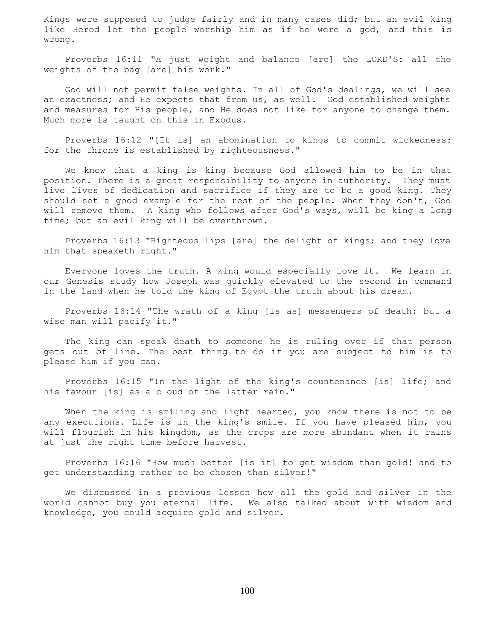Kings were supposed to judge fairly and in many cases did; but an evil king like Herod let the people worship him as if he were a god, and this is wrong.

 Proverbs 16:11 "A just weight and balance [are] the LORD'S: all the weights of the bag [are] his work."

 God will not permit false weights. In all of God's dealings, we will see an exactness; and He expects that from us, as well. God established weights and measures for His people, and He does not like for anyone to change them. Much more is taught on this in Exodus.

 Proverbs 16:12 "[It is] an abomination to kings to commit wickedness: for the throne is established by righteousness."

 We know that a king is king because God allowed him to be in that position. There is a great responsibility to anyone in authority. They must live lives of dedication and sacrifice if they are to be a good king. They should set a good example for the rest of the people. When they don't, God will remove them. A king who follows after God's ways, will be king a long time; but an evil king will be overthrown.

 Proverbs 16:13 "Righteous lips [are] the delight of kings; and they love him that speaketh right."

 Everyone loves the truth. A king would especially love it. We learn in our Genesis study how Joseph was quickly elevated to the second in command in the land when he told the king of Egypt the truth about his dream.

 Proverbs 16:14 "The wrath of a king [is as] messengers of death: but a wise man will pacify it."

 The king can speak death to someone he is ruling over if that person gets out of line. The best thing to do if you are subject to him is to please him if you can.

 Proverbs 16:15 "In the light of the king's countenance [is] life; and his favour [is] as a cloud of the latter rain."

 When the king is smiling and light hearted, you know there is not to be any executions. Life is in the king's smile. If you have pleased him, you will flourish in his kingdom, as the crops are more abundant when it rains at just the right time before harvest.

 Proverbs 16:16 "How much better [is it] to get wisdom than gold! and to get understanding rather to be chosen than silver!"

 We discussed in a previous lesson how all the gold and silver in the world cannot buy you eternal life. We also talked about with wisdom and knowledge, you could acquire gold and silver.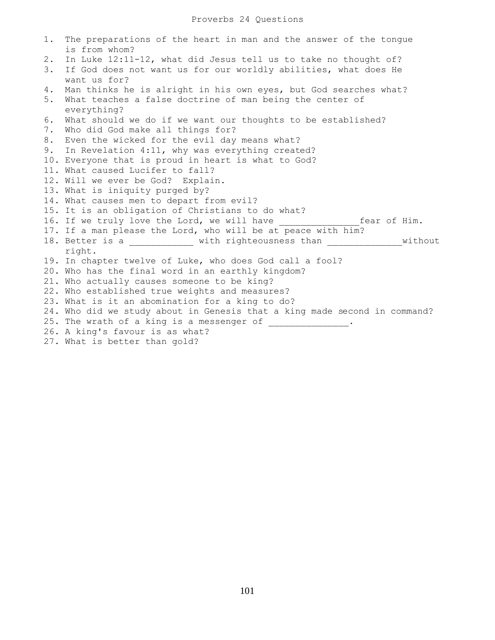| 1. | The preparations of the heart in man and the answer of the tongue<br>is from whom? |
|----|------------------------------------------------------------------------------------|
| 2. | In Luke 12:11-12, what did Jesus tell us to take no thought of?                    |
| 3. | If God does not want us for our worldly abilities, what does He                    |
|    | want us for?                                                                       |
| 4. | Man thinks he is alright in his own eyes, but God searches what?                   |
| 5. | What teaches a false doctrine of man being the center of                           |
|    | everything?                                                                        |
| 6. | What should we do if we want our thoughts to be established?                       |
| 7. | Who did God make all things for?                                                   |
| 8. | Even the wicked for the evil day means what?                                       |
|    | 9. In Revelation 4:11, why was everything created?                                 |
|    | 10. Everyone that is proud in heart is what to God?                                |
|    | 11. What caused Lucifer to fall?                                                   |
|    | 12. Will we ever be God? Explain.                                                  |
|    | 13. What is iniquity purged by?                                                    |
|    | 14. What causes men to depart from evil?                                           |
|    | 15. It is an obligation of Christians to do what?                                  |
|    |                                                                                    |
|    | 17. If a man please the Lord, who will be at peace with him?                       |
|    | 18. Better is a ____________ with righteousness than _______________without        |
|    | right.                                                                             |
|    | 19. In chapter twelve of Luke, who does God call a fool?                           |
|    | 20. Who has the final word in an earthly kingdom?                                  |
|    | 21. Who actually causes someone to be king?                                        |
|    | 22. Who established true weights and measures?                                     |
|    | 23. What is it an abomination for a king to do?                                    |
|    | 24. Who did we study about in Genesis that a king made second in command?          |
|    |                                                                                    |
|    | 26. A king's favour is as what?                                                    |
|    | 27. What is better than gold?                                                      |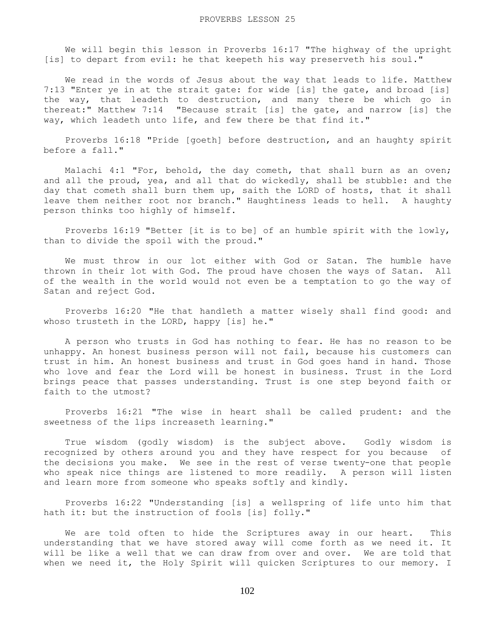We will begin this lesson in Proverbs 16:17 "The highway of the upright [is] to depart from evil: he that keepeth his way preserveth his soul."

 We read in the words of Jesus about the way that leads to life. Matthew 7:13 "Enter ye in at the strait gate: for wide [is] the gate, and broad [is] the way, that leadeth to destruction, and many there be which go in thereat:" Matthew 7:14 "Because strait [is] the gate, and narrow [is] the way, which leadeth unto life, and few there be that find it."

 Proverbs 16:18 "Pride [goeth] before destruction, and an haughty spirit before a fall."

 Malachi 4:1 "For, behold, the day cometh, that shall burn as an oven; and all the proud, yea, and all that do wickedly, shall be stubble: and the day that cometh shall burn them up, saith the LORD of hosts, that it shall leave them neither root nor branch." Haughtiness leads to hell. A haughty person thinks too highly of himself.

 Proverbs 16:19 "Better [it is to be] of an humble spirit with the lowly, than to divide the spoil with the proud."

 We must throw in our lot either with God or Satan. The humble have thrown in their lot with God. The proud have chosen the ways of Satan. All of the wealth in the world would not even be a temptation to go the way of Satan and reject God.

 Proverbs 16:20 "He that handleth a matter wisely shall find good: and whoso trusteth in the LORD, happy [is] he."

 A person who trusts in God has nothing to fear. He has no reason to be unhappy. An honest business person will not fail, because his customers can trust in him. An honest business and trust in God goes hand in hand. Those who love and fear the Lord will be honest in business. Trust in the Lord brings peace that passes understanding. Trust is one step beyond faith or faith to the utmost?

 Proverbs 16:21 "The wise in heart shall be called prudent: and the sweetness of the lips increaseth learning."

 True wisdom (godly wisdom) is the subject above. Godly wisdom is recognized by others around you and they have respect for you because of the decisions you make. We see in the rest of verse twenty-one that people who speak nice things are listened to more readily. A person will listen and learn more from someone who speaks softly and kindly.

 Proverbs 16:22 "Understanding [is] a wellspring of life unto him that hath it: but the instruction of fools [is] folly."

 We are told often to hide the Scriptures away in our heart. This understanding that we have stored away will come forth as we need it. It will be like a well that we can draw from over and over. We are told that when we need it, the Holy Spirit will quicken Scriptures to our memory. I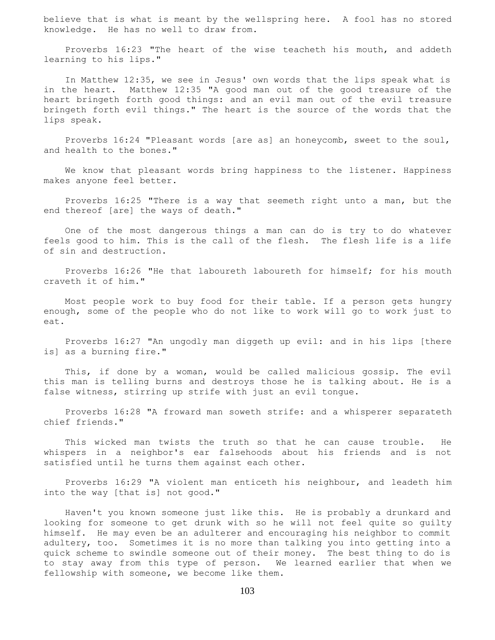believe that is what is meant by the wellspring here. A fool has no stored knowledge. He has no well to draw from.

 Proverbs 16:23 "The heart of the wise teacheth his mouth, and addeth learning to his lips."

 In Matthew 12:35, we see in Jesus' own words that the lips speak what is in the heart. Matthew 12:35 "A good man out of the good treasure of the heart bringeth forth good things: and an evil man out of the evil treasure bringeth forth evil things." The heart is the source of the words that the lips speak.

 Proverbs 16:24 "Pleasant words [are as] an honeycomb, sweet to the soul, and health to the bones."

 We know that pleasant words bring happiness to the listener. Happiness makes anyone feel better.

 Proverbs 16:25 "There is a way that seemeth right unto a man, but the end thereof [are] the ways of death."

 One of the most dangerous things a man can do is try to do whatever feels good to him. This is the call of the flesh. The flesh life is a life of sin and destruction.

 Proverbs 16:26 "He that laboureth laboureth for himself; for his mouth craveth it of him."

 Most people work to buy food for their table. If a person gets hungry enough, some of the people who do not like to work will go to work just to eat.

 Proverbs 16:27 "An ungodly man diggeth up evil: and in his lips [there is] as a burning fire."

 This, if done by a woman, would be called malicious gossip. The evil this man is telling burns and destroys those he is talking about. He is a false witness, stirring up strife with just an evil tongue.

 Proverbs 16:28 "A froward man soweth strife: and a whisperer separateth chief friends."

 This wicked man twists the truth so that he can cause trouble. He whispers in a neighbor's ear falsehoods about his friends and is not satisfied until he turns them against each other.

 Proverbs 16:29 "A violent man enticeth his neighbour, and leadeth him into the way [that is] not good."

 Haven't you known someone just like this. He is probably a drunkard and looking for someone to get drunk with so he will not feel quite so guilty himself. He may even be an adulterer and encouraging his neighbor to commit adultery, too. Sometimes it is no more than talking you into getting into a quick scheme to swindle someone out of their money. The best thing to do is to stay away from this type of person. We learned earlier that when we fellowship with someone, we become like them.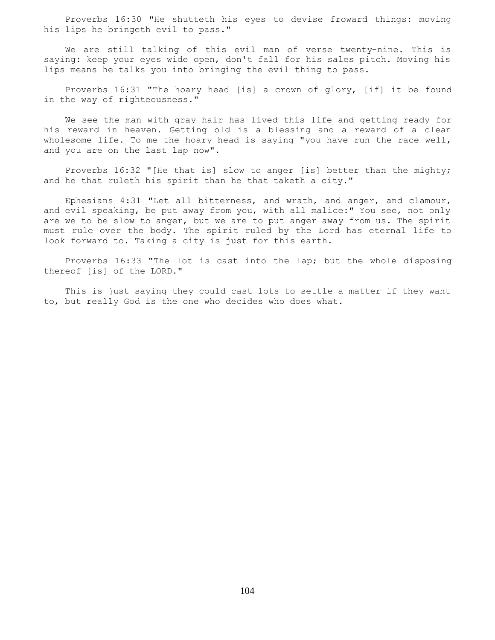Proverbs 16:30 "He shutteth his eyes to devise froward things: moving his lips he bringeth evil to pass."

 We are still talking of this evil man of verse twenty-nine. This is saying: keep your eyes wide open, don't fall for his sales pitch. Moving his lips means he talks you into bringing the evil thing to pass.

 Proverbs 16:31 "The hoary head [is] a crown of glory, [if] it be found in the way of righteousness."

 We see the man with gray hair has lived this life and getting ready for his reward in heaven. Getting old is a blessing and a reward of a clean wholesome life. To me the hoary head is saying "you have run the race well, and you are on the last lap now".

 Proverbs 16:32 "[He that is] slow to anger [is] better than the mighty; and he that ruleth his spirit than he that taketh a city."

 Ephesians 4:31 "Let all bitterness, and wrath, and anger, and clamour, and evil speaking, be put away from you, with all malice:" You see, not only are we to be slow to anger, but we are to put anger away from us. The spirit must rule over the body. The spirit ruled by the Lord has eternal life to look forward to. Taking a city is just for this earth.

 Proverbs 16:33 "The lot is cast into the lap; but the whole disposing thereof [is] of the LORD."

 This is just saying they could cast lots to settle a matter if they want to, but really God is the one who decides who does what.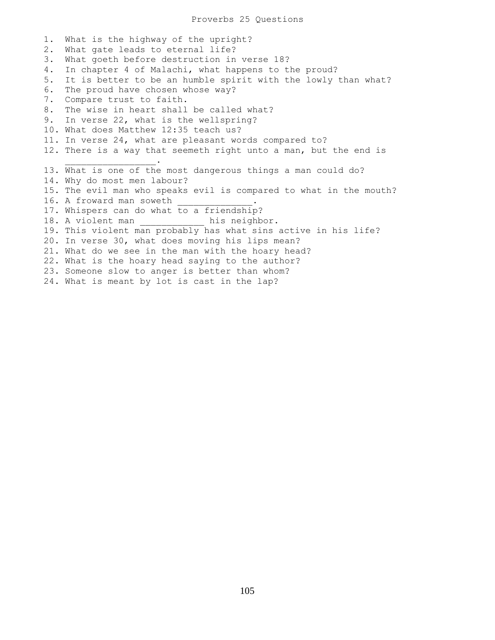1. What is the highway of the upright? 2. What gate leads to eternal life? 3. What goeth before destruction in verse 18? 4. In chapter 4 of Malachi, what happens to the proud? 5. It is better to be an humble spirit with the lowly than what? 6. The proud have chosen whose way? 7. Compare trust to faith. 8. The wise in heart shall be called what? 9. In verse 22, what is the wellspring? 10. What does Matthew 12:35 teach us? 11. In verse 24, what are pleasant words compared to? 12. There is a way that seemeth right unto a man, but the end is  $\mathcal{L}=\mathcal{L}=\mathcal{L}=\mathcal{L}=\mathcal{L}=\mathcal{L}=\mathcal{L}=\mathcal{L}=\mathcal{L}=\mathcal{L}=\mathcal{L}=\mathcal{L}=\mathcal{L}=\mathcal{L}=\mathcal{L}=\mathcal{L}=\mathcal{L}=\mathcal{L}=\mathcal{L}=\mathcal{L}=\mathcal{L}=\mathcal{L}=\mathcal{L}=\mathcal{L}=\mathcal{L}=\mathcal{L}=\mathcal{L}=\mathcal{L}=\mathcal{L}=\mathcal{L}=\mathcal{L}=\mathcal{L}=\mathcal{L}=\mathcal{L}=\mathcal{L}=\mathcal{L}=\mathcal{$ 13. What is one of the most dangerous things a man could do? 14. Why do most men labour? 15. The evil man who speaks evil is compared to what in the mouth? 16. A froward man soweth 17. Whispers can do what to a friendship? 18. A violent man \_\_\_\_\_\_\_\_\_\_\_\_\_ his neighbor. 19. This violent man probably has what sins active in his life? 20. In verse 30, what does moving his lips mean? 21. What do we see in the man with the hoary head? 22. What is the hoary head saying to the author? 23. Someone slow to anger is better than whom? 24. What is meant by lot is cast in the lap?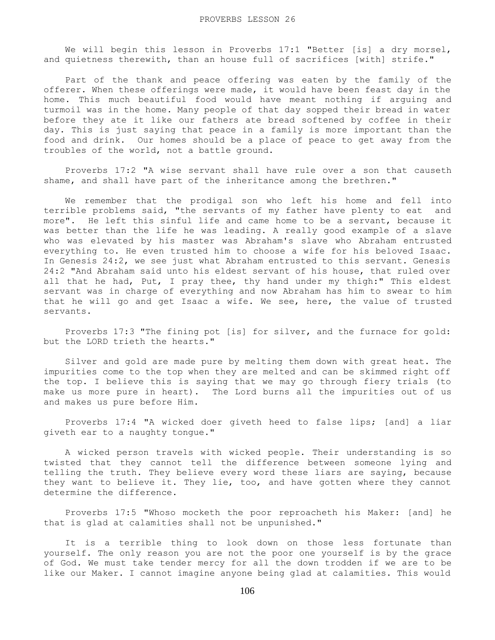We will begin this lesson in Proverbs 17:1 "Better [is] a dry morsel, and quietness therewith, than an house full of sacrifices [with] strife."

 Part of the thank and peace offering was eaten by the family of the offerer. When these offerings were made, it would have been feast day in the home. This much beautiful food would have meant nothing if arguing and turmoil was in the home. Many people of that day sopped their bread in water before they ate it like our fathers ate bread softened by coffee in their day. This is just saying that peace in a family is more important than the food and drink. Our homes should be a place of peace to get away from the troubles of the world, not a battle ground.

 Proverbs 17:2 "A wise servant shall have rule over a son that causeth shame, and shall have part of the inheritance among the brethren."

 We remember that the prodigal son who left his home and fell into terrible problems said, "the servants of my father have plenty to eat and more". He left this sinful life and came home to be a servant, because it was better than the life he was leading. A really good example of a slave who was elevated by his master was Abraham's slave who Abraham entrusted everything to. He even trusted him to choose a wife for his beloved Isaac. In Genesis 24:2, we see just what Abraham entrusted to this servant. Genesis 24:2 "And Abraham said unto his eldest servant of his house, that ruled over all that he had, Put, I pray thee, thy hand under my thigh:" This eldest servant was in charge of everything and now Abraham has him to swear to him that he will go and get Isaac a wife. We see, here, the value of trusted servants.

 Proverbs 17:3 "The fining pot [is] for silver, and the furnace for gold: but the LORD trieth the hearts."

 Silver and gold are made pure by melting them down with great heat. The impurities come to the top when they are melted and can be skimmed right off the top. I believe this is saying that we may go through fiery trials (to make us more pure in heart). The Lord burns all the impurities out of us and makes us pure before Him.

 Proverbs 17:4 "A wicked doer giveth heed to false lips; [and] a liar giveth ear to a naughty tongue."

 A wicked person travels with wicked people. Their understanding is so twisted that they cannot tell the difference between someone lying and telling the truth. They believe every word these liars are saying, because they want to believe it. They lie, too, and have gotten where they cannot determine the difference.

 Proverbs 17:5 "Whoso mocketh the poor reproacheth his Maker: [and] he that is glad at calamities shall not be unpunished."

 It is a terrible thing to look down on those less fortunate than yourself. The only reason you are not the poor one yourself is by the grace of God. We must take tender mercy for all the down trodden if we are to be like our Maker. I cannot imagine anyone being glad at calamities. This would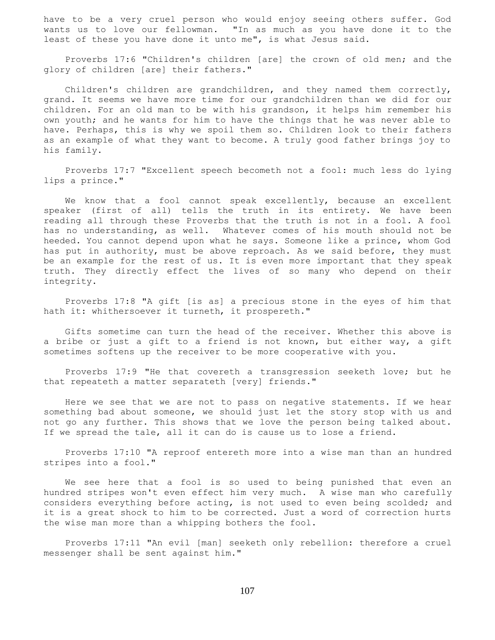have to be a very cruel person who would enjoy seeing others suffer. God wants us to love our fellowman. "In as much as you have done it to the least of these you have done it unto me", is what Jesus said.

 Proverbs 17:6 "Children's children [are] the crown of old men; and the glory of children [are] their fathers."

 Children's children are grandchildren, and they named them correctly, grand. It seems we have more time for our grandchildren than we did for our children. For an old man to be with his grandson, it helps him remember his own youth; and he wants for him to have the things that he was never able to have. Perhaps, this is why we spoil them so. Children look to their fathers as an example of what they want to become. A truly good father brings joy to his family.

 Proverbs 17:7 "Excellent speech becometh not a fool: much less do lying lips a prince."

 We know that a fool cannot speak excellently, because an excellent speaker (first of all) tells the truth in its entirety. We have been reading all through these Proverbs that the truth is not in a fool. A fool has no understanding, as well. Whatever comes of his mouth should not be heeded. You cannot depend upon what he says. Someone like a prince, whom God has put in authority, must be above reproach. As we said before, they must be an example for the rest of us. It is even more important that they speak truth. They directly effect the lives of so many who depend on their integrity.

 Proverbs 17:8 "A gift [is as] a precious stone in the eyes of him that hath it: whithersoever it turneth, it prospereth."

 Gifts sometime can turn the head of the receiver. Whether this above is a bribe or just a gift to a friend is not known, but either way, a gift sometimes softens up the receiver to be more cooperative with you.

 Proverbs 17:9 "He that covereth a transgression seeketh love; but he that repeateth a matter separateth [very] friends."

 Here we see that we are not to pass on negative statements. If we hear something bad about someone, we should just let the story stop with us and not go any further. This shows that we love the person being talked about. If we spread the tale, all it can do is cause us to lose a friend.

 Proverbs 17:10 "A reproof entereth more into a wise man than an hundred stripes into a fool."

 We see here that a fool is so used to being punished that even an hundred stripes won't even effect him very much. A wise man who carefully considers everything before acting, is not used to even being scolded; and it is a great shock to him to be corrected. Just a word of correction hurts the wise man more than a whipping bothers the fool.

 Proverbs 17:11 "An evil [man] seeketh only rebellion: therefore a cruel messenger shall be sent against him."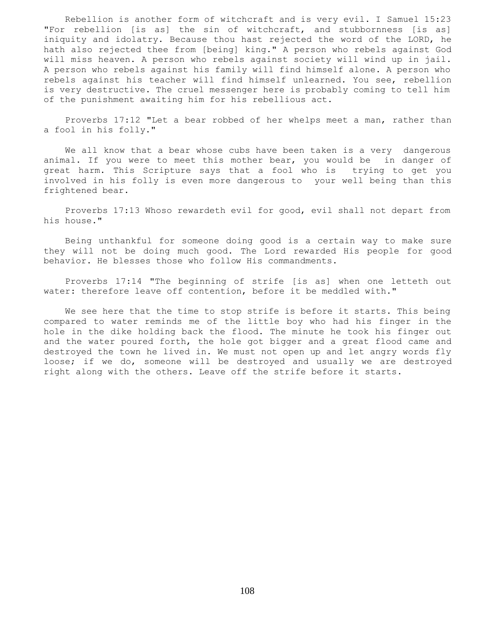Rebellion is another form of witchcraft and is very evil. I Samuel 15:23 "For rebellion [is as] the sin of witchcraft, and stubbornness [is as] iniquity and idolatry. Because thou hast rejected the word of the LORD, he hath also rejected thee from [being] king." A person who rebels against God will miss heaven. A person who rebels against society will wind up in jail. A person who rebels against his family will find himself alone. A person who rebels against his teacher will find himself unlearned. You see, rebellion is very destructive. The cruel messenger here is probably coming to tell him of the punishment awaiting him for his rebellious act.

 Proverbs 17:12 "Let a bear robbed of her whelps meet a man, rather than a fool in his folly."

 We all know that a bear whose cubs have been taken is a very dangerous animal. If you were to meet this mother bear, you would be in danger of great harm. This Scripture says that a fool who is trying to get you involved in his folly is even more dangerous to your well being than this frightened bear.

 Proverbs 17:13 Whoso rewardeth evil for good, evil shall not depart from his house."

 Being unthankful for someone doing good is a certain way to make sure they will not be doing much good. The Lord rewarded His people for good behavior. He blesses those who follow His commandments.

 Proverbs 17:14 "The beginning of strife [is as] when one letteth out water: therefore leave off contention, before it be meddled with."

 We see here that the time to stop strife is before it starts. This being compared to water reminds me of the little boy who had his finger in the hole in the dike holding back the flood. The minute he took his finger out and the water poured forth, the hole got bigger and a great flood came and destroyed the town he lived in. We must not open up and let angry words fly loose; if we do, someone will be destroyed and usually we are destroyed right along with the others. Leave off the strife before it starts.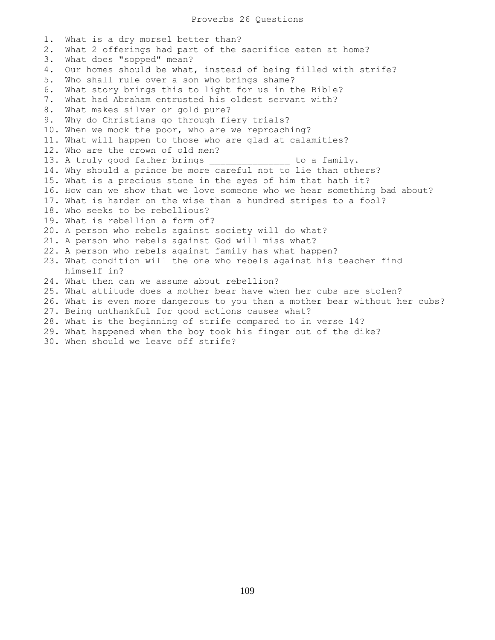1. What is a dry morsel better than? 2. What 2 offerings had part of the sacrifice eaten at home? 3. What does "sopped" mean? 4. Our homes should be what, instead of being filled with strife? 5. Who shall rule over a son who brings shame? 6. What story brings this to light for us in the Bible? 7. What had Abraham entrusted his oldest servant with? 8. What makes silver or gold pure? 9. Why do Christians go through fiery trials? 10. When we mock the poor, who are we reproaching? 11. What will happen to those who are glad at calamities? 12. Who are the crown of old men? 13. A truly good father brings and to a family. 14. Why should a prince be more careful not to lie than others? 15. What is a precious stone in the eyes of him that hath it? 16. How can we show that we love someone who we hear something bad about? 17. What is harder on the wise than a hundred stripes to a fool? 18. Who seeks to be rebellious? 19. What is rebellion a form of? 20. A person who rebels against society will do what? 21. A person who rebels against God will miss what? 22. A person who rebels against family has what happen? 23. What condition will the one who rebels against his teacher find himself in? 24. What then can we assume about rebellion? 25. What attitude does a mother bear have when her cubs are stolen? 26. What is even more dangerous to you than a mother bear without her cubs? 27. Being unthankful for good actions causes what? 28. What is the beginning of strife compared to in verse 14? 29. What happened when the boy took his finger out of the dike? 30. When should we leave off strife?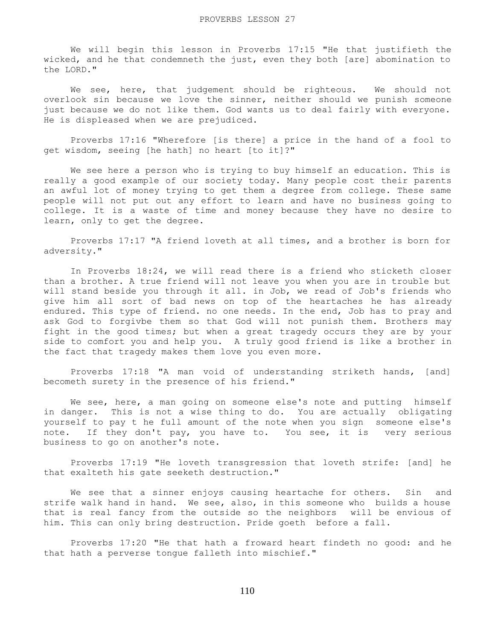We will begin this lesson in Proverbs 17:15 "He that justifieth the wicked, and he that condemneth the just, even they both [are] abomination to the LORD."

We see, here, that judgement should be righteous. We should not overlook sin because we love the sinner, neither should we punish someone just because we do not like them. God wants us to deal fairly with everyone. He is displeased when we are prejudiced.

 Proverbs 17:16 "Wherefore [is there] a price in the hand of a fool to get wisdom, seeing [he hath] no heart [to it]?"

 We see here a person who is trying to buy himself an education. This is really a good example of our society today. Many people cost their parents an awful lot of money trying to get them a degree from college. These same people will not put out any effort to learn and have no business going to college. It is a waste of time and money because they have no desire to learn, only to get the degree.

 Proverbs 17:17 "A friend loveth at all times, and a brother is born for adversity."

 In Proverbs 18:24, we will read there is a friend who sticketh closer than a brother. A true friend will not leave you when you are in trouble but will stand beside you through it all. in Job, we read of Job's friends who give him all sort of bad news on top of the heartaches he has already endured. This type of friend. no one needs. In the end, Job has to pray and ask God to forgivbe them so that God will not punish them. Brothers may fight in the good times; but when a great tragedy occurs they are by your side to comfort you and help you. A truly good friend is like a brother in the fact that tragedy makes them love you even more.

 Proverbs 17:18 "A man void of understanding striketh hands, [and] becometh surety in the presence of his friend."

We see, here, a man going on someone else's note and putting himself in danger. This is not a wise thing to do. You are actually obligating yourself to pay t he full amount of the note when you sign someone else's note. If they don't pay, you have to. You see, it is very serious business to go on another's note.

 Proverbs 17:19 "He loveth transgression that loveth strife: [and] he that exalteth his gate seeketh destruction."

 We see that a sinner enjoys causing heartache for others. Sin and strife walk hand in hand. We see, also, in this someone who builds a house that is real fancy from the outside so the neighbors will be envious of him. This can only bring destruction. Pride goeth before a fall.

 Proverbs 17:20 "He that hath a froward heart findeth no good: and he that hath a perverse tongue falleth into mischief."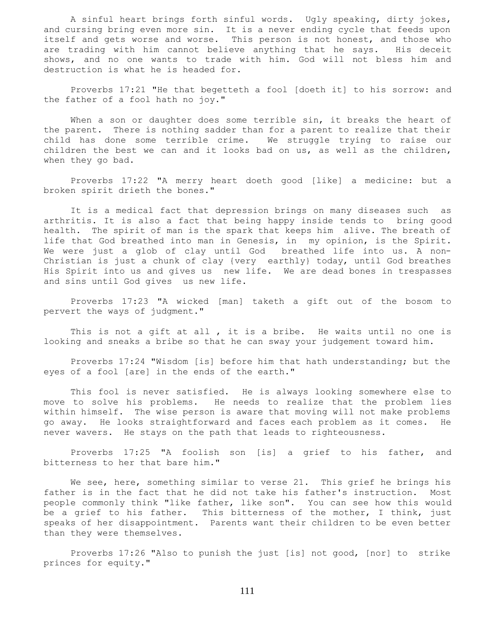A sinful heart brings forth sinful words. Ugly speaking, dirty jokes, and cursing bring even more sin. It is a never ending cycle that feeds upon itself and gets worse and worse. This person is not honest, and those who are trading with him cannot believe anything that he says. His deceit shows, and no one wants to trade with him. God will not bless him and destruction is what he is headed for.

 Proverbs 17:21 "He that begetteth a fool [doeth it] to his sorrow: and the father of a fool hath no joy."

When a son or daughter does some terrible sin, it breaks the heart of the parent. There is nothing sadder than for a parent to realize that their child has done some terrible crime. We struggle trying to raise our children the best we can and it looks bad on us, as well as the children, when they go bad.

 Proverbs 17:22 "A merry heart doeth good [like] a medicine: but a broken spirit drieth the bones."

 It is a medical fact that depression brings on many diseases such as arthritis. It is also a fact that being happy inside tends to bring good health. The spirit of man is the spark that keeps him alive. The breath of life that God breathed into man in Genesis, in my opinion, is the Spirit. We were just a glob of clay until God breathed life into us. A non-Christian is just a chunk of clay {very earthly} today, until God breathes His Spirit into us and gives us new life. We are dead bones in trespasses and sins until God gives us new life.

 Proverbs 17:23 "A wicked [man] taketh a gift out of the bosom to pervert the ways of judgment."

This is not a gift at all, it is a bribe. He waits until no one is looking and sneaks a bribe so that he can sway your judgement toward him.

 Proverbs 17:24 "Wisdom [is] before him that hath understanding; but the eyes of a fool [are] in the ends of the earth."

 This fool is never satisfied. He is always looking somewhere else to move to solve his problems. He needs to realize that the problem lies within himself. The wise person is aware that moving will not make problems go away. He looks straightforward and faces each problem as it comes. He never wavers. He stays on the path that leads to righteousness.

 Proverbs 17:25 "A foolish son [is] a grief to his father, and bitterness to her that bare him."

We see, here, something similar to verse 21. This grief he brings his father is in the fact that he did not take his father's instruction. Most people commonly think "like father, like son". You can see how this would be a grief to his father. This bitterness of the mother, I think, just speaks of her disappointment. Parents want their children to be even better than they were themselves.

 Proverbs 17:26 "Also to punish the just [is] not good, [nor] to strike princes for equity."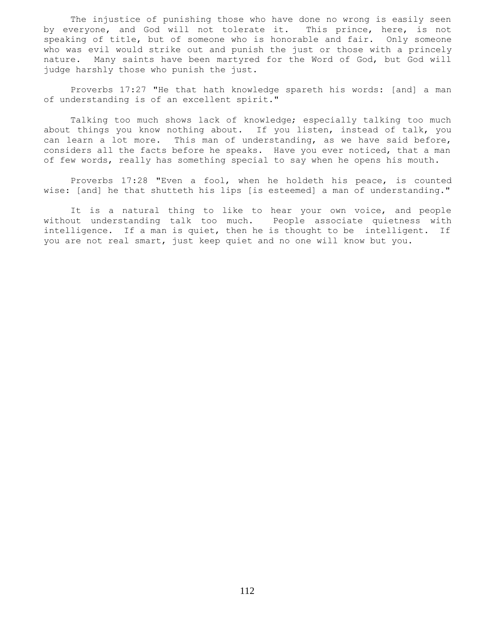The injustice of punishing those who have done no wrong is easily seen by everyone, and God will not tolerate it. This prince, here, is not speaking of title, but of someone who is honorable and fair. Only someone who was evil would strike out and punish the just or those with a princely nature. Many saints have been martyred for the Word of God, but God will judge harshly those who punish the just.

 Proverbs 17:27 "He that hath knowledge spareth his words: [and] a man of understanding is of an excellent spirit."

 Talking too much shows lack of knowledge; especially talking too much about things you know nothing about. If you listen, instead of talk, you can learn a lot more. This man of understanding, as we have said before, considers all the facts before he speaks. Have you ever noticed, that a man of few words, really has something special to say when he opens his mouth.

 Proverbs 17:28 "Even a fool, when he holdeth his peace, is counted wise: [and] he that shutteth his lips [is esteemed] a man of understanding."

 It is a natural thing to like to hear your own voice, and people without understanding talk too much. People associate quietness with intelligence. If a man is quiet, then he is thought to be intelligent. If you are not real smart, just keep quiet and no one will know but you.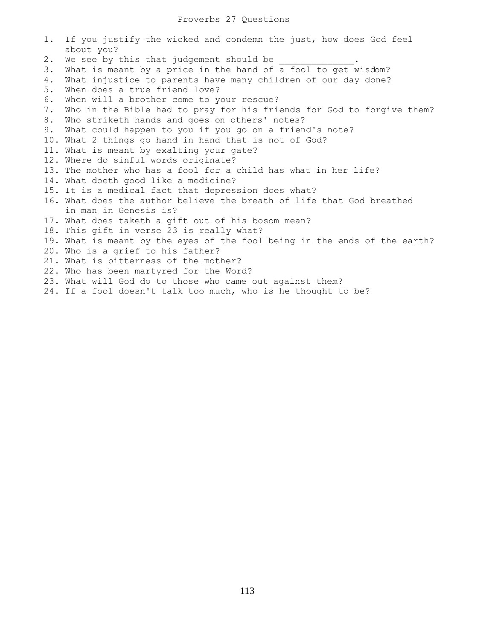| 1. | If you justify the wicked and condemn the just, how does God feel         |
|----|---------------------------------------------------------------------------|
|    | about you?                                                                |
| 2. | We see by this that judgement should be                                   |
| 3. | What is meant by a price in the hand of a fool to get wisdom?             |
| 4. | What injustice to parents have many children of our day done?             |
| 5. | When does a true friend love?                                             |
| 6. | When will a brother come to your rescue?                                  |
| 7. | Who in the Bible had to pray for his friends for God to forgive them?     |
| 8. | Who striketh hands and goes on others' notes?                             |
| 9. | What could happen to you if you go on a friend's note?                    |
|    | 10. What 2 things go hand in hand that is not of God?                     |
|    | 11. What is meant by exalting your gate?                                  |
|    | 12. Where do sinful words originate?                                      |
|    | 13. The mother who has a fool for a child has what in her life?           |
|    | 14. What doeth good like a medicine?                                      |
|    | 15. It is a medical fact that depression does what?                       |
|    | 16. What does the author believe the breath of life that God breathed     |
|    | in man in Genesis is?                                                     |
|    | 17. What does taketh a gift out of his bosom mean?                        |
|    | 18. This gift in verse 23 is really what?                                 |
|    | 19. What is meant by the eyes of the fool being in the ends of the earth? |
|    | 20. Who is a grief to his father?                                         |
|    | 21. What is bitterness of the mother?                                     |
|    | 22. Who has been martyred for the Word?                                   |
|    | 23. What will God do to those who came out against them?                  |
|    | 24. If a fool doesn't talk too much, who is he thought to be?             |
|    |                                                                           |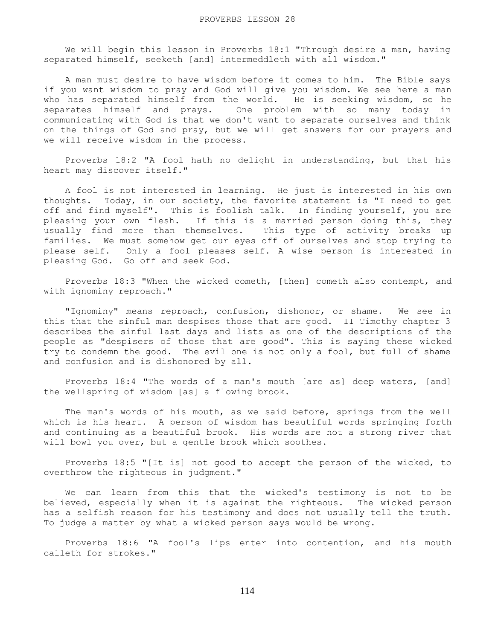We will begin this lesson in Proverbs 18:1 "Through desire a man, having separated himself, seeketh [and] intermeddleth with all wisdom."

 A man must desire to have wisdom before it comes to him. The Bible says if you want wisdom to pray and God will give you wisdom. We see here a man who has separated himself from the world. He is seeking wisdom, so he separates himself and prays. One problem with so many today in communicating with God is that we don't want to separate ourselves and think on the things of God and pray, but we will get answers for our prayers and we will receive wisdom in the process.

 Proverbs 18:2 "A fool hath no delight in understanding, but that his heart may discover itself."

 A fool is not interested in learning. He just is interested in his own thoughts. Today, in our society, the favorite statement is "I need to get off and find myself". This is foolish talk. In finding yourself, you are pleasing your own flesh. If this is a married person doing this, they usually find more than themselves. This type of activity breaks up families. We must somehow get our eyes off of ourselves and stop trying to please self. Only a fool pleases self. A wise person is interested in pleasing God. Go off and seek God.

 Proverbs 18:3 "When the wicked cometh, [then] cometh also contempt, and with ignominy reproach."

 "Ignominy" means reproach, confusion, dishonor, or shame. We see in this that the sinful man despises those that are good. II Timothy chapter 3 describes the sinful last days and lists as one of the descriptions of the people as "despisers of those that are good". This is saying these wicked try to condemn the good. The evil one is not only a fool, but full of shame and confusion and is dishonored by all.

 Proverbs 18:4 "The words of a man's mouth [are as] deep waters, [and] the wellspring of wisdom [as] a flowing brook.

 The man's words of his mouth, as we said before, springs from the well which is his heart. A person of wisdom has beautiful words springing forth and continuing as a beautiful brook. His words are not a strong river that will bowl you over, but a gentle brook which soothes.

 Proverbs 18:5 "[It is] not good to accept the person of the wicked, to overthrow the righteous in judgment."

 We can learn from this that the wicked's testimony is not to be believed, especially when it is against the righteous. The wicked person has a selfish reason for his testimony and does not usually tell the truth. To judge a matter by what a wicked person says would be wrong.

 Proverbs 18:6 "A fool's lips enter into contention, and his mouth calleth for strokes."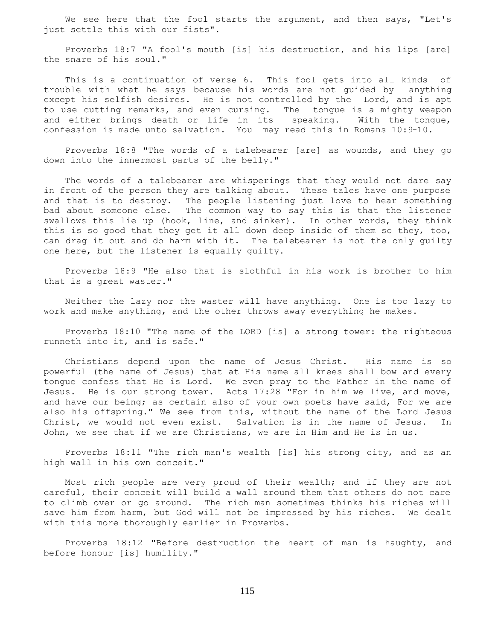We see here that the fool starts the argument, and then says, "Let's just settle this with our fists".

 Proverbs 18:7 "A fool's mouth [is] his destruction, and his lips [are] the snare of his soul."

This is a continuation of verse 6. This fool gets into all kinds of trouble with what he says because his words are not guided by anything except his selfish desires. He is not controlled by the Lord, and is apt to use cutting remarks, and even cursing. The tongue is a mighty weapon and either brings death or life in its speaking. With the tongue, confession is made unto salvation. You may read this in Romans 10:9-10.

 Proverbs 18:8 "The words of a talebearer [are] as wounds, and they go down into the innermost parts of the belly."

 The words of a talebearer are whisperings that they would not dare say in front of the person they are talking about. These tales have one purpose and that is to destroy. The people listening just love to hear something bad about someone else. The common way to say this is that the listener swallows this lie up (hook, line, and sinker). In other words, they think this is so good that they get it all down deep inside of them so they, too, can drag it out and do harm with it. The talebearer is not the only guilty one here, but the listener is equally guilty.

 Proverbs 18:9 "He also that is slothful in his work is brother to him that is a great waster."

 Neither the lazy nor the waster will have anything. One is too lazy to work and make anything, and the other throws away everything he makes.

 Proverbs 18:10 "The name of the LORD [is] a strong tower: the righteous runneth into it, and is safe."

 Christians depend upon the name of Jesus Christ. His name is so powerful (the name of Jesus) that at His name all knees shall bow and every tongue confess that He is Lord. We even pray to the Father in the name of Jesus. He is our strong tower. Acts 17:28 "For in him we live, and move, and have our being; as certain also of your own poets have said, For we are also his offspring." We see from this, without the name of the Lord Jesus Christ, we would not even exist. Salvation is in the name of Jesus. In John, we see that if we are Christians, we are in Him and He is in us.

 Proverbs 18:11 "The rich man's wealth [is] his strong city, and as an high wall in his own conceit."

 Most rich people are very proud of their wealth; and if they are not careful, their conceit will build a wall around them that others do not care to climb over or go around. The rich man sometimes thinks his riches will save him from harm, but God will not be impressed by his riches. We dealt with this more thoroughly earlier in Proverbs.

 Proverbs 18:12 "Before destruction the heart of man is haughty, and before honour [is] humility."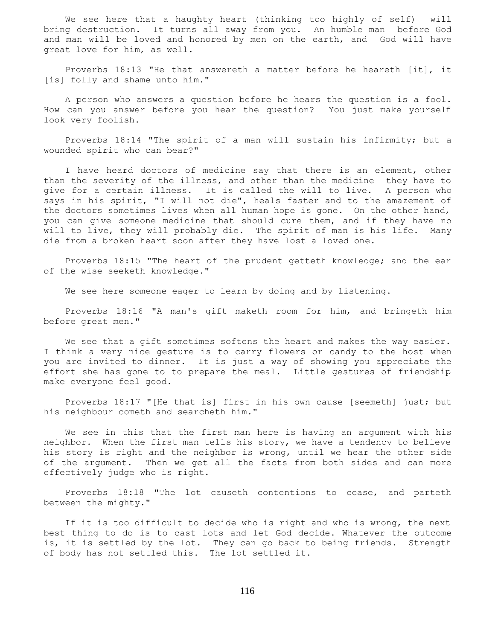We see here that a haughty heart (thinking too highly of self) will bring destruction. It turns all away from you. An humble man before God and man will be loved and honored by men on the earth, and God will have great love for him, as well.

 Proverbs 18:13 "He that answereth a matter before he heareth [it], it [is] folly and shame unto him."

 A person who answers a question before he hears the question is a fool. How can you answer before you hear the question? You just make yourself look very foolish.

 Proverbs 18:14 "The spirit of a man will sustain his infirmity; but a wounded spirit who can bear?"

 I have heard doctors of medicine say that there is an element, other than the severity of the illness, and other than the medicine they have to give for a certain illness. It is called the will to live. A person who says in his spirit, "I will not die", heals faster and to the amazement of the doctors sometimes lives when all human hope is gone. On the other hand, you can give someone medicine that should cure them, and if they have no will to live, they will probably die. The spirit of man is his life. Many die from a broken heart soon after they have lost a loved one.

 Proverbs 18:15 "The heart of the prudent getteth knowledge; and the ear of the wise seeketh knowledge."

We see here someone eager to learn by doing and by listening.

 Proverbs 18:16 "A man's gift maketh room for him, and bringeth him before great men."

 We see that a gift sometimes softens the heart and makes the way easier. I think a very nice gesture is to carry flowers or candy to the host when you are invited to dinner. It is just a way of showing you appreciate the effort she has gone to to prepare the meal. Little gestures of friendship make everyone feel good.

 Proverbs 18:17 "[He that is] first in his own cause [seemeth] just; but his neighbour cometh and searcheth him."

 We see in this that the first man here is having an argument with his neighbor. When the first man tells his story, we have a tendency to believe his story is right and the neighbor is wrong, until we hear the other side of the argument. Then we get all the facts from both sides and can more effectively judge who is right.

 Proverbs 18:18 "The lot causeth contentions to cease, and parteth between the mighty."

 If it is too difficult to decide who is right and who is wrong, the next best thing to do is to cast lots and let God decide. Whatever the outcome is, it is settled by the lot. They can go back to being friends. Strength of body has not settled this. The lot settled it.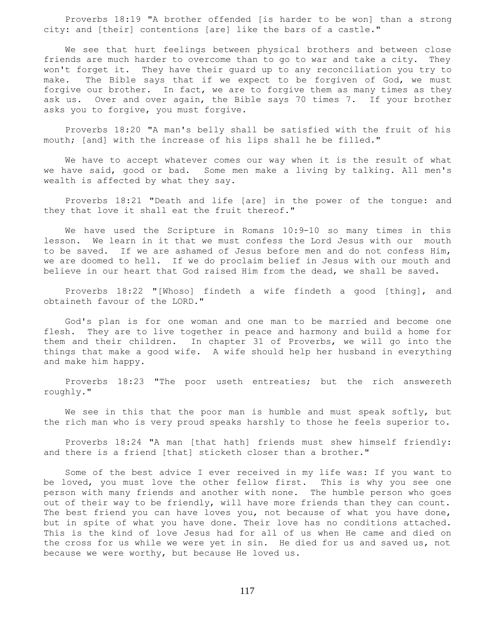Proverbs 18:19 "A brother offended [is harder to be won] than a strong city: and [their] contentions [are] like the bars of a castle."

 We see that hurt feelings between physical brothers and between close friends are much harder to overcome than to go to war and take a city. They won't forget it. They have their guard up to any reconciliation you try to make. The Bible says that if we expect to be forgiven of God, we must forgive our brother. In fact, we are to forgive them as many times as they ask us. Over and over again, the Bible says 70 times 7. If your brother asks you to forgive, you must forgive.

 Proverbs 18:20 "A man's belly shall be satisfied with the fruit of his mouth; [and] with the increase of his lips shall he be filled."

 We have to accept whatever comes our way when it is the result of what we have said, good or bad. Some men make a living by talking. All men's wealth is affected by what they say.

 Proverbs 18:21 "Death and life [are] in the power of the tongue: and they that love it shall eat the fruit thereof."

 We have used the Scripture in Romans 10:9-10 so many times in this lesson. We learn in it that we must confess the Lord Jesus with our mouth to be saved. If we are ashamed of Jesus before men and do not confess Him, we are doomed to hell. If we do proclaim belief in Jesus with our mouth and believe in our heart that God raised Him from the dead, we shall be saved.

 Proverbs 18:22 "[Whoso] findeth a wife findeth a good [thing], and obtaineth favour of the LORD."

 God's plan is for one woman and one man to be married and become one flesh. They are to live together in peace and harmony and build a home for them and their children. In chapter 31 of Proverbs, we will go into the things that make a good wife. A wife should help her husband in everything and make him happy.

 Proverbs 18:23 "The poor useth entreaties; but the rich answereth roughly."

We see in this that the poor man is humble and must speak softly, but the rich man who is very proud speaks harshly to those he feels superior to.

 Proverbs 18:24 "A man [that hath] friends must shew himself friendly: and there is a friend [that] sticketh closer than a brother."

 Some of the best advice I ever received in my life was: If you want to be loved, you must love the other fellow first. This is why you see one person with many friends and another with none. The humble person who goes out of their way to be friendly, will have more friends than they can count. The best friend you can have loves you, not because of what you have done, but in spite of what you have done. Their love has no conditions attached. This is the kind of love Jesus had for all of us when He came and died on the cross for us while we were yet in sin. He died for us and saved us, not because we were worthy, but because He loved us.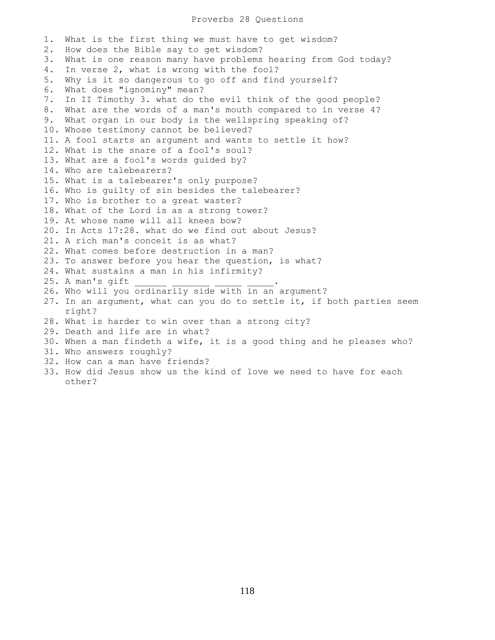## Proverbs 28 Questions

1. What is the first thing we must have to get wisdom? 2. How does the Bible say to get wisdom? 3. What is one reason many have problems hearing from God today? 4. In verse 2, what is wrong with the fool? 5. Why is it so dangerous to go off and find yourself? 6. What does "ignominy" mean? 7. In II Timothy 3. what do the evil think of the good people? 8. What are the words of a man's mouth compared to in verse 4? 9. What organ in our body is the wellspring speaking of? 10. Whose testimony cannot be believed? 11. A fool starts an argument and wants to settle it how? 12. What is the snare of a fool's soul? 13. What are a fool's words guided by? 14. Who are talebearers? 15. What is a talebearer's only purpose? 16. Who is guilty of sin besides the talebearer? 17. Who is brother to a great waster? 18. What of the Lord is as a strong tower? 19. At whose name will all knees bow? 20. In Acts 17:28. what do we find out about Jesus? 21. A rich man's conceit is as what? 22. What comes before destruction in a man? 23. To answer before you hear the question, is what? 24. What sustains a man in his infirmity?  $25.$  A man's qift 26. Who will you ordinarily side with in an argument? 27. In an argument, what can you do to settle it, if both parties seem right? 28. What is harder to win over than a strong city? 29. Death and life are in what? 30. When a man findeth a wife, it is a good thing and he pleases who? 31. Who answers roughly? 32. How can a man have friends? 33. How did Jesus show us the kind of love we need to have for each

other?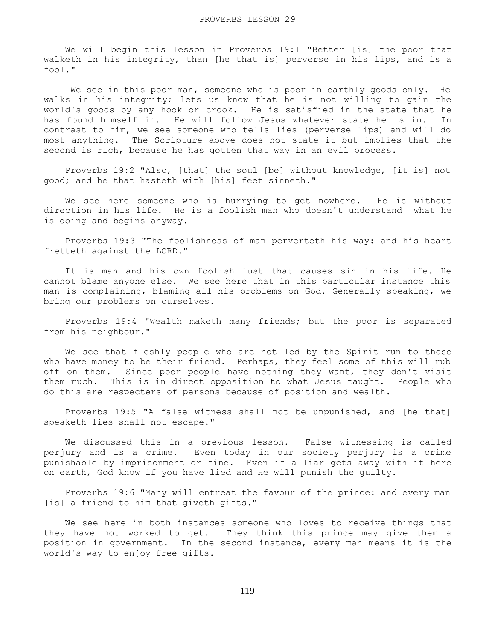We will begin this lesson in Proverbs 19:1 "Better [is] the poor that walketh in his integrity, than [he that is] perverse in his lips, and is a fool."

We see in this poor man, someone who is poor in earthly goods only. He walks in his integrity; lets us know that he is not willing to gain the world's goods by any hook or crook. He is satisfied in the state that he has found himself in. He will follow Jesus whatever state he is in. In contrast to him, we see someone who tells lies (perverse lips) and will do most anything. The Scripture above does not state it but implies that the second is rich, because he has gotten that way in an evil process.

 Proverbs 19:2 "Also, [that] the soul [be] without knowledge, [it is] not good; and he that hasteth with [his] feet sinneth."

 We see here someone who is hurrying to get nowhere. He is without direction in his life. He is a foolish man who doesn't understand what he is doing and begins anyway.

 Proverbs 19:3 "The foolishness of man perverteth his way: and his heart fretteth against the LORD."

 It is man and his own foolish lust that causes sin in his life. He cannot blame anyone else. We see here that in this particular instance this man is complaining, blaming all his problems on God. Generally speaking, we bring our problems on ourselves.

 Proverbs 19:4 "Wealth maketh many friends; but the poor is separated from his neighbour."

We see that fleshly people who are not led by the Spirit run to those who have money to be their friend. Perhaps, they feel some of this will rub off on them. Since poor people have nothing they want, they don't visit them much. This is in direct opposition to what Jesus taught. People who do this are respecters of persons because of position and wealth.

 Proverbs 19:5 "A false witness shall not be unpunished, and [he that] speaketh lies shall not escape."

 We discussed this in a previous lesson. False witnessing is called perjury and is a crime. Even today in our society perjury is a crime punishable by imprisonment or fine. Even if a liar gets away with it here on earth, God know if you have lied and He will punish the guilty.

 Proverbs 19:6 "Many will entreat the favour of the prince: and every man [is] a friend to him that giveth gifts."

 We see here in both instances someone who loves to receive things that they have not worked to get. They think this prince may give them a position in government. In the second instance, every man means it is the world's way to enjoy free gifts.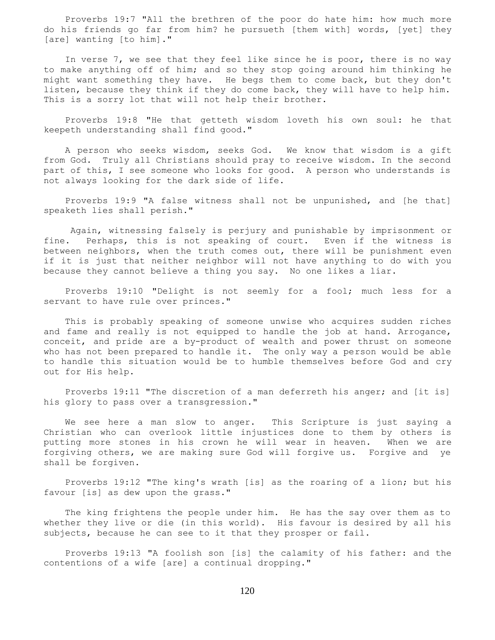Proverbs 19:7 "All the brethren of the poor do hate him: how much more do his friends go far from him? he pursueth [them with] words, [yet] they [are] wanting [to him]."

 In verse 7, we see that they feel like since he is poor, there is no way to make anything off of him; and so they stop going around him thinking he might want something they have. He begs them to come back, but they don't listen, because they think if they do come back, they will have to help him. This is a sorry lot that will not help their brother.

 Proverbs 19:8 "He that getteth wisdom loveth his own soul: he that keepeth understanding shall find good."

 A person who seeks wisdom, seeks God. We know that wisdom is a gift from God. Truly all Christians should pray to receive wisdom. In the second part of this, I see someone who looks for good. A person who understands is not always looking for the dark side of life.

 Proverbs 19:9 "A false witness shall not be unpunished, and [he that] speaketh lies shall perish."

 Again, witnessing falsely is perjury and punishable by imprisonment or fine. Perhaps, this is not speaking of court. Even if the witness is between neighbors, when the truth comes out, there will be punishment even if it is just that neither neighbor will not have anything to do with you because they cannot believe a thing you say. No one likes a liar.

 Proverbs 19:10 "Delight is not seemly for a fool; much less for a servant to have rule over princes."

 This is probably speaking of someone unwise who acquires sudden riches and fame and really is not equipped to handle the job at hand. Arrogance, conceit, and pride are a by-product of wealth and power thrust on someone who has not been prepared to handle it. The only way a person would be able to handle this situation would be to humble themselves before God and cry out for His help.

 Proverbs 19:11 "The discretion of a man deferreth his anger; and [it is] his glory to pass over a transgression."

 We see here a man slow to anger. This Scripture is just saying a Christian who can overlook little injustices done to them by others is putting more stones in his crown he will wear in heaven. When we are forgiving others, we are making sure God will forgive us. Forgive and ye shall be forgiven.

 Proverbs 19:12 "The king's wrath [is] as the roaring of a lion; but his favour [is] as dew upon the grass."

 The king frightens the people under him. He has the say over them as to whether they live or die (in this world). His favour is desired by all his subjects, because he can see to it that they prosper or fail.

 Proverbs 19:13 "A foolish son [is] the calamity of his father: and the contentions of a wife [are] a continual dropping."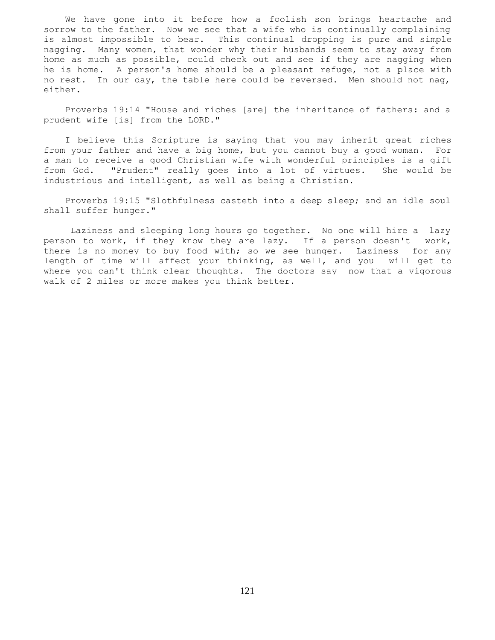We have gone into it before how a foolish son brings heartache and sorrow to the father. Now we see that a wife who is continually complaining is almost impossible to bear. This continual dropping is pure and simple nagging. Many women, that wonder why their husbands seem to stay away from home as much as possible, could check out and see if they are nagging when he is home. A person's home should be a pleasant refuge, not a place with no rest. In our day, the table here could be reversed. Men should not nag, either.

 Proverbs 19:14 "House and riches [are] the inheritance of fathers: and a prudent wife [is] from the LORD."

 I believe this Scripture is saying that you may inherit great riches from your father and have a big home, but you cannot buy a good woman. For a man to receive a good Christian wife with wonderful principles is a gift from God. "Prudent" really goes into a lot of virtues. She would be industrious and intelligent, as well as being a Christian.

 Proverbs 19:15 "Slothfulness casteth into a deep sleep; and an idle soul shall suffer hunger."

 Laziness and sleeping long hours go together. No one will hire a lazy person to work, if they know they are lazy. If a person doesn't work, there is no money to buy food with; so we see hunger. Laziness for any length of time will affect your thinking, as well, and you will get to where you can't think clear thoughts. The doctors say now that a vigorous walk of 2 miles or more makes you think better.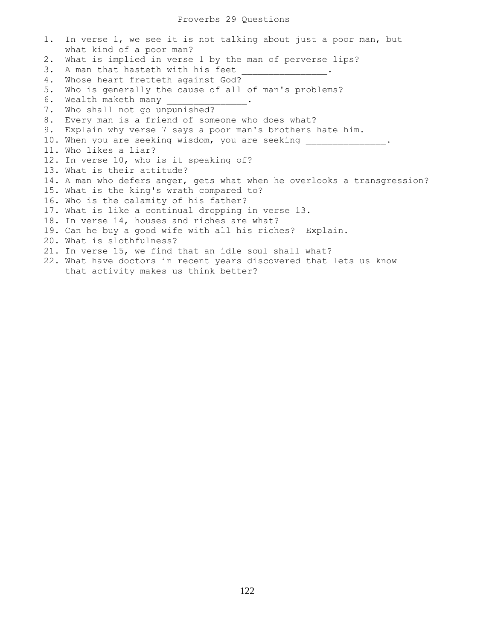## Proverbs 29 Questions

1. In verse 1, we see it is not talking about just a poor man, but what kind of a poor man? 2. What is implied in verse 1 by the man of perverse lips? 3. A man that hasteth with his feet 4. Whose heart fretteth against God? 5. Who is generally the cause of all of man's problems? 6. Wealth maketh many 7. Who shall not go unpunished? 8. Every man is a friend of someone who does what? 9. Explain why verse 7 says a poor man's brothers hate him. 10. When you are seeking wisdom, you are seeking \_\_\_\_\_\_\_\_\_\_\_\_\_\_\_\_\_. 11. Who likes a liar? 12. In verse 10, who is it speaking of? 13. What is their attitude? 14. A man who defers anger, gets what when he overlooks a transgression? 15. What is the king's wrath compared to? 16. Who is the calamity of his father? 17. What is like a continual dropping in verse 13. 18. In verse 14, houses and riches are what? 19. Can he buy a good wife with all his riches? Explain. 20. What is slothfulness? 21. In verse 15, we find that an idle soul shall what? 22. What have doctors in recent years discovered that lets us know that activity makes us think better?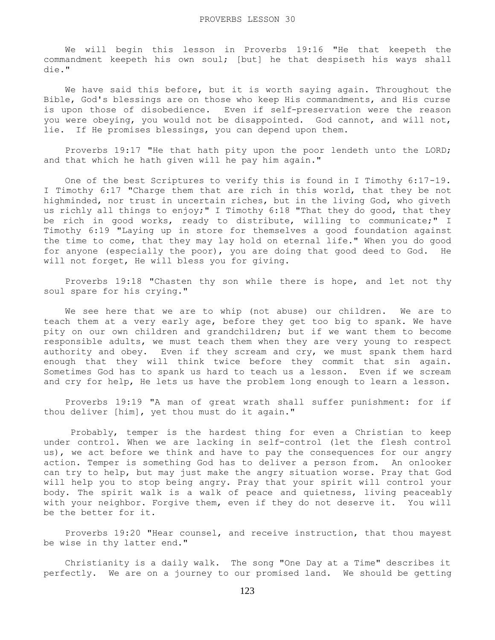We will begin this lesson in Proverbs 19:16 "He that keepeth the commandment keepeth his own soul; [but] he that despiseth his ways shall die."

We have said this before, but it is worth saying again. Throughout the Bible, God's blessings are on those who keep His commandments, and His curse is upon those of disobedience. Even if self-preservation were the reason you were obeying, you would not be disappointed. God cannot, and will not, lie. If He promises blessings, you can depend upon them.

 Proverbs 19:17 "He that hath pity upon the poor lendeth unto the LORD; and that which he hath given will he pay him again."

 One of the best Scriptures to verify this is found in I Timothy 6:17-19. I Timothy 6:17 "Charge them that are rich in this world, that they be not highminded, nor trust in uncertain riches, but in the living God, who giveth us richly all things to enjoy;" I Timothy 6:18 "That they do good, that they be rich in good works, ready to distribute, willing to communicate;" I Timothy 6:19 "Laying up in store for themselves a good foundation against the time to come, that they may lay hold on eternal life." When you do good for anyone (especially the poor), you are doing that good deed to God. He will not forget, He will bless you for giving.

 Proverbs 19:18 "Chasten thy son while there is hope, and let not thy soul spare for his crying."

 We see here that we are to whip (not abuse) our children. We are to teach them at a very early age, before they get too big to spank. We have pity on our own children and grandchildren; but if we want them to become responsible adults, we must teach them when they are very young to respect authority and obey. Even if they scream and cry, we must spank them hard enough that they will think twice before they commit that sin again. Sometimes God has to spank us hard to teach us a lesson. Even if we scream and cry for help, He lets us have the problem long enough to learn a lesson.

 Proverbs 19:19 "A man of great wrath shall suffer punishment: for if thou deliver [him], yet thou must do it again."

 Probably, temper is the hardest thing for even a Christian to keep under control. When we are lacking in self-control (let the flesh control us), we act before we think and have to pay the consequences for our angry action. Temper is something God has to deliver a person from. An onlooker can try to help, but may just make the angry situation worse. Pray that God will help you to stop being angry. Pray that your spirit will control your body. The spirit walk is a walk of peace and quietness, living peaceably with your neighbor. Forgive them, even if they do not deserve it. You will be the better for it.

 Proverbs 19:20 "Hear counsel, and receive instruction, that thou mayest be wise in thy latter end."

 Christianity is a daily walk. The song "One Day at a Time" describes it perfectly. We are on a journey to our promised land. We should be getting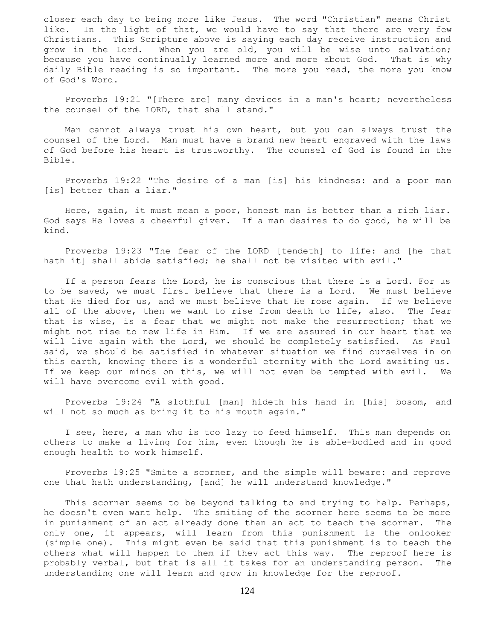closer each day to being more like Jesus. The word "Christian" means Christ like. In the light of that, we would have to say that there are very few Christians. This Scripture above is saying each day receive instruction and grow in the Lord. When you are old, you will be wise unto salvation; because you have continually learned more and more about God. That is why daily Bible reading is so important. The more you read, the more you know of God's Word.

 Proverbs 19:21 "[There are] many devices in a man's heart; nevertheless the counsel of the LORD, that shall stand."

 Man cannot always trust his own heart, but you can always trust the counsel of the Lord. Man must have a brand new heart engraved with the laws of God before his heart is trustworthy. The counsel of God is found in the Bible.

 Proverbs 19:22 "The desire of a man [is] his kindness: and a poor man [is] better than a liar."

 Here, again, it must mean a poor, honest man is better than a rich liar. God says He loves a cheerful giver. If a man desires to do good, he will be kind.

 Proverbs 19:23 "The fear of the LORD [tendeth] to life: and [he that hath it] shall abide satisfied; he shall not be visited with evil."

 If a person fears the Lord, he is conscious that there is a Lord. For us to be saved, we must first believe that there is a Lord. We must believe that He died for us, and we must believe that He rose again. If we believe all of the above, then we want to rise from death to life, also. The fear that is wise, is a fear that we might not make the resurrection; that we might not rise to new life in Him. If we are assured in our heart that we will live again with the Lord, we should be completely satisfied. As Paul said, we should be satisfied in whatever situation we find ourselves in on this earth, knowing there is a wonderful eternity with the Lord awaiting us. If we keep our minds on this, we will not even be tempted with evil. We will have overcome evil with good.

 Proverbs 19:24 "A slothful [man] hideth his hand in [his] bosom, and will not so much as bring it to his mouth again."

 I see, here, a man who is too lazy to feed himself. This man depends on others to make a living for him, even though he is able-bodied and in good enough health to work himself.

 Proverbs 19:25 "Smite a scorner, and the simple will beware: and reprove one that hath understanding, [and] he will understand knowledge."

 This scorner seems to be beyond talking to and trying to help. Perhaps, he doesn't even want help. The smiting of the scorner here seems to be more in punishment of an act already done than an act to teach the scorner. The only one, it appears, will learn from this punishment is the onlooker (simple one). This might even be said that this punishment is to teach the others what will happen to them if they act this way. The reproof here is probably verbal, but that is all it takes for an understanding person. The understanding one will learn and grow in knowledge for the reproof.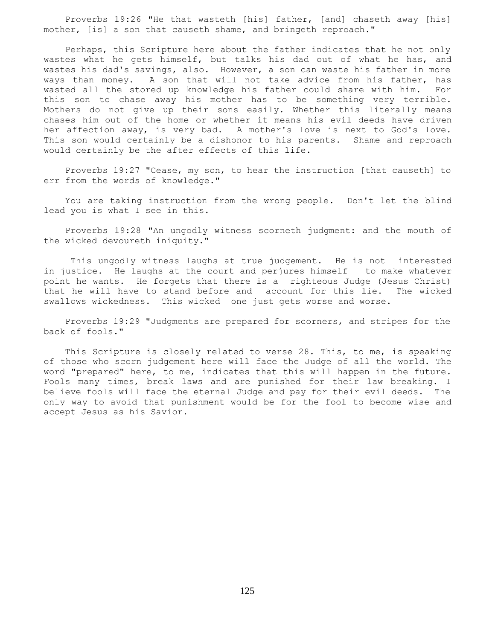Proverbs 19:26 "He that wasteth [his] father, [and] chaseth away [his] mother, [is] a son that causeth shame, and bringeth reproach."

 Perhaps, this Scripture here about the father indicates that he not only wastes what he gets himself, but talks his dad out of what he has, and wastes his dad's savings, also. However, a son can waste his father in more ways than money. A son that will not take advice from his father, has wasted all the stored up knowledge his father could share with him. For this son to chase away his mother has to be something very terrible. Mothers do not give up their sons easily. Whether this literally means chases him out of the home or whether it means his evil deeds have driven her affection away, is very bad. A mother's love is next to God's love. This son would certainly be a dishonor to his parents. Shame and reproach would certainly be the after effects of this life.

 Proverbs 19:27 "Cease, my son, to hear the instruction [that causeth] to err from the words of knowledge."

 You are taking instruction from the wrong people. Don't let the blind lead you is what I see in this.

 Proverbs 19:28 "An ungodly witness scorneth judgment: and the mouth of the wicked devoureth iniquity."

 This ungodly witness laughs at true judgement. He is not interested in justice. He laughs at the court and perjures himself to make whatever point he wants. He forgets that there is a righteous Judge (Jesus Christ) that he will have to stand before and account for this lie. The wicked swallows wickedness. This wicked one just gets worse and worse.

 Proverbs 19:29 "Judgments are prepared for scorners, and stripes for the back of fools."

 This Scripture is closely related to verse 28. This, to me, is speaking of those who scorn judgement here will face the Judge of all the world. The word "prepared" here, to me, indicates that this will happen in the future. Fools many times, break laws and are punished for their law breaking. I believe fools will face the eternal Judge and pay for their evil deeds. The only way to avoid that punishment would be for the fool to become wise and accept Jesus as his Savior.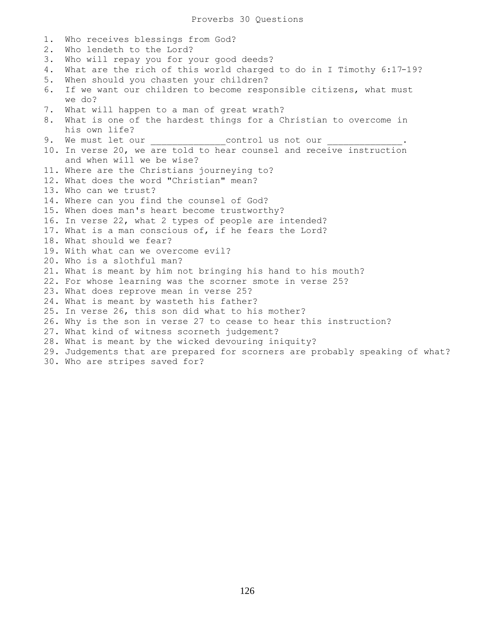1. Who receives blessings from God? 2. Who lendeth to the Lord? 3. Who will repay you for your good deeds? 4. What are the rich of this world charged to do in I Timothy 6:17-19? 5. When should you chasten your children? 6. If we want our children to become responsible citizens, what must we do? 7. What will happen to a man of great wrath? 8. What is one of the hardest things for a Christian to overcome in his own life? 9. We must let our \_\_\_\_\_\_\_\_\_\_\_\_\_\_\_\_\_\_control us not our 10. In verse 20, we are told to hear counsel and receive instruction and when will we be wise? 11. Where are the Christians journeying to? 12. What does the word "Christian" mean? 13. Who can we trust? 14. Where can you find the counsel of God? 15. When does man's heart become trustworthy? 16. In verse 22, what 2 types of people are intended? 17. What is a man conscious of, if he fears the Lord? 18. What should we fear? 19. With what can we overcome evil? 20. Who is a slothful man? 21. What is meant by him not bringing his hand to his mouth? 22. For whose learning was the scorner smote in verse 25? 23. What does reprove mean in verse 25? 24. What is meant by wasteth his father? 25. In verse 26, this son did what to his mother? 26. Why is the son in verse 27 to cease to hear this instruction? 27. What kind of witness scorneth judgement? 28. What is meant by the wicked devouring iniquity? 29. Judgements that are prepared for scorners are probably speaking of what? 30. Who are stripes saved for?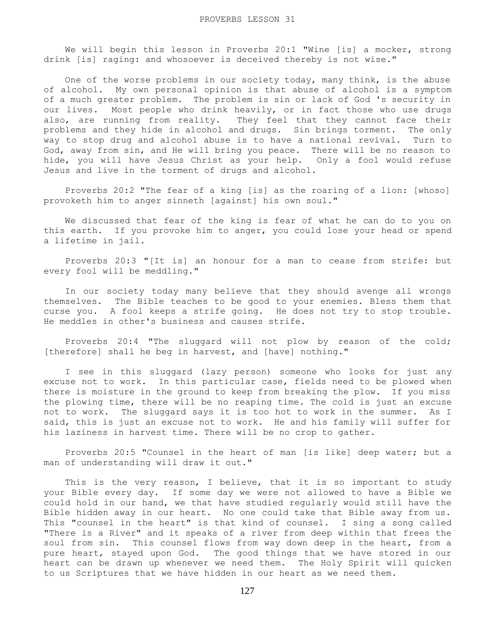We will begin this lesson in Proverbs 20:1 "Wine [is] a mocker, strong drink [is] raging: and whosoever is deceived thereby is not wise."

 One of the worse problems in our society today, many think, is the abuse of alcohol. My own personal opinion is that abuse of alcohol is a symptom of a much greater problem. The problem is sin or lack of God 's security in our lives. Most people who drink heavily, or in fact those who use drugs also, are running from reality. They feel that they cannot face their problems and they hide in alcohol and drugs. Sin brings torment. The only way to stop drug and alcohol abuse is to have a national revival. Turn to God, away from sin, and He will bring you peace. There will be no reason to hide, you will have Jesus Christ as your help. Only a fool would refuse Jesus and live in the torment of drugs and alcohol.

 Proverbs 20:2 "The fear of a king [is] as the roaring of a lion: [whoso] provoketh him to anger sinneth [against] his own soul."

 We discussed that fear of the king is fear of what he can do to you on this earth. If you provoke him to anger, you could lose your head or spend a lifetime in jail.

 Proverbs 20:3 "[It is] an honour for a man to cease from strife: but every fool will be meddling."

 In our society today many believe that they should avenge all wrongs themselves. The Bible teaches to be good to your enemies. Bless them that curse you. A fool keeps a strife going. He does not try to stop trouble. He meddles in other's business and causes strife.

 Proverbs 20:4 "The sluggard will not plow by reason of the cold; [therefore] shall he beg in harvest, and [have] nothing."

 I see in this sluggard (lazy person) someone who looks for just any excuse not to work. In this particular case, fields need to be plowed when there is moisture in the ground to keep from breaking the plow. If you miss the plowing time, there will be no reaping time. The cold is just an excuse not to work. The sluggard says it is too hot to work in the summer. As I said, this is just an excuse not to work. He and his family will suffer for his laziness in harvest time. There will be no crop to gather.

 Proverbs 20:5 "Counsel in the heart of man [is like] deep water; but a man of understanding will draw it out."

This is the very reason, I believe, that it is so important to study your Bible every day. If some day we were not allowed to have a Bible we could hold in our hand, we that have studied regularly would still have the Bible hidden away in our heart. No one could take that Bible away from us. This "counsel in the heart" is that kind of counsel. I sing a song called "There is a River" and it speaks of a river from deep within that frees the soul from sin. This counsel flows from way down deep in the heart, from a pure heart, stayed upon God. The good things that we have stored in our heart can be drawn up whenever we need them. The Holy Spirit will quicken to us Scriptures that we have hidden in our heart as we need them.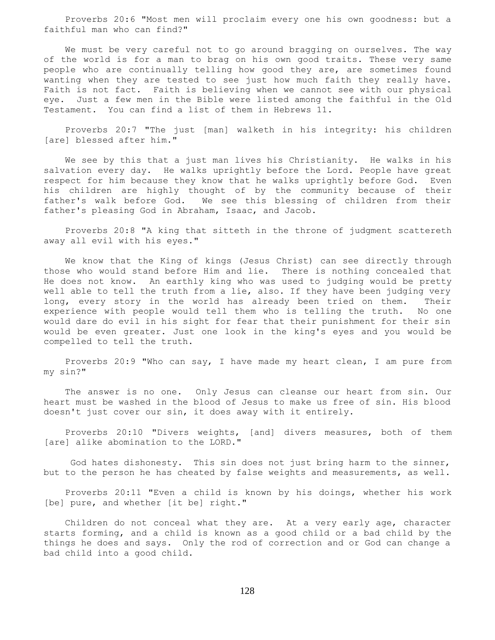Proverbs 20:6 "Most men will proclaim every one his own goodness: but a faithful man who can find?"

 We must be very careful not to go around bragging on ourselves. The way of the world is for a man to brag on his own good traits. These very same people who are continually telling how good they are, are sometimes found wanting when they are tested to see just how much faith they really have. Faith is not fact. Faith is believing when we cannot see with our physical eye. Just a few men in the Bible were listed among the faithful in the Old Testament. You can find a list of them in Hebrews 11.

 Proverbs 20:7 "The just [man] walketh in his integrity: his children [are] blessed after him."

 We see by this that a just man lives his Christianity. He walks in his salvation every day. He walks uprightly before the Lord. People have great respect for him because they know that he walks uprightly before God. Even his children are highly thought of by the community because of their father's walk before God. We see this blessing of children from their father's pleasing God in Abraham, Isaac, and Jacob.

 Proverbs 20:8 "A king that sitteth in the throne of judgment scattereth away all evil with his eyes."

 We know that the King of kings (Jesus Christ) can see directly through those who would stand before Him and lie. There is nothing concealed that He does not know. An earthly king who was used to judging would be pretty well able to tell the truth from a lie, also. If they have been judging very long, every story in the world has already been tried on them. Their experience with people would tell them who is telling the truth. No one would dare do evil in his sight for fear that their punishment for their sin would be even greater. Just one look in the king's eyes and you would be compelled to tell the truth.

 Proverbs 20:9 "Who can say, I have made my heart clean, I am pure from my sin?"

 The answer is no one. Only Jesus can cleanse our heart from sin. Our heart must be washed in the blood of Jesus to make us free of sin. His blood doesn't just cover our sin, it does away with it entirely.

 Proverbs 20:10 "Divers weights, [and] divers measures, both of them [are] alike abomination to the LORD."

 God hates dishonesty. This sin does not just bring harm to the sinner, but to the person he has cheated by false weights and measurements, as well.

 Proverbs 20:11 "Even a child is known by his doings, whether his work [be] pure, and whether [it be] right."

 Children do not conceal what they are. At a very early age, character starts forming, and a child is known as a good child or a bad child by the things he does and says. Only the rod of correction and or God can change a bad child into a good child.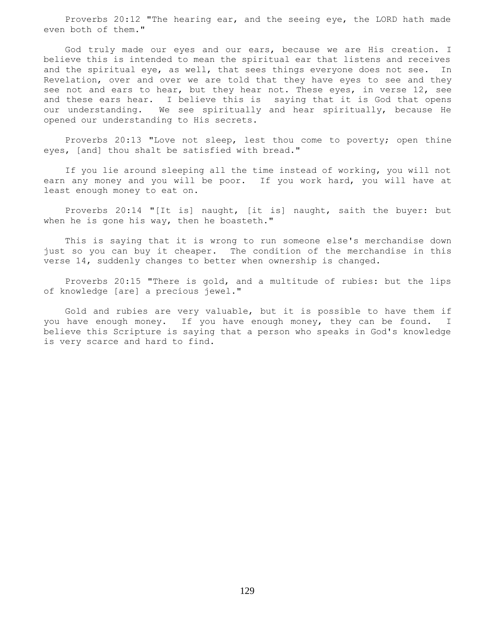Proverbs 20:12 "The hearing ear, and the seeing eye, the LORD hath made even both of them."

 God truly made our eyes and our ears, because we are His creation. I believe this is intended to mean the spiritual ear that listens and receives and the spiritual eye, as well, that sees things everyone does not see. In Revelation, over and over we are told that they have eyes to see and they see not and ears to hear, but they hear not. These eyes, in verse 12, see and these ears hear. I believe this is saying that it is God that opens our understanding. We see spiritually and hear spiritually, because He opened our understanding to His secrets.

 Proverbs 20:13 "Love not sleep, lest thou come to poverty; open thine eyes, [and] thou shalt be satisfied with bread."

 If you lie around sleeping all the time instead of working, you will not earn any money and you will be poor. If you work hard, you will have at least enough money to eat on.

 Proverbs 20:14 "[It is] naught, [it is] naught, saith the buyer: but when he is gone his way, then he boasteth."

 This is saying that it is wrong to run someone else's merchandise down just so you can buy it cheaper. The condition of the merchandise in this verse 14, suddenly changes to better when ownership is changed.

 Proverbs 20:15 "There is gold, and a multitude of rubies: but the lips of knowledge [are] a precious jewel."

 Gold and rubies are very valuable, but it is possible to have them if you have enough money. If you have enough money, they can be found. I believe this Scripture is saying that a person who speaks in God's knowledge is very scarce and hard to find.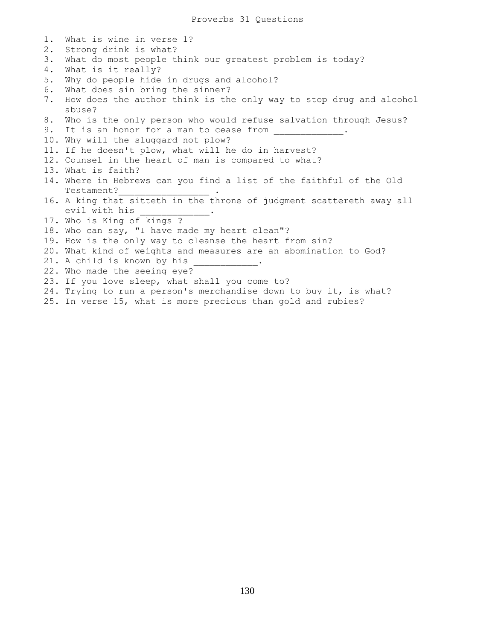| 1. | What is wine in verse 1?                                                     |
|----|------------------------------------------------------------------------------|
| 2. | Strong drink is what?                                                        |
| 3. | What do most people think our greatest problem is today?                     |
| 4. | What is it really?                                                           |
| 5. | Why do people hide in drugs and alcohol?                                     |
| 6. | What does sin bring the sinner?                                              |
| 7. | How does the author think is the only way to stop drug and alcohol<br>abuse? |
| 8. | Who is the only person who would refuse salvation through Jesus?             |
| 9. | It is an honor for a man to cease from                                       |
|    | 10. Why will the sluggard not plow?                                          |
|    | 11. If he doesn't plow, what will he do in harvest?                          |
|    | 12. Counsel in the heart of man is compared to what?                         |
|    | 13. What is faith?                                                           |
|    | 14. Where in Hebrews can you find a list of the faithful of the Old          |
|    | Testament?                                                                   |
|    | 16. A king that sitteth in the throne of judgment scattereth away all        |
|    | evil with his                                                                |
|    | 17. Who is King of kings ?                                                   |
|    | 18. Who can say, "I have made my heart clean"?                               |
|    | 19. How is the only way to cleanse the heart from sin?                       |
|    | 20. What kind of weights and measures are an abomination to God?             |
|    | 21. A child is known by his                                                  |
|    | 22. Who made the seeing eye?                                                 |
|    | 23. If you love sleep, what shall you come to?                               |
|    | 24. Trying to run a person's merchandise down to buy it, is what?            |
|    | 25. In verse 15, what is more precious than gold and rubies?                 |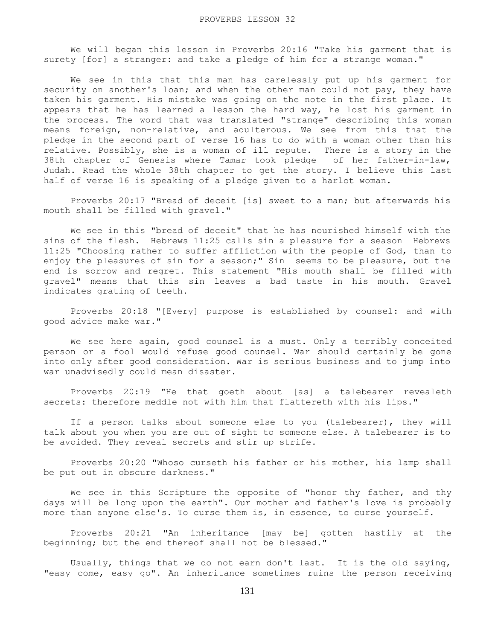We will began this lesson in Proverbs 20:16 "Take his garment that is surety [for] a stranger: and take a pledge of him for a strange woman."

 We see in this that this man has carelessly put up his garment for security on another's loan; and when the other man could not pay, they have taken his garment. His mistake was going on the note in the first place. It appears that he has learned a lesson the hard way, he lost his garment in the process. The word that was translated "strange" describing this woman means foreign, non-relative, and adulterous. We see from this that the pledge in the second part of verse 16 has to do with a woman other than his relative. Possibly, she is a woman of ill repute. There is a story in the 38th chapter of Genesis where Tamar took pledge of her father-in-law, Judah. Read the whole 38th chapter to get the story. I believe this last half of verse 16 is speaking of a pledge given to a harlot woman.

 Proverbs 20:17 "Bread of deceit [is] sweet to a man; but afterwards his mouth shall be filled with gravel."

 We see in this "bread of deceit" that he has nourished himself with the sins of the flesh. Hebrews 11:25 calls sin a pleasure for a season Hebrews 11:25 "Choosing rather to suffer affliction with the people of God, than to enjoy the pleasures of sin for a season;" Sin seems to be pleasure, but the end is sorrow and regret. This statement "His mouth shall be filled with gravel" means that this sin leaves a bad taste in his mouth. Gravel indicates grating of teeth.

 Proverbs 20:18 "[Every] purpose is established by counsel: and with good advice make war."

 We see here again, good counsel is a must. Only a terribly conceited person or a fool would refuse good counsel. War should certainly be gone into only after good consideration. War is serious business and to jump into war unadvisedly could mean disaster.

 Proverbs 20:19 "He that goeth about [as] a talebearer revealeth secrets: therefore meddle not with him that flattereth with his lips."

 If a person talks about someone else to you (talebearer), they will talk about you when you are out of sight to someone else. A talebearer is to be avoided. They reveal secrets and stir up strife.

 Proverbs 20:20 "Whoso curseth his father or his mother, his lamp shall be put out in obscure darkness."

We see in this Scripture the opposite of "honor thy father, and thy days will be long upon the earth". Our mother and father's love is probably more than anyone else's. To curse them is, in essence, to curse yourself.

 Proverbs 20:21 "An inheritance [may be] gotten hastily at the beginning; but the end thereof shall not be blessed."

 Usually, things that we do not earn don't last. It is the old saying, "easy come, easy go". An inheritance sometimes ruins the person receiving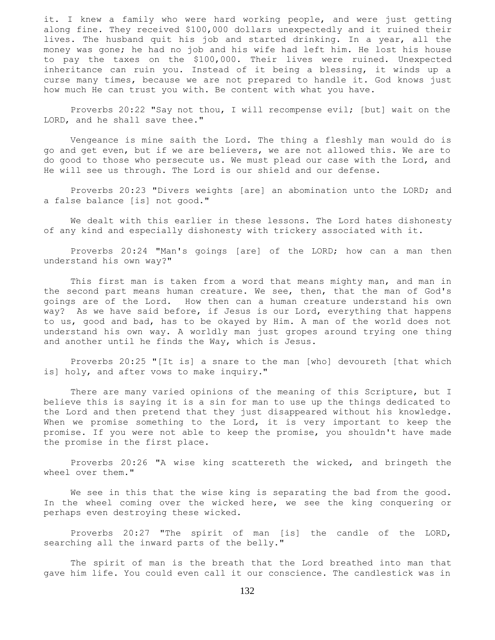it. I knew a family who were hard working people, and were just getting along fine. They received \$100,000 dollars unexpectedly and it ruined their lives. The husband quit his job and started drinking. In a year, all the money was gone; he had no job and his wife had left him. He lost his house to pay the taxes on the \$100,000. Their lives were ruined. Unexpected inheritance can ruin you. Instead of it being a blessing, it winds up a curse many times, because we are not prepared to handle it. God knows just how much He can trust you with. Be content with what you have.

 Proverbs 20:22 "Say not thou, I will recompense evil; [but] wait on the LORD, and he shall save thee."

 Vengeance is mine saith the Lord. The thing a fleshly man would do is go and get even, but if we are believers, we are not allowed this. We are to do good to those who persecute us. We must plead our case with the Lord, and He will see us through. The Lord is our shield and our defense.

 Proverbs 20:23 "Divers weights [are] an abomination unto the LORD; and a false balance [is] not good."

 We dealt with this earlier in these lessons. The Lord hates dishonesty of any kind and especially dishonesty with trickery associated with it.

 Proverbs 20:24 "Man's goings [are] of the LORD; how can a man then understand his own way?"

 This first man is taken from a word that means mighty man, and man in the second part means human creature. We see, then, that the man of God's goings are of the Lord. How then can a human creature understand his own way? As we have said before, if Jesus is our Lord, everything that happens to us, good and bad, has to be okayed by Him. A man of the world does not understand his own way. A worldly man just gropes around trying one thing and another until he finds the Way, which is Jesus.

 Proverbs 20:25 "[It is] a snare to the man [who] devoureth [that which is] holy, and after vows to make inquiry."

There are many varied opinions of the meaning of this Scripture, but I believe this is saying it is a sin for man to use up the things dedicated to the Lord and then pretend that they just disappeared without his knowledge. When we promise something to the Lord, it is very important to keep the promise. If you were not able to keep the promise, you shouldn't have made the promise in the first place.

 Proverbs 20:26 "A wise king scattereth the wicked, and bringeth the wheel over them."

 We see in this that the wise king is separating the bad from the good. In the wheel coming over the wicked here, we see the king conquering or perhaps even destroying these wicked.

 Proverbs 20:27 "The spirit of man [is] the candle of the LORD, searching all the inward parts of the belly."

 The spirit of man is the breath that the Lord breathed into man that gave him life. You could even call it our conscience. The candlestick was in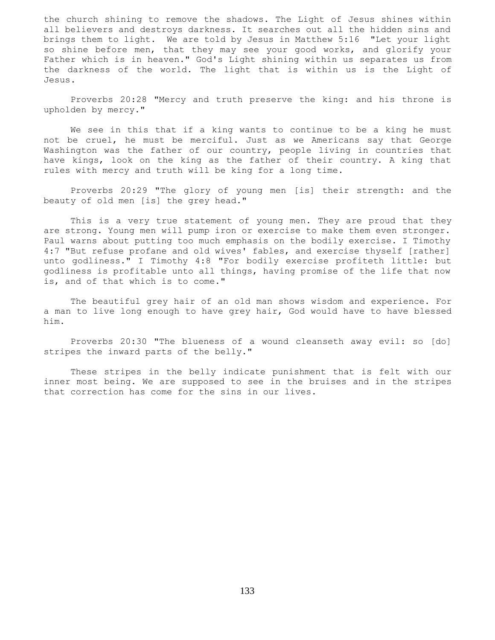the church shining to remove the shadows. The Light of Jesus shines within all believers and destroys darkness. It searches out all the hidden sins and brings them to light. We are told by Jesus in Matthew 5:16 "Let your light so shine before men, that they may see your good works, and glorify your Father which is in heaven." God's Light shining within us separates us from the darkness of the world. The light that is within us is the Light of Jesus.

 Proverbs 20:28 "Mercy and truth preserve the king: and his throne is upholden by mercy."

 We see in this that if a king wants to continue to be a king he must not be cruel, he must be merciful. Just as we Americans say that George Washington was the father of our country, people living in countries that have kings, look on the king as the father of their country. A king that rules with mercy and truth will be king for a long time.

 Proverbs 20:29 "The glory of young men [is] their strength: and the beauty of old men [is] the grey head."

 This is a very true statement of young men. They are proud that they are strong. Young men will pump iron or exercise to make them even stronger. Paul warns about putting too much emphasis on the bodily exercise. I Timothy 4:7 "But refuse profane and old wives' fables, and exercise thyself [rather] unto godliness." I Timothy 4:8 "For bodily exercise profiteth little: but godliness is profitable unto all things, having promise of the life that now is, and of that which is to come."

 The beautiful grey hair of an old man shows wisdom and experience. For a man to live long enough to have grey hair, God would have to have blessed him.

 Proverbs 20:30 "The blueness of a wound cleanseth away evil: so [do] stripes the inward parts of the belly."

 These stripes in the belly indicate punishment that is felt with our inner most being. We are supposed to see in the bruises and in the stripes that correction has come for the sins in our lives.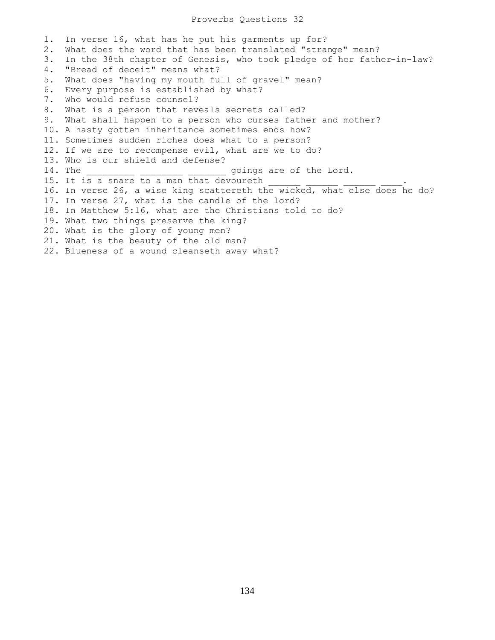1. In verse 16, what has he put his garments up for? 2. What does the word that has been translated "strange" mean? 3. In the 38th chapter of Genesis, who took pledge of her father-in-law? 4. "Bread of deceit" means what? 5. What does "having my mouth full of gravel" mean? 6. Every purpose is established by what? 7. Who would refuse counsel? 8. What is a person that reveals secrets called? 9. What shall happen to a person who curses father and mother? 10. A hasty gotten inheritance sometimes ends how? 11. Sometimes sudden riches does what to a person? 12. If we are to recompense evil, what are we to do? 13. Who is our shield and defense? 14. The  $\qquad \qquad$  goings are of the Lord. 15. It is a snare to a man that devoureth 16. In verse 26, a wise king scattereth the wicked, what else does he do? 17. In verse 27, what is the candle of the lord? 18. In Matthew 5:16, what are the Christians told to do? 19. What two things preserve the king? 20. What is the glory of young men? 21. What is the beauty of the old man? 22. Blueness of a wound cleanseth away what?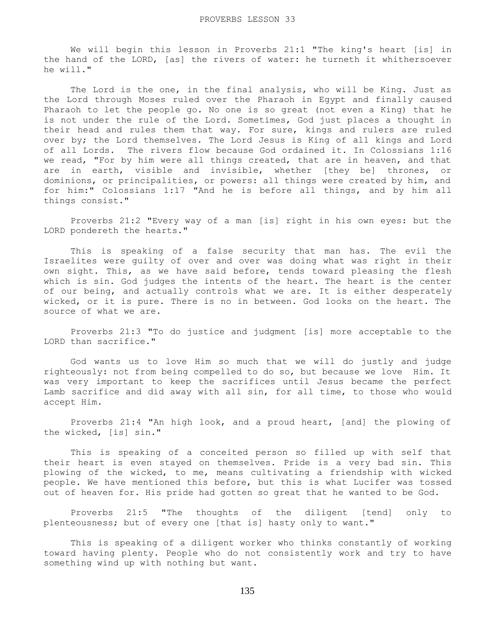We will begin this lesson in Proverbs 21:1 "The king's heart [is] in the hand of the LORD, [as] the rivers of water: he turneth it whithersoever he will."

The Lord is the one, in the final analysis, who will be King. Just as the Lord through Moses ruled over the Pharaoh in Egypt and finally caused Pharaoh to let the people go. No one is so great (not even a King) that he is not under the rule of the Lord. Sometimes, God just places a thought in their head and rules them that way. For sure, kings and rulers are ruled over by; the Lord themselves. The Lord Jesus is King of all kings and Lord of all Lords. The rivers flow because God ordained it. In Colossians 1:16 we read, "For by him were all things created, that are in heaven, and that are in earth, visible and invisible, whether [they be] thrones, or dominions, or principalities, or powers: all things were created by him, and for him:" Colossians 1:17 "And he is before all things, and by him all things consist."

 Proverbs 21:2 "Every way of a man [is] right in his own eyes: but the LORD pondereth the hearts."

 This is speaking of a false security that man has. The evil the Israelites were guilty of over and over was doing what was right in their own sight. This, as we have said before, tends toward pleasing the flesh which is sin. God judges the intents of the heart. The heart is the center of our being, and actually controls what we are. It is either desperately wicked, or it is pure. There is no in between. God looks on the heart. The source of what we are.

 Proverbs 21:3 "To do justice and judgment [is] more acceptable to the LORD than sacrifice."

 God wants us to love Him so much that we will do justly and judge righteously: not from being compelled to do so, but because we love Him. It was very important to keep the sacrifices until Jesus became the perfect Lamb sacrifice and did away with all sin, for all time, to those who would accept Him.

 Proverbs 21:4 "An high look, and a proud heart, [and] the plowing of the wicked, [is] sin."

 This is speaking of a conceited person so filled up with self that their heart is even stayed on themselves. Pride is a very bad sin. This plowing of the wicked, to me, means cultivating a friendship with wicked people. We have mentioned this before, but this is what Lucifer was tossed out of heaven for. His pride had gotten so great that he wanted to be God.

 Proverbs 21:5 "The thoughts of the diligent [tend] only to plenteousness; but of every one [that is] hasty only to want."

 This is speaking of a diligent worker who thinks constantly of working toward having plenty. People who do not consistently work and try to have something wind up with nothing but want.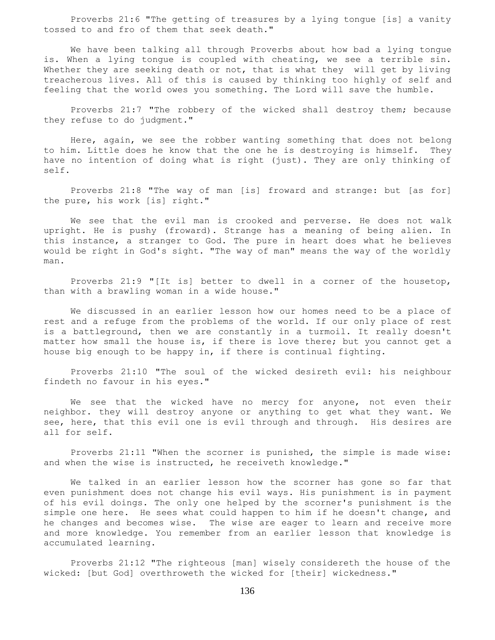Proverbs 21:6 "The getting of treasures by a lying tongue [is] a vanity tossed to and fro of them that seek death."

 We have been talking all through Proverbs about how bad a lying tongue is. When a lying tongue is coupled with cheating, we see a terrible sin. Whether they are seeking death or not, that is what they will get by living treacherous lives. All of this is caused by thinking too highly of self and feeling that the world owes you something. The Lord will save the humble.

 Proverbs 21:7 "The robbery of the wicked shall destroy them; because they refuse to do judgment."

 Here, again, we see the robber wanting something that does not belong to him. Little does he know that the one he is destroying is himself. They have no intention of doing what is right (just). They are only thinking of self.

 Proverbs 21:8 "The way of man [is] froward and strange: but [as for] the pure, his work [is] right."

 We see that the evil man is crooked and perverse. He does not walk upright. He is pushy (froward). Strange has a meaning of being alien. In this instance, a stranger to God. The pure in heart does what he believes would be right in God's sight. "The way of man" means the way of the worldly man.

 Proverbs 21:9 "[It is] better to dwell in a corner of the housetop, than with a brawling woman in a wide house."

 We discussed in an earlier lesson how our homes need to be a place of rest and a refuge from the problems of the world. If our only place of rest is a battleground, then we are constantly in a turmoil. It really doesn't matter how small the house is, if there is love there; but you cannot get a house big enough to be happy in, if there is continual fighting.

 Proverbs 21:10 "The soul of the wicked desireth evil: his neighbour findeth no favour in his eyes."

 We see that the wicked have no mercy for anyone, not even their neighbor. they will destroy anyone or anything to get what they want. We see, here, that this evil one is evil through and through. His desires are all for self.

 Proverbs 21:11 "When the scorner is punished, the simple is made wise: and when the wise is instructed, he receiveth knowledge."

 We talked in an earlier lesson how the scorner has gone so far that even punishment does not change his evil ways. His punishment is in payment of his evil doings. The only one helped by the scorner's punishment is the simple one here. He sees what could happen to him if he doesn't change, and he changes and becomes wise. The wise are eager to learn and receive more and more knowledge. You remember from an earlier lesson that knowledge is accumulated learning.

 Proverbs 21:12 "The righteous [man] wisely considereth the house of the wicked: [but God] overthroweth the wicked for [their] wickedness."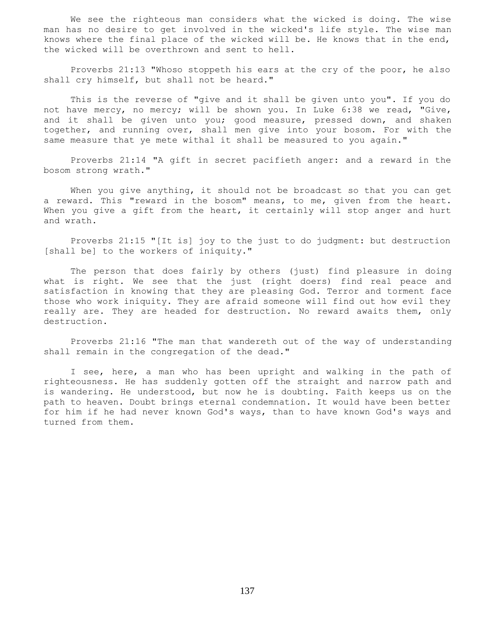We see the righteous man considers what the wicked is doing. The wise man has no desire to get involved in the wicked's life style. The wise man knows where the final place of the wicked will be. He knows that in the end, the wicked will be overthrown and sent to hell.

 Proverbs 21:13 "Whoso stoppeth his ears at the cry of the poor, he also shall cry himself, but shall not be heard."

 This is the reverse of "give and it shall be given unto you". If you do not have mercy, no mercy; will be shown you. In Luke 6:38 we read, "Give, and it shall be given unto you; good measure, pressed down, and shaken together, and running over, shall men give into your bosom. For with the same measure that ye mete withal it shall be measured to you again."

 Proverbs 21:14 "A gift in secret pacifieth anger: and a reward in the bosom strong wrath."

When you give anything, it should not be broadcast so that you can get a reward. This "reward in the bosom" means, to me, given from the heart. When you give a gift from the heart, it certainly will stop anger and hurt and wrath.

 Proverbs 21:15 "[It is] joy to the just to do judgment: but destruction [shall be] to the workers of iniquity."

 The person that does fairly by others (just) find pleasure in doing what is right. We see that the just (right doers) find real peace and satisfaction in knowing that they are pleasing God. Terror and torment face those who work iniquity. They are afraid someone will find out how evil they really are. They are headed for destruction. No reward awaits them, only destruction.

 Proverbs 21:16 "The man that wandereth out of the way of understanding shall remain in the congregation of the dead."

 I see, here, a man who has been upright and walking in the path of righteousness. He has suddenly gotten off the straight and narrow path and is wandering. He understood, but now he is doubting. Faith keeps us on the path to heaven. Doubt brings eternal condemnation. It would have been better for him if he had never known God's ways, than to have known God's ways and turned from them.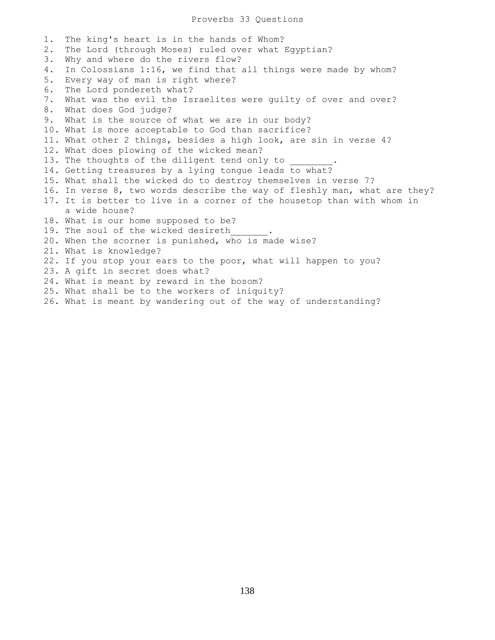1. The king's heart is in the hands of Whom? 2. The Lord (through Moses) ruled over what Egyptian? 3. Why and where do the rivers flow? 4. In Colossians 1:16, we find that all things were made by whom? 5. Every way of man is right where? 6. The Lord pondereth what? 7. What was the evil the Israelites were guilty of over and over? 8. What does God judge? 9. What is the source of what we are in our body? 10. What is more acceptable to God than sacrifice? 11. What other 2 things, besides a high look, are sin in verse 4? 12. What does plowing of the wicked mean? 13. The thoughts of the diligent tend only to 14. Getting treasures by a lying tongue leads to what? 15. What shall the wicked do to destroy themselves in verse 7? 16. In verse 8, two words describe the way of fleshly man, what are they? 17. It is better to live in a corner of the housetop than with whom in a wide house? 18. What is our home supposed to be? 19. The soul of the wicked desireth 20. When the scorner is punished, who is made wise? 21. What is knowledge? 22. If you stop your ears to the poor, what will happen to you? 23. A gift in secret does what? 24. What is meant by reward in the bosom? 25. What shall be to the workers of iniquity? 26. What is meant by wandering out of the way of understanding?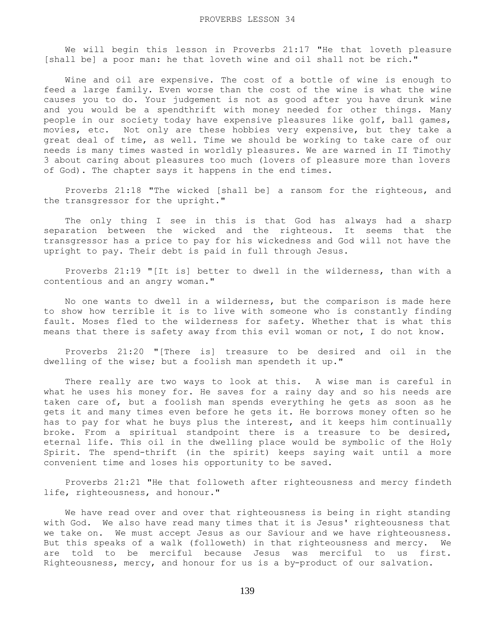We will begin this lesson in Proverbs 21:17 "He that loveth pleasure [shall be] a poor man: he that loveth wine and oil shall not be rich."

 Wine and oil are expensive. The cost of a bottle of wine is enough to feed a large family. Even worse than the cost of the wine is what the wine causes you to do. Your judgement is not as good after you have drunk wine and you would be a spendthrift with money needed for other things. Many people in our society today have expensive pleasures like golf, ball games, movies, etc. Not only are these hobbies very expensive, but they take a great deal of time, as well. Time we should be working to take care of our needs is many times wasted in worldly pleasures. We are warned in II Timothy 3 about caring about pleasures too much (lovers of pleasure more than lovers of God). The chapter says it happens in the end times.

 Proverbs 21:18 "The wicked [shall be] a ransom for the righteous, and the transgressor for the upright."

 The only thing I see in this is that God has always had a sharp separation between the wicked and the righteous. It seems that the transgressor has a price to pay for his wickedness and God will not have the upright to pay. Their debt is paid in full through Jesus.

 Proverbs 21:19 "[It is] better to dwell in the wilderness, than with a contentious and an angry woman."

 No one wants to dwell in a wilderness, but the comparison is made here to show how terrible it is to live with someone who is constantly finding fault. Moses fled to the wilderness for safety. Whether that is what this means that there is safety away from this evil woman or not, I do not know.

 Proverbs 21:20 "[There is] treasure to be desired and oil in the dwelling of the wise; but a foolish man spendeth it up."

 There really are two ways to look at this. A wise man is careful in what he uses his money for. He saves for a rainy day and so his needs are taken care of, but a foolish man spends everything he gets as soon as he gets it and many times even before he gets it. He borrows money often so he has to pay for what he buys plus the interest, and it keeps him continually broke. From a spiritual standpoint there is a treasure to be desired, eternal life. This oil in the dwelling place would be symbolic of the Holy Spirit. The spend-thrift (in the spirit) keeps saying wait until a more convenient time and loses his opportunity to be saved.

 Proverbs 21:21 "He that followeth after righteousness and mercy findeth life, righteousness, and honour."

 We have read over and over that righteousness is being in right standing with God. We also have read many times that it is Jesus' righteousness that we take on. We must accept Jesus as our Saviour and we have righteousness. But this speaks of a walk (followeth) in that righteousness and mercy. We are told to be merciful because Jesus was merciful to us first. Righteousness, mercy, and honour for us is a by-product of our salvation.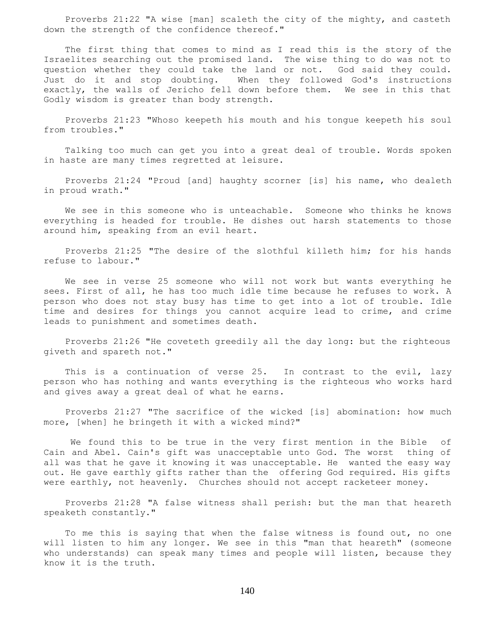Proverbs 21:22 "A wise [man] scaleth the city of the mighty, and casteth down the strength of the confidence thereof."

 The first thing that comes to mind as I read this is the story of the Israelites searching out the promised land. The wise thing to do was not to question whether they could take the land or not. God said they could. Just do it and stop doubting. When they followed God's instructions exactly, the walls of Jericho fell down before them. We see in this that Godly wisdom is greater than body strength.

 Proverbs 21:23 "Whoso keepeth his mouth and his tongue keepeth his soul from troubles."

 Talking too much can get you into a great deal of trouble. Words spoken in haste are many times regretted at leisure.

 Proverbs 21:24 "Proud [and] haughty scorner [is] his name, who dealeth in proud wrath."

 We see in this someone who is unteachable. Someone who thinks he knows everything is headed for trouble. He dishes out harsh statements to those around him, speaking from an evil heart.

 Proverbs 21:25 "The desire of the slothful killeth him; for his hands refuse to labour."

 We see in verse 25 someone who will not work but wants everything he sees. First of all, he has too much idle time because he refuses to work. A person who does not stay busy has time to get into a lot of trouble. Idle time and desires for things you cannot acquire lead to crime, and crime leads to punishment and sometimes death.

 Proverbs 21:26 "He coveteth greedily all the day long: but the righteous giveth and spareth not."

 This is a continuation of verse 25. In contrast to the evil, lazy person who has nothing and wants everything is the righteous who works hard and gives away a great deal of what he earns.

 Proverbs 21:27 "The sacrifice of the wicked [is] abomination: how much more, [when] he bringeth it with a wicked mind?"

 We found this to be true in the very first mention in the Bible of Cain and Abel. Cain's gift was unacceptable unto God. The worst thing of all was that he gave it knowing it was unacceptable. He wanted the easy way out. He gave earthly gifts rather than the offering God required. His gifts were earthly, not heavenly. Churches should not accept racketeer money.

 Proverbs 21:28 "A false witness shall perish: but the man that heareth speaketh constantly."

 To me this is saying that when the false witness is found out, no one will listen to him any longer. We see in this "man that heareth" (someone who understands) can speak many times and people will listen, because they know it is the truth.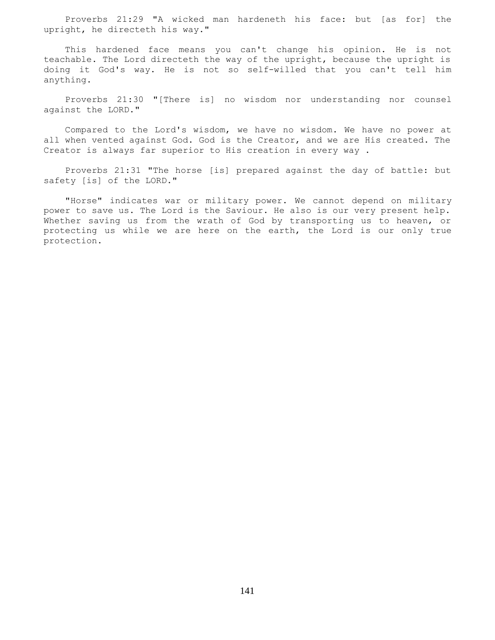Proverbs 21:29 "A wicked man hardeneth his face: but [as for] the upright, he directeth his way."

 This hardened face means you can't change his opinion. He is not teachable. The Lord directeth the way of the upright, because the upright is doing it God's way. He is not so self-willed that you can't tell him anything.

 Proverbs 21:30 "[There is] no wisdom nor understanding nor counsel against the LORD."

 Compared to the Lord's wisdom, we have no wisdom. We have no power at all when vented against God. God is the Creator, and we are His created. The Creator is always far superior to His creation in every way .

 Proverbs 21:31 "The horse [is] prepared against the day of battle: but safety [is] of the LORD."

 "Horse" indicates war or military power. We cannot depend on military power to save us. The Lord is the Saviour. He also is our very present help. Whether saving us from the wrath of God by transporting us to heaven, or protecting us while we are here on the earth, the Lord is our only true protection.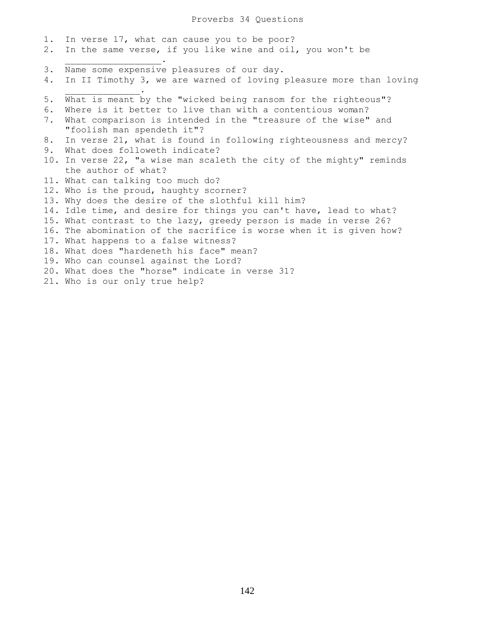Proverbs 34 Questions

1. In verse 17, what can cause you to be poor? 2. In the same verse, if you like wine and oil, you won't be  $\overline{\phantom{a}}$  ,  $\overline{\phantom{a}}$  ,  $\overline{\phantom{a}}$  ,  $\overline{\phantom{a}}$  ,  $\overline{\phantom{a}}$  ,  $\overline{\phantom{a}}$  ,  $\overline{\phantom{a}}$  ,  $\overline{\phantom{a}}$  ,  $\overline{\phantom{a}}$  ,  $\overline{\phantom{a}}$  ,  $\overline{\phantom{a}}$  ,  $\overline{\phantom{a}}$  ,  $\overline{\phantom{a}}$  ,  $\overline{\phantom{a}}$  ,  $\overline{\phantom{a}}$  ,  $\overline{\phantom{a}}$ 3. Name some expensive pleasures of our day. 4. In II Timothy 3, we are warned of loving pleasure more than loving  $\mathcal{L}_\text{max}$  and  $\mathcal{L}_\text{max}$  and  $\mathcal{L}_\text{max}$ 5. What is meant by the "wicked being ransom for the righteous"? 6. Where is it better to live than with a contentious woman? 7. What comparison is intended in the "treasure of the wise" and "foolish man spendeth it"? 8. In verse 21, what is found in following righteousness and mercy? 9. What does followeth indicate? 10. In verse 22, "a wise man scaleth the city of the mighty" reminds the author of what? 11. What can talking too much do? 12. Who is the proud, haughty scorner? 13. Why does the desire of the slothful kill him? 14. Idle time, and desire for things you can't have, lead to what? 15. What contrast to the lazy, greedy person is made in verse 26? 16. The abomination of the sacrifice is worse when it is given how? 17. What happens to a false witness? 18. What does "hardeneth his face" mean? 19. Who can counsel against the Lord? 20. What does the "horse" indicate in verse 31? 21. Who is our only true help?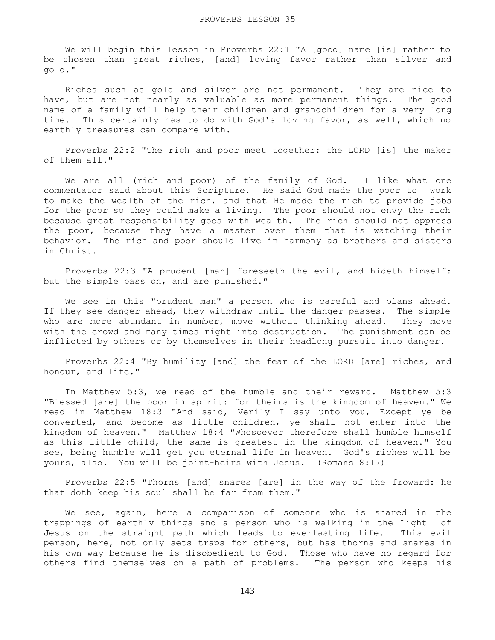We will begin this lesson in Proverbs 22:1 "A [good] name [is] rather to be chosen than great riches, [and] loving favor rather than silver and gold."

 Riches such as gold and silver are not permanent. They are nice to have, but are not nearly as valuable as more permanent things. The good name of a family will help their children and grandchildren for a very long time. This certainly has to do with God's loving favor, as well, which no earthly treasures can compare with.

 Proverbs 22:2 "The rich and poor meet together: the LORD [is] the maker of them all."

 We are all (rich and poor) of the family of God. I like what one commentator said about this Scripture. He said God made the poor to work to make the wealth of the rich, and that He made the rich to provide jobs for the poor so they could make a living. The poor should not envy the rich because great responsibility goes with wealth. The rich should not oppress the poor, because they have a master over them that is watching their behavior. The rich and poor should live in harmony as brothers and sisters in Christ.

 Proverbs 22:3 "A prudent [man] foreseeth the evil, and hideth himself: but the simple pass on, and are punished."

 We see in this "prudent man" a person who is careful and plans ahead. If they see danger ahead, they withdraw until the danger passes. The simple who are more abundant in number, move without thinking ahead. They move with the crowd and many times right into destruction. The punishment can be inflicted by others or by themselves in their headlong pursuit into danger.

 Proverbs 22:4 "By humility [and] the fear of the LORD [are] riches, and honour, and life."

 In Matthew 5:3, we read of the humble and their reward. Matthew 5:3 "Blessed [are] the poor in spirit: for theirs is the kingdom of heaven." We read in Matthew 18:3 "And said, Verily I say unto you, Except ye be converted, and become as little children, ye shall not enter into the kingdom of heaven." Matthew 18:4 "Whosoever therefore shall humble himself as this little child, the same is greatest in the kingdom of heaven." You see, being humble will get you eternal life in heaven. God's riches will be yours, also. You will be joint-heirs with Jesus. (Romans 8:17)

 Proverbs 22:5 "Thorns [and] snares [are] in the way of the froward: he that doth keep his soul shall be far from them."

 We see, again, here a comparison of someone who is snared in the trappings of earthly things and a person who is walking in the Light of Jesus on the straight path which leads to everlasting life. This evil person, here, not only sets traps for others, but has thorns and snares in his own way because he is disobedient to God. Those who have no regard for others find themselves on a path of problems. The person who keeps his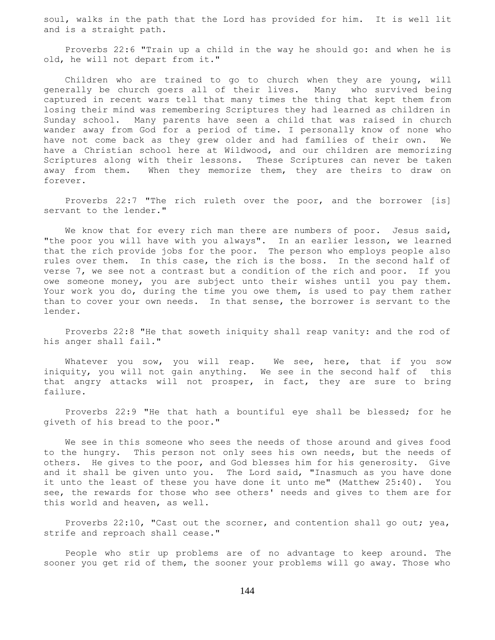soul, walks in the path that the Lord has provided for him. It is well lit and is a straight path.

 Proverbs 22:6 "Train up a child in the way he should go: and when he is old, he will not depart from it."

 Children who are trained to go to church when they are young, will generally be church goers all of their lives. Many who survived being captured in recent wars tell that many times the thing that kept them from losing their mind was remembering Scriptures they had learned as children in Sunday school. Many parents have seen a child that was raised in church wander away from God for a period of time. I personally know of none who have not come back as they grew older and had families of their own. We have a Christian school here at Wildwood, and our children are memorizing Scriptures along with their lessons. These Scriptures can never be taken away from them. When they memorize them, they are theirs to draw on forever.

 Proverbs 22:7 "The rich ruleth over the poor, and the borrower [is] servant to the lender."

We know that for every rich man there are numbers of poor. Jesus said, "the poor you will have with you always". In an earlier lesson, we learned that the rich provide jobs for the poor. The person who employs people also rules over them. In this case, the rich is the boss. In the second half of verse 7, we see not a contrast but a condition of the rich and poor. If you owe someone money, you are subject unto their wishes until you pay them. Your work you do, during the time you owe them, is used to pay them rather than to cover your own needs. In that sense, the borrower is servant to the lender.

 Proverbs 22:8 "He that soweth iniquity shall reap vanity: and the rod of his anger shall fail."

Whatever you sow, you will reap. We see, here, that if you sow iniquity, you will not gain anything. We see in the second half of this that angry attacks will not prosper, in fact, they are sure to bring failure.

 Proverbs 22:9 "He that hath a bountiful eye shall be blessed; for he giveth of his bread to the poor."

 We see in this someone who sees the needs of those around and gives food to the hungry. This person not only sees his own needs, but the needs of others. He gives to the poor, and God blesses him for his generosity. Give and it shall be given unto you. The Lord said, "Inasmuch as you have done it unto the least of these you have done it unto me" (Matthew 25:40). You see, the rewards for those who see others' needs and gives to them are for this world and heaven, as well.

 Proverbs 22:10, "Cast out the scorner, and contention shall go out; yea, strife and reproach shall cease."

 People who stir up problems are of no advantage to keep around. The sooner you get rid of them, the sooner your problems will go away. Those who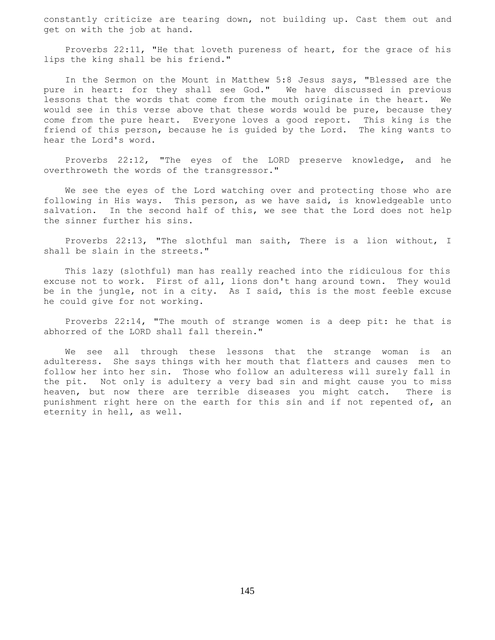constantly criticize are tearing down, not building up. Cast them out and get on with the job at hand.

 Proverbs 22:11, "He that loveth pureness of heart, for the grace of his lips the king shall be his friend."

 In the Sermon on the Mount in Matthew 5:8 Jesus says, "Blessed are the pure in heart: for they shall see God." We have discussed in previous lessons that the words that come from the mouth originate in the heart. We would see in this verse above that these words would be pure, because they come from the pure heart. Everyone loves a good report. This king is the friend of this person, because he is guided by the Lord. The king wants to hear the Lord's word.

 Proverbs 22:12, "The eyes of the LORD preserve knowledge, and he overthroweth the words of the transgressor."

 We see the eyes of the Lord watching over and protecting those who are following in His ways. This person, as we have said, is knowledgeable unto salvation. In the second half of this, we see that the Lord does not help the sinner further his sins.

 Proverbs 22:13, "The slothful man saith, There is a lion without, I shall be slain in the streets."

 This lazy (slothful) man has really reached into the ridiculous for this excuse not to work. First of all, lions don't hang around town. They would be in the jungle, not in a city. As I said, this is the most feeble excuse he could give for not working.

 Proverbs 22:14, "The mouth of strange women is a deep pit: he that is abhorred of the LORD shall fall therein."

 We see all through these lessons that the strange woman is an adulteress. She says things with her mouth that flatters and causes men to follow her into her sin. Those who follow an adulteress will surely fall in the pit. Not only is adultery a very bad sin and might cause you to miss heaven, but now there are terrible diseases you might catch. There is punishment right here on the earth for this sin and if not repented of, an eternity in hell, as well.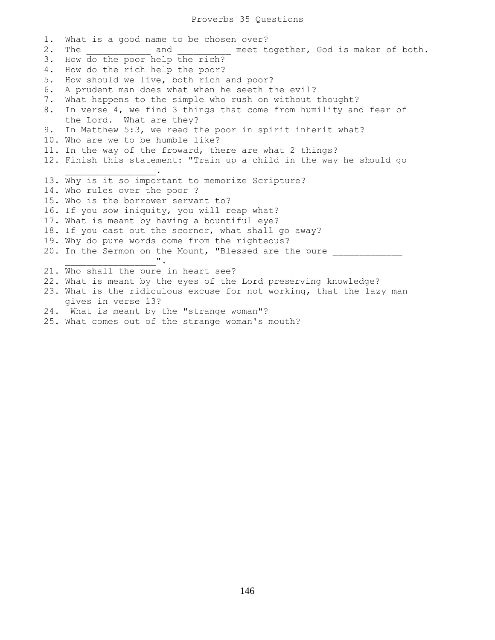1. What is a good name to be chosen over? 2. The and meet together, God is maker of both. 3. How do the poor help the rich? 4. How do the rich help the poor? 5. How should we live, both rich and poor? 6. A prudent man does what when he seeth the evil? 7. What happens to the simple who rush on without thought? 8. In verse 4, we find 3 things that come from humility and fear of the Lord. What are they? 9. In Matthew 5:3, we read the poor in spirit inherit what? 10. Who are we to be humble like? 11. In the way of the froward, there are what 2 things? 12. Finish this statement: "Train up a child in the way he should go  $\mathcal{L}_\text{max}$  and  $\mathcal{L}_\text{max}$  and  $\mathcal{L}_\text{max}$ 13. Why is it so important to memorize Scripture? 14. Who rules over the poor ? 15. Who is the borrower servant to? 16. If you sow iniquity, you will reap what? 17. What is meant by having a bountiful eye? 18. If you cast out the scorner, what shall go away? 19. Why do pure words come from the righteous? 20. In the Sermon on the Mount, "Blessed are the pure  $\mathbf{u}_\mathrm{max} = \mathbf{u}_\mathrm{max}$  . The set of the set of the set of the set of the set of the set of the set of the set of the set of the set of the set of the set of the set of the set of the set of the set of the set of the se 21. Who shall the pure in heart see? 22. What is meant by the eyes of the Lord preserving knowledge? 23. What is the ridiculous excuse for not working, that the lazy man gives in verse 13? 24. What is meant by the "strange woman"? 25. What comes out of the strange woman's mouth?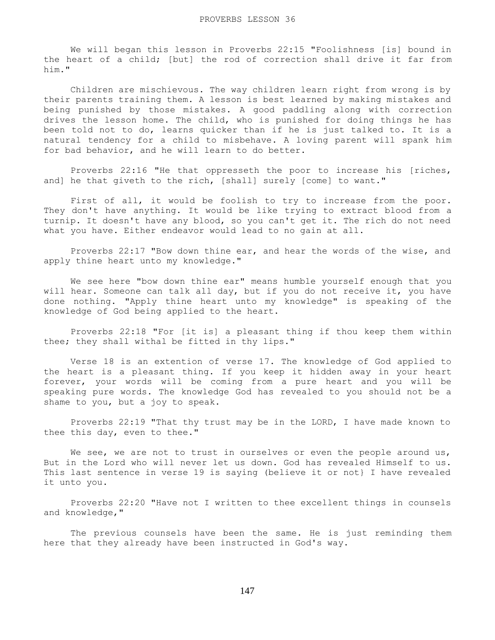We will began this lesson in Proverbs 22:15 "Foolishness [is] bound in the heart of a child; [but] the rod of correction shall drive it far from him."

 Children are mischievous. The way children learn right from wrong is by their parents training them. A lesson is best learned by making mistakes and being punished by those mistakes. A good paddling along with correction drives the lesson home. The child, who is punished for doing things he has been told not to do, learns quicker than if he is just talked to. It is a natural tendency for a child to misbehave. A loving parent will spank him for bad behavior, and he will learn to do better.

 Proverbs 22:16 "He that oppresseth the poor to increase his [riches, and] he that giveth to the rich, [shall] surely [come] to want."

First of all, it would be foolish to try to increase from the poor. They don't have anything. It would be like trying to extract blood from a turnip. It doesn't have any blood, so you can't get it. The rich do not need what you have. Either endeavor would lead to no gain at all.

 Proverbs 22:17 "Bow down thine ear, and hear the words of the wise, and apply thine heart unto my knowledge."

 We see here "bow down thine ear" means humble yourself enough that you will hear. Someone can talk all day, but if you do not receive it, you have done nothing. "Apply thine heart unto my knowledge" is speaking of the knowledge of God being applied to the heart.

 Proverbs 22:18 "For [it is] a pleasant thing if thou keep them within thee; they shall withal be fitted in thy lips."

 Verse 18 is an extention of verse 17. The knowledge of God applied to the heart is a pleasant thing. If you keep it hidden away in your heart forever, your words will be coming from a pure heart and you will be speaking pure words. The knowledge God has revealed to you should not be a shame to you, but a joy to speak.

 Proverbs 22:19 "That thy trust may be in the LORD, I have made known to thee this day, even to thee."

We see, we are not to trust in ourselves or even the people around us, But in the Lord who will never let us down. God has revealed Himself to us. This last sentence in verse 19 is saying (believe it or not} I have revealed it unto you.

 Proverbs 22:20 "Have not I written to thee excellent things in counsels and knowledge,"

 The previous counsels have been the same. He is just reminding them here that they already have been instructed in God's way.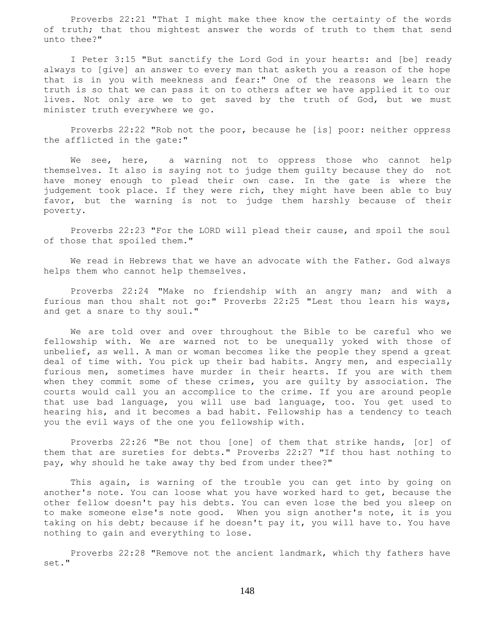Proverbs 22:21 "That I might make thee know the certainty of the words of truth; that thou mightest answer the words of truth to them that send unto thee?"

 I Peter 3:15 "But sanctify the Lord God in your hearts: and [be] ready always to [give] an answer to every man that asketh you a reason of the hope that is in you with meekness and fear:" One of the reasons we learn the truth is so that we can pass it on to others after we have applied it to our lives. Not only are we to get saved by the truth of God, but we must minister truth everywhere we go.

 Proverbs 22:22 "Rob not the poor, because he [is] poor: neither oppress the afflicted in the gate:"

We see, here, a warning not to oppress those who cannot help themselves. It also is saying not to judge them guilty because they do not have money enough to plead their own case. In the gate is where the judgement took place. If they were rich, they might have been able to buy favor, but the warning is not to judge them harshly because of their poverty.

 Proverbs 22:23 "For the LORD will plead their cause, and spoil the soul of those that spoiled them."

 We read in Hebrews that we have an advocate with the Father. God always helps them who cannot help themselves.

 Proverbs 22:24 "Make no friendship with an angry man; and with a furious man thou shalt not go:" Proverbs 22:25 "Lest thou learn his ways, and get a snare to thy soul."

 We are told over and over throughout the Bible to be careful who we fellowship with. We are warned not to be unequally yoked with those of unbelief, as well. A man or woman becomes like the people they spend a great deal of time with. You pick up their bad habits. Angry men, and especially furious men, sometimes have murder in their hearts. If you are with them when they commit some of these crimes, you are guilty by association. The courts would call you an accomplice to the crime. If you are around people that use bad language, you will use bad language, too. You get used to hearing his, and it becomes a bad habit. Fellowship has a tendency to teach you the evil ways of the one you fellowship with.

 Proverbs 22:26 "Be not thou [one] of them that strike hands, [or] of them that are sureties for debts." Proverbs 22:27 "If thou hast nothing to pay, why should he take away thy bed from under thee?"

This again, is warning of the trouble you can get into by going on another's note. You can loose what you have worked hard to get, because the other fellow doesn't pay his debts. You can even lose the bed you sleep on to make someone else's note good. When you sign another's note, it is you taking on his debt; because if he doesn't pay it, you will have to. You have nothing to gain and everything to lose.

 Proverbs 22:28 "Remove not the ancient landmark, which thy fathers have set."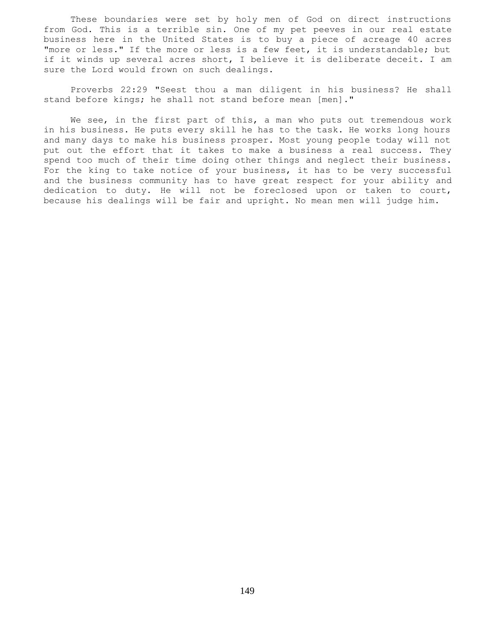These boundaries were set by holy men of God on direct instructions from God. This is a terrible sin. One of my pet peeves in our real estate business here in the United States is to buy a piece of acreage 40 acres "more or less." If the more or less is a few feet, it is understandable; but if it winds up several acres short, I believe it is deliberate deceit. I am sure the Lord would frown on such dealings.

 Proverbs 22:29 "Seest thou a man diligent in his business? He shall stand before kings; he shall not stand before mean [men]."

We see, in the first part of this, a man who puts out tremendous work in his business. He puts every skill he has to the task. He works long hours and many days to make his business prosper. Most young people today will not put out the effort that it takes to make a business a real success. They spend too much of their time doing other things and neglect their business. For the king to take notice of your business, it has to be very successful and the business community has to have great respect for your ability and dedication to duty. He will not be foreclosed upon or taken to court, because his dealings will be fair and upright. No mean men will judge him.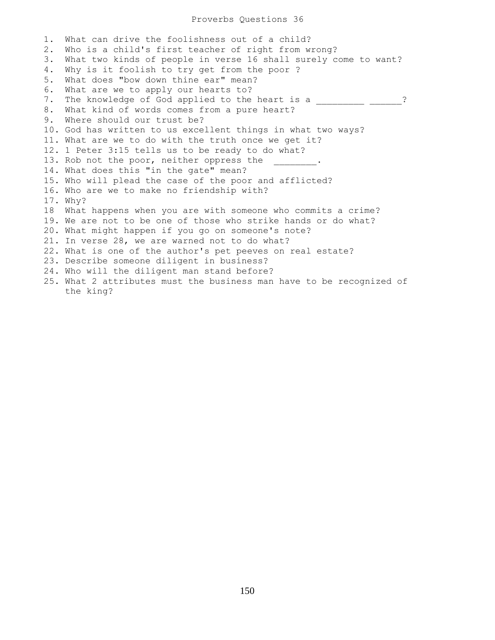## Proverbs Questions 36

1. What can drive the foolishness out of a child? 2. Who is a child's first teacher of right from wrong? 3. What two kinds of people in verse 16 shall surely come to want? 4. Why is it foolish to try get from the poor ? 5. What does "bow down thine ear" mean? 6. What are we to apply our hearts to? 7. The knowledge of God applied to the heart is a \_\_\_\_\_\_\_\_\_\_ \_\_\_\_\_? 8. What kind of words comes from a pure heart? 9. Where should our trust be? 10. God has written to us excellent things in what two ways? 11. What are we to do with the truth once we get it? 12. 1 Peter 3:15 tells us to be ready to do what? 13. Rob not the poor, neither oppress the 14. What does this "in the gate" mean? 15. Who will plead the case of the poor and afflicted? 16. Who are we to make no friendship with? 17. Why? 18 What happens when you are with someone who commits a crime? 19. We are not to be one of those who strike hands or do what? 20. What might happen if you go on someone's note? 21. In verse 28, we are warned not to do what? 22. What is one of the author's pet peeves on real estate? 23. Describe someone diligent in business? 24. Who will the diligent man stand before? 25. What 2 attributes must the business man have to be recognized of the king?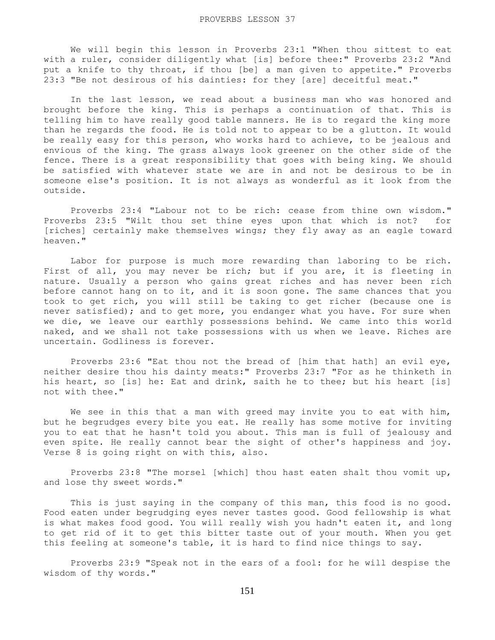We will begin this lesson in Proverbs 23:1 "When thou sittest to eat with a ruler, consider diligently what [is] before thee:" Proverbs 23:2 "And put a knife to thy throat, if thou [be] a man given to appetite." Proverbs 23:3 "Be not desirous of his dainties: for they [are] deceitful meat."

 In the last lesson, we read about a business man who was honored and brought before the king. This is perhaps a continuation of that. This is telling him to have really good table manners. He is to regard the king more than he regards the food. He is told not to appear to be a glutton. It would be really easy for this person, who works hard to achieve, to be jealous and envious of the king. The grass always look greener on the other side of the fence. There is a great responsibility that goes with being king. We should be satisfied with whatever state we are in and not be desirous to be in someone else's position. It is not always as wonderful as it look from the outside.

 Proverbs 23:4 "Labour not to be rich: cease from thine own wisdom." Proverbs 23:5 "Wilt thou set thine eyes upon that which is not? for [riches] certainly make themselves wings; they fly away as an eagle toward heaven."

 Labor for purpose is much more rewarding than laboring to be rich. First of all, you may never be rich; but if you are, it is fleeting in nature. Usually a person who gains great riches and has never been rich before cannot hang on to it, and it is soon gone. The same chances that you took to get rich, you will still be taking to get richer (because one is never satisfied); and to get more, you endanger what you have. For sure when we die, we leave our earthly possessions behind. We came into this world naked, and we shall not take possessions with us when we leave. Riches are uncertain. Godliness is forever.

 Proverbs 23:6 "Eat thou not the bread of [him that hath] an evil eye, neither desire thou his dainty meats:" Proverbs 23:7 "For as he thinketh in his heart, so [is] he: Eat and drink, saith he to thee; but his heart [is] not with thee."

We see in this that a man with greed may invite you to eat with him, but he begrudges every bite you eat. He really has some motive for inviting you to eat that he hasn't told you about. This man is full of jealousy and even spite. He really cannot bear the sight of other's happiness and joy. Verse 8 is going right on with this, also.

 Proverbs 23:8 "The morsel [which] thou hast eaten shalt thou vomit up, and lose thy sweet words."

This is just saying in the company of this man, this food is no good. Food eaten under begrudging eyes never tastes good. Good fellowship is what is what makes food good. You will really wish you hadn't eaten it, and long to get rid of it to get this bitter taste out of your mouth. When you get this feeling at someone's table, it is hard to find nice things to say.

 Proverbs 23:9 "Speak not in the ears of a fool: for he will despise the wisdom of thy words."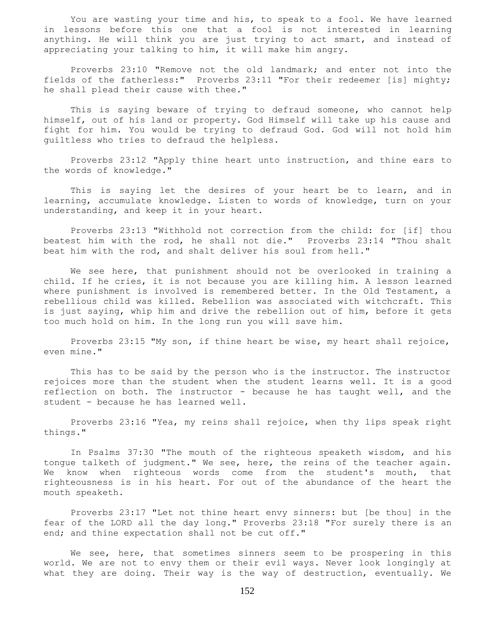You are wasting your time and his, to speak to a fool. We have learned in lessons before this one that a fool is not interested in learning anything. He will think you are just trying to act smart, and instead of appreciating your talking to him, it will make him angry.

 Proverbs 23:10 "Remove not the old landmark; and enter not into the fields of the fatherless:" Proverbs 23:11 "For their redeemer [is] mighty; he shall plead their cause with thee."

 This is saying beware of trying to defraud someone, who cannot help himself, out of his land or property. God Himself will take up his cause and fight for him. You would be trying to defraud God. God will not hold him guiltless who tries to defraud the helpless.

 Proverbs 23:12 "Apply thine heart unto instruction, and thine ears to the words of knowledge."

 This is saying let the desires of your heart be to learn, and in learning, accumulate knowledge. Listen to words of knowledge, turn on your understanding, and keep it in your heart.

 Proverbs 23:13 "Withhold not correction from the child: for [if] thou beatest him with the rod, he shall not die." Proverbs 23:14 "Thou shalt beat him with the rod, and shalt deliver his soul from hell."

 We see here, that punishment should not be overlooked in training a child. If he cries, it is not because you are killing him. A lesson learned where punishment is involved is remembered better. In the Old Testament, a rebellious child was killed. Rebellion was associated with witchcraft. This is just saying, whip him and drive the rebellion out of him, before it gets too much hold on him. In the long run you will save him.

 Proverbs 23:15 "My son, if thine heart be wise, my heart shall rejoice, even mine."

 This has to be said by the person who is the instructor. The instructor rejoices more than the student when the student learns well. It is a good reflection on both. The instructor - because he has taught well, and the student - because he has learned well.

 Proverbs 23:16 "Yea, my reins shall rejoice, when thy lips speak right things."

 In Psalms 37:30 "The mouth of the righteous speaketh wisdom, and his tongue talketh of judgment." We see, here, the reins of the teacher again. We know when righteous words come from the student's mouth, that righteousness is in his heart. For out of the abundance of the heart the mouth speaketh.

 Proverbs 23:17 "Let not thine heart envy sinners: but [be thou] in the fear of the LORD all the day long." Proverbs 23:18 "For surely there is an end; and thine expectation shall not be cut off."

We see, here, that sometimes sinners seem to be prospering in this world. We are not to envy them or their evil ways. Never look longingly at what they are doing. Their way is the way of destruction, eventually. We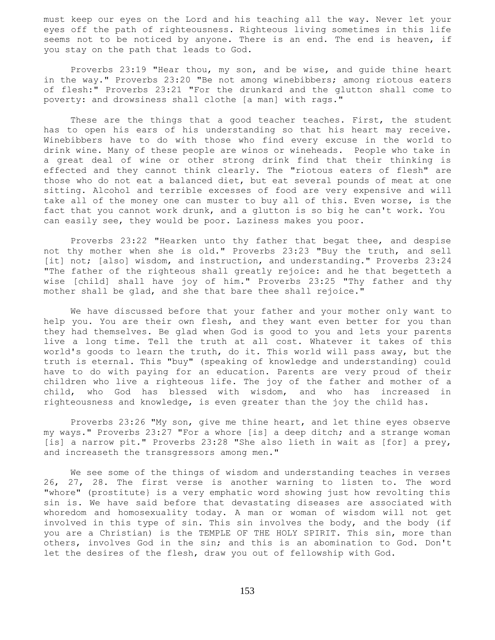must keep our eyes on the Lord and his teaching all the way. Never let your eyes off the path of righteousness. Righteous living sometimes in this life seems not to be noticed by anyone. There is an end. The end is heaven, if you stay on the path that leads to God.

 Proverbs 23:19 "Hear thou, my son, and be wise, and guide thine heart in the way." Proverbs 23:20 "Be not among winebibbers; among riotous eaters of flesh:" Proverbs 23:21 "For the drunkard and the glutton shall come to poverty: and drowsiness shall clothe [a man] with rags."

These are the things that a good teacher teaches. First, the student has to open his ears of his understanding so that his heart may receive. Winebibbers have to do with those who find every excuse in the world to drink wine. Many of these people are winos or wineheads. People who take in a great deal of wine or other strong drink find that their thinking is effected and they cannot think clearly. The "riotous eaters of flesh" are those who do not eat a balanced diet, but eat several pounds of meat at one sitting. Alcohol and terrible excesses of food are very expensive and will take all of the money one can muster to buy all of this. Even worse, is the fact that you cannot work drunk, and a glutton is so big he can't work. You can easily see, they would be poor. Laziness makes you poor.

 Proverbs 23:22 "Hearken unto thy father that begat thee, and despise not thy mother when she is old." Proverbs 23:23 "Buy the truth, and sell [it] not; [also] wisdom, and instruction, and understanding." Proverbs 23:24 "The father of the righteous shall greatly rejoice: and he that begetteth a wise [child] shall have joy of him." Proverbs 23:25 "Thy father and thy mother shall be glad, and she that bare thee shall rejoice."

 We have discussed before that your father and your mother only want to help you. You are their own flesh, and they want even better for you than they had themselves. Be glad when God is good to you and lets your parents live a long time. Tell the truth at all cost. Whatever it takes of this world's goods to learn the truth, do it. This world will pass away, but the truth is eternal. This "buy" (speaking of knowledge and understanding) could have to do with paying for an education. Parents are very proud of their children who live a righteous life. The joy of the father and mother of a child, who God has blessed with wisdom, and who has increased in righteousness and knowledge, is even greater than the joy the child has.

 Proverbs 23:26 "My son, give me thine heart, and let thine eyes observe my ways." Proverbs 23:27 "For a whore [is] a deep ditch; and a strange woman [is] a narrow pit." Proverbs 23:28 "She also lieth in wait as [for] a prey, and increaseth the transgressors among men."

 We see some of the things of wisdom and understanding teaches in verses 26, 27, 28. The first verse is another warning to listen to. The word "whore" (prostitute} is a very emphatic word showing just how revolting this sin is. We have said before that devastating diseases are associated with whoredom and homosexuality today. A man or woman of wisdom will not get involved in this type of sin. This sin involves the body, and the body (if you are a Christian) is the TEMPLE OF THE HOLY SPIRIT. This sin, more than others, involves God in the sin; and this is an abomination to God. Don't let the desires of the flesh, draw you out of fellowship with God.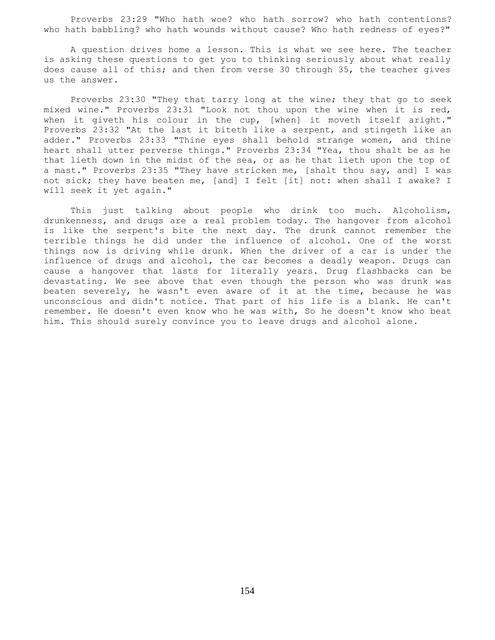Proverbs 23:29 "Who hath woe? who hath sorrow? who hath contentions? who hath babbling? who hath wounds without cause? Who hath redness of eyes?"

 A question drives home a lesson. This is what we see here. The teacher is asking these questions to get you to thinking seriously about what really does cause all of this; and then from verse 30 through 35, the teacher gives us the answer.

 Proverbs 23:30 "They that tarry long at the wine; they that go to seek mixed wine." Proverbs 23:31 "Look not thou upon the wine when it is red, when it giveth his colour in the cup, [when] it moveth itself aright." Proverbs 23:32 "At the last it biteth like a serpent, and stingeth like an adder." Proverbs 23:33 "Thine eyes shall behold strange women, and thine heart shall utter perverse things." Proverbs 23:34 "Yea, thou shalt be as he that lieth down in the midst of the sea, or as he that lieth upon the top of a mast." Proverbs 23:35 "They have stricken me, [shalt thou say, and] I was not sick; they have beaten me, [and] I felt [it] not: when shall I awake? I will seek it yet again."

 This just talking about people who drink too much. Alcoholism, drunkenness, and drugs are a real problem today. The hangover from alcohol is like the serpent's bite the next day. The drunk cannot remember the terrible things he did under the influence of alcohol. One of the worst things now is driving while drunk. When the driver of a car is under the influence of drugs and alcohol, the car becomes a deadly weapon. Drugs can cause a hangover that lasts for literally years. Drug flashbacks can be devastating. We see above that even though the person who was drunk was beaten severely, he wasn't even aware of it at the time, because he was unconscious and didn't notice. That part of his life is a blank. He can't remember. He doesn't even know who he was with, So he doesn't know who beat him. This should surely convince you to leave drugs and alcohol alone.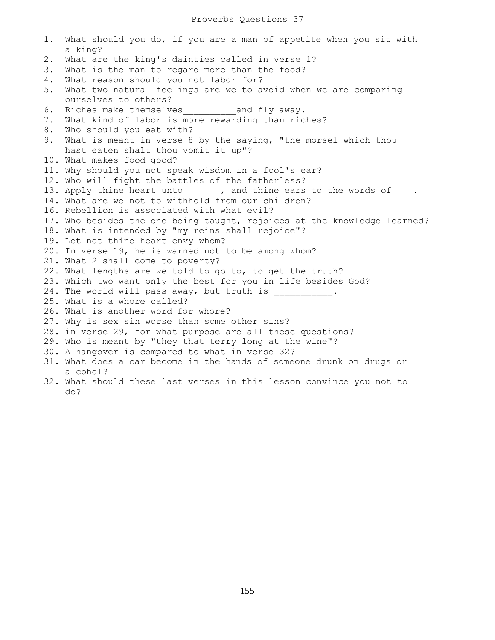1. What should you do, if you are a man of appetite when you sit with a king? 2. What are the king's dainties called in verse 1? 3. What is the man to regard more than the food? 4. What reason should you not labor for? 5. What two natural feelings are we to avoid when we are comparing ourselves to others? 6. Riches make themselves\_\_\_\_\_\_\_\_\_\_and fly away. 7. What kind of labor is more rewarding than riches? 8. Who should you eat with? 9. What is meant in verse 8 by the saying, "the morsel which thou hast eaten shalt thou vomit it up"? 10. What makes food good? 11. Why should you not speak wisdom in a fool's ear? 12. Who will fight the battles of the fatherless? 13. Apply thine heart unto  $\qquad \qquad$ , and thine ears to the words of  $\qquad \, .$ 14. What are we not to withhold from our children? 16. Rebellion is associated with what evil? 17. Who besides the one being taught, rejoices at the knowledge learned? 18. What is intended by "my reins shall rejoice"? 19. Let not thine heart envy whom? 20. In verse 19, he is warned not to be among whom? 21. What 2 shall come to poverty? 22. What lengths are we told to go to, to get the truth? 23. Which two want only the best for you in life besides God? 24. The world will pass away, but truth is  $\qquad \qquad$ 25. What is a whore called? 26. What is another word for whore? 27. Why is sex sin worse than some other sins? 28. in verse 29, for what purpose are all these questions? 29. Who is meant by "they that terry long at the wine"? 30. A hangover is compared to what in verse 32? 31. What does a car become in the hands of someone drunk on drugs or alcohol? 32. What should these last verses in this lesson convince you not to do?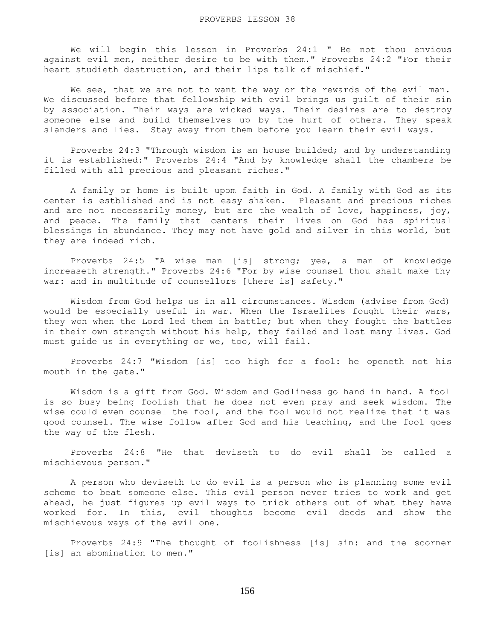We will begin this lesson in Proverbs 24:1 " Be not thou envious against evil men, neither desire to be with them." Proverbs 24:2 "For their heart studieth destruction, and their lips talk of mischief."

We see, that we are not to want the way or the rewards of the evil man. We discussed before that fellowship with evil brings us guilt of their sin by association. Their ways are wicked ways. Their desires are to destroy someone else and build themselves up by the hurt of others. They speak slanders and lies. Stay away from them before you learn their evil ways.

 Proverbs 24:3 "Through wisdom is an house builded; and by understanding it is established:" Proverbs 24:4 "And by knowledge shall the chambers be filled with all precious and pleasant riches."

 A family or home is built upom faith in God. A family with God as its center is estblished and is not easy shaken. Pleasant and precious riches and are not necessarily money, but are the wealth of love, happiness, joy, and peace. The family that centers their lives on God has spiritual blessings in abundance. They may not have gold and silver in this world, but they are indeed rich.

 Proverbs 24:5 "A wise man [is] strong; yea, a man of knowledge increaseth strength." Proverbs 24:6 "For by wise counsel thou shalt make thy war: and in multitude of counsellors [there is] safety."

 Wisdom from God helps us in all circumstances. Wisdom (advise from God) would be especially useful in war. When the Israelites fought their wars, they won when the Lord led them in battle; but when they fought the battles in their own strength without his help, they failed and lost many lives. God must guide us in everything or we, too, will fail.

 Proverbs 24:7 "Wisdom [is] too high for a fool: he openeth not his mouth in the gate."

 Wisdom is a gift from God. Wisdom and Godliness go hand in hand. A fool is so busy being foolish that he does not even pray and seek wisdom. The wise could even counsel the fool, and the fool would not realize that it was good counsel. The wise follow after God and his teaching, and the fool goes the way of the flesh.

 Proverbs 24:8 "He that deviseth to do evil shall be called a mischievous person."

 A person who deviseth to do evil is a person who is planning some evil scheme to beat someone else. This evil person never tries to work and get ahead, he just figures up evil ways to trick others out of what they have worked for. In this, evil thoughts become evil deeds and show the mischievous ways of the evil one.

 Proverbs 24:9 "The thought of foolishness [is] sin: and the scorner [is] an abomination to men."

156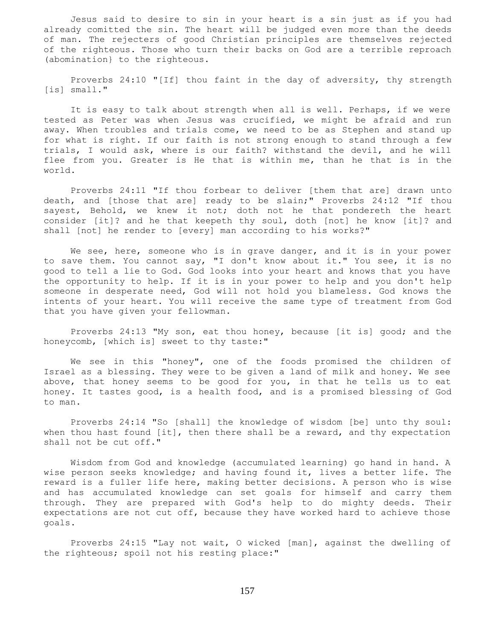Jesus said to desire to sin in your heart is a sin just as if you had already comitted the sin. The heart will be judged even more than the deeds of man. The rejecters of good Christian principles are themselves rejected of the righteous. Those who turn their backs on God are a terrible reproach (abomination} to the righteous.

 Proverbs 24:10 "[If] thou faint in the day of adversity, thy strength [is] small."

 It is easy to talk about strength when all is well. Perhaps, if we were tested as Peter was when Jesus was crucified, we might be afraid and run away. When troubles and trials come, we need to be as Stephen and stand up for what is right. If our faith is not strong enough to stand through a few trials, I would ask, where is our faith? withstand the devil, and he will flee from you. Greater is He that is within me, than he that is in the world.

 Proverbs 24:11 "If thou forbear to deliver [them that are] drawn unto death, and [those that are] ready to be slain;" Proverbs 24:12 "If thou sayest, Behold, we knew it not; doth not he that pondereth the heart consider [it]? and he that keepeth thy soul, doth [not] he know [it]? and shall [not] he render to [every] man according to his works?"

We see, here, someone who is in grave danger, and it is in your power to save them. You cannot say, "I don't know about it." You see, it is no good to tell a lie to God. God looks into your heart and knows that you have the opportunity to help. If it is in your power to help and you don't help someone in desperate need, God will not hold you blameless. God knows the intents of your heart. You will receive the same type of treatment from God that you have given your fellowman.

 Proverbs 24:13 "My son, eat thou honey, because [it is] good; and the honeycomb, [which is] sweet to thy taste:"

 We see in this "honey", one of the foods promised the children of Israel as a blessing. They were to be given a land of milk and honey. We see above, that honey seems to be good for you, in that he tells us to eat honey. It tastes good, is a health food, and is a promised blessing of God to man.

 Proverbs 24:14 "So [shall] the knowledge of wisdom [be] unto thy soul: when thou hast found [it], then there shall be a reward, and thy expectation shall not be cut off."

 Wisdom from God and knowledge (accumulated learning) go hand in hand. A wise person seeks knowledge; and having found it, lives a better life. The reward is a fuller life here, making better decisions. A person who is wise and has accumulated knowledge can set goals for himself and carry them through. They are prepared with God's help to do mighty deeds. Their expectations are not cut off, because they have worked hard to achieve those goals.

 Proverbs 24:15 "Lay not wait, O wicked [man], against the dwelling of the righteous; spoil not his resting place:"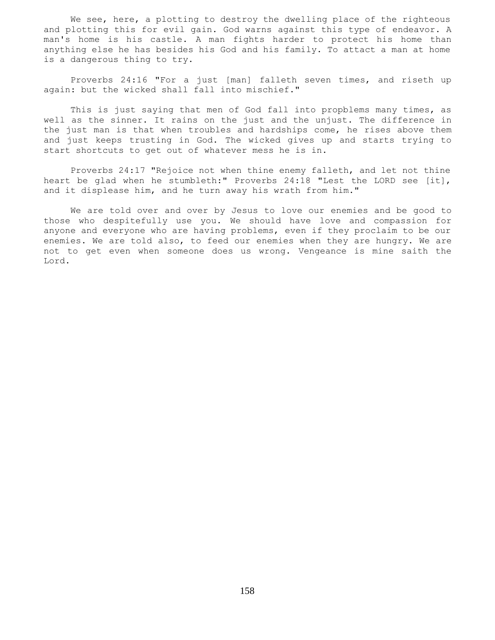We see, here, a plotting to destroy the dwelling place of the righteous and plotting this for evil gain. God warns against this type of endeavor. A man's home is his castle. A man fights harder to protect his home than anything else he has besides his God and his family. To attact a man at home is a dangerous thing to try.

 Proverbs 24:16 "For a just [man] falleth seven times, and riseth up again: but the wicked shall fall into mischief."

 This is just saying that men of God fall into propblems many times, as well as the sinner. It rains on the just and the unjust. The difference in the just man is that when troubles and hardships come, he rises above them and just keeps trusting in God. The wicked gives up and starts trying to start shortcuts to get out of whatever mess he is in.

 Proverbs 24:17 "Rejoice not when thine enemy falleth, and let not thine heart be glad when he stumbleth:" Proverbs 24:18 "Lest the LORD see [it], and it displease him, and he turn away his wrath from him."

 We are told over and over by Jesus to love our enemies and be good to those who despitefully use you. We should have love and compassion for anyone and everyone who are having problems, even if they proclaim to be our enemies. We are told also, to feed our enemies when they are hungry. We are not to get even when someone does us wrong. Vengeance is mine saith the Lord.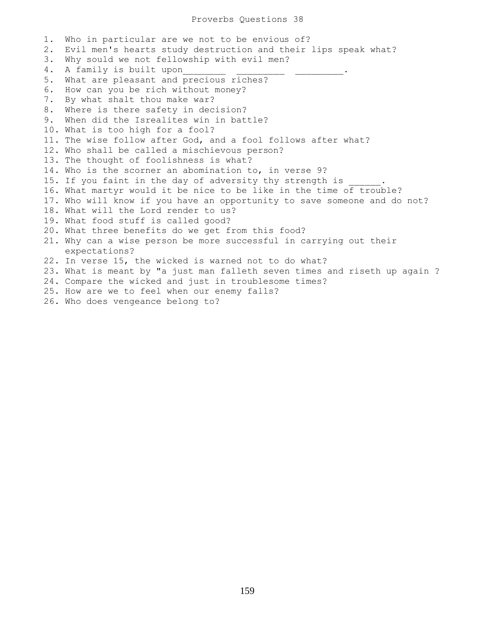1. Who in particular are we not to be envious of? 2. Evil men's hearts study destruction and their lips speak what? 3. Why sould we not fellowship with evil men? 4. A family is built upon 5. What are pleasant and precious riches? 6. How can you be rich without money? 7. By what shalt thou make war? 8. Where is there safety in decision? 9. When did the Isrealites win in battle? 10. What is too high for a fool? 11. The wise follow after God, and a fool follows after what? 12. Who shall be called a mischievous person? 13. The thought of foolishness is what? 14. Who is the scorner an abomination to, in verse 9? 15. If you faint in the day of adversity thy strength is 16. What martyr would it be nice to be like in the time of trouble? 17. Who will know if you have an opportunity to save someone and do not? 18. What will the Lord render to us? 19. What food stuff is called good? 20. What three benefits do we get from this food? 21. Why can a wise person be more successful in carrying out their expectations? 22. In verse 15, the wicked is warned not to do what? 23. What is meant by "a just man falleth seven times and riseth up again ? 24. Compare the wicked and just in troublesome times? 25. How are we to feel when our enemy falls? 26. Who does vengeance belong to?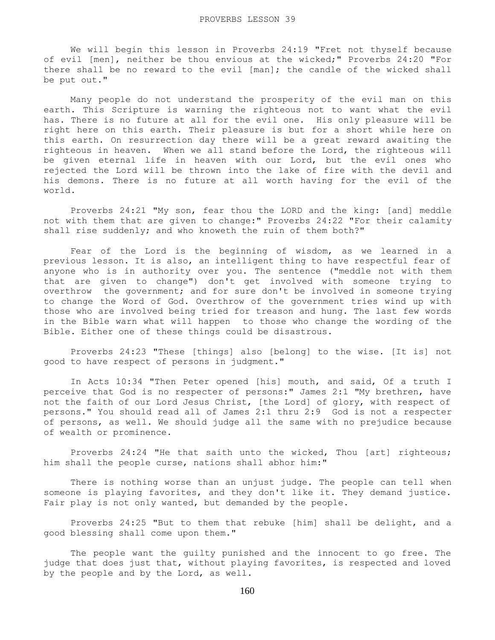We will begin this lesson in Proverbs 24:19 "Fret not thyself because of evil [men], neither be thou envious at the wicked;" Proverbs 24:20 "For there shall be no reward to the evil [man]; the candle of the wicked shall be put out."

 Many people do not understand the prosperity of the evil man on this earth. This Scripture is warning the righteous not to want what the evil has. There is no future at all for the evil one. His only pleasure will be right here on this earth. Their pleasure is but for a short while here on this earth. On resurrection day there will be a great reward awaiting the righteous in heaven. When we all stand before the Lord, the righteous will be given eternal life in heaven with our Lord, but the evil ones who rejected the Lord will be thrown into the lake of fire with the devil and his demons. There is no future at all worth having for the evil of the world.

 Proverbs 24:21 "My son, fear thou the LORD and the king: [and] meddle not with them that are given to change:" Proverbs 24:22 "For their calamity shall rise suddenly; and who knoweth the ruin of them both?"

 Fear of the Lord is the beginning of wisdom, as we learned in a previous lesson. It is also, an intelligent thing to have respectful fear of anyone who is in authority over you. The sentence ("meddle not with them that are given to change") don't get involved with someone trying to overthrow the government; and for sure don't be involved in someone trying to change the Word of God. Overthrow of the government tries wind up with those who are involved being tried for treason and hung. The last few words in the Bible warn what will happen to those who change the wording of the Bible. Either one of these things could be disastrous.

 Proverbs 24:23 "These [things] also [belong] to the wise. [It is] not good to have respect of persons in judgment."

 In Acts 10:34 "Then Peter opened [his] mouth, and said, Of a truth I perceive that God is no respecter of persons:" James 2:1 "My brethren, have not the faith of our Lord Jesus Christ, [the Lord] of glory, with respect of persons." You should read all of James 2:1 thru 2:9 God is not a respecter of persons, as well. We should judge all the same with no prejudice because of wealth or prominence.

 Proverbs 24:24 "He that saith unto the wicked, Thou [art] righteous; him shall the people curse, nations shall abhor him:"

 There is nothing worse than an unjust judge. The people can tell when someone is playing favorites, and they don't like it. They demand justice. Fair play is not only wanted, but demanded by the people.

 Proverbs 24:25 "But to them that rebuke [him] shall be delight, and a good blessing shall come upon them."

 The people want the guilty punished and the innocent to go free. The judge that does just that, without playing favorites, is respected and loved by the people and by the Lord, as well.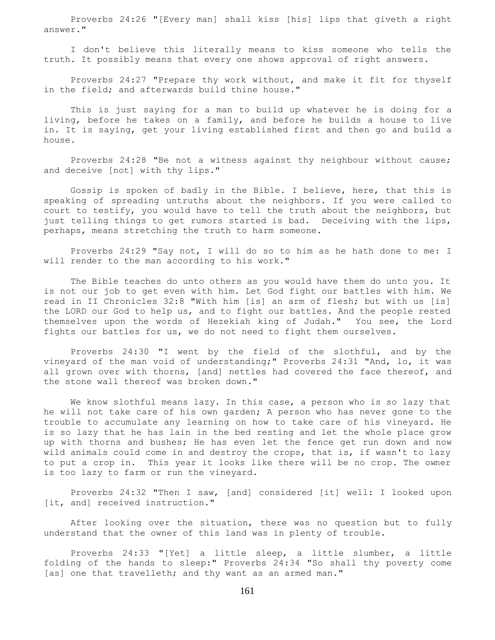Proverbs 24:26 "[Every man] shall kiss [his] lips that giveth a right answer."

 I don't believe this literally means to kiss someone who tells the truth. It possibly means that every one shows approval of right answers.

 Proverbs 24:27 "Prepare thy work without, and make it fit for thyself in the field; and afterwards build thine house."

 This is just saying for a man to build up whatever he is doing for a living, before he takes on a family, and before he builds a house to live in. It is saying, get your living established first and then go and build a house.

 Proverbs 24:28 "Be not a witness against thy neighbour without cause; and deceive [not] with thy lips."

 Gossip is spoken of badly in the Bible. I believe, here, that this is speaking of spreading untruths about the neighbors. If you were called to court to testify, you would have to tell the truth about the neighbors, but just telling things to get rumors started is bad. Deceiving with the lips, perhaps, means stretching the truth to harm someone.

 Proverbs 24:29 "Say not, I will do so to him as he hath done to me: I will render to the man according to his work."

 The Bible teaches do unto others as you would have them do unto you. It is not our job to get even with him. Let God fight our battles with him. We read in II Chronicles 32:8 "With him [is] an arm of flesh; but with us [is] the LORD our God to help us, and to fight our battles. And the people rested themselves upon the words of Hezekiah king of Judah." You see, the Lord fights our battles for us, we do not need to fight them ourselves.

 Proverbs 24:30 "I went by the field of the slothful, and by the vineyard of the man void of understanding;" Proverbs 24:31 "And, lo, it was all grown over with thorns, [and] nettles had covered the face thereof, and the stone wall thereof was broken down."

We know slothful means lazy. In this case, a person who is so lazy that he will not take care of his own garden; A person who has never gone to the trouble to accumulate any learning on how to take care of his vineyard. He is so lazy that he has lain in the bed resting and let the whole place grow up with thorns and bushes; He has even let the fence get run down and now wild animals could come in and destroy the crops, that is, if wasn't to lazy to put a crop in. This year it looks like there will be no crop. The owner is too lazy to farm or run the vineyard.

 Proverbs 24:32 "Then I saw, [and] considered [it] well: I looked upon [it, and] received instruction."

 After looking over the situation, there was no question but to fully understand that the owner of this land was in plenty of trouble.

 Proverbs 24:33 "[Yet] a little sleep, a little slumber, a little folding of the hands to sleep:" Proverbs 24:34 "So shall thy poverty come [as] one that travelleth; and thy want as an armed man."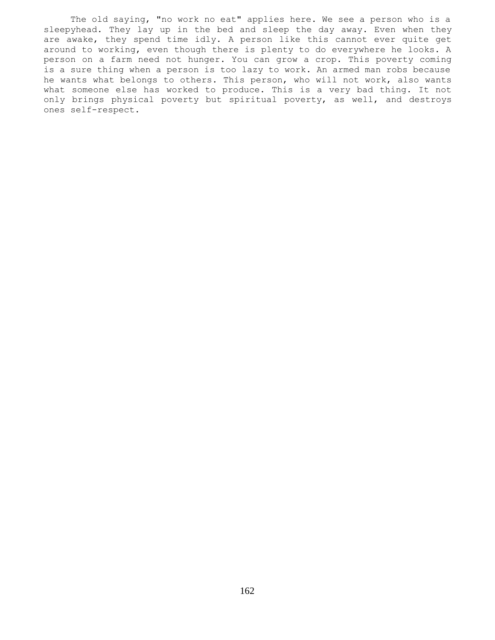The old saying, "no work no eat" applies here. We see a person who is a sleepyhead. They lay up in the bed and sleep the day away. Even when they are awake, they spend time idly. A person like this cannot ever quite get around to working, even though there is plenty to do everywhere he looks. A person on a farm need not hunger. You can grow a crop. This poverty coming is a sure thing when a person is too lazy to work. An armed man robs because he wants what belongs to others. This person, who will not work, also wants what someone else has worked to produce. This is a very bad thing. It not only brings physical poverty but spiritual poverty, as well, and destroys ones self-respect.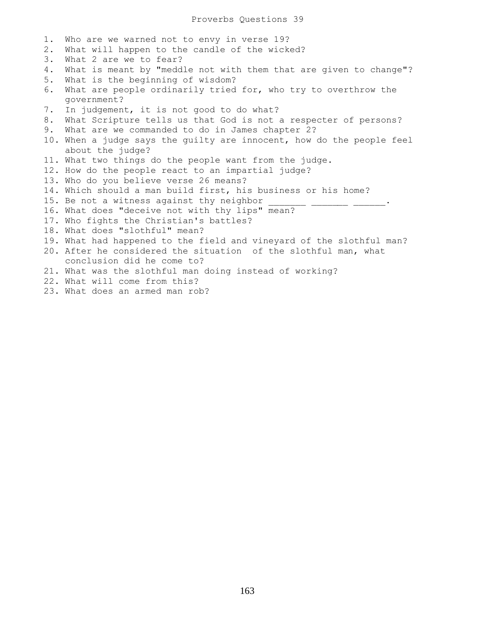1. Who are we warned not to envy in verse 19? 2. What will happen to the candle of the wicked? 3. What 2 are we to fear? 4. What is meant by "meddle not with them that are given to change"? 5. What is the beginning of wisdom? 6. What are people ordinarily tried for, who try to overthrow the government? 7. In judgement, it is not good to do what? 8. What Scripture tells us that God is not a respecter of persons? 9. What are we commanded to do in James chapter 2? 10. When a judge says the guilty are innocent, how do the people feel about the judge? 11. What two things do the people want from the judge. 12. How do the people react to an impartial judge? 13. Who do you believe verse 26 means? 14. Which should a man build first, his business or his home? 15. Be not a witness against thy neighbor 16. What does "deceive not with thy lips" mean? 17. Who fights the Christian's battles? 18. What does "slothful" mean? 19. What had happened to the field and vineyard of the slothful man? 20. After he considered the situation of the slothful man, what conclusion did he come to? 21. What was the slothful man doing instead of working? 22. What will come from this?

23. What does an armed man rob?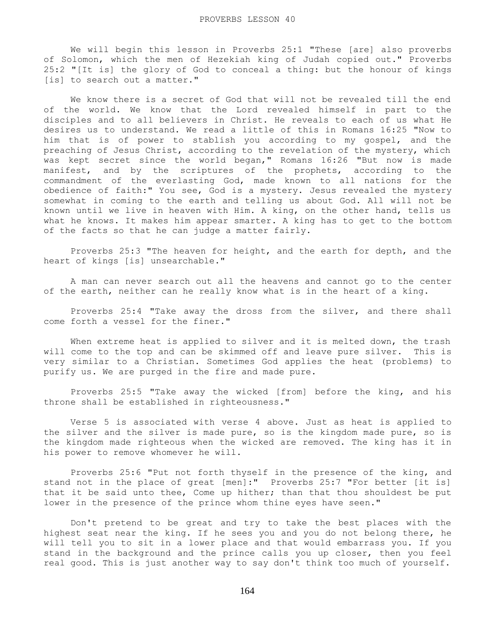We will begin this lesson in Proverbs 25:1 "These [are] also proverbs of Solomon, which the men of Hezekiah king of Judah copied out." Proverbs 25:2 "[It is] the glory of God to conceal a thing: but the honour of kings [is] to search out a matter."

 We know there is a secret of God that will not be revealed till the end of the world. We know that the Lord revealed himself in part to the disciples and to all believers in Christ. He reveals to each of us what He desires us to understand. We read a little of this in Romans 16:25 "Now to him that is of power to stablish you according to my gospel, and the preaching of Jesus Christ, according to the revelation of the mystery, which was kept secret since the world began," Romans 16:26 "But now is made manifest, and by the scriptures of the prophets, according to the commandment of the everlasting God, made known to all nations for the obedience of faith:" You see, God is a mystery. Jesus revealed the mystery somewhat in coming to the earth and telling us about God. All will not be known until we live in heaven with Him. A king, on the other hand, tells us what he knows. It makes him appear smarter. A king has to get to the bottom of the facts so that he can judge a matter fairly.

 Proverbs 25:3 "The heaven for height, and the earth for depth, and the heart of kings [is] unsearchable."

 A man can never search out all the heavens and cannot go to the center of the earth, neither can he really know what is in the heart of a king.

 Proverbs 25:4 "Take away the dross from the silver, and there shall come forth a vessel for the finer."

When extreme heat is applied to silver and it is melted down, the trash will come to the top and can be skimmed off and leave pure silver. This is very similar to a Christian. Sometimes God applies the heat (problems) to purify us. We are purged in the fire and made pure.

 Proverbs 25:5 "Take away the wicked [from] before the king, and his throne shall be established in righteousness."

 Verse 5 is associated with verse 4 above. Just as heat is applied to the silver and the silver is made pure, so is the kingdom made pure, so is the kingdom made righteous when the wicked are removed. The king has it in his power to remove whomever he will.

 Proverbs 25:6 "Put not forth thyself in the presence of the king, and stand not in the place of great [men]:" Proverbs 25:7 "For better [it is] that it be said unto thee, Come up hither; than that thou shouldest be put lower in the presence of the prince whom thine eyes have seen."

 Don't pretend to be great and try to take the best places with the highest seat near the king. If he sees you and you do not belong there, he will tell you to sit in a lower place and that would embarrass you. If you stand in the background and the prince calls you up closer, then you feel real good. This is just another way to say don't think too much of yourself.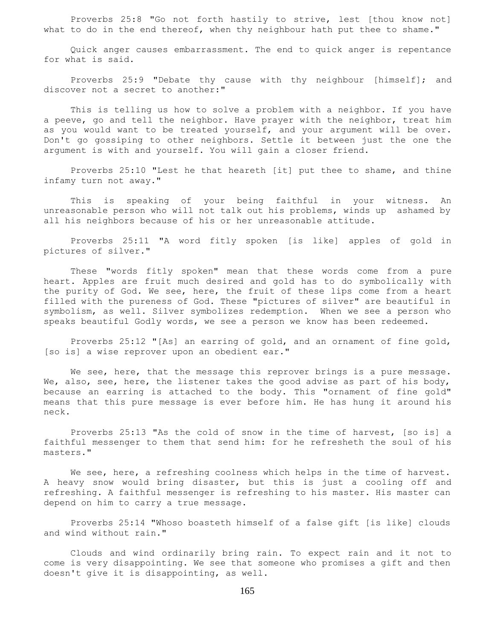Proverbs 25:8 "Go not forth hastily to strive, lest [thou know not] what to do in the end thereof, when thy neighbour hath put thee to shame."

 Quick anger causes embarrassment. The end to quick anger is repentance for what is said.

Proverbs 25:9 "Debate thy cause with thy neighbour [himself]; and discover not a secret to another:"

 This is telling us how to solve a problem with a neighbor. If you have a peeve, go and tell the neighbor. Have prayer with the neighbor, treat him as you would want to be treated yourself, and your argument will be over. Don't go gossiping to other neighbors. Settle it between just the one the argument is with and yourself. You will gain a closer friend.

 Proverbs 25:10 "Lest he that heareth [it] put thee to shame, and thine infamy turn not away."

 This is speaking of your being faithful in your witness. An unreasonable person who will not talk out his problems, winds up ashamed by all his neighbors because of his or her unreasonable attitude.

 Proverbs 25:11 "A word fitly spoken [is like] apples of gold in pictures of silver."

 These "words fitly spoken" mean that these words come from a pure heart. Apples are fruit much desired and gold has to do symbolically with the purity of God. We see, here, the fruit of these lips come from a heart filled with the pureness of God. These "pictures of silver" are beautiful in symbolism, as well. Silver symbolizes redemption. When we see a person who speaks beautiful Godly words, we see a person we know has been redeemed.

 Proverbs 25:12 "[As] an earring of gold, and an ornament of fine gold, [so is] a wise reprover upon an obedient ear."

We see, here, that the message this reprover brings is a pure message. We, also, see, here, the listener takes the good advise as part of his body, because an earring is attached to the body. This "ornament of fine gold" means that this pure message is ever before him. He has hung it around his neck.

 Proverbs 25:13 "As the cold of snow in the time of harvest, [so is] a faithful messenger to them that send him: for he refresheth the soul of his masters."

 We see, here, a refreshing coolness which helps in the time of harvest. A heavy snow would bring disaster, but this is just a cooling off and refreshing. A faithful messenger is refreshing to his master. His master can depend on him to carry a true message.

 Proverbs 25:14 "Whoso boasteth himself of a false gift [is like] clouds and wind without rain."

 Clouds and wind ordinarily bring rain. To expect rain and it not to come is very disappointing. We see that someone who promises a gift and then doesn't give it is disappointing, as well.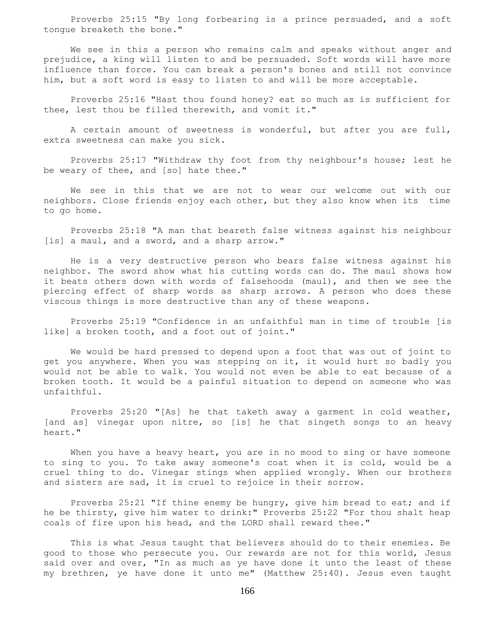Proverbs 25:15 "By long forbearing is a prince persuaded, and a soft tongue breaketh the bone."

 We see in this a person who remains calm and speaks without anger and prejudice, a king will listen to and be persuaded. Soft words will have more influence than force. You can break a person's bones and still not convince him, but a soft word is easy to listen to and will be more acceptable.

 Proverbs 25:16 "Hast thou found honey? eat so much as is sufficient for thee, lest thou be filled therewith, and vomit it."

 A certain amount of sweetness is wonderful, but after you are full, extra sweetness can make you sick.

 Proverbs 25:17 "Withdraw thy foot from thy neighbour's house; lest he be weary of thee, and [so] hate thee."

 We see in this that we are not to wear our welcome out with our neighbors. Close friends enjoy each other, but they also know when its time to go home.

 Proverbs 25:18 "A man that beareth false witness against his neighbour [is] a maul, and a sword, and a sharp arrow."

 He is a very destructive person who bears false witness against his neighbor. The sword show what his cutting words can do. The maul shows how it beats others down with words of falsehoods (maul), and then we see the piercing effect of sharp words as sharp arrows. A person who does these viscous things is more destructive than any of these weapons.

 Proverbs 25:19 "Confidence in an unfaithful man in time of trouble [is like] a broken tooth, and a foot out of joint."

 We would be hard pressed to depend upon a foot that was out of joint to get you anywhere. When you was stepping on it, it would hurt so badly you would not be able to walk. You would not even be able to eat because of a broken tooth. It would be a painful situation to depend on someone who was unfaithful.

 Proverbs 25:20 "[As] he that taketh away a garment in cold weather, [and as] vinegar upon nitre, so [is] he that singeth songs to an heavy heart."

When you have a heavy heart, you are in no mood to sing or have someone to sing to you. To take away someone's coat when it is cold, would be a cruel thing to do. Vinegar stings when applied wrongly. When our brothers and sisters are sad, it is cruel to rejoice in their sorrow.

 Proverbs 25:21 "If thine enemy be hungry, give him bread to eat; and if he be thirsty, give him water to drink:" Proverbs 25:22 "For thou shalt heap coals of fire upon his head, and the LORD shall reward thee."

 This is what Jesus taught that believers should do to their enemies. Be good to those who persecute you. Our rewards are not for this world, Jesus said over and over, "In as much as ye have done it unto the least of these my brethren, ye have done it unto me" (Matthew 25:40). Jesus even taught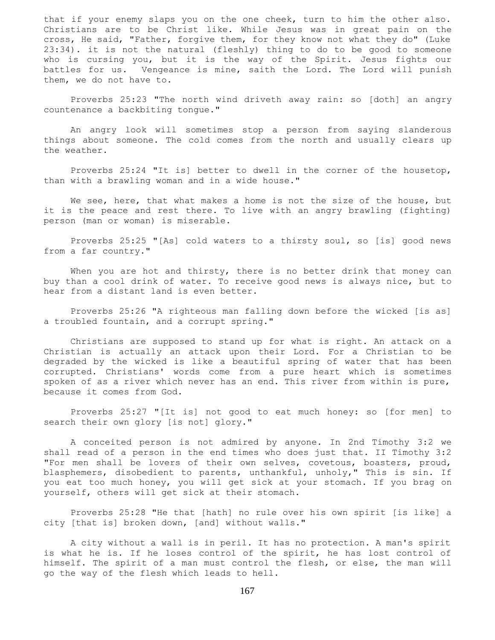that if your enemy slaps you on the one cheek, turn to him the other also. Christians are to be Christ like. While Jesus was in great pain on the cross, He said, "Father, forgive them, for they know not what they do" (Luke 23:34). it is not the natural (fleshly) thing to do to be good to someone who is cursing you, but it is the way of the Spirit. Jesus fights our battles for us. Vengeance is mine, saith the Lord. The Lord will punish them, we do not have to.

 Proverbs 25:23 "The north wind driveth away rain: so [doth] an angry countenance a backbiting tongue."

 An angry look will sometimes stop a person from saying slanderous things about someone. The cold comes from the north and usually clears up the weather.

 Proverbs 25:24 "It is] better to dwell in the corner of the housetop, than with a brawling woman and in a wide house."

We see, here, that what makes a home is not the size of the house, but it is the peace and rest there. To live with an angry brawling (fighting) person (man or woman) is miserable.

 Proverbs 25:25 "[As] cold waters to a thirsty soul, so [is] good news from a far country."

When you are hot and thirsty, there is no better drink that money can buy than a cool drink of water. To receive good news is always nice, but to hear from a distant land is even better.

 Proverbs 25:26 "A righteous man falling down before the wicked [is as] a troubled fountain, and a corrupt spring."

 Christians are supposed to stand up for what is right. An attack on a Christian is actually an attack upon their Lord. For a Christian to be degraded by the wicked is like a beautiful spring of water that has been corrupted. Christians' words come from a pure heart which is sometimes spoken of as a river which never has an end. This river from within is pure, because it comes from God.

 Proverbs 25:27 "[It is] not good to eat much honey: so [for men] to search their own glory [is not] glory."

 A conceited person is not admired by anyone. In 2nd Timothy 3:2 we shall read of a person in the end times who does just that. II Timothy 3:2 "For men shall be lovers of their own selves, covetous, boasters, proud, blasphemers, disobedient to parents, unthankful, unholy," This is sin. If you eat too much honey, you will get sick at your stomach. If you brag on yourself, others will get sick at their stomach.

 Proverbs 25:28 "He that [hath] no rule over his own spirit [is like] a city [that is] broken down, [and] without walls."

 A city without a wall is in peril. It has no protection. A man's spirit is what he is. If he loses control of the spirit, he has lost control of himself. The spirit of a man must control the flesh, or else, the man will go the way of the flesh which leads to hell.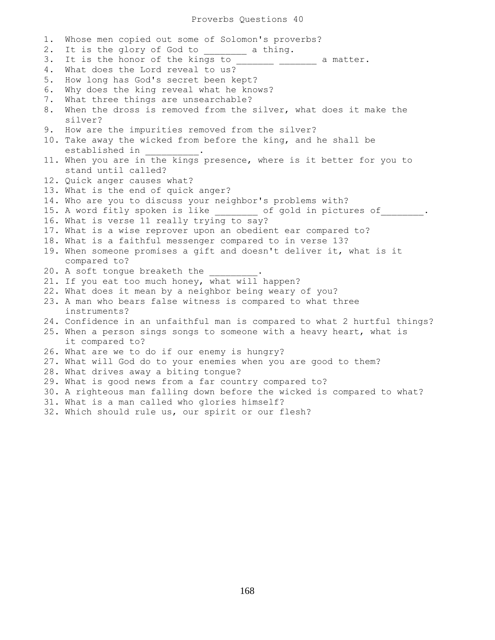## Proverbs Questions 40

1. Whose men copied out some of Solomon's proverbs? 2. It is the glory of God to a thing. 3. It is the honor of the kings to \_\_\_\_\_\_\_\_ \_\_\_\_\_\_\_ a matter. 4. What does the Lord reveal to us? 5. How long has God's secret been kept? 6. Why does the king reveal what he knows? 7. What three things are unsearchable? 8. When the dross is removed from the silver, what does it make the silver? 9. How are the impurities removed from the silver? 10. Take away the wicked from before the king, and he shall be established in \_\_\_\_\_\_\_\_\_\_. 11. When you are in the kings presence, where is it better for you to stand until called? 12. Quick anger causes what? 13. What is the end of quick anger? 14. Who are you to discuss your neighbor's problems with? 15. A word fitly spoken is like \_\_\_\_\_\_\_\_ of gold in pictures of \_\_\_\_\_\_\_. 16. What is verse 11 really trying to say? 17. What is a wise reprover upon an obedient ear compared to? 18. What is a faithful messenger compared to in verse 13? 19. When someone promises a gift and doesn't deliver it, what is it compared to? 20. A soft tongue breaketh the 21. If you eat too much honey, what will happen? 22. What does it mean by a neighbor being weary of you? 23. A man who bears false witness is compared to what three instruments? 24. Confidence in an unfaithful man is compared to what 2 hurtful things? 25. When a person sings songs to someone with a heavy heart, what is it compared to? 26. What are we to do if our enemy is hungry? 27. What will God do to your enemies when you are good to them? 28. What drives away a biting tongue? 29. What is good news from a far country compared to? 30. A righteous man falling down before the wicked is compared to what? 31. What is a man called who glories himself? 32. Which should rule us, our spirit or our flesh?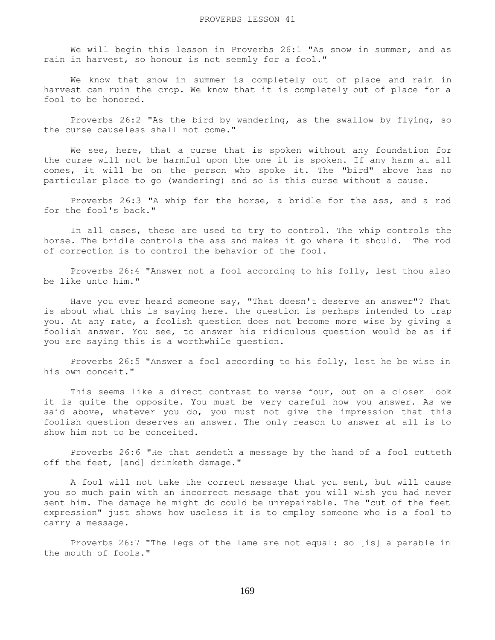We will begin this lesson in Proverbs 26:1 "As snow in summer, and as rain in harvest, so honour is not seemly for a fool."

 We know that snow in summer is completely out of place and rain in harvest can ruin the crop. We know that it is completely out of place for a fool to be honored.

 Proverbs 26:2 "As the bird by wandering, as the swallow by flying, so the curse causeless shall not come."

We see, here, that a curse that is spoken without any foundation for the curse will not be harmful upon the one it is spoken. If any harm at all comes, it will be on the person who spoke it. The "bird" above has no particular place to go (wandering) and so is this curse without a cause.

 Proverbs 26:3 "A whip for the horse, a bridle for the ass, and a rod for the fool's back."

 In all cases, these are used to try to control. The whip controls the horse. The bridle controls the ass and makes it go where it should. The rod of correction is to control the behavior of the fool.

 Proverbs 26:4 "Answer not a fool according to his folly, lest thou also be like unto him."

 Have you ever heard someone say, "That doesn't deserve an answer"? That is about what this is saying here. the question is perhaps intended to trap you. At any rate, a foolish question does not become more wise by giving a foolish answer. You see, to answer his ridiculous question would be as if you are saying this is a worthwhile question.

 Proverbs 26:5 "Answer a fool according to his folly, lest he be wise in his own conceit."

 This seems like a direct contrast to verse four, but on a closer look it is quite the opposite. You must be very careful how you answer. As we said above, whatever you do, you must not give the impression that this foolish question deserves an answer. The only reason to answer at all is to show him not to be conceited.

 Proverbs 26:6 "He that sendeth a message by the hand of a fool cutteth off the feet, [and] drinketh damage."

 A fool will not take the correct message that you sent, but will cause you so much pain with an incorrect message that you will wish you had never sent him. The damage he might do could be unrepairable. The "cut of the feet expression" just shows how useless it is to employ someone who is a fool to carry a message.

 Proverbs 26:7 "The legs of the lame are not equal: so [is] a parable in the mouth of fools."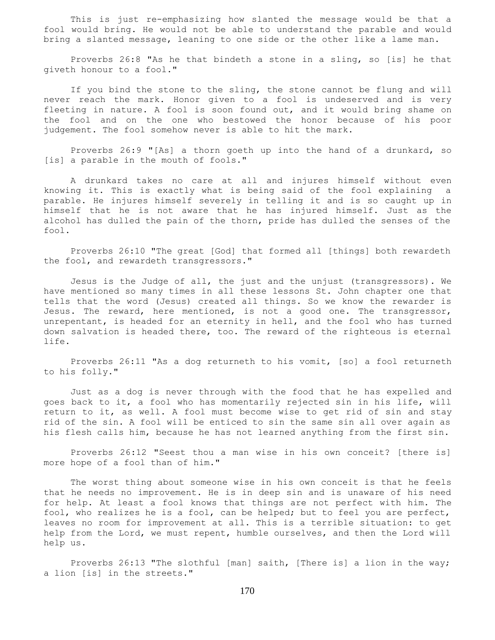This is just re-emphasizing how slanted the message would be that a fool would bring. He would not be able to understand the parable and would bring a slanted message, leaning to one side or the other like a lame man.

 Proverbs 26:8 "As he that bindeth a stone in a sling, so [is] he that giveth honour to a fool."

 If you bind the stone to the sling, the stone cannot be flung and will never reach the mark. Honor given to a fool is undeserved and is very fleeting in nature. A fool is soon found out, and it would bring shame on the fool and on the one who bestowed the honor because of his poor judgement. The fool somehow never is able to hit the mark.

 Proverbs 26:9 "[As] a thorn goeth up into the hand of a drunkard, so [is] a parable in the mouth of fools."

 A drunkard takes no care at all and injures himself without even knowing it. This is exactly what is being said of the fool explaining a parable. He injures himself severely in telling it and is so caught up in himself that he is not aware that he has injured himself. Just as the alcohol has dulled the pain of the thorn, pride has dulled the senses of the fool.

 Proverbs 26:10 "The great [God] that formed all [things] both rewardeth the fool, and rewardeth transgressors."

 Jesus is the Judge of all, the just and the unjust (transgressors). We have mentioned so many times in all these lessons St. John chapter one that tells that the word (Jesus) created all things. So we know the rewarder is Jesus. The reward, here mentioned, is not a good one. The transgressor, unrepentant, is headed for an eternity in hell, and the fool who has turned down salvation is headed there, too. The reward of the righteous is eternal life.

 Proverbs 26:11 "As a dog returneth to his vomit, [so] a fool returneth to his folly."

 Just as a dog is never through with the food that he has expelled and goes back to it, a fool who has momentarily rejected sin in his life, will return to it, as well. A fool must become wise to get rid of sin and stay rid of the sin. A fool will be enticed to sin the same sin all over again as his flesh calls him, because he has not learned anything from the first sin.

 Proverbs 26:12 "Seest thou a man wise in his own conceit? [there is] more hope of a fool than of him."

 The worst thing about someone wise in his own conceit is that he feels that he needs no improvement. He is in deep sin and is unaware of his need for help. At least a fool knows that things are not perfect with him. The fool, who realizes he is a fool, can be helped; but to feel you are perfect, leaves no room for improvement at all. This is a terrible situation: to get help from the Lord, we must repent, humble ourselves, and then the Lord will help us.

 Proverbs 26:13 "The slothful [man] saith, [There is] a lion in the way; a lion [is] in the streets."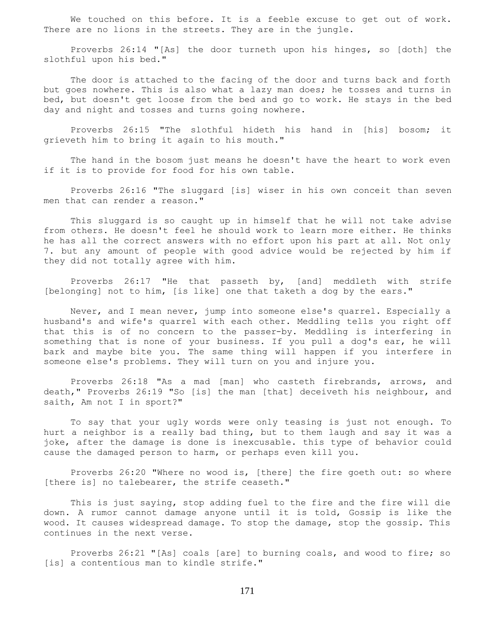We touched on this before. It is a feeble excuse to get out of work. There are no lions in the streets. They are in the jungle.

 Proverbs 26:14 "[As] the door turneth upon his hinges, so [doth] the slothful upon his bed."

 The door is attached to the facing of the door and turns back and forth but goes nowhere. This is also what a lazy man does; he tosses and turns in bed, but doesn't get loose from the bed and go to work. He stays in the bed day and night and tosses and turns going nowhere.

 Proverbs 26:15 "The slothful hideth his hand in [his] bosom; it grieveth him to bring it again to his mouth."

 The hand in the bosom just means he doesn't have the heart to work even if it is to provide for food for his own table.

 Proverbs 26:16 "The sluggard [is] wiser in his own conceit than seven men that can render a reason."

 This sluggard is so caught up in himself that he will not take advise from others. He doesn't feel he should work to learn more either. He thinks he has all the correct answers with no effort upon his part at all. Not only 7. but any amount of people with good advice would be rejected by him if they did not totally agree with him.

 Proverbs 26:17 "He that passeth by, [and] meddleth with strife [belonging] not to him, [is like] one that taketh a dog by the ears."

 Never, and I mean never, jump into someone else's quarrel. Especially a husband's and wife's quarrel with each other. Meddling tells you right off that this is of no concern to the passer-by. Meddling is interfering in something that is none of your business. If you pull a dog's ear, he will bark and maybe bite you. The same thing will happen if you interfere in someone else's problems. They will turn on you and injure you.

 Proverbs 26:18 "As a mad [man] who casteth firebrands, arrows, and death," Proverbs 26:19 "So [is] the man [that] deceiveth his neighbour, and saith, Am not I in sport?"

 To say that your ugly words were only teasing is just not enough. To hurt a neighbor is a really bad thing, but to them laugh and say it was a joke, after the damage is done is inexcusable. this type of behavior could cause the damaged person to harm, or perhaps even kill you.

 Proverbs 26:20 "Where no wood is, [there] the fire goeth out: so where [there is] no talebearer, the strife ceaseth."

 This is just saying, stop adding fuel to the fire and the fire will die down. A rumor cannot damage anyone until it is told, Gossip is like the wood. It causes widespread damage. To stop the damage, stop the gossip. This continues in the next verse.

 Proverbs 26:21 "[As] coals [are] to burning coals, and wood to fire; so [is] a contentious man to kindle strife."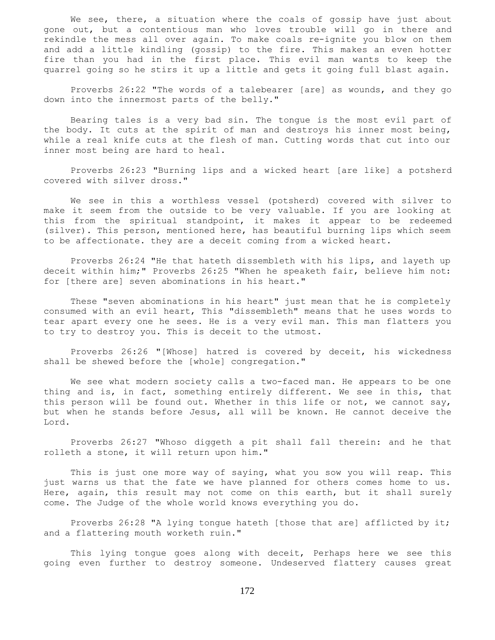We see, there, a situation where the coals of gossip have just about gone out, but a contentious man who loves trouble will go in there and rekindle the mess all over again. To make coals re-ignite you blow on them and add a little kindling (gossip) to the fire. This makes an even hotter fire than you had in the first place. This evil man wants to keep the quarrel going so he stirs it up a little and gets it going full blast again.

 Proverbs 26:22 "The words of a talebearer [are] as wounds, and they go down into the innermost parts of the belly."

 Bearing tales is a very bad sin. The tongue is the most evil part of the body. It cuts at the spirit of man and destroys his inner most being, while a real knife cuts at the flesh of man. Cutting words that cut into our inner most being are hard to heal.

 Proverbs 26:23 "Burning lips and a wicked heart [are like] a potsherd covered with silver dross."

 We see in this a worthless vessel (potsherd) covered with silver to make it seem from the outside to be very valuable. If you are looking at this from the spiritual standpoint, it makes it appear to be redeemed (silver). This person, mentioned here, has beautiful burning lips which seem to be affectionate. they are a deceit coming from a wicked heart.

 Proverbs 26:24 "He that hateth dissembleth with his lips, and layeth up deceit within him;" Proverbs 26:25 "When he speaketh fair, believe him not: for [there are] seven abominations in his heart."

 These "seven abominations in his heart" just mean that he is completely consumed with an evil heart, This "dissembleth" means that he uses words to tear apart every one he sees. He is a very evil man. This man flatters you to try to destroy you. This is deceit to the utmost.

 Proverbs 26:26 "[Whose] hatred is covered by deceit, his wickedness shall be shewed before the [whole] congregation."

 We see what modern society calls a two-faced man. He appears to be one thing and is, in fact, something entirely different. We see in this, that this person will be found out. Whether in this life or not, we cannot say, but when he stands before Jesus, all will be known. He cannot deceive the Lord.

 Proverbs 26:27 "Whoso diggeth a pit shall fall therein: and he that rolleth a stone, it will return upon him."

 This is just one more way of saying, what you sow you will reap. This just warns us that the fate we have planned for others comes home to us. Here, again, this result may not come on this earth, but it shall surely come. The Judge of the whole world knows everything you do.

 Proverbs 26:28 "A lying tongue hateth [those that are] afflicted by it; and a flattering mouth worketh ruin."

 This lying tongue goes along with deceit, Perhaps here we see this going even further to destroy someone. Undeserved flattery causes great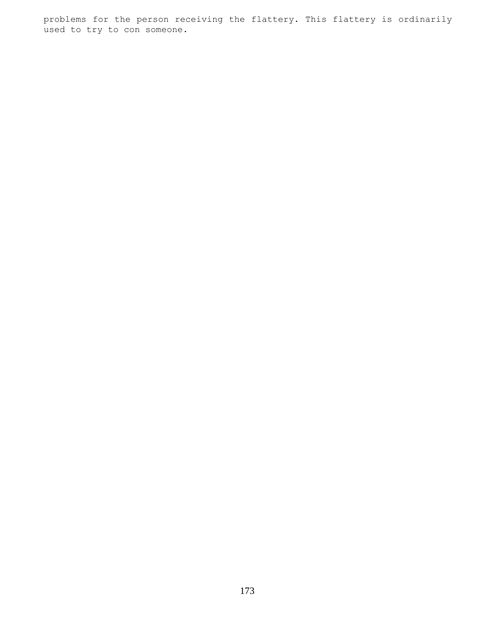problems for the person receiving the flattery. This flattery is ordinarily used to try to con someone.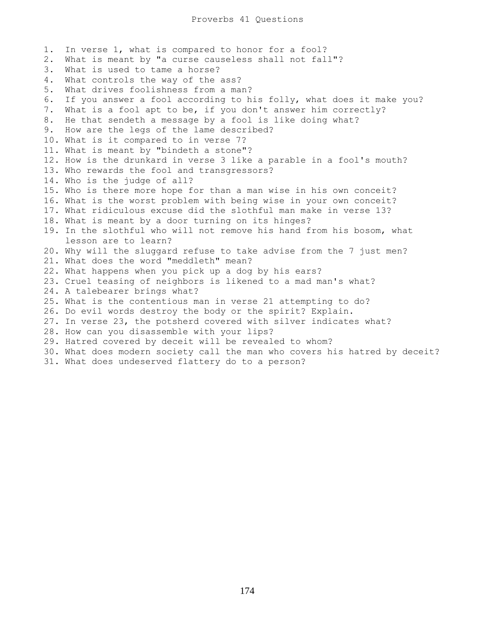1. In verse 1, what is compared to honor for a fool? 2. What is meant by "a curse causeless shall not fall"? 3. What is used to tame a horse? 4. What controls the way of the ass? 5. What drives foolishness from a man? 6. If you answer a fool according to his folly, what does it make you? 7. What is a fool apt to be, if you don't answer him correctly? 8. He that sendeth a message by a fool is like doing what? 9. How are the legs of the lame described? 10. What is it compared to in verse 7? 11. What is meant by "bindeth a stone"? 12. How is the drunkard in verse 3 like a parable in a fool's mouth? 13. Who rewards the fool and transgressors? 14. Who is the judge of all? 15. Who is there more hope for than a man wise in his own conceit? 16. What is the worst problem with being wise in your own conceit? 17. What ridiculous excuse did the slothful man make in verse 13? 18. What is meant by a door turning on its hinges? 19. In the slothful who will not remove his hand from his bosom, what lesson are to learn? 20. Why will the sluggard refuse to take advise from the 7 just men? 21. What does the word "meddleth" mean? 22. What happens when you pick up a dog by his ears? 23. Cruel teasing of neighbors is likened to a mad man's what? 24. A talebearer brings what? 25. What is the contentious man in verse 21 attempting to do? 26. Do evil words destroy the body or the spirit? Explain. 27. In verse 23, the potsherd covered with silver indicates what? 28. How can you disassemble with your lips? 29. Hatred covered by deceit will be revealed to whom? 30. What does modern society call the man who covers his hatred by deceit? 31. What does undeserved flattery do to a person?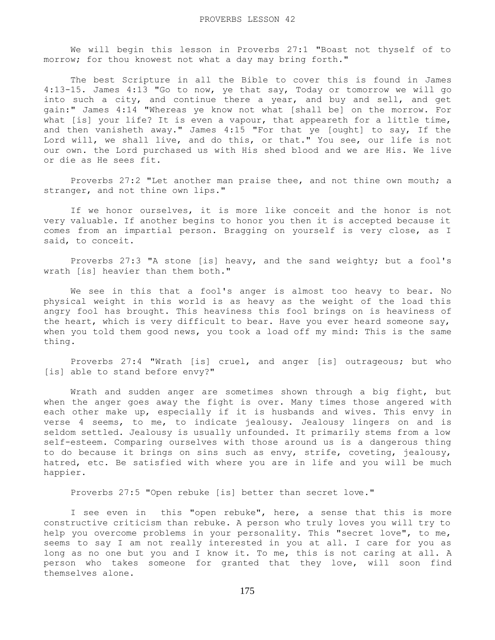We will begin this lesson in Proverbs 27:1 "Boast not thyself of to morrow; for thou knowest not what a day may bring forth."

 The best Scripture in all the Bible to cover this is found in James 4:13-15. James 4:13 "Go to now, ye that say, Today or tomorrow we will go into such a city, and continue there a year, and buy and sell, and get gain:" James 4:14 "Whereas ye know not what [shall be] on the morrow. For what [is] your life? It is even a vapour, that appeareth for a little time, and then vanisheth away." James 4:15 "For that ye [ought] to say, If the Lord will, we shall live, and do this, or that." You see, our life is not our own. the Lord purchased us with His shed blood and we are His. We live or die as He sees fit.

 Proverbs 27:2 "Let another man praise thee, and not thine own mouth; a stranger, and not thine own lips."

 If we honor ourselves, it is more like conceit and the honor is not very valuable. If another begins to honor you then it is accepted because it comes from an impartial person. Bragging on yourself is very close, as I said, to conceit.

 Proverbs 27:3 "A stone [is] heavy, and the sand weighty; but a fool's wrath [is] heavier than them both."

 We see in this that a fool's anger is almost too heavy to bear. No physical weight in this world is as heavy as the weight of the load this angry fool has brought. This heaviness this fool brings on is heaviness of the heart, which is very difficult to bear. Have you ever heard someone say, when you told them good news, you took a load off my mind: This is the same thing.

 Proverbs 27:4 "Wrath [is] cruel, and anger [is] outrageous; but who [is] able to stand before envy?"

 Wrath and sudden anger are sometimes shown through a big fight, but when the anger goes away the fight is over. Many times those angered with each other make up, especially if it is husbands and wives. This envy in verse 4 seems, to me, to indicate jealousy. Jealousy lingers on and is seldom settled. Jealousy is usually unfounded. It primarily stems from a low self-esteem. Comparing ourselves with those around us is a dangerous thing to do because it brings on sins such as envy, strife, coveting, jealousy, hatred, etc. Be satisfied with where you are in life and you will be much happier.

Proverbs 27:5 "Open rebuke [is] better than secret love."

 I see even in this "open rebuke", here, a sense that this is more constructive criticism than rebuke. A person who truly loves you will try to help you overcome problems in your personality. This "secret love", to me, seems to say I am not really interested in you at all. I care for you as long as no one but you and I know it. To me, this is not caring at all. A person who takes someone for granted that they love, will soon find themselves alone.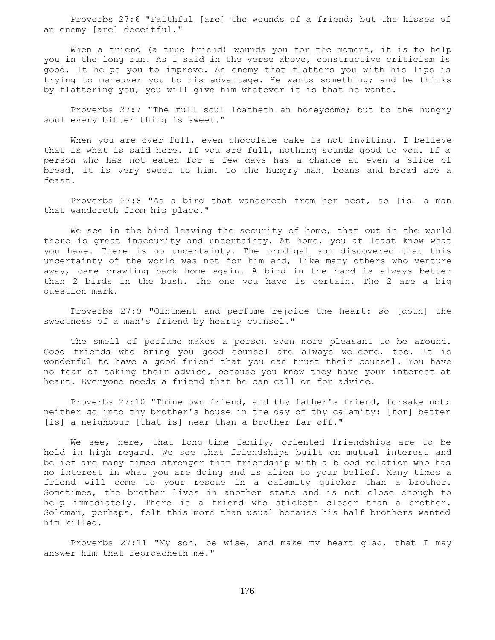Proverbs 27:6 "Faithful [are] the wounds of a friend; but the kisses of an enemy [are] deceitful."

When a friend (a true friend) wounds you for the moment, it is to help you in the long run. As I said in the verse above, constructive criticism is good. It helps you to improve. An enemy that flatters you with his lips is trying to maneuver you to his advantage. He wants something; and he thinks by flattering you, you will give him whatever it is that he wants.

 Proverbs 27:7 "The full soul loatheth an honeycomb; but to the hungry soul every bitter thing is sweet."

 When you are over full, even chocolate cake is not inviting. I believe that is what is said here. If you are full, nothing sounds good to you. If a person who has not eaten for a few days has a chance at even a slice of bread, it is very sweet to him. To the hungry man, beans and bread are a feast.

 Proverbs 27:8 "As a bird that wandereth from her nest, so [is] a man that wandereth from his place."

 We see in the bird leaving the security of home, that out in the world there is great insecurity and uncertainty. At home, you at least know what you have. There is no uncertainty. The prodigal son discovered that this uncertainty of the world was not for him and, like many others who venture away, came crawling back home again. A bird in the hand is always better than 2 birds in the bush. The one you have is certain. The 2 are a big question mark.

 Proverbs 27:9 "Ointment and perfume rejoice the heart: so [doth] the sweetness of a man's friend by hearty counsel."

 The smell of perfume makes a person even more pleasant to be around. Good friends who bring you good counsel are always welcome, too. It is wonderful to have a good friend that you can trust their counsel. You have no fear of taking their advice, because you know they have your interest at heart. Everyone needs a friend that he can call on for advice.

 Proverbs 27:10 "Thine own friend, and thy father's friend, forsake not; neither go into thy brother's house in the day of thy calamity: [for] better [is] a neighbour [that is] near than a brother far off."

 We see, here, that long-time family, oriented friendships are to be held in high regard. We see that friendships built on mutual interest and belief are many times stronger than friendship with a blood relation who has no interest in what you are doing and is alien to your belief. Many times a friend will come to your rescue in a calamity quicker than a brother. Sometimes, the brother lives in another state and is not close enough to help immediately. There is a friend who sticketh closer than a brother. Soloman, perhaps, felt this more than usual because his half brothers wanted him killed.

 Proverbs 27:11 "My son, be wise, and make my heart glad, that I may answer him that reproacheth me."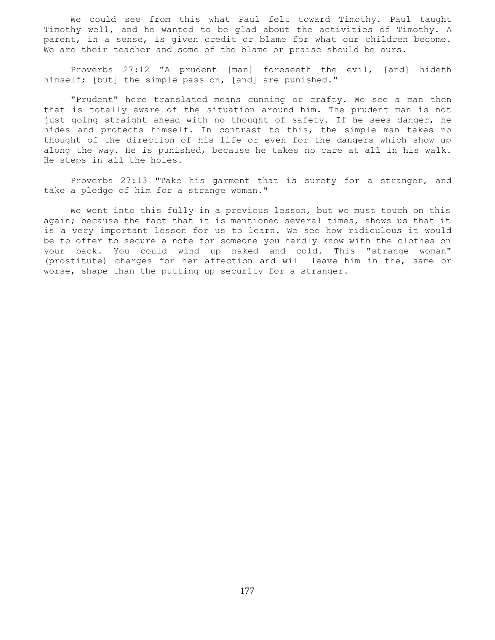We could see from this what Paul felt toward Timothy. Paul taught Timothy well, and he wanted to be glad about the activities of Timothy. A parent, in a sense, is given credit or blame for what our children become. We are their teacher and some of the blame or praise should be ours.

 Proverbs 27:12 "A prudent [man] foreseeth the evil, [and] hideth himself; [but] the simple pass on, [and] are punished."

 "Prudent" here translated means cunning or crafty. We see a man then that is totally aware of the situation around him. The prudent man is not just going straight ahead with no thought of safety. If he sees danger, he hides and protects himself. In contrast to this, the simple man takes no thought of the direction of his life or even for the dangers which show up along the way. He is punished, because he takes no care at all in his walk. He steps in all the holes.

 Proverbs 27:13 "Take his garment that is surety for a stranger, and take a pledge of him for a strange woman."

 We went into this fully in a previous lesson, but we must touch on this again; because the fact that it is mentioned several times, shows us that it is a very important lesson for us to learn. We see how ridiculous it would be to offer to secure a note for someone you hardly know with the clothes on your back. You could wind up naked and cold. This "strange woman" (prostitute) charges for her affection and will leave him in the, same or worse, shape than the putting up security for a stranger.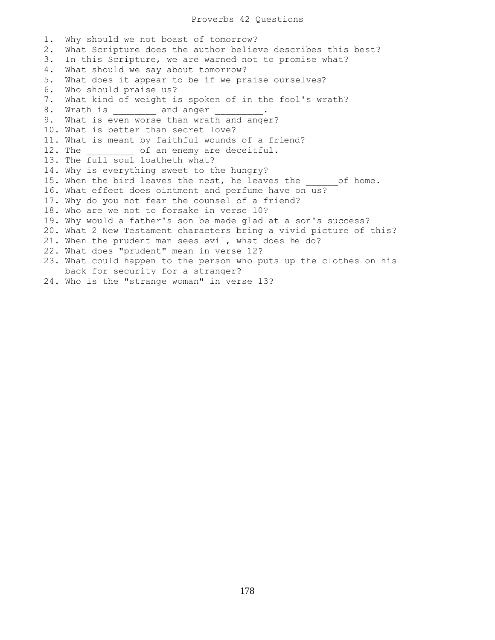## Proverbs 42 Questions

1. Why should we not boast of tomorrow? 2. What Scripture does the author believe describes this best? 3. In this Scripture, we are warned not to promise what? 4. What should we say about tomorrow? 5. What does it appear to be if we praise ourselves? 6. Who should praise us? 7. What kind of weight is spoken of in the fool's wrath? 8. Wrath is \_\_\_\_\_\_\_\_\_\_ and anger 9. What is even worse than wrath and anger? 10. What is better than secret love? 11. What is meant by faithful wounds of a friend? 12. The  $\qquad$  of an enemy are deceitful. 13. The full soul loatheth what? 14. Why is everything sweet to the hungry? 15. When the bird leaves the nest, he leaves the of home. 16. What effect does ointment and perfume have on us? 17. Why do you not fear the counsel of a friend? 18. Who are we not to forsake in verse 10? 19. Why would a father's son be made glad at a son's success? 20. What 2 New Testament characters bring a vivid picture of this? 21. When the prudent man sees evil, what does he do? 22. What does "prudent" mean in verse 12? 23. What could happen to the person who puts up the clothes on his back for security for a stranger? 24. Who is the "strange woman" in verse 13?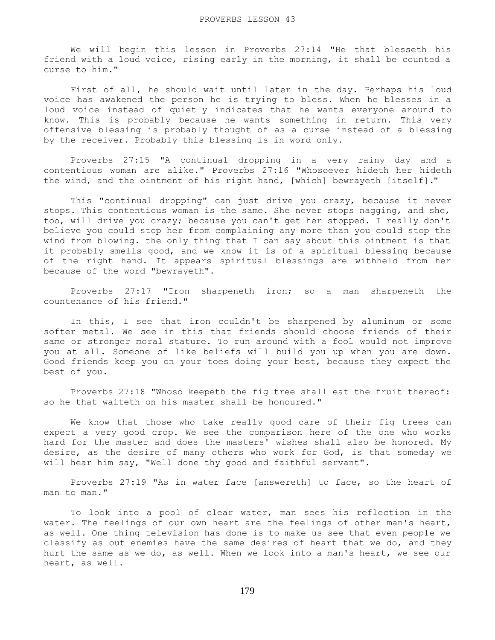We will begin this lesson in Proverbs 27:14 "He that blesseth his friend with a loud voice, rising early in the morning, it shall be counted a curse to him."

 First of all, he should wait until later in the day. Perhaps his loud voice has awakened the person he is trying to bless. When he blesses in a loud voice instead of quietly indicates that he wants everyone around to know. This is probably because he wants something in return. This very offensive blessing is probably thought of as a curse instead of a blessing by the receiver. Probably this blessing is in word only.

 Proverbs 27:15 "A continual dropping in a very rainy day and a contentious woman are alike." Proverbs 27:16 "Whosoever hideth her hideth the wind, and the ointment of his right hand, [which] bewrayeth [itself]."

 This "continual dropping" can just drive you crazy, because it never stops. This contentious woman is the same. She never stops nagging, and she, too, will drive you crazy; because you can't get her stopped. I really don't believe you could stop her from complaining any more than you could stop the wind from blowing. the only thing that I can say about this ointment is that it probably smells good, and we know it is of a spiritual blessing because of the right hand. It appears spiritual blessings are withheld from her because of the word "bewrayeth".

 Proverbs 27:17 "Iron sharpeneth iron; so a man sharpeneth the countenance of his friend."

 In this, I see that iron couldn't be sharpened by aluminum or some softer metal. We see in this that friends should choose friends of their same or stronger moral stature. To run around with a fool would not improve you at all. Someone of like beliefs will build you up when you are down. Good friends keep you on your toes doing your best, because they expect the best of you.

 Proverbs 27:18 "Whoso keepeth the fig tree shall eat the fruit thereof: so he that waiteth on his master shall be honoured."

 We know that those who take really good care of their fig trees can expect a very good crop. We see the comparison here of the one who works hard for the master and does the masters' wishes shall also be honored. My desire, as the desire of many others who work for God, is that someday we will hear him say, "Well done thy good and faithful servant".

 Proverbs 27:19 "As in water face [answereth] to face, so the heart of man to man."

 To look into a pool of clear water, man sees his reflection in the water. The feelings of our own heart are the feelings of other man's heart, as well. One thing television has done is to make us see that even people we classify as out enemies have the same desires of heart that we do, and they hurt the same as we do, as well. When we look into a man's heart, we see our heart, as well.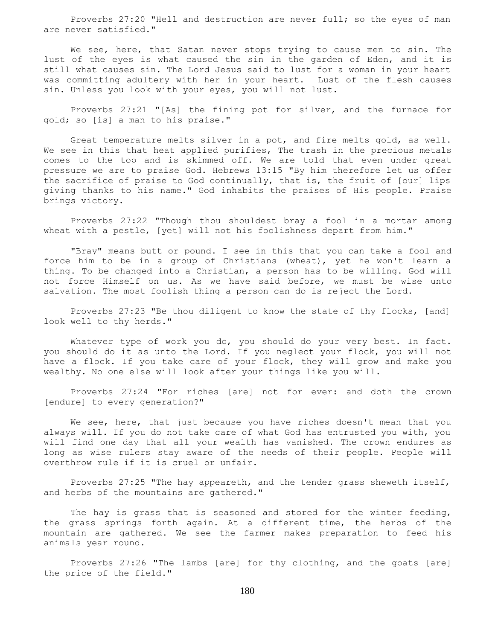Proverbs 27:20 "Hell and destruction are never full; so the eyes of man are never satisfied."

We see, here, that Satan never stops trying to cause men to sin. The lust of the eyes is what caused the sin in the garden of Eden, and it is still what causes sin. The Lord Jesus said to lust for a woman in your heart was committing adultery with her in your heart. Lust of the flesh causes sin. Unless you look with your eyes, you will not lust.

 Proverbs 27:21 "[As] the fining pot for silver, and the furnace for gold; so [is] a man to his praise."

 Great temperature melts silver in a pot, and fire melts gold, as well. We see in this that heat applied purifies, The trash in the precious metals comes to the top and is skimmed off. We are told that even under great pressure we are to praise God. Hebrews 13:15 "By him therefore let us offer the sacrifice of praise to God continually, that is, the fruit of [our] lips giving thanks to his name." God inhabits the praises of His people. Praise brings victory.

 Proverbs 27:22 "Though thou shouldest bray a fool in a mortar among wheat with a pestle, [yet] will not his foolishness depart from him."

 "Bray" means butt or pound. I see in this that you can take a fool and force him to be in a group of Christians (wheat), yet he won't learn a thing. To be changed into a Christian, a person has to be willing. God will not force Himself on us. As we have said before, we must be wise unto salvation. The most foolish thing a person can do is reject the Lord.

 Proverbs 27:23 "Be thou diligent to know the state of thy flocks, [and] look well to thy herds."

 Whatever type of work you do, you should do your very best. In fact. you should do it as unto the Lord. If you neglect your flock, you will not have a flock. If you take care of your flock, they will grow and make you wealthy. No one else will look after your things like you will.

 Proverbs 27:24 "For riches [are] not for ever: and doth the crown [endure] to every generation?"

We see, here, that just because you have riches doesn't mean that you always will. If you do not take care of what God has entrusted you with, you will find one day that all your wealth has vanished. The crown endures as long as wise rulers stay aware of the needs of their people. People will overthrow rule if it is cruel or unfair.

 Proverbs 27:25 "The hay appeareth, and the tender grass sheweth itself, and herbs of the mountains are gathered."

The hay is grass that is seasoned and stored for the winter feeding, the grass springs forth again. At a different time, the herbs of the mountain are gathered. We see the farmer makes preparation to feed his animals year round.

 Proverbs 27:26 "The lambs [are] for thy clothing, and the goats [are] the price of the field."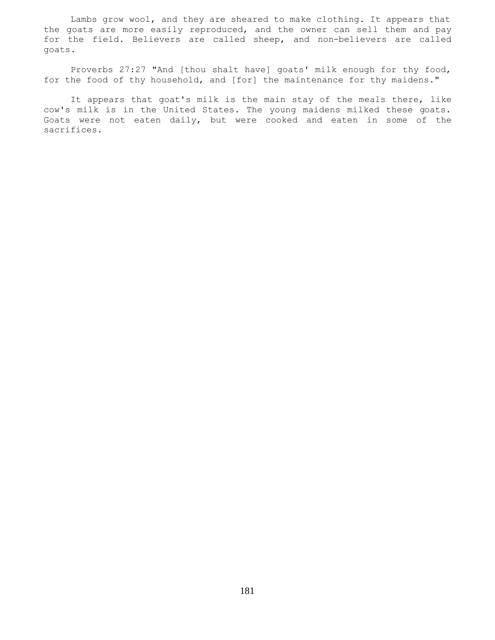Lambs grow wool, and they are sheared to make clothing. It appears that the goats are more easily reproduced, and the owner can sell them and pay for the field. Believers are called sheep, and non-believers are called goats.

 Proverbs 27:27 "And [thou shalt have] goats' milk enough for thy food, for the food of thy household, and [for] the maintenance for thy maidens."

 It appears that goat's milk is the main stay of the meals there, like cow's milk is in the United States. The young maidens milked these goats. Goats were not eaten daily, but were cooked and eaten in some of the sacrifices.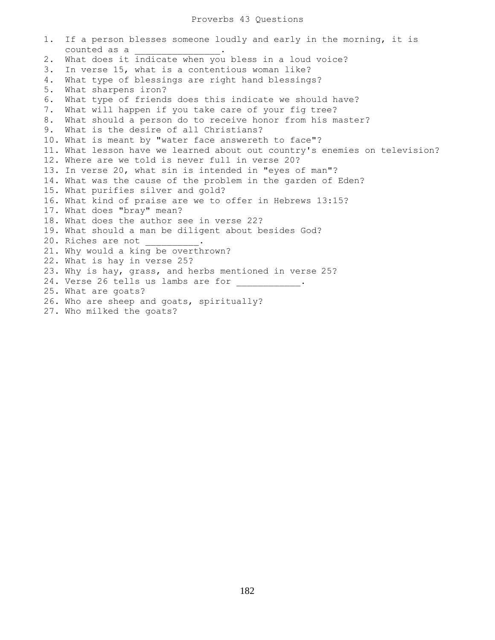## Proverbs 43 Questions

1. If a person blesses someone loudly and early in the morning, it is counted as a \_\_\_\_\_\_\_\_\_\_\_\_\_\_\_\_. 2. What does it indicate when you bless in a loud voice? 3. In verse 15, what is a contentious woman like? 4. What type of blessings are right hand blessings? 5. What sharpens iron? 6. What type of friends does this indicate we should have? 7. What will happen if you take care of your fig tree? 8. What should a person do to receive honor from his master? 9. What is the desire of all Christians? 10. What is meant by "water face answereth to face"? 11. What lesson have we learned about out country's enemies on television? 12. Where are we told is never full in verse 20? 13. In verse 20, what sin is intended in "eyes of man"? 14. What was the cause of the problem in the garden of Eden? 15. What purifies silver and gold? 16. What kind of praise are we to offer in Hebrews 13:15? 17. What does "bray" mean? 18. What does the author see in verse 22? 19. What should a man be diligent about besides God? 20. Riches are not 21. Why would a king be overthrown? 22. What is hay in verse 25? 23. Why is hay, grass, and herbs mentioned in verse 25? 24. Verse 26 tells us lambs are for 25. What are goats? 26. Who are sheep and goats, spiritually? 27. Who milked the goats?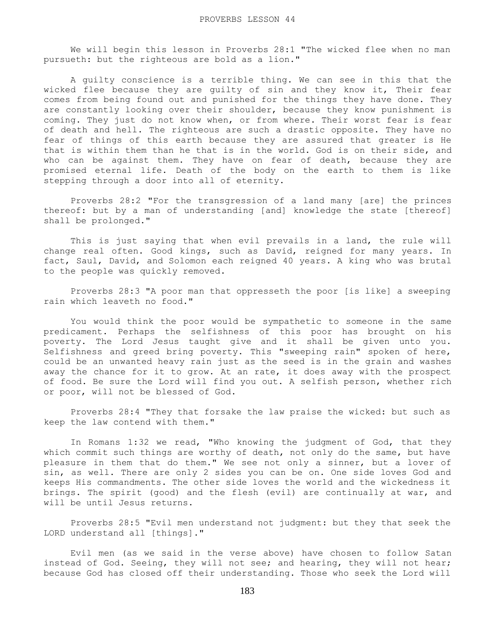We will begin this lesson in Proverbs 28:1 "The wicked flee when no man pursueth: but the righteous are bold as a lion."

 A guilty conscience is a terrible thing. We can see in this that the wicked flee because they are guilty of sin and they know it, Their fear comes from being found out and punished for the things they have done. They are constantly looking over their shoulder, because they know punishment is coming. They just do not know when, or from where. Their worst fear is fear of death and hell. The righteous are such a drastic opposite. They have no fear of things of this earth because they are assured that greater is He that is within them than he that is in the world. God is on their side, and who can be against them. They have on fear of death, because they are promised eternal life. Death of the body on the earth to them is like stepping through a door into all of eternity.

 Proverbs 28:2 "For the transgression of a land many [are] the princes thereof: but by a man of understanding [and] knowledge the state [thereof] shall be prolonged."

 This is just saying that when evil prevails in a land, the rule will change real often. Good kings, such as David, reigned for many years. In fact, Saul, David, and Solomon each reigned 40 years. A king who was brutal to the people was quickly removed.

 Proverbs 28:3 "A poor man that oppresseth the poor [is like] a sweeping rain which leaveth no food."

 You would think the poor would be sympathetic to someone in the same predicament. Perhaps the selfishness of this poor has brought on his poverty. The Lord Jesus taught give and it shall be given unto you. Selfishness and greed bring poverty. This "sweeping rain" spoken of here, could be an unwanted heavy rain just as the seed is in the grain and washes away the chance for it to grow. At an rate, it does away with the prospect of food. Be sure the Lord will find you out. A selfish person, whether rich or poor, will not be blessed of God.

 Proverbs 28:4 "They that forsake the law praise the wicked: but such as keep the law contend with them."

 In Romans 1:32 we read, "Who knowing the judgment of God, that they which commit such things are worthy of death, not only do the same, but have pleasure in them that do them." We see not only a sinner, but a lover of sin, as well. There are only 2 sides you can be on. One side loves God and keeps His commandments. The other side loves the world and the wickedness it brings. The spirit (good) and the flesh (evil) are continually at war, and will be until Jesus returns.

 Proverbs 28:5 "Evil men understand not judgment: but they that seek the LORD understand all [things]."

 Evil men (as we said in the verse above) have chosen to follow Satan instead of God. Seeing, they will not see; and hearing, they will not hear; because God has closed off their understanding. Those who seek the Lord will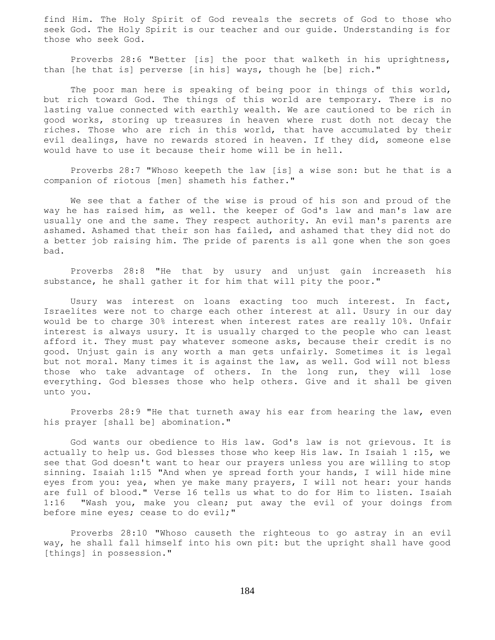find Him. The Holy Spirit of God reveals the secrets of God to those who seek God. The Holy Spirit is our teacher and our guide. Understanding is for those who seek God.

 Proverbs 28:6 "Better [is] the poor that walketh in his uprightness, than [he that is] perverse [in his] ways, though he [be] rich."

The poor man here is speaking of being poor in things of this world, but rich toward God. The things of this world are temporary. There is no lasting value connected with earthly wealth. We are cautioned to be rich in good works, storing up treasures in heaven where rust doth not decay the riches. Those who are rich in this world, that have accumulated by their evil dealings, have no rewards stored in heaven. If they did, someone else would have to use it because their home will be in hell.

 Proverbs 28:7 "Whoso keepeth the law [is] a wise son: but he that is a companion of riotous [men] shameth his father."

 We see that a father of the wise is proud of his son and proud of the way he has raised him, as well. the keeper of God's law and man's law are usually one and the same. They respect authority. An evil man's parents are ashamed. Ashamed that their son has failed, and ashamed that they did not do a better job raising him. The pride of parents is all gone when the son goes bad.

 Proverbs 28:8 "He that by usury and unjust gain increaseth his substance, he shall gather it for him that will pity the poor."

 Usury was interest on loans exacting too much interest. In fact, Israelites were not to charge each other interest at all. Usury in our day would be to charge 30% interest when interest rates are really 10%. Unfair interest is always usury. It is usually charged to the people who can least afford it. They must pay whatever someone asks, because their credit is no good. Unjust gain is any worth a man gets unfairly. Sometimes it is legal but not moral. Many times it is against the law, as well. God will not bless those who take advantage of others. In the long run, they will lose everything. God blesses those who help others. Give and it shall be given unto you.

 Proverbs 28:9 "He that turneth away his ear from hearing the law, even his prayer [shall be] abomination."

 God wants our obedience to His law. God's law is not grievous. It is actually to help us. God blesses those who keep His law. In Isaiah 1 :15, we see that God doesn't want to hear our prayers unless you are willing to stop sinning. Isaiah 1:15 "And when ye spread forth your hands, I will hide mine eyes from you: yea, when ye make many prayers, I will not hear: your hands are full of blood." Verse 16 tells us what to do for Him to listen. Isaiah 1:16 "Wash you, make you clean; put away the evil of your doings from before mine eyes; cease to do evil;"

 Proverbs 28:10 "Whoso causeth the righteous to go astray in an evil way, he shall fall himself into his own pit: but the upright shall have good [things] in possession."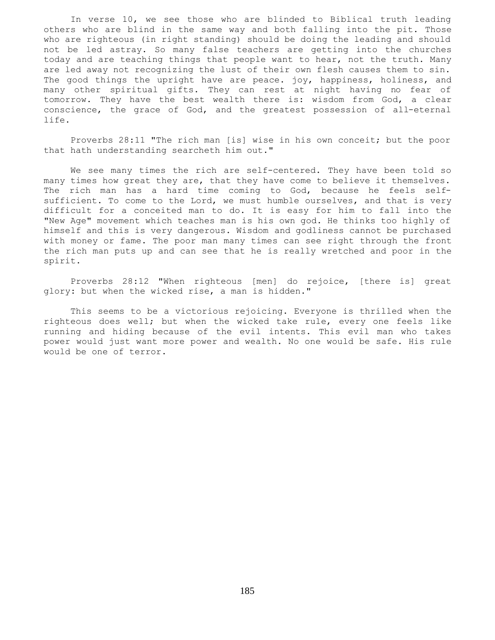In verse 10, we see those who are blinded to Biblical truth leading others who are blind in the same way and both falling into the pit. Those who are righteous (in right standing) should be doing the leading and should not be led astray. So many false teachers are getting into the churches today and are teaching things that people want to hear, not the truth. Many are led away not recognizing the lust of their own flesh causes them to sin. The good things the upright have are peace. joy, happiness, holiness, and many other spiritual gifts. They can rest at night having no fear of tomorrow. They have the best wealth there is: wisdom from God, a clear conscience, the grace of God, and the greatest possession of all-eternal life.

 Proverbs 28:11 "The rich man [is] wise in his own conceit; but the poor that hath understanding searcheth him out."

 We see many times the rich are self-centered. They have been told so many times how great they are, that they have come to believe it themselves. The rich man has a hard time coming to God, because he feels selfsufficient. To come to the Lord, we must humble ourselves, and that is very difficult for a conceited man to do. It is easy for him to fall into the "New Age" movement which teaches man is his own god. He thinks too highly of himself and this is very dangerous. Wisdom and godliness cannot be purchased with money or fame. The poor man many times can see right through the front the rich man puts up and can see that he is really wretched and poor in the spirit.

 Proverbs 28:12 "When righteous [men] do rejoice, [there is] great glory: but when the wicked rise, a man is hidden."

 This seems to be a victorious rejoicing. Everyone is thrilled when the righteous does well; but when the wicked take rule, every one feels like running and hiding because of the evil intents. This evil man who takes power would just want more power and wealth. No one would be safe. His rule would be one of terror.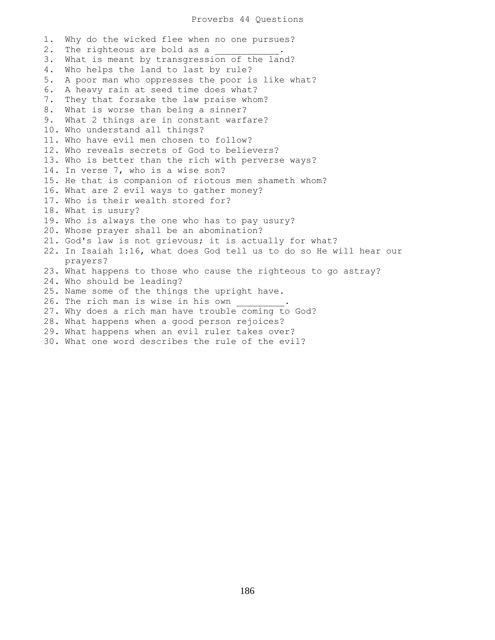## Proverbs 44 Questions

1. Why do the wicked flee when no one pursues? 2. The righteous are bold as a 3. What is meant by transgression of the land? 4. Who helps the land to last by rule? 5. A poor man who oppresses the poor is like what? 6. A heavy rain at seed time does what? 7. They that forsake the law praise whom? 8. What is worse than being a sinner? 9. What 2 things are in constant warfare? 10. Who understand all things? 11. Who have evil men chosen to follow? 12. Who reveals secrets of God to believers? 13. Who is better than the rich with perverse ways? 14. In verse 7, who is a wise son? 15. He that is companion of riotous men shameth whom? 16. What are 2 evil ways to gather money? 17. Who is their wealth stored for? 18. What is usury? 19. Who is always the one who has to pay usury? 20. Whose prayer shall be an abomination? 21. God's law is not grievous; it is actually for what? 22. In Isaiah 1:16, what does God tell us to do so He will hear our prayers? 23. What happens to those who cause the righteous to go astray? 24. Who should be leading? 25. Name some of the things the upright have. 26. The rich man is wise in his own 27. Why does a rich man have trouble coming to God? 28. What happens when a good person rejoices? 29. What happens when an evil ruler takes over? 30. What one word describes the rule of the evil?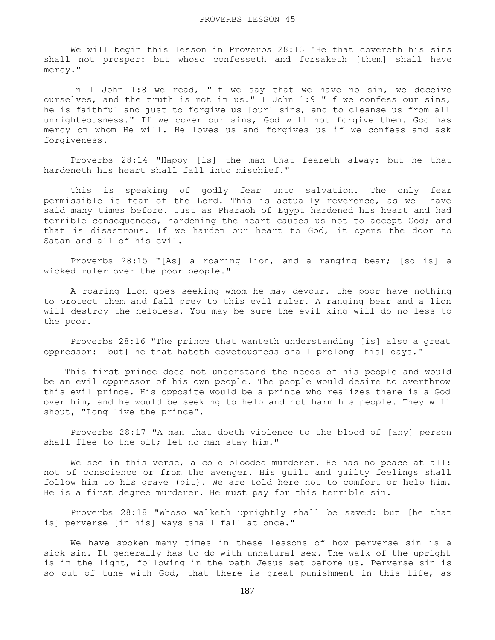We will begin this lesson in Proverbs 28:13 "He that covereth his sins shall not prosper: but whoso confesseth and forsaketh [them] shall have mercy."

In I John 1:8 we read, "If we say that we have no sin, we deceive ourselves, and the truth is not in us." I John 1:9 "If we confess our sins, he is faithful and just to forgive us [our] sins, and to cleanse us from all unrighteousness." If we cover our sins, God will not forgive them. God has mercy on whom He will. He loves us and forgives us if we confess and ask forgiveness.

 Proverbs 28:14 "Happy [is] the man that feareth alway: but he that hardeneth his heart shall fall into mischief."

 This is speaking of godly fear unto salvation. The only fear permissible is fear of the Lord. This is actually reverence, as we have said many times before. Just as Pharaoh of Egypt hardened his heart and had terrible consequences, hardening the heart causes us not to accept God; and that is disastrous. If we harden our heart to God, it opens the door to Satan and all of his evil.

 Proverbs 28:15 "[As] a roaring lion, and a ranging bear; [so is] a wicked ruler over the poor people."

 A roaring lion goes seeking whom he may devour. the poor have nothing to protect them and fall prey to this evil ruler. A ranging bear and a lion will destroy the helpless. You may be sure the evil king will do no less to the poor.

 Proverbs 28:16 "The prince that wanteth understanding [is] also a great oppressor: [but] he that hateth covetousness shall prolong [his] days."

 This first prince does not understand the needs of his people and would be an evil oppressor of his own people. The people would desire to overthrow this evil prince. His opposite would be a prince who realizes there is a God over him, and he would be seeking to help and not harm his people. They will shout, "Long live the prince".

 Proverbs 28:17 "A man that doeth violence to the blood of [any] person shall flee to the pit; let no man stay him."

We see in this verse, a cold blooded murderer. He has no peace at all: not of conscience or from the avenger. His guilt and guilty feelings shall follow him to his grave (pit). We are told here not to comfort or help him. He is a first degree murderer. He must pay for this terrible sin.

 Proverbs 28:18 "Whoso walketh uprightly shall be saved: but [he that is] perverse [in his] ways shall fall at once."

 We have spoken many times in these lessons of how perverse sin is a sick sin. It generally has to do with unnatural sex. The walk of the upright is in the light, following in the path Jesus set before us. Perverse sin is so out of tune with God, that there is great punishment in this life, as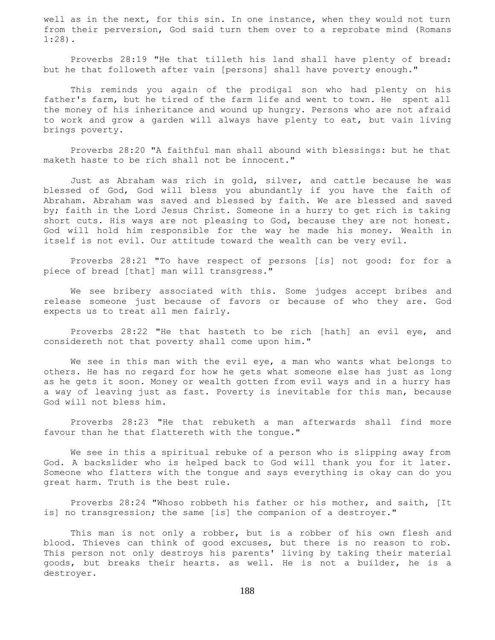well as in the next, for this sin. In one instance, when they would not turn from their perversion, God said turn them over to a reprobate mind (Romans 1:28).

 Proverbs 28:19 "He that tilleth his land shall have plenty of bread: but he that followeth after vain [persons] shall have poverty enough."

 This reminds you again of the prodigal son who had plenty on his father's farm, but he tired of the farm life and went to town. He spent all the money of his inheritance and wound up hungry. Persons who are not afraid to work and grow a garden will always have plenty to eat, but vain living brings poverty.

 Proverbs 28:20 "A faithful man shall abound with blessings: but he that maketh haste to be rich shall not be innocent."

 Just as Abraham was rich in gold, silver, and cattle because he was blessed of God, God will bless you abundantly if you have the faith of Abraham. Abraham was saved and blessed by faith. We are blessed and saved by; faith in the Lord Jesus Christ. Someone in a hurry to get rich is taking short cuts. His ways are not pleasing to God, because they are not honest. God will hold him responsible for the way he made his money. Wealth in itself is not evil. Our attitude toward the wealth can be very evil.

 Proverbs 28:21 "To have respect of persons [is] not good: for for a piece of bread [that] man will transgress."

 We see bribery associated with this. Some judges accept bribes and release someone just because of favors or because of who they are. God expects us to treat all men fairly.

 Proverbs 28:22 "He that hasteth to be rich [hath] an evil eye, and considereth not that poverty shall come upon him."

We see in this man with the evil eye, a man who wants what belongs to others. He has no regard for how he gets what someone else has just as long as he gets it soon. Money or wealth gotten from evil ways and in a hurry has a way of leaving just as fast. Poverty is inevitable for this man, because God will not bless him.

 Proverbs 28:23 "He that rebuketh a man afterwards shall find more favour than he that flattereth with the tongue."

 We see in this a spiritual rebuke of a person who is slipping away from God. A backslider who is helped back to God will thank you for it later. Someone who flatters with the tongue and says everything is okay can do you great harm. Truth is the best rule.

 Proverbs 28:24 "Whoso robbeth his father or his mother, and saith, [It is] no transgression; the same [is] the companion of a destroyer."

This man is not only a robber, but is a robber of his own flesh and blood. Thieves can think of good excuses, but there is no reason to rob. This person not only destroys his parents' living by taking their material goods, but breaks their hearts. as well. He is not a builder, he is a destroyer.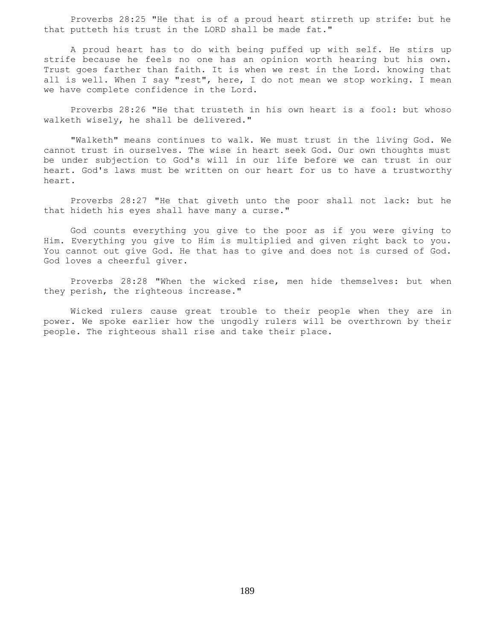Proverbs 28:25 "He that is of a proud heart stirreth up strife: but he that putteth his trust in the LORD shall be made fat."

 A proud heart has to do with being puffed up with self. He stirs up strife because he feels no one has an opinion worth hearing but his own. Trust goes farther than faith. It is when we rest in the Lord. knowing that all is well. When I say "rest", here, I do not mean we stop working. I mean we have complete confidence in the Lord.

 Proverbs 28:26 "He that trusteth in his own heart is a fool: but whoso walketh wisely, he shall be delivered."

 "Walketh" means continues to walk. We must trust in the living God. We cannot trust in ourselves. The wise in heart seek God. Our own thoughts must be under subjection to God's will in our life before we can trust in our heart. God's laws must be written on our heart for us to have a trustworthy heart.

 Proverbs 28:27 "He that giveth unto the poor shall not lack: but he that hideth his eyes shall have many a curse."

 God counts everything you give to the poor as if you were giving to Him. Everything you give to Him is multiplied and given right back to you. You cannot out give God. He that has to give and does not is cursed of God. God loves a cheerful giver.

 Proverbs 28:28 "When the wicked rise, men hide themselves: but when they perish, the righteous increase."

 Wicked rulers cause great trouble to their people when they are in power. We spoke earlier how the ungodly rulers will be overthrown by their people. The righteous shall rise and take their place.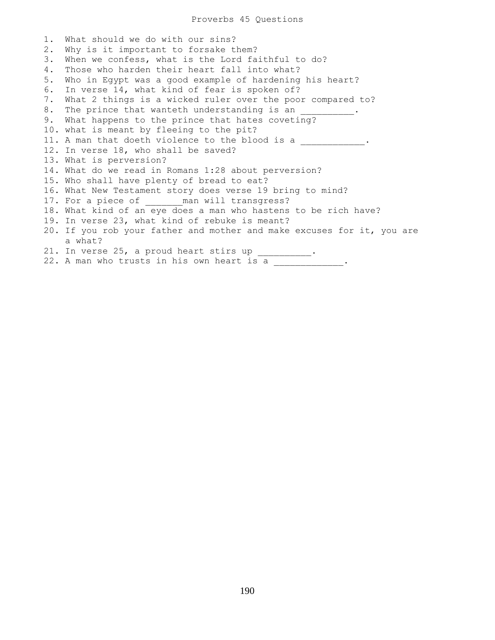1. What should we do with our sins? 2. Why is it important to forsake them? 3. When we confess, what is the Lord faithful to do? 4. Those who harden their heart fall into what? 5. Who in Egypt was a good example of hardening his heart? 6. In verse 14, what kind of fear is spoken of? 7. What 2 things is a wicked ruler over the poor compared to? 8. The prince that wanteth understanding is an 9. What happens to the prince that hates coveting? 10. what is meant by fleeing to the pit? 11. A man that doeth violence to the blood is a \_\_\_\_\_\_\_\_\_\_\_\_. 12. In verse 18, who shall be saved? 13. What is perversion? 14. What do we read in Romans 1:28 about perversion? 15. Who shall have plenty of bread to eat? 16. What New Testament story does verse 19 bring to mind? 17. For a piece of \_\_\_\_\_\_ man will transgress? 18. What kind of an eye does a man who hastens to be rich have? 19. In verse 23, what kind of rebuke is meant? 20. If you rob your father and mother and make excuses for it, you are a what? 21. In verse 25, a proud heart stirs up  $\frac{1}{\sqrt{2}}$ . 22. A man who trusts in his own heart is a  $\blacksquare$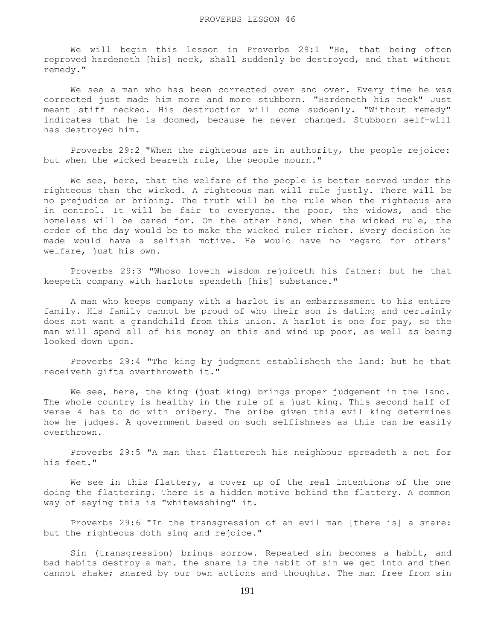We will begin this lesson in Proverbs 29:1 "He, that being often reproved hardeneth [his] neck, shall suddenly be destroyed, and that without remedy."

 We see a man who has been corrected over and over. Every time he was corrected just made him more and more stubborn. "Hardeneth his neck" Just meant stiff necked. His destruction will come suddenly. "Without remedy" indicates that he is doomed, because he never changed. Stubborn self-will has destroyed him.

 Proverbs 29:2 "When the righteous are in authority, the people rejoice: but when the wicked beareth rule, the people mourn."

We see, here, that the welfare of the people is better served under the righteous than the wicked. A righteous man will rule justly. There will be no prejudice or bribing. The truth will be the rule when the righteous are in control. It will be fair to everyone. the poor, the widows, and the homeless will be cared for. On the other hand, when the wicked rule, the order of the day would be to make the wicked ruler richer. Every decision he made would have a selfish motive. He would have no regard for others' welfare, just his own.

 Proverbs 29:3 "Whoso loveth wisdom rejoiceth his father: but he that keepeth company with harlots spendeth [his] substance."

 A man who keeps company with a harlot is an embarrassment to his entire family. His family cannot be proud of who their son is dating and certainly does not want a grandchild from this union. A harlot is one for pay, so the man will spend all of his money on this and wind up poor, as well as being looked down upon.

 Proverbs 29:4 "The king by judgment establisheth the land: but he that receiveth gifts overthroweth it."

 We see, here, the king (just king) brings proper judgement in the land. The whole country is healthy in the rule of a just king. This second half of verse 4 has to do with bribery. The bribe given this evil king determines how he judges. A government based on such selfishness as this can be easily overthrown.

 Proverbs 29:5 "A man that flattereth his neighbour spreadeth a net for his feet."

We see in this flattery, a cover up of the real intentions of the one doing the flattering. There is a hidden motive behind the flattery. A common way of saying this is "whitewashing" it.

 Proverbs 29:6 "In the transgression of an evil man [there is] a snare: but the righteous doth sing and rejoice."

 Sin (transgression) brings sorrow. Repeated sin becomes a habit, and bad habits destroy a man. the snare is the habit of sin we get into and then cannot shake; snared by our own actions and thoughts. The man free from sin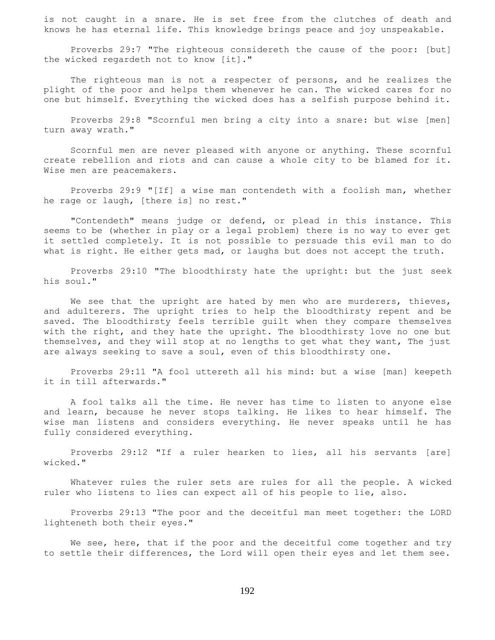is not caught in a snare. He is set free from the clutches of death and knows he has eternal life. This knowledge brings peace and joy unspeakable.

 Proverbs 29:7 "The righteous considereth the cause of the poor: [but] the wicked regardeth not to know [it]."

The righteous man is not a respecter of persons, and he realizes the plight of the poor and helps them whenever he can. The wicked cares for no one but himself. Everything the wicked does has a selfish purpose behind it.

 Proverbs 29:8 "Scornful men bring a city into a snare: but wise [men] turn away wrath."

 Scornful men are never pleased with anyone or anything. These scornful create rebellion and riots and can cause a whole city to be blamed for it. Wise men are peacemakers.

 Proverbs 29:9 "[If] a wise man contendeth with a foolish man, whether he rage or laugh, [there is] no rest."

 "Contendeth" means judge or defend, or plead in this instance. This seems to be (whether in play or a legal problem) there is no way to ever get it settled completely. It is not possible to persuade this evil man to do what is right. He either gets mad, or laughs but does not accept the truth.

 Proverbs 29:10 "The bloodthirsty hate the upright: but the just seek his soul."

We see that the upright are hated by men who are murderers, thieves, and adulterers. The upright tries to help the bloodthirsty repent and be saved. The bloodthirsty feels terrible guilt when they compare themselves with the right, and they hate the upright. The bloodthirsty love no one but themselves, and they will stop at no lengths to get what they want, The just are always seeking to save a soul, even of this bloodthirsty one.

 Proverbs 29:11 "A fool uttereth all his mind: but a wise [man] keepeth it in till afterwards."

 A fool talks all the time. He never has time to listen to anyone else and learn, because he never stops talking. He likes to hear himself. The wise man listens and considers everything. He never speaks until he has fully considered everything.

 Proverbs 29:12 "If a ruler hearken to lies, all his servants [are] wicked."

 Whatever rules the ruler sets are rules for all the people. A wicked ruler who listens to lies can expect all of his people to lie, also.

 Proverbs 29:13 "The poor and the deceitful man meet together: the LORD lighteneth both their eyes."

We see, here, that if the poor and the deceitful come together and try to settle their differences, the Lord will open their eyes and let them see.

192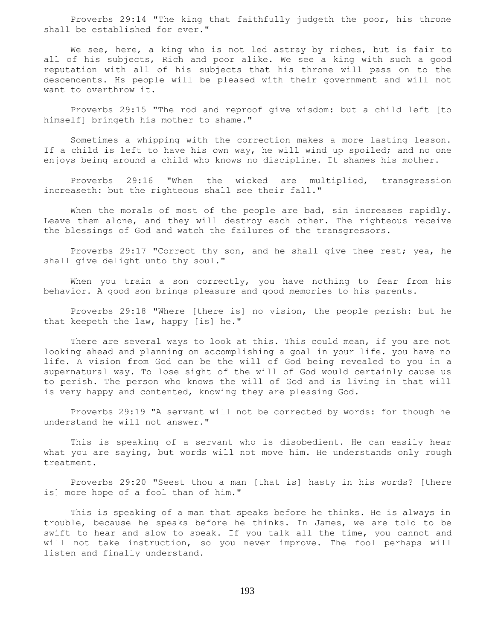Proverbs 29:14 "The king that faithfully judgeth the poor, his throne shall be established for ever."

We see, here, a king who is not led astray by riches, but is fair to all of his subjects, Rich and poor alike. We see a king with such a good reputation with all of his subjects that his throne will pass on to the descendents. Hs people will be pleased with their government and will not want to overthrow it.

 Proverbs 29:15 "The rod and reproof give wisdom: but a child left [to himself] bringeth his mother to shame."

 Sometimes a whipping with the correction makes a more lasting lesson. If a child is left to have his own way, he will wind up spoiled; and no one enjoys being around a child who knows no discipline. It shames his mother.

 Proverbs 29:16 "When the wicked are multiplied, transgression increaseth: but the righteous shall see their fall."

When the morals of most of the people are bad, sin increases rapidly. Leave them alone, and they will destroy each other. The righteous receive the blessings of God and watch the failures of the transgressors.

 Proverbs 29:17 "Correct thy son, and he shall give thee rest; yea, he shall give delight unto thy soul."

When you train a son correctly, you have nothing to fear from his behavior. A good son brings pleasure and good memories to his parents.

 Proverbs 29:18 "Where [there is] no vision, the people perish: but he that keepeth the law, happy [is] he."

There are several ways to look at this. This could mean, if you are not looking ahead and planning on accomplishing a goal in your life. you have no life. A vision from God can be the will of God being revealed to you in a supernatural way. To lose sight of the will of God would certainly cause us to perish. The person who knows the will of God and is living in that will is very happy and contented, knowing they are pleasing God.

 Proverbs 29:19 "A servant will not be corrected by words: for though he understand he will not answer."

 This is speaking of a servant who is disobedient. He can easily hear what you are saying, but words will not move him. He understands only rough treatment.

 Proverbs 29:20 "Seest thou a man [that is] hasty in his words? [there is] more hope of a fool than of him."

 This is speaking of a man that speaks before he thinks. He is always in trouble, because he speaks before he thinks. In James, we are told to be swift to hear and slow to speak. If you talk all the time, you cannot and will not take instruction, so you never improve. The fool perhaps will listen and finally understand.

193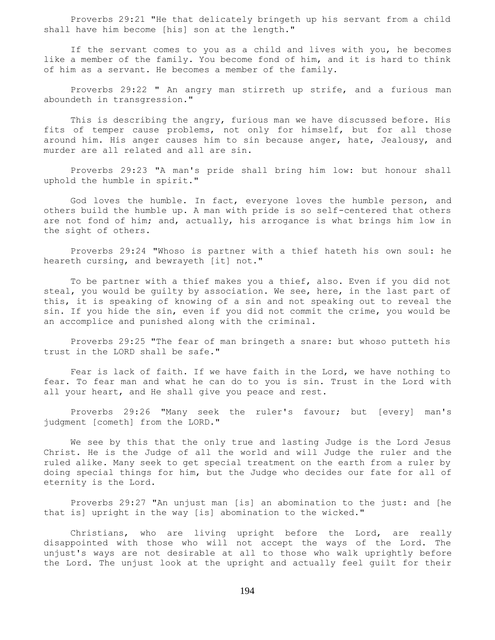Proverbs 29:21 "He that delicately bringeth up his servant from a child shall have him become [his] son at the length."

 If the servant comes to you as a child and lives with you, he becomes like a member of the family. You become fond of him, and it is hard to think of him as a servant. He becomes a member of the family.

 Proverbs 29:22 " An angry man stirreth up strife, and a furious man aboundeth in transgression."

 This is describing the angry, furious man we have discussed before. His fits of temper cause problems, not only for himself, but for all those around him. His anger causes him to sin because anger, hate, Jealousy, and murder are all related and all are sin.

 Proverbs 29:23 "A man's pride shall bring him low: but honour shall uphold the humble in spirit."

 God loves the humble. In fact, everyone loves the humble person, and others build the humble up. A man with pride is so self-centered that others are not fond of him; and, actually, his arrogance is what brings him low in the sight of others.

 Proverbs 29:24 "Whoso is partner with a thief hateth his own soul: he heareth cursing, and bewrayeth [it] not."

 To be partner with a thief makes you a thief, also. Even if you did not steal, you would be guilty by association. We see, here, in the last part of this, it is speaking of knowing of a sin and not speaking out to reveal the sin. If you hide the sin, even if you did not commit the crime, you would be an accomplice and punished along with the criminal.

 Proverbs 29:25 "The fear of man bringeth a snare: but whoso putteth his trust in the LORD shall be safe."

 Fear is lack of faith. If we have faith in the Lord, we have nothing to fear. To fear man and what he can do to you is sin. Trust in the Lord with all your heart, and He shall give you peace and rest.

 Proverbs 29:26 "Many seek the ruler's favour; but [every] man's judgment [cometh] from the LORD."

 We see by this that the only true and lasting Judge is the Lord Jesus Christ. He is the Judge of all the world and will Judge the ruler and the ruled alike. Many seek to get special treatment on the earth from a ruler by doing special things for him, but the Judge who decides our fate for all of eternity is the Lord.

 Proverbs 29:27 "An unjust man [is] an abomination to the just: and [he that is] upright in the way [is] abomination to the wicked."

 Christians, who are living upright before the Lord, are really disappointed with those who will not accept the ways of the Lord. The unjust's ways are not desirable at all to those who walk uprightly before the Lord. The unjust look at the upright and actually feel guilt for their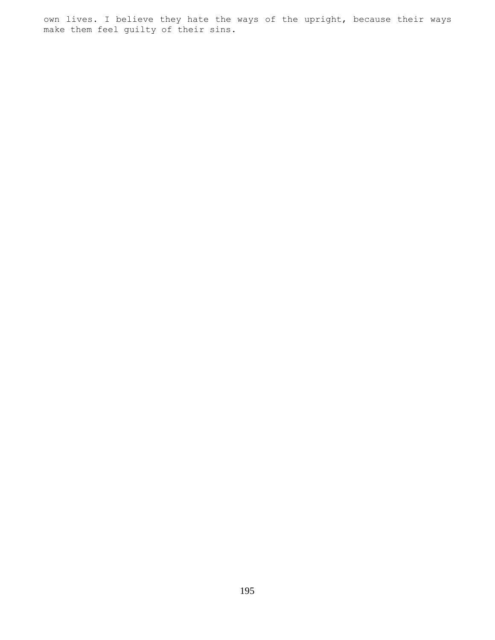own lives. I believe they hate the ways of the upright, because their ways make them feel guilty of their sins.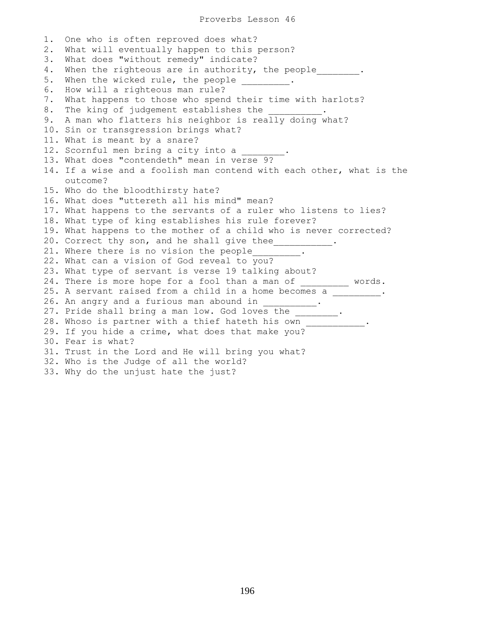1. One who is often reproved does what? 2. What will eventually happen to this person? 3. What does "without remedy" indicate? 4. When the righteous are in authority, the people  $\cdots$ 5. When the wicked rule, the people \_\_\_\_\_\_\_\_\_. 6. How will a righteous man rule? 7. What happens to those who spend their time with harlots? 8. The king of judgement establishes the 9. A man who flatters his neighbor is really doing what? 10. Sin or transgression brings what? 11. What is meant by a snare? 12. Scornful men bring a city into a 13. What does "contendeth" mean in verse 9? 14. If a wise and a foolish man contend with each other, what is the outcome? 15. Who do the bloodthirsty hate? 16. What does "uttereth all his mind" mean? 17. What happens to the servants of a ruler who listens to lies? 18. What type of king establishes his rule forever? 19. What happens to the mother of a child who is never corrected? 20. Correct thy son, and he shall give thee\_\_\_\_\_\_\_\_\_\_\_. 21. Where there is no vision the people\_\_\_\_\_\_\_\_. 22. What can a vision of God reveal to you? 23. What type of servant is verse 19 talking about? 24. There is more hope for a fool than a man of \_\_\_\_\_\_\_\_\_ words. 25. A servant raised from a child in a home becomes a \_\_\_\_\_\_\_\_\_. 26. An angry and a furious man abound in \_\_\_\_\_\_\_\_\_\_. 27. Pride shall bring a man low. God loves the \_\_\_\_\_\_\_\_. 28. Whoso is partner with a thief hateth his own \_\_\_\_\_\_\_\_\_\_ 29. If you hide a crime, what does that make you? 30. Fear is what? 31. Trust in the Lord and He will bring you what? 32. Who is the Judge of all the world?

33. Why do the unjust hate the just?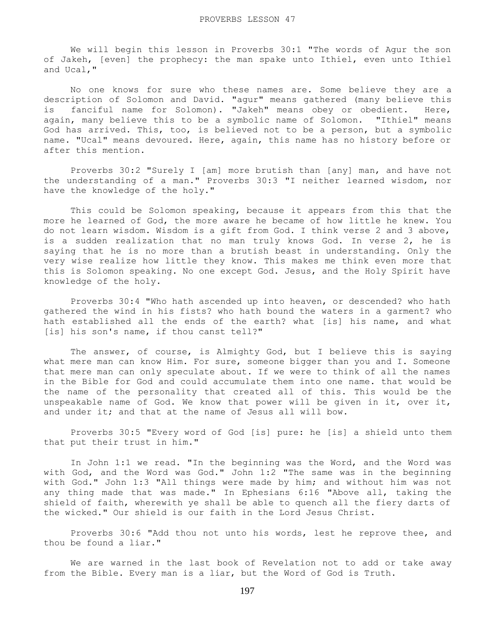We will begin this lesson in Proverbs 30:1 "The words of Agur the son of Jakeh, [even] the prophecy: the man spake unto Ithiel, even unto Ithiel and Ucal,"

 No one knows for sure who these names are. Some believe they are a description of Solomon and David. "agur" means gathered (many believe this is fanciful name for Solomon). "Jakeh" means obey or obedient. Here, again, many believe this to be a symbolic name of Solomon. "Ithiel" means God has arrived. This, too, is believed not to be a person, but a symbolic name. "Ucal" means devoured. Here, again, this name has no history before or after this mention.

 Proverbs 30:2 "Surely I [am] more brutish than [any] man, and have not the understanding of a man." Proverbs 30:3 "I neither learned wisdom, nor have the knowledge of the holy."

 This could be Solomon speaking, because it appears from this that the more he learned of God, the more aware he became of how little he knew. You do not learn wisdom. Wisdom is a gift from God. I think verse 2 and 3 above, is a sudden realization that no man truly knows God. In verse 2, he is saying that he is no more than a brutish beast in understanding. Only the very wise realize how little they know. This makes me think even more that this is Solomon speaking. No one except God. Jesus, and the Holy Spirit have knowledge of the holy.

 Proverbs 30:4 "Who hath ascended up into heaven, or descended? who hath gathered the wind in his fists? who hath bound the waters in a garment? who hath established all the ends of the earth? what [is] his name, and what [is] his son's name, if thou canst tell?"

 The answer, of course, is Almighty God, but I believe this is saying what mere man can know Him. For sure, someone bigger than you and I. Someone that mere man can only speculate about. If we were to think of all the names in the Bible for God and could accumulate them into one name. that would be the name of the personality that created all of this. This would be the unspeakable name of God. We know that power will be given in it, over it, and under it; and that at the name of Jesus all will bow.

 Proverbs 30:5 "Every word of God [is] pure: he [is] a shield unto them that put their trust in him."

 In John 1:1 we read. "In the beginning was the Word, and the Word was with God, and the Word was God." John 1:2 "The same was in the beginning with God." John 1:3 "All things were made by him; and without him was not any thing made that was made." In Ephesians 6:16 "Above all, taking the shield of faith, wherewith ye shall be able to quench all the fiery darts of the wicked." Our shield is our faith in the Lord Jesus Christ.

 Proverbs 30:6 "Add thou not unto his words, lest he reprove thee, and thou be found a liar."

 We are warned in the last book of Revelation not to add or take away from the Bible. Every man is a liar, but the Word of God is Truth.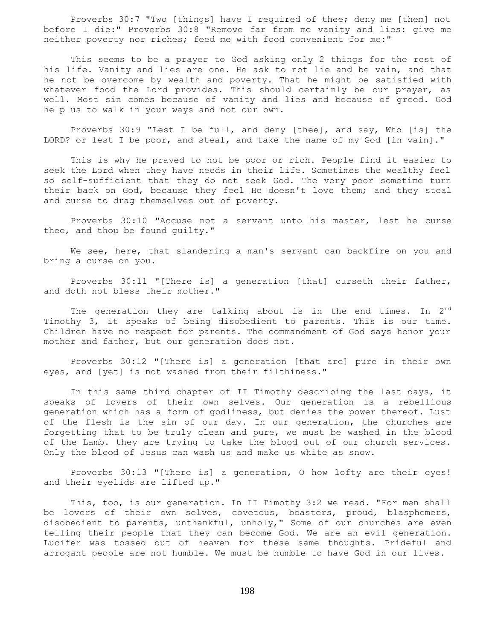Proverbs 30:7 "Two [things] have I required of thee; deny me [them] not before I die:" Proverbs 30:8 "Remove far from me vanity and lies: give me neither poverty nor riches; feed me with food convenient for me:"

 This seems to be a prayer to God asking only 2 things for the rest of his life. Vanity and lies are one. He ask to not lie and be vain, and that he not be overcome by wealth and poverty. That he might be satisfied with whatever food the Lord provides. This should certainly be our prayer, as well. Most sin comes because of vanity and lies and because of greed. God help us to walk in your ways and not our own.

 Proverbs 30:9 "Lest I be full, and deny [thee], and say, Who [is] the LORD? or lest I be poor, and steal, and take the name of my God [in vain]."

 This is why he prayed to not be poor or rich. People find it easier to seek the Lord when they have needs in their life. Sometimes the wealthy feel so self-sufficient that they do not seek God. The very poor sometime turn their back on God, because they feel He doesn't love them; and they steal and curse to drag themselves out of poverty.

 Proverbs 30:10 "Accuse not a servant unto his master, lest he curse thee, and thou be found guilty."

We see, here, that slandering a man's servant can backfire on you and bring a curse on you.

 Proverbs 30:11 "[There is] a generation [that] curseth their father, and doth not bless their mother."

The generation they are talking about is in the end times. In  $2^{nd}$ Timothy 3, it speaks of being disobedient to parents. This is our time. Children have no respect for parents. The commandment of God says honor your mother and father, but our generation does not.

 Proverbs 30:12 "[There is] a generation [that are] pure in their own eyes, and [yet] is not washed from their filthiness."

 In this same third chapter of II Timothy describing the last days, it speaks of lovers of their own selves. Our generation is a rebellious generation which has a form of godliness, but denies the power thereof. Lust of the flesh is the sin of our day. In our generation, the churches are forgetting that to be truly clean and pure, we must be washed in the blood of the Lamb. they are trying to take the blood out of our church services. Only the blood of Jesus can wash us and make us white as snow.

 Proverbs 30:13 "[There is] a generation, O how lofty are their eyes! and their eyelids are lifted up."

 This, too, is our generation. In II Timothy 3:2 we read. "For men shall be lovers of their own selves, covetous, boasters, proud, blasphemers, disobedient to parents, unthankful, unholy," Some of our churches are even telling their people that they can become God. We are an evil generation. Lucifer was tossed out of heaven for these same thoughts. Prideful and arrogant people are not humble. We must be humble to have God in our lives.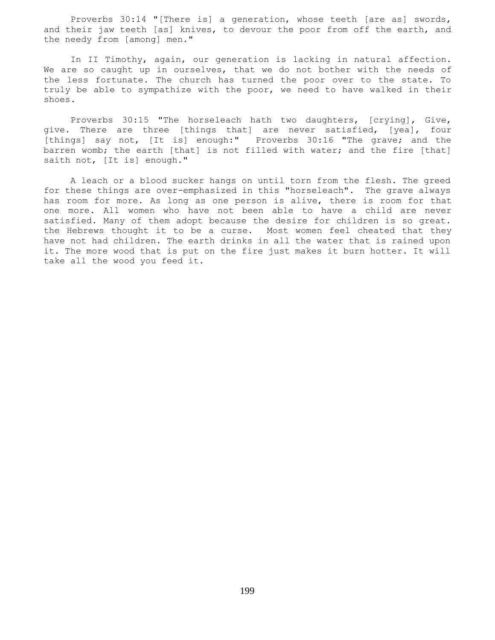Proverbs 30:14 "[There is] a generation, whose teeth [are as] swords, and their jaw teeth [as] knives, to devour the poor from off the earth, and the needy from [among] men."

 In II Timothy, again, our generation is lacking in natural affection. We are so caught up in ourselves, that we do not bother with the needs of the less fortunate. The church has turned the poor over to the state. To truly be able to sympathize with the poor, we need to have walked in their shoes.

 Proverbs 30:15 "The horseleach hath two daughters, [crying], Give, give. There are three [things that] are never satisfied, [yea], four [things] say not, [It is] enough:" Proverbs 30:16 "The grave; and the barren womb; the earth [that] is not filled with water; and the fire [that] saith not, [It is] enough."

 A leach or a blood sucker hangs on until torn from the flesh. The greed for these things are over-emphasized in this "horseleach". The grave always has room for more. As long as one person is alive, there is room for that one more. All women who have not been able to have a child are never satisfied. Many of them adopt because the desire for children is so great. the Hebrews thought it to be a curse. Most women feel cheated that they have not had children. The earth drinks in all the water that is rained upon it. The more wood that is put on the fire just makes it burn hotter. It will take all the wood you feed it.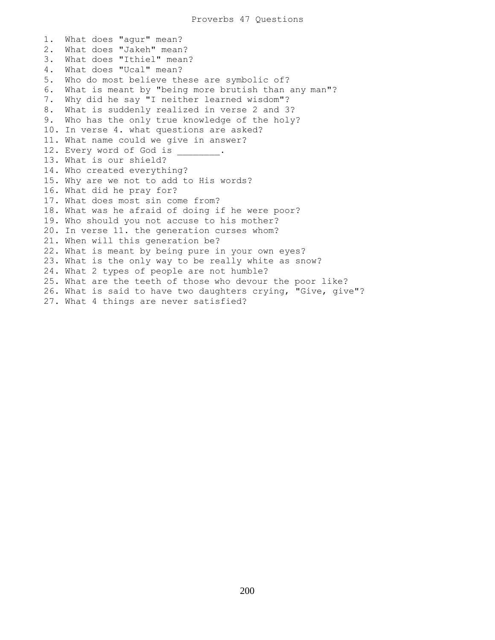1. What does "agur" mean? 2. What does "Jakeh" mean? 3. What does "Ithiel" mean? 4. What does "Ucal" mean? 5. Who do most believe these are symbolic of? 6. What is meant by "being more brutish than any man"? 7. Why did he say "I neither learned wisdom"? 8. What is suddenly realized in verse 2 and 3? 9. Who has the only true knowledge of the holy? 10. In verse 4. what questions are asked? 11. What name could we give in answer? 12. Every word of God is 13. What is our shield? 14. Who created everything? 15. Why are we not to add to His words? 16. What did he pray for? 17. What does most sin come from? 18. What was he afraid of doing if he were poor? 19. Who should you not accuse to his mother? 20. In verse 11. the generation curses whom? 21. When will this generation be? 22. What is meant by being pure in your own eyes? 23. What is the only way to be really white as snow? 24. What 2 types of people are not humble? 25. What are the teeth of those who devour the poor like? 26. What is said to have two daughters crying, "Give, give"? 27. What 4 things are never satisfied?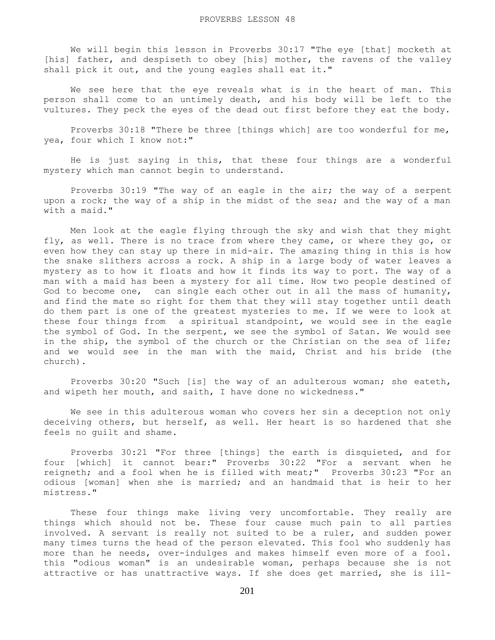We will begin this lesson in Proverbs 30:17 "The eye [that] mocketh at [his] father, and despiseth to obey [his] mother, the ravens of the valley shall pick it out, and the young eagles shall eat it."

 We see here that the eye reveals what is in the heart of man. This person shall come to an untimely death, and his body will be left to the vultures. They peck the eyes of the dead out first before they eat the body.

 Proverbs 30:18 "There be three [things which] are too wonderful for me, yea, four which I know not:"

 He is just saying in this, that these four things are a wonderful mystery which man cannot begin to understand.

 Proverbs 30:19 "The way of an eagle in the air; the way of a serpent upon a rock; the way of a ship in the midst of the sea; and the way of a man with a maid."

 Men look at the eagle flying through the sky and wish that they might fly, as well. There is no trace from where they came, or where they go, or even how they can stay up there in mid-air. The amazing thing in this is how the snake slithers across a rock. A ship in a large body of water leaves a mystery as to how it floats and how it finds its way to port. The way of a man with a maid has been a mystery for all time. How two people destined of God to become one, can single each other out in all the mass of humanity, and find the mate so right for them that they will stay together until death do them part is one of the greatest mysteries to me. If we were to look at these four things from a spiritual standpoint, we would see in the eagle the symbol of God. In the serpent, we see the symbol of Satan. We would see in the ship, the symbol of the church or the Christian on the sea of life; and we would see in the man with the maid, Christ and his bride (the church).

 Proverbs 30:20 "Such [is] the way of an adulterous woman; she eateth, and wipeth her mouth, and saith, I have done no wickedness."

 We see in this adulterous woman who covers her sin a deception not only deceiving others, but herself, as well. Her heart is so hardened that she feels no guilt and shame.

 Proverbs 30:21 "For three [things] the earth is disquieted, and for four [which] it cannot bear:" Proverbs 30:22 "For a servant when he reigneth; and a fool when he is filled with meat;" Proverbs 30:23 "For an odious [woman] when she is married; and an handmaid that is heir to her mistress."

 These four things make living very uncomfortable. They really are things which should not be. These four cause much pain to all parties involved. A servant is really not suited to be a ruler, and sudden power many times turns the head of the person elevated. This fool who suddenly has more than he needs, over-indulges and makes himself even more of a fool. this "odious woman" is an undesirable woman, perhaps because she is not attractive or has unattractive ways. If she does get married, she is ill-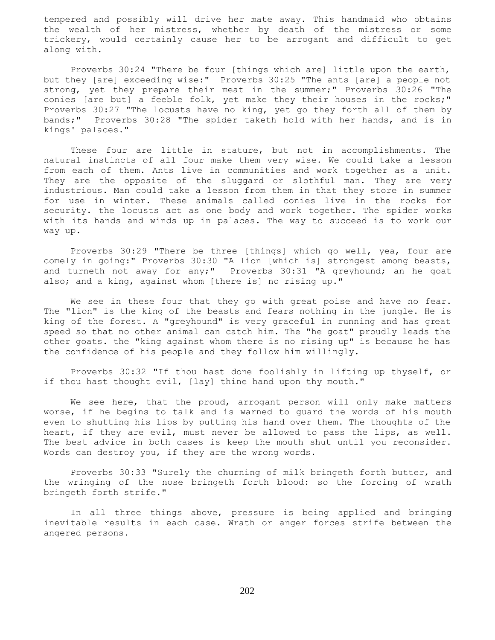tempered and possibly will drive her mate away. This handmaid who obtains the wealth of her mistress, whether by death of the mistress or some trickery, would certainly cause her to be arrogant and difficult to get along with.

 Proverbs 30:24 "There be four [things which are] little upon the earth, but they [are] exceeding wise:" Proverbs 30:25 "The ants [are] a people not strong, yet they prepare their meat in the summer;" Proverbs  $30:26$  "The conies [are but] a feeble folk, yet make they their houses in the rocks;" Proverbs 30:27 "The locusts have no king, yet go they forth all of them by bands;" Proverbs 30:28 "The spider taketh hold with her hands, and is in kings' palaces."

 These four are little in stature, but not in accomplishments. The natural instincts of all four make them very wise. We could take a lesson from each of them. Ants live in communities and work together as a unit. They are the opposite of the sluggard or slothful man. They are very industrious. Man could take a lesson from them in that they store in summer for use in winter. These animals called conies live in the rocks for security. the locusts act as one body and work together. The spider works with its hands and winds up in palaces. The way to succeed is to work our way up.

 Proverbs 30:29 "There be three [things] which go well, yea, four are comely in going:" Proverbs 30:30 "A lion [which is] strongest among beasts, and turneth not away for any;" Proverbs 30:31 "A greyhound; an he goat also; and a king, against whom [there is] no rising up."

We see in these four that they go with great poise and have no fear. The "lion" is the king of the beasts and fears nothing in the jungle. He is king of the forest. A "greyhound" is very graceful in running and has great speed so that no other animal can catch him. The "he goat" proudly leads the other goats. the "king against whom there is no rising up" is because he has the confidence of his people and they follow him willingly.

 Proverbs 30:32 "If thou hast done foolishly in lifting up thyself, or if thou hast thought evil, [lay] thine hand upon thy mouth."

We see here, that the proud, arrogant person will only make matters worse, if he begins to talk and is warned to guard the words of his mouth even to shutting his lips by putting his hand over them. The thoughts of the heart, if they are evil, must never be allowed to pass the lips, as well. The best advice in both cases is keep the mouth shut until you reconsider. Words can destroy you, if they are the wrong words.

 Proverbs 30:33 "Surely the churning of milk bringeth forth butter, and the wringing of the nose bringeth forth blood: so the forcing of wrath bringeth forth strife."

 In all three things above, pressure is being applied and bringing inevitable results in each case. Wrath or anger forces strife between the angered persons.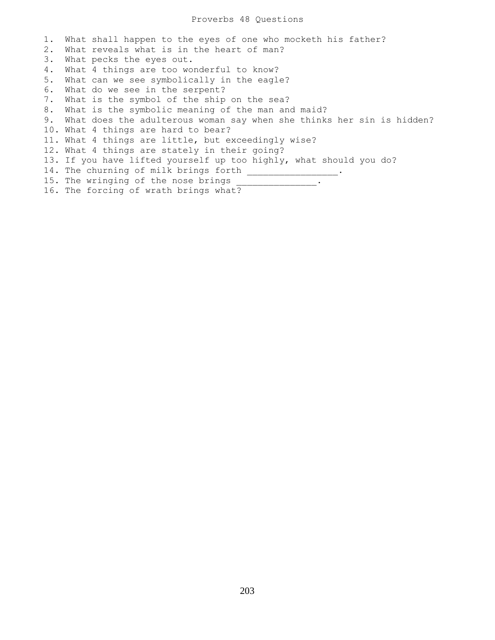1. What shall happen to the eyes of one who mocketh his father? 2. What reveals what is in the heart of man? 3. What pecks the eyes out. 4. What 4 things are too wonderful to know? 5. What can we see symbolically in the eagle? 6. What do we see in the serpent? 7. What is the symbol of the ship on the sea? 8. What is the symbolic meaning of the man and maid? 9. What does the adulterous woman say when she thinks her sin is hidden? 10. What 4 things are hard to bear? 11. What 4 things are little, but exceedingly wise? 12. What 4 things are stately in their going? 13. If you have lifted yourself up too highly, what should you do? 14. The churning of milk brings forth \_\_\_\_\_\_\_\_\_\_\_ 15. The wringing of the nose brings \_\_\_\_\_\_\_\_\_\_\_\_\_\_\_. 16. The forcing of wrath brings what?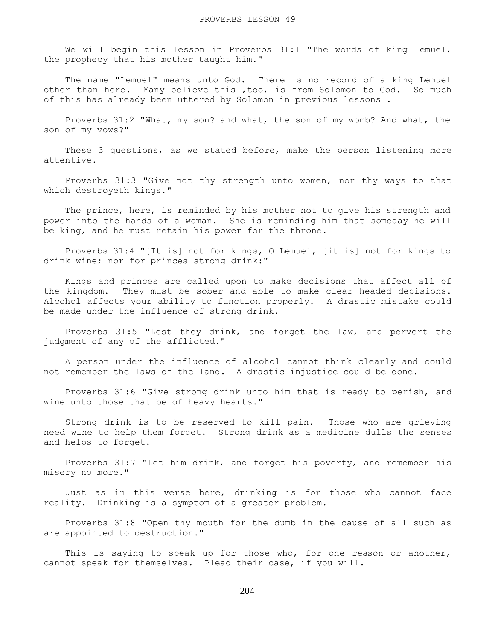We will begin this lesson in Proverbs 31:1 "The words of king Lemuel, the prophecy that his mother taught him."

 The name "Lemuel" means unto God. There is no record of a king Lemuel other than here. Many believe this ,too, is from Solomon to God. So much of this has already been uttered by Solomon in previous lessons .

 Proverbs 31:2 "What, my son? and what, the son of my womb? And what, the son of my vows?"

 These 3 questions, as we stated before, make the person listening more attentive.

 Proverbs 31:3 "Give not thy strength unto women, nor thy ways to that which destroyeth kings."

 The prince, here, is reminded by his mother not to give his strength and power into the hands of a woman. She is reminding him that someday he will be king, and he must retain his power for the throne.

 Proverbs 31:4 "[It is] not for kings, O Lemuel, [it is] not for kings to drink wine; nor for princes strong drink:"

 Kings and princes are called upon to make decisions that affect all of the kingdom. They must be sober and able to make clear headed decisions. Alcohol affects your ability to function properly. A drastic mistake could be made under the influence of strong drink.

 Proverbs 31:5 "Lest they drink, and forget the law, and pervert the judgment of any of the afflicted."

 A person under the influence of alcohol cannot think clearly and could not remember the laws of the land. A drastic injustice could be done.

 Proverbs 31:6 "Give strong drink unto him that is ready to perish, and wine unto those that be of heavy hearts."

 Strong drink is to be reserved to kill pain. Those who are grieving need wine to help them forget. Strong drink as a medicine dulls the senses and helps to forget.

 Proverbs 31:7 "Let him drink, and forget his poverty, and remember his misery no more."

 Just as in this verse here, drinking is for those who cannot face reality. Drinking is a symptom of a greater problem.

 Proverbs 31:8 "Open thy mouth for the dumb in the cause of all such as are appointed to destruction."

This is saying to speak up for those who, for one reason or another, cannot speak for themselves. Plead their case, if you will.

204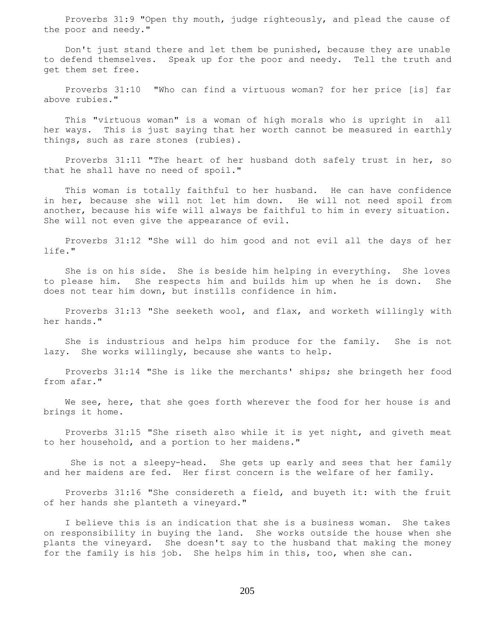Proverbs 31:9 "Open thy mouth, judge righteously, and plead the cause of the poor and needy."

 Don't just stand there and let them be punished, because they are unable to defend themselves. Speak up for the poor and needy. Tell the truth and get them set free.

 Proverbs 31:10 "Who can find a virtuous woman? for her price [is] far above rubies."

 This "virtuous woman" is a woman of high morals who is upright in all her ways. This is just saying that her worth cannot be measured in earthly things, such as rare stones (rubies).

 Proverbs 31:11 "The heart of her husband doth safely trust in her, so that he shall have no need of spoil."

 This woman is totally faithful to her husband. He can have confidence in her, because she will not let him down. He will not need spoil from another, because his wife will always be faithful to him in every situation. She will not even give the appearance of evil.

 Proverbs 31:12 "She will do him good and not evil all the days of her life."

 She is on his side. She is beside him helping in everything. She loves to please him. She respects him and builds him up when he is down. She does not tear him down, but instills confidence in him.

 Proverbs 31:13 "She seeketh wool, and flax, and worketh willingly with her hands."

 She is industrious and helps him produce for the family. She is not lazy. She works willingly, because she wants to help.

 Proverbs 31:14 "She is like the merchants' ships; she bringeth her food from afar."

 We see, here, that she goes forth wherever the food for her house is and brings it home.

 Proverbs 31:15 "She riseth also while it is yet night, and giveth meat to her household, and a portion to her maidens."

 She is not a sleepy-head. She gets up early and sees that her family and her maidens are fed. Her first concern is the welfare of her family.

 Proverbs 31:16 "She considereth a field, and buyeth it: with the fruit of her hands she planteth a vineyard."

 I believe this is an indication that she is a business woman. She takes on responsibility in buying the land. She works outside the house when she plants the vineyard. She doesn't say to the husband that making the money for the family is his job. She helps him in this, too, when she can.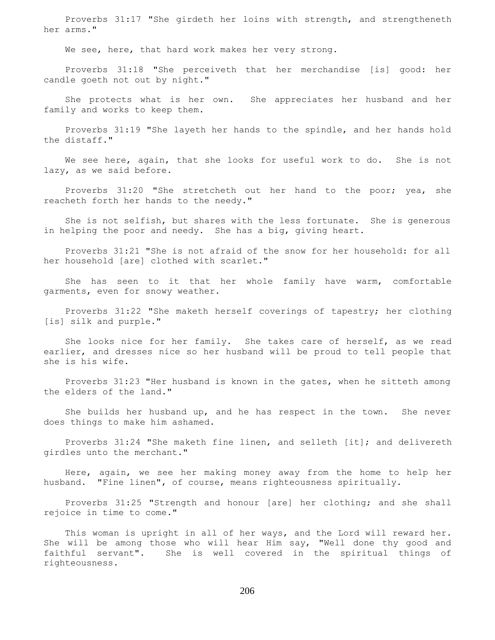Proverbs 31:17 "She girdeth her loins with strength, and strengtheneth her arms."

We see, here, that hard work makes her very strong.

 Proverbs 31:18 "She perceiveth that her merchandise [is] good: her candle goeth not out by night."

 She protects what is her own. She appreciates her husband and her family and works to keep them.

 Proverbs 31:19 "She layeth her hands to the spindle, and her hands hold the distaff."

 We see here, again, that she looks for useful work to do. She is not lazy, as we said before.

 Proverbs 31:20 "She stretcheth out her hand to the poor; yea, she reacheth forth her hands to the needy."

 She is not selfish, but shares with the less fortunate. She is generous in helping the poor and needy. She has a big, giving heart.

 Proverbs 31:21 "She is not afraid of the snow for her household: for all her household [are] clothed with scarlet."

 She has seen to it that her whole family have warm, comfortable garments, even for snowy weather.

 Proverbs 31:22 "She maketh herself coverings of tapestry; her clothing [is] silk and purple."

 She looks nice for her family. She takes care of herself, as we read earlier, and dresses nice so her husband will be proud to tell people that she is his wife.

 Proverbs 31:23 "Her husband is known in the gates, when he sitteth among the elders of the land."

 She builds her husband up, and he has respect in the town. She never does things to make him ashamed.

 Proverbs 31:24 "She maketh fine linen, and selleth [it]; and delivereth girdles unto the merchant."

 Here, again, we see her making money away from the home to help her husband. "Fine linen", of course, means righteousness spiritually.

 Proverbs 31:25 "Strength and honour [are] her clothing; and she shall rejoice in time to come."

 This woman is upright in all of her ways, and the Lord will reward her. She will be among those who will hear Him say, "Well done thy good and faithful servant". She is well covered in the spiritual things of righteousness.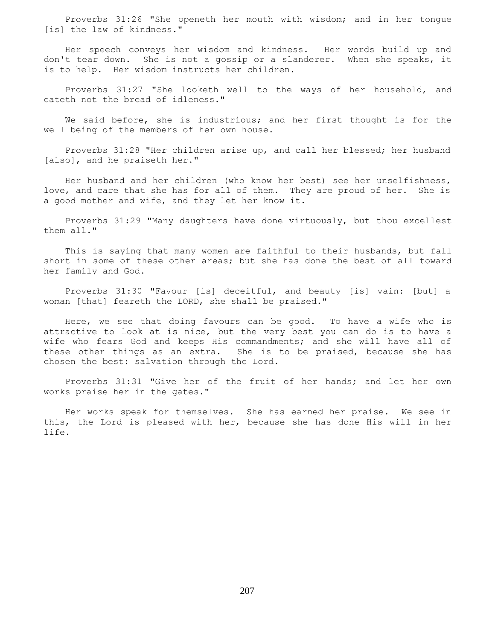Proverbs 31:26 "She openeth her mouth with wisdom; and in her tongue [is] the law of kindness."

 Her speech conveys her wisdom and kindness. Her words build up and don't tear down. She is not a gossip or a slanderer. When she speaks, it is to help. Her wisdom instructs her children.

 Proverbs 31:27 "She looketh well to the ways of her household, and eateth not the bread of idleness."

 We said before, she is industrious; and her first thought is for the well being of the members of her own house.

 Proverbs 31:28 "Her children arise up, and call her blessed; her husband [also], and he praiseth her."

 Her husband and her children (who know her best) see her unselfishness, love, and care that she has for all of them. They are proud of her. She is a good mother and wife, and they let her know it.

 Proverbs 31:29 "Many daughters have done virtuously, but thou excellest them all."

 This is saying that many women are faithful to their husbands, but fall short in some of these other areas; but she has done the best of all toward her family and God.

 Proverbs 31:30 "Favour [is] deceitful, and beauty [is] vain: [but] a woman [that] feareth the LORD, she shall be praised."

 Here, we see that doing favours can be good. To have a wife who is attractive to look at is nice, but the very best you can do is to have a wife who fears God and keeps His commandments; and she will have all of these other things as an extra. She is to be praised, because she has chosen the best: salvation through the Lord.

 Proverbs 31:31 "Give her of the fruit of her hands; and let her own works praise her in the gates."

 Her works speak for themselves. She has earned her praise. We see in this, the Lord is pleased with her, because she has done His will in her life.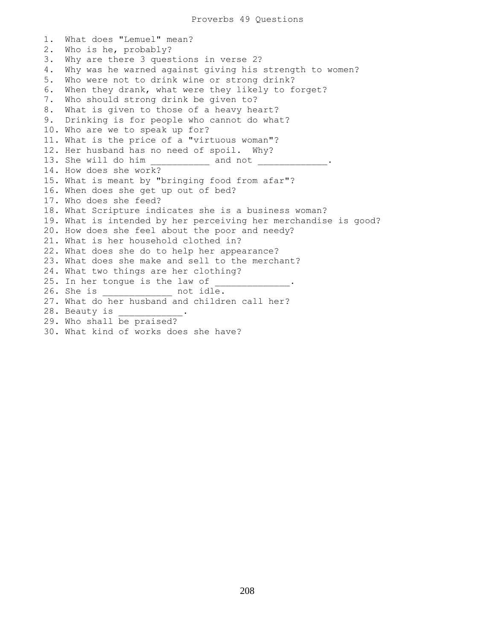1. What does "Lemuel" mean? 2. Who is he, probably? 3. Why are there 3 questions in verse 2? 4. Why was he warned against giving his strength to women? 5. Who were not to drink wine or strong drink? 6. When they drank, what were they likely to forget? 7. Who should strong drink be given to? 8. What is given to those of a heavy heart? 9. Drinking is for people who cannot do what? 10. Who are we to speak up for? 11. What is the price of a "virtuous woman"? 12. Her husband has no need of spoil. Why? 13. She will do him \_\_\_\_\_\_\_\_\_\_\_\_\_\_\_\_\_\_\_\_\_\_ and not \_\_\_\_\_\_\_\_\_\_\_\_\_\_\_\_\_\_\_\_\_\_\_\_\_\_\_\_\_\_ 14. How does she work? 15. What is meant by "bringing food from afar"? 16. When does she get up out of bed? 17. Who does she feed? 18. What Scripture indicates she is a business woman? 19. What is intended by her perceiving her merchandise is good? 20. How does she feel about the poor and needy? 21. What is her household clothed in? 22. What does she do to help her appearance? 23. What does she make and sell to the merchant? 24. What two things are her clothing? 25. In her tongue is the law of 26. She is \_\_\_\_\_\_\_\_\_\_\_\_\_ not idle. 27. What do her husband and children call her? 28. Beauty is 29. Who shall be praised? 30. What kind of works does she have?